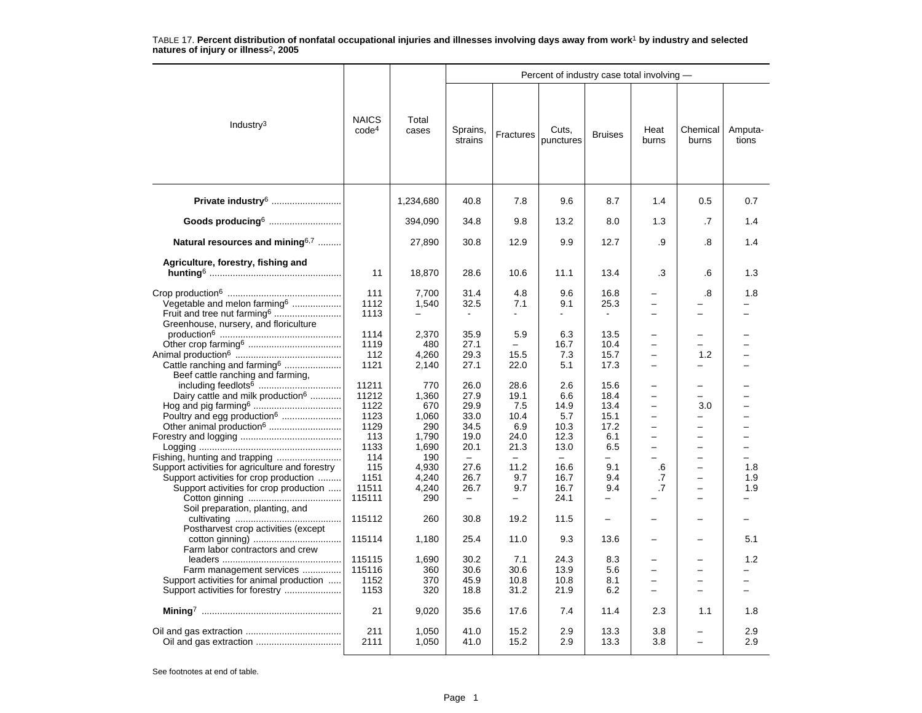|                                                 |                                   |                |                          |                          | Percent of industry case total involving - |                          |                                                      |                          |                  |
|-------------------------------------------------|-----------------------------------|----------------|--------------------------|--------------------------|--------------------------------------------|--------------------------|------------------------------------------------------|--------------------------|------------------|
| Industry $3$                                    | <b>NAICS</b><br>code <sup>4</sup> | Total<br>cases | Sprains,<br>strains      | Fractures                | Cuts,<br>punctures                         | <b>Bruises</b>           | Heat<br>burns                                        | Chemical<br>burns        | Amputa-<br>tions |
| Private industry <sup>6</sup>                   |                                   | 1,234,680      | 40.8                     | 7.8                      | 9.6                                        | 8.7                      | 1.4                                                  | 0.5                      | 0.7              |
| Goods producing6                                |                                   | 394,090        | 34.8                     | 9.8                      | 13.2                                       | 8.0                      | 1.3                                                  | .7                       | 1.4              |
| Natural resources and mining <sup>6,7</sup>     |                                   | 27,890         | 30.8                     | 12.9                     | 9.9                                        | 12.7                     | .9                                                   | .8                       | 1.4              |
| Agriculture, forestry, fishing and              |                                   |                |                          |                          |                                            |                          |                                                      |                          |                  |
|                                                 | 11                                | 18,870         | 28.6                     | 10.6                     | 11.1                                       | 13.4                     | .3                                                   | .6                       | 1.3              |
|                                                 |                                   |                |                          |                          |                                            |                          |                                                      |                          |                  |
|                                                 | 111                               | 7,700          | 31.4                     | 4.8                      | 9.6                                        | 16.8                     | -                                                    | .8                       | 1.8              |
| Vegetable and melon farming <sup>6</sup>        | 1112                              | 1,540          | 32.5                     | 7.1                      | 9.1                                        | 25.3                     | $\overline{a}$                                       |                          |                  |
| Fruit and tree nut farming <sup>6</sup>         | 1113                              |                | $\blacksquare$           | $\overline{\phantom{0}}$ | ÷.                                         |                          | $\overline{\phantom{0}}$                             | -                        |                  |
| Greenhouse, nursery, and floriculture           |                                   |                |                          |                          |                                            |                          |                                                      |                          |                  |
|                                                 | 1114                              | 2,370          | 35.9                     | 5.9                      | 6.3                                        | 13.5                     | -                                                    | -                        |                  |
|                                                 | 1119<br>112                       | 480            | 27.1<br>29.3             | 15.5                     | 16.7<br>7.3                                | 10.4<br>15.7             | $\overline{\phantom{0}}$<br>$\overline{\phantom{0}}$ | -<br>1.2                 |                  |
| Cattle ranching and farming <sup>6</sup>        | 1121                              | 4,260<br>2,140 | 27.1                     | 22.0                     | 5.1                                        | 17.3                     | $\overline{\phantom{0}}$                             | -                        |                  |
| Beef cattle ranching and farming,               |                                   |                |                          |                          |                                            |                          |                                                      |                          |                  |
|                                                 | 11211                             | 770            | 26.0                     | 28.6                     | 2.6                                        | 15.6                     | $\overline{\phantom{0}}$                             | -                        |                  |
| Dairy cattle and milk production <sup>6</sup>   | 11212                             | 1,360          | 27.9                     | 19.1                     | 6.6                                        | 18.4                     | $\overline{\phantom{0}}$                             | $\overline{\phantom{0}}$ |                  |
|                                                 | 1122                              | 670            | 29.9                     | 7.5                      | 14.9                                       | 13.4                     | $\equiv$                                             | 3.0                      |                  |
| Poultry and egg production <sup>6</sup>         | 1123                              | 1,060          | 33.0                     | 10.4                     | 5.7                                        | 15.1                     | $\overline{\phantom{0}}$                             | -                        |                  |
| Other animal production <sup>6</sup>            | 1129                              | 290            | 34.5                     | 6.9                      | 10.3                                       | 17.2                     | $\overline{\phantom{0}}$                             | $\overline{\phantom{0}}$ |                  |
|                                                 | 113                               | 1,790          | 19.0                     | 24.0                     | 12.3                                       | 6.1                      | $\overline{a}$                                       | $\overline{\phantom{0}}$ |                  |
|                                                 | 1133                              | 1,690          | 20.1                     | 21.3                     | 13.0                                       | 6.5                      | $\overline{\phantom{0}}$                             | $\overline{\phantom{0}}$ |                  |
| Fishing, hunting and trapping                   | 114                               | 190            | $\sim$                   |                          |                                            | $\equiv$                 | -                                                    | $\equiv$                 |                  |
| Support activities for agriculture and forestry | 115                               | 4.930          | 27.6                     | 11.2                     | 16.6                                       | 9.1                      | .6                                                   | -                        | 1.8              |
| Support activities for crop production          | 1151                              | 4,240          | 26.7                     | 9.7                      | 16.7                                       | 9.4                      | .7                                                   | -                        | 1.9              |
| Support activities for crop production          | 11511                             | 4,240          | 26.7                     | 9.7                      | 16.7                                       | 9.4                      | .7                                                   |                          | 1.9              |
| Soil preparation, planting, and                 | 115111                            | 290            | $\overline{\phantom{m}}$ |                          | 24.1                                       | $\overline{\phantom{0}}$ |                                                      | $\overline{\phantom{0}}$ |                  |
| Postharvest crop activities (except             | 115112                            | 260            | 30.8                     | 19.2                     | 11.5                                       | $\qquad \qquad -$        |                                                      |                          |                  |
| Farm labor contractors and crew                 | 115114                            | 1,180          | 25.4                     | 11.0                     | 9.3                                        | 13.6                     | <u>.</u>                                             | -                        | 5.1              |
|                                                 | 115115                            | 1,690          | 30.2                     | 7.1                      | 24.3                                       | 8.3                      | -                                                    | -                        | 1.2              |
| Farm management services                        | 115116                            | 360            | 30.6                     | 30.6                     | 13.9                                       | 5.6                      | -                                                    | -                        |                  |
| Support activities for animal production        | 1152                              | 370            | 45.9                     | 10.8                     | 10.8                                       | 8.1                      | -                                                    | -                        |                  |
| Support activities for forestry                 | 1153                              | 320            | 18.8                     | 31.2                     | 21.9                                       | 6.2                      | L.                                                   |                          |                  |
|                                                 | 21                                | 9,020          | 35.6                     | 17.6                     | 7.4                                        | 11.4                     | 2.3                                                  | 1.1                      | 1.8              |
|                                                 |                                   |                |                          |                          |                                            |                          |                                                      |                          |                  |
|                                                 | 211<br>2111                       | 1,050<br>1,050 | 41.0<br>41.0             | 15.2<br>15.2             | 2.9<br>2.9                                 | 13.3<br>13.3             | 3.8<br>3.8                                           | $\overline{\phantom{0}}$ | 2.9<br>2.9       |
|                                                 |                                   |                |                          |                          |                                            |                          |                                                      |                          |                  |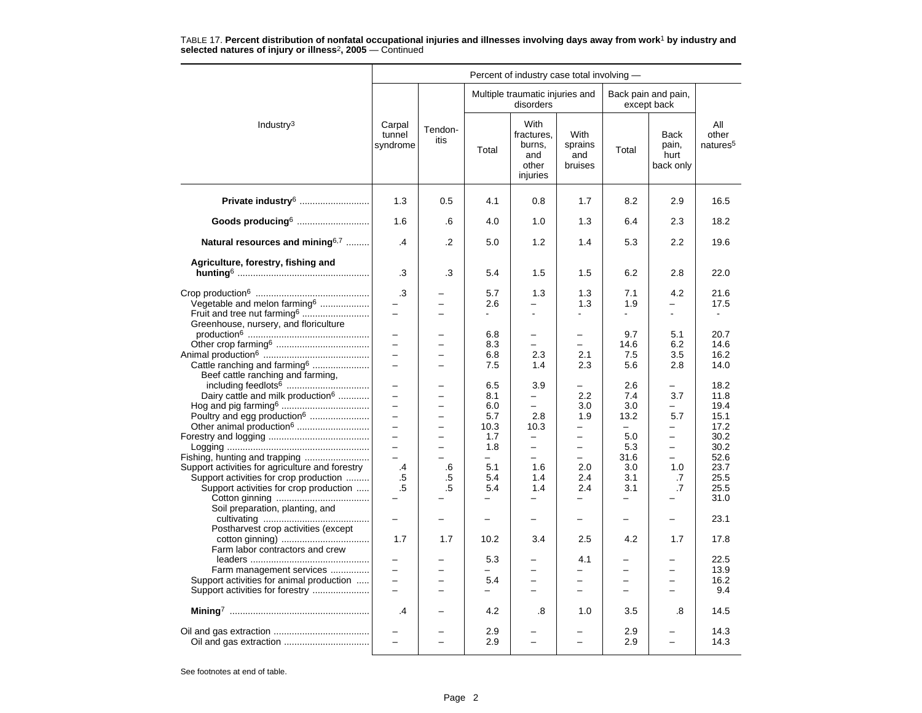| Multiple traumatic injuries and<br>Back pain and pain,<br>disorders<br>except back<br>With<br>Industry <sup>3</sup><br>Carpal<br>Tendon-                                           | All<br>other<br>natures <sup>5</sup> |
|------------------------------------------------------------------------------------------------------------------------------------------------------------------------------------|--------------------------------------|
|                                                                                                                                                                                    |                                      |
| fractures,<br>With<br><b>Back</b><br>tunnel<br>itis<br>syndrome<br>burns,<br>sprains<br>pain,<br>Total<br>Total<br>and<br>hurt<br>and<br>bruises<br>back only<br>other<br>injuries |                                      |
| Private industry <sup>6</sup><br>1.3<br>4.1<br>0.5<br>0.8<br>1.7<br>8.2<br>2.9                                                                                                     | 16.5                                 |
| Goods producing6<br>1.6<br>4.0<br>1.0<br>1.3<br>6.4<br>2.3<br>.6                                                                                                                   | 18.2                                 |
| Natural resources and mining <sup>6,7</sup><br>$\mathcal{A}$<br>.2<br>5.0<br>1.2<br>1.4<br>5.3<br>2.2                                                                              | 19.6                                 |
| Agriculture, forestry, fishing and                                                                                                                                                 |                                      |
| .3<br>.3<br>5.4<br>1.5<br>1.5<br>6.2<br>2.8                                                                                                                                        | 22.0                                 |
| .3<br>1.3<br>7.1<br>4.2<br>5.7<br>1.3                                                                                                                                              | 21.6                                 |
| Vegetable and melon farming <sup>6</sup><br>2.6<br>1.3<br>1.9<br>$\overline{\phantom{0}}$<br>-<br>$\overline{\phantom{0}}$<br>$=$                                                  | 17.5                                 |
| Fruit and tree nut farming <sup>6</sup><br>$\equiv$<br>$\blacksquare$<br>$\blacksquare$<br>$\blacksquare$<br>$\blacksquare$<br>$\overline{a}$                                      |                                      |
| Greenhouse, nursery, and floriculture                                                                                                                                              |                                      |
| 6.8<br>9.7<br>5.1<br>-<br>$\overline{\phantom{0}}$<br>$\overline{\phantom{0}}$                                                                                                     | 20.7                                 |
| $\overline{a}$<br>8.3<br>14.6<br>6.2<br>$\equiv$<br>$\equiv$<br>$\equiv$                                                                                                           | 14.6                                 |
| $\equiv$<br>6.8<br>2.3<br>2.1<br>7.5<br>3.5<br>$\overline{\phantom{0}}$<br>Cattle ranching and farming <sup>6</sup><br>7.5<br>2.3<br>5.6<br>2.8<br>1.4                             | 16.2<br>14.0                         |
| Beef cattle ranching and farming,<br>$\overline{\phantom{0}}$<br>$\overline{\phantom{0}}$<br>-<br>$\overline{\phantom{0}}$                                                         |                                      |
| 6.5<br>3.9<br>2.6<br>Dairy cattle and milk production <sup>6</sup><br>$\equiv$<br>8.1<br>2.2<br>7.4<br>3.7<br>÷<br>$\overline{\phantom{0}}$                                        | 18.2<br>11.8                         |
| 6.0<br>3.0<br>3.0<br>$\overline{\phantom{0}}$<br>$\overline{\phantom{0}}$<br>$\overline{\phantom{0}}$                                                                              | 19.4                                 |
| Poultry and egg production <sup>6</sup><br>5.7<br>2.8<br>1.9<br>13.2<br>5.7<br>$\overline{\phantom{0}}$                                                                            | 15.1                                 |
| $\equiv$<br>Other animal production <sup>6</sup><br>10.3<br>10.3<br>$\overline{\phantom{0}}$<br>$\overline{\phantom{0}}$<br>$\equiv$<br>$\overline{a}$                             | 17.2                                 |
| 1.7<br>5.0<br>$\overline{\phantom{0}}$<br>-<br>$\qquad \qquad -$<br>$\qquad \qquad -$<br>-                                                                                         | 30.2                                 |
| $\equiv$<br>5.3<br>$\overline{a}$<br>1.8<br>$\overline{\phantom{0}}$<br>$\overline{\phantom{0}}$<br>$\overline{\phantom{0}}$                                                       | 30.2                                 |
| $\overline{\phantom{0}}$<br>31.6<br>$\overline{\phantom{0}}$<br>-                                                                                                                  | 52.6                                 |
| Support activities for agriculture and forestry<br>5.1<br>1.6<br>2.0<br>3.0<br>1.0<br>.4<br>.6                                                                                     | 23.7                                 |
| Support activities for crop production<br>.5<br>.5<br>5.4<br>1.4<br>2.4<br>3.1<br>.7                                                                                               | 25.5                                 |
| Support activities for crop production<br>.5<br>.5<br>1.4<br>2.4<br>3.1<br>$\cdot$ 7<br>5.4<br>$\overline{\phantom{0}}$                                                            | 25.5<br>31.0                         |
| Soil preparation, planting, and                                                                                                                                                    |                                      |
| $\overline{\phantom{0}}$<br>$\overline{\phantom{0}}$<br>$\overline{\phantom{0}}$<br>$\overline{\phantom{0}}$<br>-<br>-                                                             | 23.1                                 |
| Postharvest crop activities (except                                                                                                                                                |                                      |
| 2.5<br>4.2<br>1.7<br>1.7<br>10.2<br>3.4<br>1.7<br>Farm labor contractors and crew                                                                                                  | 17.8                                 |
| 5.3<br>4.1<br>$\overline{a}$                                                                                                                                                       | 22.5                                 |
| Farm management services<br>÷<br>-<br>$\equiv$<br>$\overline{\phantom{0}}$<br>-<br>-                                                                                               | 13.9                                 |
| Support activities for animal production<br>$\equiv$<br>5.4<br>$\equiv$<br>$\equiv$<br>$\equiv$<br>$\equiv$<br>$\overline{\phantom{0}}$                                            | 16.2                                 |
| Support activities for forestry<br>$\equiv$<br>$\overline{\phantom{0}}$<br>$\overline{\phantom{0}}$<br>$\overline{\phantom{0}}$<br>$\overline{a}$<br>$\overline{\phantom{0}}$      | 9.4                                  |
| .4<br>4.2<br>.8<br>1.0<br>3.5<br>.8                                                                                                                                                | 14.5                                 |
| 2.9<br>2.9                                                                                                                                                                         | 14.3                                 |
| 2.9<br>$\overline{\phantom{0}}$<br>2.9<br>$\overline{\phantom{0}}$<br>$\overline{\phantom{0}}$<br>$\overline{\phantom{0}}$                                                         | 14.3                                 |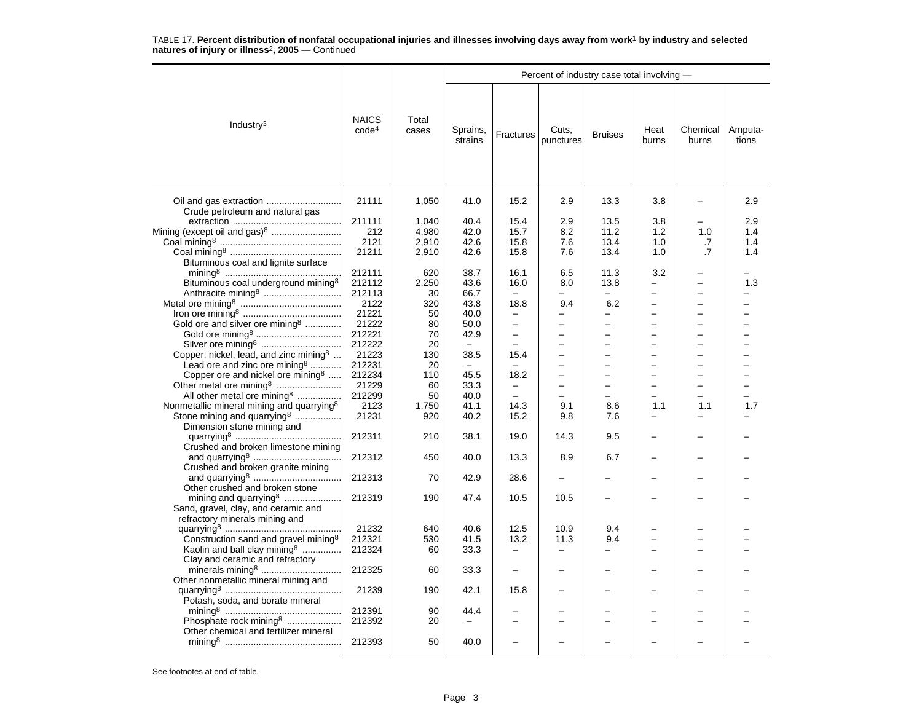|                                                                             |                                   |                |                          |                          | Percent of industry case total involving - |                          |               |                   |                  |
|-----------------------------------------------------------------------------|-----------------------------------|----------------|--------------------------|--------------------------|--------------------------------------------|--------------------------|---------------|-------------------|------------------|
| Industry $3$                                                                | <b>NAICS</b><br>code <sup>4</sup> | Total<br>cases | Sprains,<br>strains      | Fractures                | Cuts,<br>punctures                         | <b>Bruises</b>           | Heat<br>burns | Chemical<br>burns | Amputa-<br>tions |
|                                                                             | 21111                             | 1,050          | 41.0                     | 15.2                     | 2.9                                        | 13.3                     | 3.8           |                   | 2.9              |
| Crude petroleum and natural gas                                             |                                   |                |                          |                          |                                            |                          |               |                   |                  |
|                                                                             | 211111                            | 1,040          | 40.4                     | 15.4                     | 2.9                                        | 13.5                     | 3.8           |                   | 2.9              |
| Mining (except oil and gas) <sup>8</sup>                                    | 212                               | 4,980          | 42.0                     | 15.7                     | 8.2                                        | 11.2                     | 1.2           | 1.0               | 1.4              |
|                                                                             | 2121                              | 2,910          | 42.6                     | 15.8                     | 7.6                                        | 13.4                     | 1.0           | .7                | 1.4              |
|                                                                             | 21211                             | 2,910          | 42.6                     | 15.8                     | 7.6                                        | 13.4                     | 1.0           | .7                | 1.4              |
| Bituminous coal and lignite surface                                         |                                   |                |                          |                          |                                            |                          |               |                   |                  |
|                                                                             | 212111                            | 620            | 38.7                     | 16.1                     | 6.5                                        | 11.3                     | 3.2           |                   |                  |
| Bituminous coal underground mining <sup>8</sup>                             | 212112                            | 2,250          | 43.6                     | 16.0                     | 8.0                                        | 13.8                     |               |                   | 1.3              |
| Anthracite mining <sup>8</sup>                                              | 212113                            | 30             | 66.7                     |                          |                                            |                          |               |                   |                  |
|                                                                             | 2122                              | 320            | 43.8                     | 18.8                     | 9.4                                        | 6.2                      |               |                   |                  |
|                                                                             | 21221                             | 50             | 40.0                     | $\qquad \qquad -$        | -                                          | $\overline{\phantom{0}}$ |               | -                 |                  |
| Gold ore and silver ore mining <sup>8</sup>                                 | 21222                             | 80             | 50.0                     | $\overline{a}$           | $\overline{\phantom{0}}$                   | $\overline{\phantom{0}}$ |               |                   |                  |
|                                                                             | 212221                            | 70             | 42.9                     | $\qquad \qquad -$        | $\overline{\phantom{0}}$                   | $\overline{\phantom{0}}$ |               |                   |                  |
|                                                                             | 212222                            | 20             | $\overline{\phantom{0}}$ | $\overline{\phantom{0}}$ | $\overline{\phantom{0}}$                   | $\overline{\phantom{0}}$ |               |                   |                  |
| Copper, nickel, lead, and zinc mining <sup>8</sup>                          | 21223                             | 130            | 38.5                     | 15.4                     | $\overline{\phantom{0}}$                   | $\overline{\phantom{0}}$ |               |                   |                  |
| Lead ore and zinc ore mining <sup>8</sup>                                   | 212231                            | 20             | $\overline{\phantom{0}}$ | $\equiv$                 | $\overline{\phantom{0}}$                   | $\overline{\phantom{0}}$ |               | -                 |                  |
| Copper ore and nickel ore mining <sup>8</sup>                               | 212234                            | 110            | 45.5                     | 18.2                     | $\overline{\phantom{0}}$                   | $\overline{\phantom{0}}$ |               |                   |                  |
|                                                                             | 21229                             | 60             | 33.3                     | $\overline{\phantom{0}}$ | $\overline{a}$                             | $\overline{\phantom{0}}$ |               | ÷                 |                  |
| All other metal ore mining <sup>8</sup>                                     | 212299                            | 50             | 40.0                     |                          |                                            |                          |               |                   |                  |
| Nonmetallic mineral mining and quarrying <sup>8</sup>                       | 2123                              | 1,750          | 41.1                     | 14.3                     | 9.1                                        | 8.6                      | 1.1           | 1.1               | 1.7              |
| Stone mining and quarrying <sup>8</sup><br>Dimension stone mining and       | 21231                             | 920            | 40.2                     | 15.2                     | 9.8                                        | 7.6                      | $\equiv$      |                   |                  |
| Crushed and broken limestone mining                                         | 212311                            | 210            | 38.1                     | 19.0                     | 14.3                                       | 9.5                      |               |                   |                  |
| Crushed and broken granite mining                                           | 212312                            | 450            | 40.0                     | 13.3                     | 8.9                                        | 6.7                      |               |                   |                  |
| Other crushed and broken stone                                              | 212313                            | 70             | 42.9                     | 28.6                     |                                            |                          |               |                   |                  |
| mining and quarrying <sup>8</sup><br>Sand, gravel, clay, and ceramic and    | 212319                            | 190            | 47.4                     | 10.5                     | 10.5                                       |                          |               |                   |                  |
| refractory minerals mining and                                              |                                   |                |                          |                          |                                            |                          |               |                   |                  |
|                                                                             | 21232                             | 640            | 40.6                     | 12.5                     | 10.9                                       | 9.4                      |               |                   |                  |
| Construction sand and gravel mining <sup>8</sup>                            | 212321                            | 530            | 41.5                     | 13.2                     | 11.3                                       | 9.4                      |               |                   |                  |
| Kaolin and ball clay mining <sup>8</sup><br>Clay and ceramic and refractory | 212324                            | 60             | 33.3                     | $\qquad \qquad -$        | $\overline{\phantom{0}}$                   | -                        |               |                   |                  |
| Other nonmetallic mineral mining and                                        | 212325                            | 60             | 33.3                     | $\equiv$                 | $\overline{\phantom{0}}$                   | $\overline{\phantom{0}}$ |               |                   |                  |
| Potash, soda, and borate mineral                                            | 21239                             | 190            | 42.1                     | 15.8                     | $\overline{\phantom{0}}$                   |                          |               |                   |                  |
|                                                                             | 212391                            | 90             | 44.4                     |                          |                                            |                          |               |                   |                  |
| Phosphate rock mining <sup>8</sup>                                          | 212392                            | 20             |                          |                          | ÷                                          | ÷                        |               |                   |                  |
| Other chemical and fertilizer mineral                                       |                                   |                |                          |                          |                                            |                          |               |                   |                  |
|                                                                             | 212393                            | 50             | 40.0                     |                          |                                            |                          |               |                   |                  |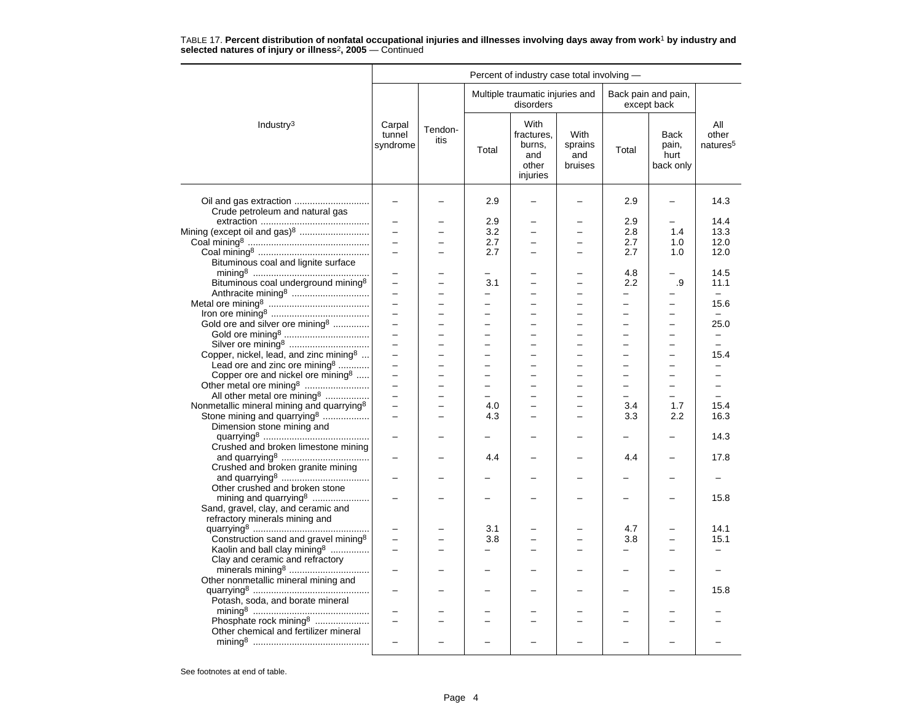|                                                       |                              |                          |                          | Percent of industry case total involving -               |                                   |                          |                                           |                                      |
|-------------------------------------------------------|------------------------------|--------------------------|--------------------------|----------------------------------------------------------|-----------------------------------|--------------------------|-------------------------------------------|--------------------------------------|
|                                                       |                              |                          |                          | Multiple traumatic injuries and<br>disorders             |                                   |                          | Back pain and pain,<br>except back        |                                      |
| Industry <sup>3</sup>                                 | Carpal<br>tunnel<br>syndrome | Tendon-<br>itis          | Total                    | With<br>fractures.<br>burns,<br>and<br>other<br>injuries | With<br>sprains<br>and<br>bruises | Total                    | <b>Back</b><br>pain,<br>hurt<br>back only | All<br>other<br>natures <sup>5</sup> |
| Oil and gas extraction                                |                              |                          | 2.9                      |                                                          |                                   | 2.9                      |                                           | 14.3                                 |
| Crude petroleum and natural gas                       |                              |                          |                          |                                                          |                                   |                          |                                           |                                      |
|                                                       | $\overline{\phantom{0}}$     |                          | 2.9                      |                                                          | -                                 | 2.9                      | $\overline{\phantom{0}}$                  | 14.4                                 |
| Mining (except oil and gas) <sup>8</sup>              |                              |                          | 3.2                      |                                                          |                                   | 2.8                      | 1.4                                       | 13.3                                 |
|                                                       | $\equiv$                     |                          | 2.7                      |                                                          | $\overline{a}$                    | 2.7                      | 1.0                                       | 12.0                                 |
|                                                       |                              |                          | 2.7                      |                                                          | $\overline{\phantom{0}}$          | 2.7                      | 1.0                                       | 12.0                                 |
| Bituminous coal and lignite surface                   |                              |                          |                          |                                                          |                                   |                          |                                           |                                      |
|                                                       | $\equiv$                     | $\equiv$                 | $=$                      | $\equiv$                                                 | -                                 | 4.8                      | $\overline{\phantom{0}}$                  | 14.5                                 |
| Bituminous coal underground mining <sup>8</sup>       | $\overline{\phantom{0}}$     |                          | 3.1                      |                                                          | -                                 | 2.2                      | .9                                        | 11.1                                 |
|                                                       |                              |                          | $\overline{\phantom{0}}$ |                                                          |                                   | $\equiv$                 |                                           | $\equiv$                             |
|                                                       | $\overline{\phantom{0}}$     | $\overline{\phantom{0}}$ | $\overline{\phantom{0}}$ | $\overline{\phantom{0}}$                                 | -                                 | —                        | $\overline{\phantom{0}}$                  | 15.6                                 |
|                                                       | $\overline{a}$               | $\overline{\phantom{0}}$ | ÷                        | $\equiv$                                                 | $\overline{\phantom{0}}$          | $\overline{\phantom{0}}$ | $\equiv$                                  |                                      |
| Gold ore and silver ore mining <sup>8</sup>           | $\equiv$                     | −                        |                          | $\overline{\phantom{0}}$                                 | $\overline{\phantom{0}}$          | $\overline{\phantom{0}}$ | $\overline{\phantom{0}}$                  | 25.0                                 |
|                                                       |                              |                          |                          |                                                          | $\overline{\phantom{0}}$          |                          |                                           |                                      |
|                                                       | $\overline{a}$               | $\overline{\phantom{0}}$ |                          | $\overline{\phantom{0}}$                                 | $\equiv$                          | $\equiv$                 | $\equiv$                                  | $\overline{\phantom{0}}$             |
|                                                       | $\equiv$                     | $\overline{\phantom{0}}$ | $\overline{a}$           | $\overline{\phantom{0}}$                                 | $\overline{\phantom{0}}$          | $\overline{a}$           | $\overline{\phantom{0}}$                  | 15.4                                 |
| Lead ore and zinc ore mining <sup>8</sup>             |                              |                          |                          |                                                          | $\overline{a}$                    |                          |                                           |                                      |
| Copper ore and nickel ore mining <sup>8</sup>         | $\equiv$                     | -                        |                          | $\overline{\phantom{0}}$                                 | -                                 | $\overline{\phantom{0}}$ | -                                         | $\overline{\phantom{0}}$             |
|                                                       | $\overline{a}$               |                          |                          |                                                          | -                                 | $\overline{\phantom{0}}$ | $\overline{\phantom{0}}$                  |                                      |
| All other metal ore mining <sup>8</sup>               |                              | L                        |                          | $\overline{\phantom{0}}$                                 | $\overline{\phantom{0}}$          | $\equiv$                 | $\equiv$                                  |                                      |
| Nonmetallic mineral mining and quarrying <sup>8</sup> | $\overline{a}$               | $\overline{a}$           | 4.0                      | $\overline{\phantom{0}}$                                 | $\overline{\phantom{0}}$          | 3.4                      | 1.7                                       | 15.4                                 |
| Stone mining and quarrying <sup>8</sup>               | $\equiv$                     | $\overline{a}$           | 4.3                      |                                                          | $\overline{a}$                    | 3.3                      | 2.2                                       | 16.3                                 |
| Dimension stone mining and                            |                              |                          |                          |                                                          |                                   |                          |                                           | 14.3                                 |
| Crushed and broken limestone mining                   |                              |                          |                          |                                                          |                                   |                          |                                           |                                      |
|                                                       | $\overline{\phantom{0}}$     |                          | 4.4                      |                                                          | $\overline{\phantom{0}}$          | 4.4                      | $\overline{\phantom{0}}$                  | 17.8                                 |
| Crushed and broken granite mining                     |                              |                          |                          |                                                          |                                   |                          |                                           |                                      |
|                                                       |                              |                          |                          |                                                          |                                   |                          |                                           |                                      |
| Other crushed and broken stone                        |                              |                          |                          |                                                          |                                   |                          |                                           |                                      |
| mining and quarrying <sup>8</sup>                     |                              |                          |                          |                                                          |                                   |                          |                                           | 15.8                                 |
| Sand, gravel, clay, and ceramic and                   |                              |                          |                          |                                                          |                                   |                          |                                           |                                      |
| refractory minerals mining and                        |                              |                          |                          |                                                          |                                   |                          |                                           |                                      |
|                                                       |                              |                          | 3.1                      |                                                          |                                   | 4.7                      |                                           | 14.1                                 |
| Construction sand and gravel mining <sup>8</sup>      |                              |                          | 3.8                      |                                                          |                                   | 3.8                      |                                           | 15.1                                 |
| Kaolin and ball clay mining <sup>8</sup>              | $\equiv$                     | $\overline{\phantom{0}}$ | ÷                        | $\overline{\phantom{0}}$                                 | L.                                | $\equiv$                 | $\equiv$                                  |                                      |
| Clay and ceramic and refractory                       |                              |                          |                          |                                                          |                                   |                          |                                           |                                      |
|                                                       |                              |                          |                          |                                                          |                                   |                          |                                           |                                      |
| Other nonmetallic mineral mining and                  |                              |                          |                          |                                                          |                                   |                          |                                           |                                      |
|                                                       | $\overline{\phantom{0}}$     |                          |                          |                                                          |                                   |                          |                                           | 15.8                                 |
| Potash, soda, and borate mineral                      |                              |                          |                          |                                                          |                                   |                          |                                           |                                      |
|                                                       |                              |                          |                          |                                                          |                                   |                          |                                           |                                      |
| Phosphate rock mining <sup>8</sup>                    |                              |                          |                          |                                                          |                                   |                          |                                           |                                      |
| Other chemical and fertilizer mineral                 |                              |                          |                          |                                                          |                                   |                          |                                           |                                      |
|                                                       |                              |                          |                          |                                                          |                                   |                          |                                           |                                      |
|                                                       |                              |                          |                          |                                                          |                                   |                          |                                           |                                      |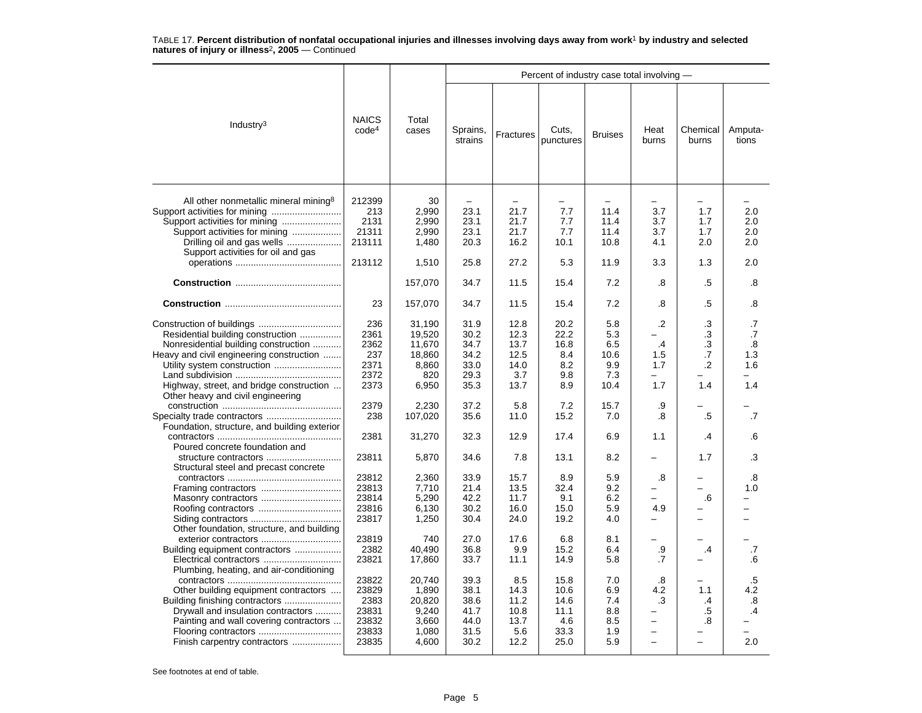|                                                                                                                                                                                                                                   |                                                            |                                                               |                                                                  |                                                                  | Percent of industry case total involving -          |                                                 |                                                               |                                                        |                                            |
|-----------------------------------------------------------------------------------------------------------------------------------------------------------------------------------------------------------------------------------|------------------------------------------------------------|---------------------------------------------------------------|------------------------------------------------------------------|------------------------------------------------------------------|-----------------------------------------------------|-------------------------------------------------|---------------------------------------------------------------|--------------------------------------------------------|--------------------------------------------|
| Industry $3$                                                                                                                                                                                                                      | <b>NAICS</b><br>code <sup>4</sup>                          | Total<br>cases                                                | Sprains,<br>strains                                              | Fractures                                                        | Cuts,<br>punctures                                  | <b>Bruises</b>                                  | Heat<br>burns                                                 | Chemical<br>burns                                      | Amputa-<br>tions                           |
| All other nonmetallic mineral mining <sup>8</sup><br>Support activities for mining<br>Support activities for mining<br>Drilling oil and gas wells<br>Support activities for oil and gas                                           | 212399<br>213<br>2131<br>21311<br>213111<br>213112         | 30<br>2,990<br>2,990<br>2,990<br>1,480<br>1,510               | $\overline{\phantom{0}}$<br>23.1<br>23.1<br>23.1<br>20.3<br>25.8 | $\overline{\phantom{0}}$<br>21.7<br>21.7<br>21.7<br>16.2<br>27.2 | 7.7<br>7.7<br>7.7<br>10.1<br>5.3                    | 11.4<br>11.4<br>11.4<br>10.8<br>11.9            | 3.7<br>3.7<br>3.7<br>4.1<br>3.3                               | 1.7<br>1.7<br>1.7<br>2.0<br>1.3                        | 2.0<br>2.0<br>2.0<br>2.0<br>2.0            |
|                                                                                                                                                                                                                                   |                                                            | 157,070                                                       | 34.7                                                             | 11.5                                                             | 15.4                                                | 7.2                                             | .8                                                            | .5                                                     | .8                                         |
|                                                                                                                                                                                                                                   | 23                                                         | 157,070                                                       | 34.7                                                             | 11.5                                                             | 15.4                                                | 7.2                                             | .8                                                            | .5                                                     | .8                                         |
| Residential building construction<br>Nonresidential building construction<br>Heavy and civil engineering construction<br>Highway, street, and bridge construction<br>Other heavy and civil engineering                            | 236<br>2361<br>2362<br>237<br>2371<br>2372<br>2373         | 31,190<br>19,520<br>11,670<br>18,860<br>8.860<br>820<br>6,950 | 31.9<br>30.2<br>34.7<br>34.2<br>33.0<br>29.3<br>35.3             | 12.8<br>12.3<br>13.7<br>12.5<br>14.0<br>3.7<br>13.7              | 20.2<br>22.2<br>16.8<br>8.4<br>8.2<br>9.8<br>8.9    | 5.8<br>5.3<br>6.5<br>10.6<br>9.9<br>7.3<br>10.4 | $\cdot$<br>-<br>$\cdot$<br>1.5<br>1.7<br>1.7                  | .3<br>.3<br>$.3\phantom{0}$<br>.7<br>$\cdot$ .2<br>1.4 | .7<br>.7<br>.8<br>1.3<br>1.6<br>1.4        |
| Foundation, structure, and building exterior                                                                                                                                                                                      | 2379<br>238                                                | 2,230<br>107,020                                              | 37.2<br>35.6                                                     | 5.8<br>11.0                                                      | 7.2<br>15.2                                         | 15.7<br>7.0                                     | .9<br>.8                                                      | .5                                                     | .7                                         |
| Poured concrete foundation and<br>structure contractors                                                                                                                                                                           | 2381<br>23811                                              | 31,270<br>5,870                                               | 32.3<br>34.6                                                     | 12.9<br>7.8                                                      | 17.4<br>13.1                                        | 6.9<br>8.2                                      | 1.1                                                           | $\cdot$<br>1.7                                         | .6<br>.3                                   |
| Structural steel and precast concrete                                                                                                                                                                                             | 23812<br>23813<br>23814<br>23816<br>23817                  | 2,360<br>7,710<br>5,290<br>6,130<br>1,250                     | 33.9<br>21.4<br>42.2<br>30.2<br>30.4                             | 15.7<br>13.5<br>11.7<br>16.0<br>24.0                             | 8.9<br>32.4<br>9.1<br>15.0<br>19.2                  | 5.9<br>9.2<br>6.2<br>5.9<br>4.0                 | .8<br>4.9<br>-                                                | .6<br>$\equiv$                                         | .8<br>1.0<br>-<br>$\overline{\phantom{a}}$ |
| Other foundation, structure, and building<br>exterior contractors<br>Building equipment contractors                                                                                                                               | 23819<br>2382<br>23821                                     | 740<br>40,490<br>17,860                                       | 27.0<br>36.8<br>33.7                                             | 17.6<br>9.9<br>11.1                                              | 6.8<br>15.2<br>14.9                                 | 8.1<br>6.4<br>5.8                               | .9<br>.7                                                      | .4                                                     | .7<br>.6                                   |
| Plumbing, heating, and air-conditioning<br>Other building equipment contractors<br>Building finishing contractors<br>Drywall and insulation contractors<br>Painting and wall covering contractors<br>Finish carpentry contractors | 23822<br>23829<br>2383<br>23831<br>23832<br>23833<br>23835 | 20,740<br>1,890<br>20,820<br>9,240<br>3,660<br>1,080<br>4,600 | 39.3<br>38.1<br>38.6<br>41.7<br>44.0<br>31.5<br>30.2             | 8.5<br>14.3<br>11.2<br>10.8<br>13.7<br>5.6<br>12.2               | 15.8<br>10.6<br>14.6<br>11.1<br>4.6<br>33.3<br>25.0 | 7.0<br>6.9<br>7.4<br>8.8<br>8.5<br>1.9<br>5.9   | .8<br>4.2<br>.3<br>$\overline{\phantom{0}}$<br>$\overline{a}$ | 1.1<br>.4<br>.5<br>.8                                  | $.5\,$<br>4.2<br>.8<br>.4<br>2.0           |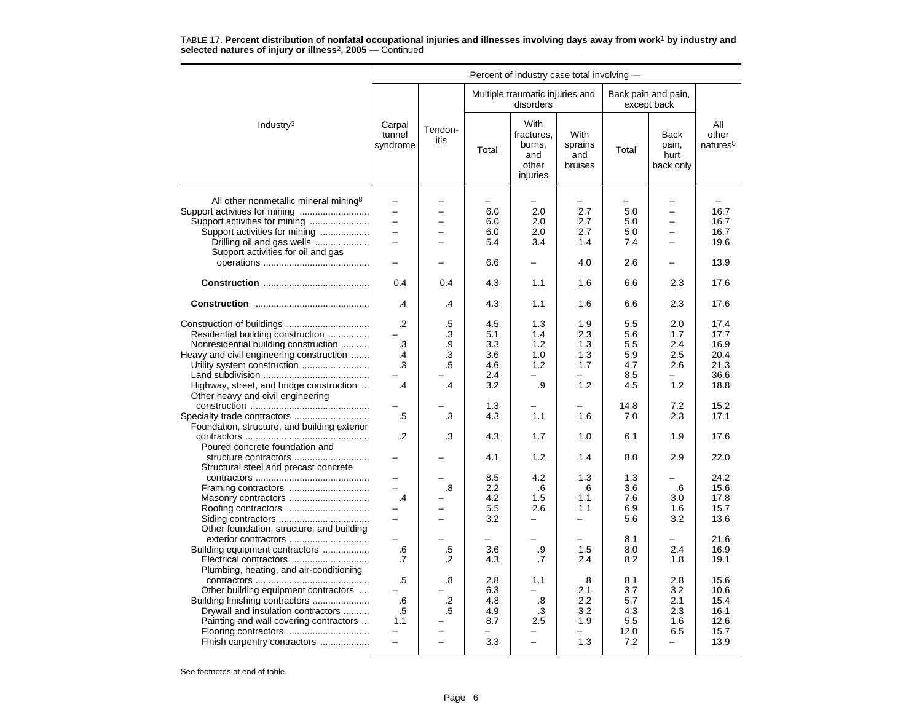|                                                                                                                                                                                                                                       | Percent of industry case total involving -                                                   |                                                     |                                                      |                                                          |                                                             |                                                             |                                                                             |                                                              |  |  |
|---------------------------------------------------------------------------------------------------------------------------------------------------------------------------------------------------------------------------------------|----------------------------------------------------------------------------------------------|-----------------------------------------------------|------------------------------------------------------|----------------------------------------------------------|-------------------------------------------------------------|-------------------------------------------------------------|-----------------------------------------------------------------------------|--------------------------------------------------------------|--|--|
|                                                                                                                                                                                                                                       |                                                                                              |                                                     |                                                      | Multiple traumatic injuries and<br>disorders             |                                                             |                                                             | Back pain and pain,<br>except back                                          |                                                              |  |  |
| Industry $3$                                                                                                                                                                                                                          | Carpal<br>tunnel<br>syndrome                                                                 | Tendon-<br>itis                                     | Total                                                | With<br>fractures,<br>burns,<br>and<br>other<br>injuries | With<br>sprains<br>and<br>bruises                           | Total                                                       | <b>Back</b><br>pain,<br>hurt<br>back only                                   | All<br>other<br>natures <sup>5</sup>                         |  |  |
| All other nonmetallic mineral mining <sup>8</sup><br>Support activities for mining<br>Support activities for mining<br>Drilling oil and gas wells<br>Support activities for oil and gas                                               | $\overline{\phantom{0}}$<br>$\overline{\phantom{0}}$<br>$\overline{\phantom{0}}$<br>$\equiv$ | $\equiv$                                            | 6.0<br>6.0<br>6.0<br>5.4<br>6.6                      | 2.0<br>2.0<br>2.0<br>3.4                                 | $\overline{\phantom{0}}$<br>2.7<br>2.7<br>2.7<br>1.4<br>4.0 | $\overline{\phantom{0}}$<br>5.0<br>5.0<br>5.0<br>7.4<br>2.6 | $\overline{\phantom{0}}$<br>$\overline{\phantom{0}}$<br>-<br>$\overline{a}$ | 16.7<br>16.7<br>16.7<br>19.6<br>13.9                         |  |  |
|                                                                                                                                                                                                                                       | 0.4                                                                                          | 0.4                                                 | 4.3                                                  | 1.1                                                      | 1.6                                                         | 6.6                                                         | 2.3                                                                         | 17.6                                                         |  |  |
|                                                                                                                                                                                                                                       | .4                                                                                           | .4                                                  | 4.3                                                  | 1.1                                                      | 1.6                                                         | 6.6                                                         | 2.3                                                                         | 17.6                                                         |  |  |
| Residential building construction<br>Nonresidential building construction<br>Heavy and civil engineering construction<br>Utility system construction<br>Highway, street, and bridge construction<br>Other heavy and civil engineering | $\cdot$<br>.3<br>.4<br>.3<br>$\cdot$                                                         | .5<br>$\cdot$ 3<br>.9<br>.3<br>.5<br>$\overline{A}$ | 4.5<br>5.1<br>3.3<br>3.6<br>4.6<br>2.4<br>3.2<br>1.3 | 1.3<br>1.4<br>1.2<br>1.0<br>1.2<br>.9                    | 1.9<br>2.3<br>1.3<br>1.3<br>1.7<br>1.2                      | 5.5<br>5.6<br>5.5<br>5.9<br>4.7<br>8.5<br>4.5<br>14.8       | 2.0<br>1.7<br>2.4<br>2.5<br>2.6<br>1.2<br>7.2                               | 17.4<br>17.7<br>16.9<br>20.4<br>21.3<br>36.6<br>18.8<br>15.2 |  |  |
| Foundation, structure, and building exterior                                                                                                                                                                                          | .5<br>$\cdot$                                                                                | .3<br>.3                                            | 4.3<br>4.3                                           | 1.1<br>1.7                                               | 1.6<br>1.0                                                  | 7.0<br>6.1                                                  | 2.3<br>1.9                                                                  | 17.1<br>17.6                                                 |  |  |
| Poured concrete foundation and<br>structure contractors<br>Structural steel and precast concrete                                                                                                                                      |                                                                                              |                                                     | 4.1                                                  | 1.2                                                      | 1.4                                                         | 8.0                                                         | 2.9                                                                         | 22.0                                                         |  |  |
| Framing contractors<br>Masonry contractors<br>Other foundation, structure, and building                                                                                                                                               | $\overline{\phantom{0}}$<br>.4<br>$\overline{a}$                                             | .8<br>-                                             | 8.5<br>2.2<br>4.2<br>5.5<br>3.2                      | 4.2<br>.6<br>1.5<br>2.6<br>$\overline{\phantom{0}}$      | 1.3<br>.6<br>1.1<br>1.1<br>$\overline{\phantom{0}}$         | 1.3<br>3.6<br>7.6<br>6.9<br>5.6                             | .6<br>3.0<br>1.6<br>3.2                                                     | 24.2<br>15.6<br>17.8<br>15.7<br>13.6                         |  |  |
| exterior contractors<br>Building equipment contractors<br>Electrical contractors<br>Plumbing, heating, and air-conditioning                                                                                                           | $\equiv$<br>.6<br>.7                                                                         | .5<br>.2                                            | ÷<br>3.6<br>4.3                                      | -<br>.9<br>.7                                            | $-$<br>1.5<br>2.4                                           | 8.1<br>8.0<br>8.2                                           | $\overline{\phantom{0}}$<br>2.4<br>1.8                                      | 21.6<br>16.9<br>19.1                                         |  |  |
| Other building equipment contractors<br>Building finishing contractors<br>Drywall and insulation contractors<br>Painting and wall covering contractors<br>Flooring contractors<br>Finish carpentry contractors                        | .5<br>.6<br>$.5\,$<br>1.1<br>$\overline{\phantom{0}}$                                        | .8<br>$\cdot$ .2<br>.5<br>L.                        | 2.8<br>6.3<br>4.8<br>4.9<br>8.7<br>3.3               | 1.1<br>-<br>.8<br>.3<br>2.5<br>$\overline{\phantom{0}}$  | .8<br>2.1<br>2.2<br>3.2<br>1.9<br>1.3                       | 8.1<br>3.7<br>5.7<br>4.3<br>5.5<br>12.0<br>7.2              | 2.8<br>3.2<br>2.1<br>2.3<br>1.6<br>6.5<br>$\overline{\phantom{0}}$          | 15.6<br>10.6<br>15.4<br>16.1<br>12.6<br>15.7<br>13.9         |  |  |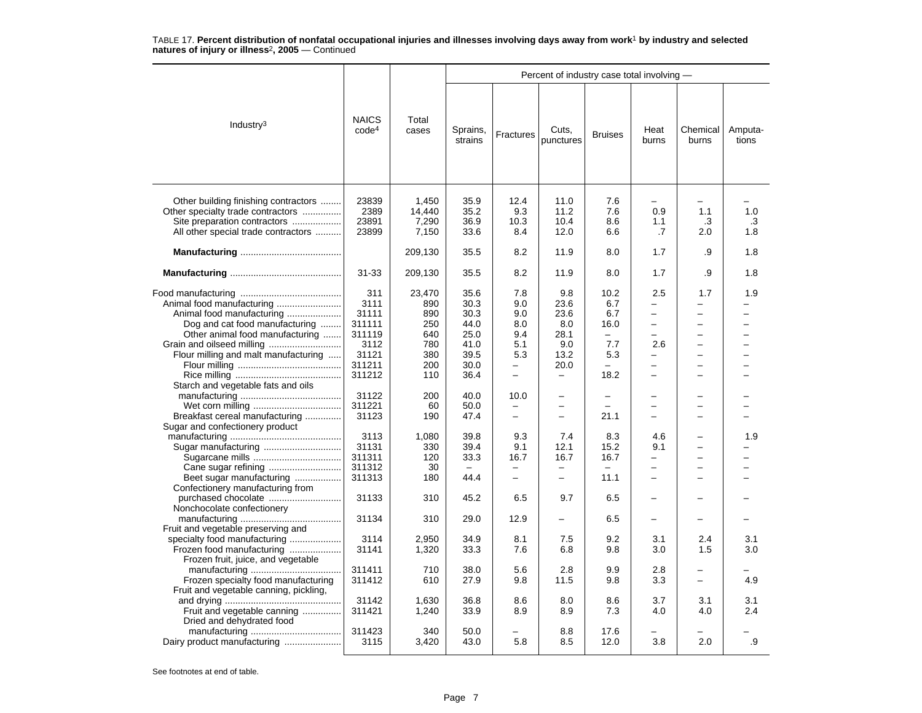|                                                                                                                                                  |                                                  |                                           |                                                          |                                                      | Percent of industry case total involving -           |                                                               |                                                       |                                                                                              |                  |
|--------------------------------------------------------------------------------------------------------------------------------------------------|--------------------------------------------------|-------------------------------------------|----------------------------------------------------------|------------------------------------------------------|------------------------------------------------------|---------------------------------------------------------------|-------------------------------------------------------|----------------------------------------------------------------------------------------------|------------------|
| Industry $3$                                                                                                                                     | <b>NAICS</b><br>code <sup>4</sup>                | Total<br>cases                            | Sprains,<br>strains                                      | Fractures                                            | Cuts,<br>punctures                                   | <b>Bruises</b>                                                | Heat<br>burns                                         | Chemical<br>burns                                                                            | Amputa-<br>tions |
| Other building finishing contractors<br>Other specialty trade contractors<br>Site preparation contractors<br>All other special trade contractors | 23839<br>2389<br>23891<br>23899                  | 1,450<br>14,440<br>7,290<br>7,150         | 35.9<br>35.2<br>36.9<br>33.6                             | 12.4<br>9.3<br>10.3<br>8.4                           | 11.0<br>11.2<br>10.4<br>12.0                         | 7.6<br>7.6<br>8.6<br>6.6                                      | -<br>0.9<br>1.1<br>.7                                 | 1.1<br>.3<br>2.0                                                                             | 1.0<br>.3<br>1.8 |
|                                                                                                                                                  |                                                  | 209,130                                   | 35.5                                                     | 8.2                                                  | 11.9                                                 | 8.0                                                           | 1.7                                                   | .9                                                                                           | 1.8              |
|                                                                                                                                                  | $31 - 33$                                        | 209,130                                   | 35.5                                                     | 8.2                                                  | 11.9                                                 | 8.0                                                           | 1.7                                                   | .9                                                                                           | 1.8              |
| Dog and cat food manufacturing<br>Other animal food manufacturing                                                                                | 311<br>3111<br>31111<br>311111<br>311119<br>3112 | 23,470<br>890<br>890<br>250<br>640<br>780 | 35.6<br>30.3<br>30.3<br>44.0<br>25.0<br>41.0             | 7.8<br>9.0<br>9.0<br>8.0<br>9.4<br>5.1               | 9.8<br>23.6<br>23.6<br>8.0<br>28.1<br>9.0            | 10.2<br>6.7<br>6.7<br>16.0<br>$\overline{\phantom{0}}$<br>7.7 | 2.5<br>-<br>-<br>$\overline{\phantom{0}}$<br>-<br>2.6 | 1.7<br>$\overline{\phantom{0}}$<br>$\overline{\phantom{0}}$<br>-<br>$\overline{\phantom{0}}$ | 1.9              |
| Flour milling and malt manufacturing<br>Starch and vegetable fats and oils                                                                       | 31121<br>311211<br>311212                        | 380<br>200<br>110                         | 39.5<br>30.0<br>36.4                                     | 5.3<br>$\overline{\phantom{0}}$<br>$\qquad \qquad -$ | 13.2<br>20.0<br>$\overline{\phantom{0}}$             | 5.3<br>$\overline{\phantom{0}}$<br>18.2                       | $\equiv$<br>-<br>$\overline{\phantom{0}}$             | $\equiv$<br>$\overline{\phantom{0}}$<br>$\overline{\phantom{0}}$                             |                  |
| Breakfast cereal manufacturing<br>Sugar and confectionery product                                                                                | 31122<br>311221<br>31123                         | 200<br>60<br>190                          | 40.0<br>50.0<br>47.4                                     | 10.0<br>$\overline{\phantom{0}}$                     | $\equiv$<br>$\overline{\phantom{0}}$                 | $\overline{\phantom{0}}$<br>$\equiv$<br>21.1                  | $\overline{\phantom{0}}$<br>$\overline{\phantom{0}}$  | $\overline{\phantom{0}}$<br>$\overline{\phantom{0}}$                                         |                  |
| Beet sugar manufacturing                                                                                                                         | 3113<br>31131<br>311311<br>311312<br>311313      | 1,080<br>330<br>120<br>30<br>180          | 39.8<br>39.4<br>33.3<br>$\overline{\phantom{m}}$<br>44.4 | 9.3<br>9.1<br>16.7<br>$\overline{\phantom{m}}$       | 7.4<br>12.1<br>16.7<br>$\overline{\phantom{0}}$<br>- | 8.3<br>15.2<br>16.7<br>11.1                                   | 4.6<br>9.1<br>-<br>-<br>-                             | $\overline{\phantom{0}}$<br>$\overline{\phantom{0}}$<br>$\equiv$<br>$\overline{\phantom{0}}$ | 1.9              |
| Confectionery manufacturing from<br>purchased chocolate                                                                                          | 31133                                            | 310                                       | 45.2                                                     | 6.5                                                  | 9.7                                                  | 6.5                                                           | $\overline{\phantom{0}}$                              |                                                                                              |                  |
| Nonchocolate confectionery<br>Fruit and vegetable preserving and                                                                                 | 31134                                            | 310                                       | 29.0                                                     | 12.9                                                 | $\overline{\phantom{0}}$                             | 6.5                                                           | -                                                     |                                                                                              |                  |
| specialty food manufacturing<br>Frozen food manufacturing<br>Frozen fruit, juice, and vegetable                                                  | 3114<br>31141                                    | 2,950<br>1,320                            | 34.9<br>33.3                                             | 8.1<br>7.6                                           | 7.5<br>6.8                                           | 9.2<br>9.8                                                    | 3.1<br>3.0                                            | 2.4<br>1.5                                                                                   | 3.1<br>3.0       |
| Frozen specialty food manufacturing<br>Fruit and vegetable canning, pickling,                                                                    | 311411<br>311412                                 | 710<br>610                                | 38.0<br>27.9                                             | 5.6<br>9.8                                           | 2.8<br>11.5                                          | 9.9<br>9.8                                                    | 2.8<br>3.3                                            | -                                                                                            | 4.9              |
| Fruit and vegetable canning<br>Dried and dehydrated food                                                                                         | 31142<br>311421                                  | 1,630<br>1,240                            | 36.8<br>33.9                                             | 8.6<br>8.9                                           | 8.0<br>8.9                                           | 8.6<br>7.3                                                    | 3.7<br>4.0                                            | 3.1<br>4.0                                                                                   | 3.1<br>2.4       |
| Dairy product manufacturing                                                                                                                      | 311423<br>3115                                   | 340<br>3,420                              | 50.0<br>43.0                                             | 5.8                                                  | 8.8<br>8.5                                           | 17.6<br>12.0                                                  | 3.8                                                   | 2.0                                                                                          | .9               |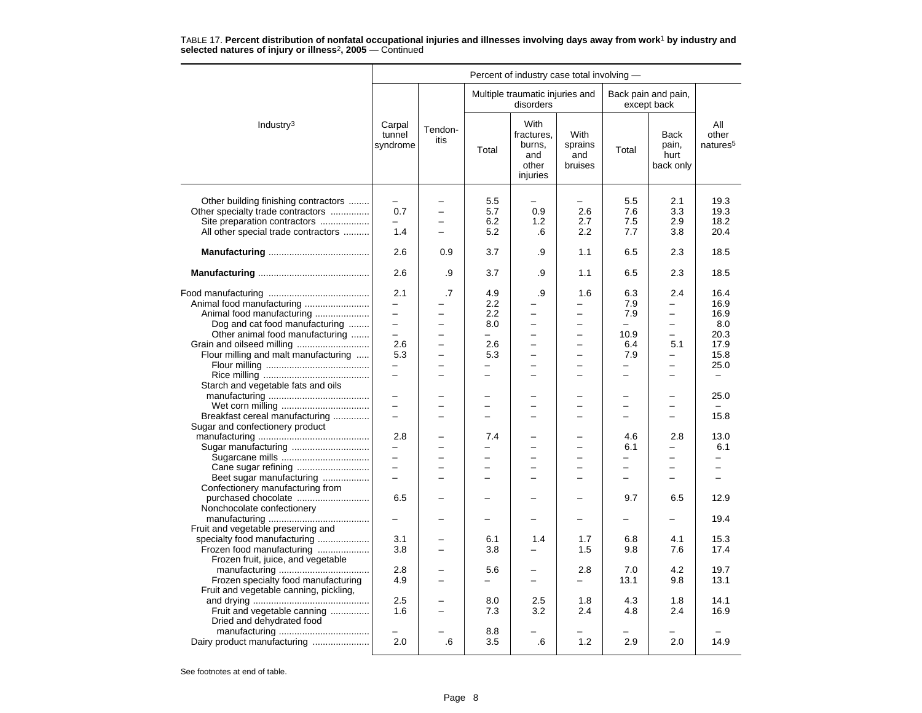|                                                                                                                                                  | Percent of industry case total involving -                  |                          |                                        |                                                                        |                                                            |                                                      |                                                      |                                      |  |  |
|--------------------------------------------------------------------------------------------------------------------------------------------------|-------------------------------------------------------------|--------------------------|----------------------------------------|------------------------------------------------------------------------|------------------------------------------------------------|------------------------------------------------------|------------------------------------------------------|--------------------------------------|--|--|
|                                                                                                                                                  |                                                             |                          |                                        | Multiple traumatic injuries and<br>disorders                           |                                                            |                                                      | Back pain and pain,<br>except back                   |                                      |  |  |
| Industry <sup>3</sup>                                                                                                                            | Carpal<br>tunnel<br>syndrome                                | Tendon-<br>itis          | Total                                  | With<br>fractures.<br>burns,<br>and<br>other<br>injuries               | <b>With</b><br>sprains<br>and<br>bruises                   | Total                                                | <b>Back</b><br>pain,<br>hurt<br>back only            | All<br>other<br>natures <sup>5</sup> |  |  |
| Other building finishing contractors<br>Other specialty trade contractors<br>Site preparation contractors<br>All other special trade contractors | 0.7<br>1.4                                                  | $\overline{\phantom{0}}$ | 5.5<br>5.7<br>6.2<br>5.2               | 0.9<br>1.2<br>.6                                                       | 2.6<br>2.7<br>2.2                                          | 5.5<br>7.6<br>7.5<br>7.7                             | 2.1<br>3.3<br>2.9<br>3.8                             | 19.3<br>19.3<br>18.2<br>20.4         |  |  |
|                                                                                                                                                  | 2.6                                                         | 0.9                      | 3.7                                    | .9                                                                     | 1.1                                                        | 6.5                                                  | 2.3                                                  | 18.5                                 |  |  |
|                                                                                                                                                  | 2.6                                                         | .9                       | 3.7                                    | .9                                                                     | 1.1                                                        | 6.5                                                  | 2.3                                                  | 18.5                                 |  |  |
| Animal food manufacturing<br>Animal food manufacturing                                                                                           | 2.1<br>$\overline{\phantom{0}}$<br>$\overline{\phantom{0}}$ | .7                       | 4.9<br>2.2<br>2.2                      | .9<br>$\overline{\phantom{0}}$                                         | 1.6                                                        | 6.3<br>7.9<br>7.9                                    | 2.4<br>-<br>$\overline{\phantom{0}}$                 | 16.4<br>16.9<br>16.9                 |  |  |
| Dog and cat food manufacturing<br>Other animal food manufacturing<br>Grain and oilseed milling                                                   | $\overline{\phantom{0}}$<br>$\overline{\phantom{0}}$<br>2.6 |                          | 8.0<br>$\overline{\phantom{0}}$<br>2.6 | $\overline{a}$<br>$\overline{\phantom{0}}$<br>$\equiv$                 | L.<br>$\overline{\phantom{0}}$<br>$\overline{\phantom{0}}$ | $\equiv$<br>10.9<br>6.4                              | L.<br>-<br>5.1                                       | 8.0<br>20.3<br>17.9                  |  |  |
| Flour milling and malt manufacturing<br>Starch and vegetable fats and oils                                                                       | 5.3<br>$\overline{\phantom{0}}$<br>$\equiv$                 | $\overline{\phantom{a}}$ | 5.3<br>$\overline{\phantom{0}}$        | $\overline{\phantom{0}}$<br>$\overline{a}$<br>$\overline{\phantom{0}}$ | -<br>$\overline{a}$                                        | 7.9<br>$\overline{\phantom{0}}$<br>$\qquad \qquad -$ | -<br>$\overline{\phantom{0}}$                        | 15.8<br>25.0<br>$\qquad \qquad -$    |  |  |
|                                                                                                                                                  | $\overline{\phantom{0}}$                                    |                          | -                                      | ÷                                                                      | -                                                          | $\overline{\phantom{0}}$                             | $\overline{\phantom{0}}$                             | 25.0                                 |  |  |
| Breakfast cereal manufacturing<br>Sugar and confectionery product                                                                                | $\overline{\phantom{0}}$<br>2.8                             |                          | -<br>7.4                               | $\overline{\phantom{0}}$                                               | $\overline{\phantom{0}}$                                   | $\overline{\phantom{0}}$<br>4.6                      | -<br>2.8                                             | 15.8<br>13.0                         |  |  |
| Sugar manufacturing                                                                                                                              | $\overline{\phantom{0}}$<br>$\overline{\phantom{0}}$        |                          |                                        | $\overline{\phantom{0}}$                                               | L.                                                         | 6.1<br>$\equiv$                                      | L.                                                   | 6.1                                  |  |  |
| Cane sugar refining<br>Beet sugar manufacturing<br>Confectionery manufacturing from                                                              | $\overline{\phantom{0}}$<br>$\overline{\phantom{0}}$        |                          | $\overline{\phantom{0}}$               | $\overline{\phantom{0}}$<br>$\overline{\phantom{0}}$                   | -<br>L.                                                    | $\overline{\phantom{0}}$                             | $\overline{\phantom{0}}$<br>$\overline{\phantom{0}}$ | $\overline{\phantom{0}}$             |  |  |
| purchased chocolate<br>Nonchocolate confectionery                                                                                                | 6.5<br>$\overline{\phantom{0}}$                             |                          | -                                      | -                                                                      | -                                                          | 9.7<br>$\overline{\phantom{0}}$                      | 6.5<br>—                                             | 12.9<br>19.4                         |  |  |
| Fruit and vegetable preserving and<br>specialty food manufacturing<br>Frozen food manufacturing                                                  | 3.1<br>3.8                                                  |                          | 6.1<br>3.8                             | 1.4<br>$\overline{\phantom{0}}$                                        | 1.7<br>1.5                                                 | 6.8<br>9.8                                           | 4.1<br>7.6                                           | 15.3<br>17.4                         |  |  |
| Frozen fruit, juice, and vegetable<br>Frozen specialty food manufacturing                                                                        | 2.8<br>4.9                                                  |                          | 5.6<br>-                               | $\overline{\phantom{0}}$                                               | 2.8<br>-                                                   | 7.0<br>13.1                                          | 4.2<br>9.8                                           | 19.7<br>13.1                         |  |  |
| Fruit and vegetable canning, pickling,<br>Fruit and vegetable canning<br>Dried and dehydrated food                                               | 2.5<br>1.6                                                  |                          | 8.0<br>7.3                             | 2.5<br>3.2                                                             | 1.8<br>2.4                                                 | 4.3<br>4.8                                           | 1.8<br>2.4                                           | 14.1<br>16.9                         |  |  |
| Dairy product manufacturing                                                                                                                      | 2.0                                                         | .6                       | 8.8<br>3.5                             | .6                                                                     | 1.2                                                        | 2.9                                                  | 2.0                                                  | 14.9                                 |  |  |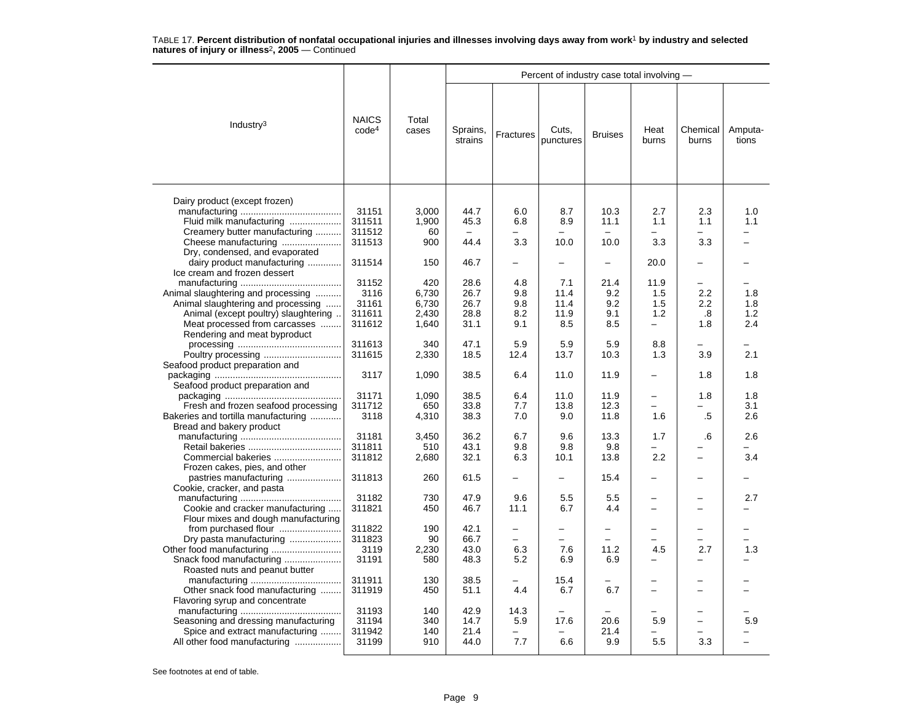|                                                                                                                                                                                   |                                            |                                         |                                      |                                        | Percent of industry case total involving - |                                                  |                                |                                 |                          |
|-----------------------------------------------------------------------------------------------------------------------------------------------------------------------------------|--------------------------------------------|-----------------------------------------|--------------------------------------|----------------------------------------|--------------------------------------------|--------------------------------------------------|--------------------------------|---------------------------------|--------------------------|
| Industry $3$                                                                                                                                                                      | <b>NAICS</b><br>code <sup>4</sup>          | Total<br>cases                          | Sprains,<br>strains                  | Fractures                              | Cuts,<br>punctures                         | <b>Bruises</b>                                   | Heat<br>burns                  | Chemical<br>burns               | Amputa-<br>tions         |
| Dairy product (except frozen)<br>Fluid milk manufacturing<br>Creamery butter manufacturing<br>Cheese manufacturing                                                                | 31151<br>311511<br>311512<br>311513        | 3,000<br>1,900<br>60<br>900             | 44.7<br>45.3<br>$\equiv$<br>44.4     | 6.0<br>6.8<br>$\equiv$<br>3.3          | 8.7<br>8.9<br>$\equiv$<br>10.0             | 10.3<br>11.1<br>$\overline{\phantom{a}}$<br>10.0 | 2.7<br>1.1<br>-<br>3.3         | 2.3<br>1.1<br>3.3               | 1.0<br>1.1               |
| Dry, condensed, and evaporated<br>dairy product manufacturing                                                                                                                     | 311514                                     | 150                                     | 46.7                                 |                                        | $\overline{\phantom{0}}$                   | -                                                | 20.0                           |                                 |                          |
| Ice cream and frozen dessert<br>Animal slaughtering and processing<br>Animal slaughtering and processing<br>Animal (except poultry) slaughtering<br>Meat processed from carcasses | 31152<br>3116<br>31161<br>311611<br>311612 | 420<br>6,730<br>6,730<br>2,430<br>1,640 | 28.6<br>26.7<br>26.7<br>28.8<br>31.1 | 4.8<br>9.8<br>9.8<br>8.2<br>9.1        | 7.1<br>11.4<br>11.4<br>11.9<br>8.5         | 21.4<br>9.2<br>9.2<br>9.1<br>8.5                 | 11.9<br>1.5<br>1.5<br>1.2<br>- | 2.2<br>$2.2\,$<br>.8<br>1.8     | 1.8<br>1.8<br>1.2<br>2.4 |
| Rendering and meat byproduct                                                                                                                                                      | 311613<br>311615                           | 340<br>2,330                            | 47.1<br>18.5                         | 5.9<br>12.4                            | 5.9<br>13.7                                | 5.9<br>10.3                                      | 8.8<br>1.3                     | 3.9                             | 2.1                      |
| Seafood product preparation and                                                                                                                                                   | 3117                                       | 1,090                                   | 38.5                                 | 6.4                                    | 11.0                                       | 11.9                                             | -                              | 1.8                             | 1.8                      |
| Seafood product preparation and<br>Fresh and frozen seafood processing                                                                                                            | 31171<br>311712                            | 1,090<br>650                            | 38.5<br>33.8                         | 6.4<br>7.7                             | 11.0<br>13.8                               | 11.9<br>12.3                                     |                                | 1.8                             | 1.8<br>3.1               |
| Bakeries and tortilla manufacturing<br>Bread and bakery product                                                                                                                   | 3118                                       | 4,310                                   | 38.3                                 | 7.0                                    | 9.0                                        | 11.8                                             | 1.6                            | .5                              | 2.6                      |
| Commercial bakeries<br>Frozen cakes, pies, and other                                                                                                                              | 31181<br>311811<br>311812                  | 3.450<br>510<br>2,680                   | 36.2<br>43.1<br>32.1                 | 6.7<br>9.8<br>6.3                      | 9.6<br>9.8<br>10.1                         | 13.3<br>9.8<br>13.8                              | 1.7<br>2.2                     | .6<br>-                         | 2.6<br>3.4               |
| pastries manufacturing<br>Cookie, cracker, and pasta                                                                                                                              | 311813                                     | 260                                     | 61.5                                 |                                        | $\overline{\phantom{0}}$                   | 15.4                                             |                                |                                 |                          |
| Cookie and cracker manufacturing<br>Flour mixes and dough manufacturing                                                                                                           | 31182<br>311821                            | 730<br>450                              | 47.9<br>46.7                         | 9.6<br>11.1                            | 5.5<br>6.7                                 | 5.5<br>4.4                                       | $\overline{\phantom{0}}$       | -                               | 2.7                      |
| from purchased flour<br>Dry pasta manufacturing<br>Snack food manufacturing                                                                                                       | 311822<br>311823<br>3119<br>31191          | 190<br>90<br>2,230<br>580               | 42.1<br>66.7<br>43.0<br>48.3         | $\overline{\phantom{0}}$<br>6.3<br>5.2 | -<br>7.6<br>6.9                            | -<br>11.2<br>6.9                                 | 4.5                            | 2.7                             | 1.3                      |
| Roasted nuts and peanut butter<br>Other snack food manufacturing<br>Flavoring syrup and concentrate                                                                               | 311911<br>311919                           | 130<br>450                              | 38.5<br>51.1                         | 4.4                                    | 15.4<br>6.7                                | 6.7                                              |                                |                                 |                          |
| Seasoning and dressing manufacturing<br>Spice and extract manufacturing<br>All other food manufacturing                                                                           | 31193<br>31194<br>311942<br>31199          | 140<br>340<br>140<br>910                | 42.9<br>14.7<br>21.4<br>44.0         | 14.3<br>5.9<br>7.7                     | 17.6<br>6.6                                | 20.6<br>21.4<br>9.9                              | 5.9<br>5.5                     | $\overline{\phantom{0}}$<br>3.3 | 5.9                      |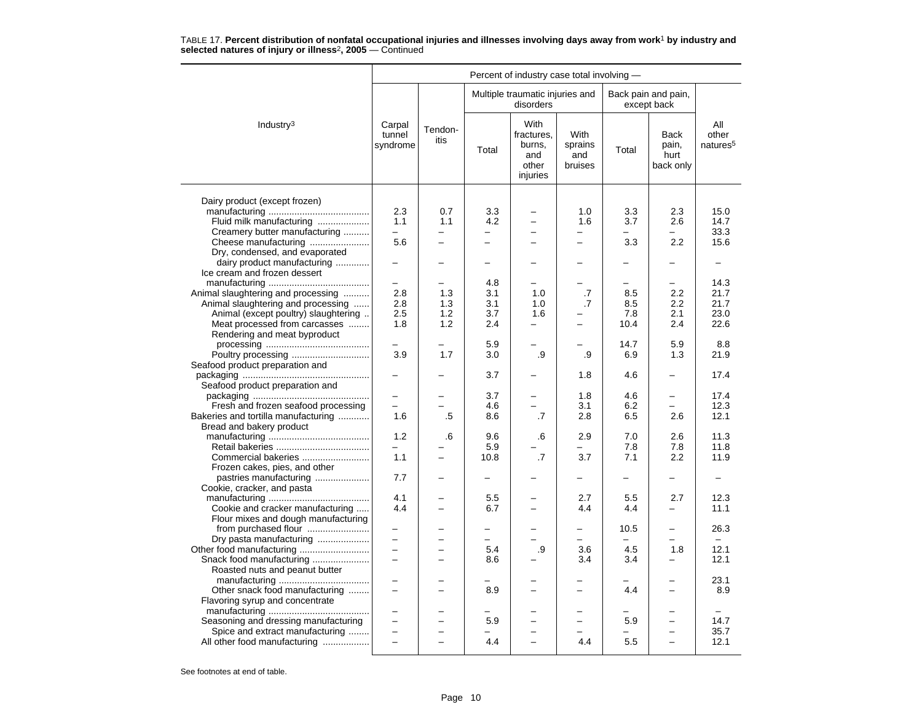|                                                                                                                                                                                   |                                                      |                                | Percent of industry case total involving - |                                                                                  |                                        |                                         |                                                      |                                      |  |  |  |
|-----------------------------------------------------------------------------------------------------------------------------------------------------------------------------------|------------------------------------------------------|--------------------------------|--------------------------------------------|----------------------------------------------------------------------------------|----------------------------------------|-----------------------------------------|------------------------------------------------------|--------------------------------------|--|--|--|
|                                                                                                                                                                                   |                                                      |                                |                                            | Multiple traumatic injuries and<br>disorders                                     |                                        |                                         | Back pain and pain,<br>except back                   |                                      |  |  |  |
| Industry <sup>3</sup>                                                                                                                                                             | Carpal<br>tunnel<br>syndrome                         | Tendon-<br>itis                | Total                                      | With<br>fractures.<br>burns,<br>and<br>other<br>injuries                         | With<br>sprains<br>and<br>bruises      | Total                                   | <b>Back</b><br>pain,<br>hurt<br>back only            | All<br>other<br>natures <sup>5</sup> |  |  |  |
| Dairy product (except frozen)<br>Fluid milk manufacturing<br>Creamery butter manufacturing<br>Cheese manufacturing                                                                | 2.3<br>1.1<br>5.6                                    | 0.7<br>1.1<br>÷                | 3.3<br>4.2<br>$\overline{\phantom{0}}$     | $\overline{\phantom{0}}$<br>$\overline{a}$                                       | 1.0<br>1.6<br>$\overline{\phantom{0}}$ | 3.3<br>3.7<br>3.3                       | 2.3<br>2.6<br>2.2                                    | 15.0<br>14.7<br>33.3<br>15.6         |  |  |  |
| Dry, condensed, and evaporated<br>dairy product manufacturing<br>Ice cream and frozen dessert                                                                                     |                                                      |                                |                                            |                                                                                  |                                        |                                         |                                                      |                                      |  |  |  |
| Animal slaughtering and processing<br>Animal slaughtering and processing<br>Animal (except poultry) slaughtering<br>Meat processed from carcasses<br>Rendering and meat byproduct | 2.8<br>2.8<br>2.5<br>1.8                             | 1.3<br>1.3<br>1.2<br>1.2       | 4.8<br>3.1<br>3.1<br>3.7<br>2.4            | 1.0<br>1.0<br>1.6<br>$\overline{\phantom{0}}$                                    | .7<br>.7                               | 8.5<br>8.5<br>7.8<br>10.4               | 2.2<br>2.2<br>2.1<br>2.4                             | 14.3<br>21.7<br>21.7<br>23.0<br>22.6 |  |  |  |
| Poultry processing                                                                                                                                                                | 3.9                                                  | 1.7                            | 5.9<br>3.0                                 | .9                                                                               | .9                                     | 14.7<br>6.9                             | 5.9<br>1.3                                           | 8.8<br>21.9                          |  |  |  |
| Seafood product preparation and<br>Seafood product preparation and                                                                                                                |                                                      |                                | 3.7                                        |                                                                                  | 1.8                                    | 4.6                                     | $\overline{\phantom{0}}$                             | 17.4                                 |  |  |  |
| Fresh and frozen seafood processing                                                                                                                                               | $\overline{\phantom{0}}$                             |                                | 3.7<br>4.6                                 |                                                                                  | 1.8<br>3.1                             | 4.6<br>6.2                              |                                                      | 17.4<br>12.3                         |  |  |  |
| Bakeries and tortilla manufacturing<br>Bread and bakery product                                                                                                                   | 1.6<br>1.2                                           | .5<br>.6                       | 8.6<br>9.6                                 | .7<br>.6                                                                         | 2.8<br>2.9                             | 6.5<br>7.0                              | 2.6<br>2.6                                           | 12.1<br>11.3                         |  |  |  |
| Commercial bakeries<br>Frozen cakes, pies, and other                                                                                                                              | 1.1                                                  | $\overline{\phantom{0}}$       | 5.9<br>10.8                                | .7                                                                               | 3.7                                    | 7.8<br>7.1                              | 7.8<br>2.2                                           | 11.8<br>11.9                         |  |  |  |
| pastries manufacturing<br>Cookie, cracker, and pasta                                                                                                                              | 7.7                                                  |                                | $\overline{\phantom{0}}$                   |                                                                                  | $\overline{\phantom{0}}$               | $\overline{\phantom{0}}$                | ÷                                                    |                                      |  |  |  |
| Cookie and cracker manufacturing<br>Flour mixes and dough manufacturing                                                                                                           | 4.1<br>4.4                                           | $\overline{a}$                 | 5.5<br>6.7                                 | $\overline{a}$                                                                   | 2.7<br>4.4                             | 5.5<br>4.4                              | 2.7                                                  | 12.3<br>11.1                         |  |  |  |
| from purchased flour<br>Dry pasta manufacturing                                                                                                                                   | $\qquad \qquad -$<br>$\equiv$                        |                                | -<br>5.4                                   | .9                                                                               | 3.6                                    | 10.5<br>$\overline{\phantom{0}}$<br>4.5 | $\overline{\phantom{0}}$<br>1.8                      | 26.3<br>$-$<br>12.1                  |  |  |  |
| Snack food manufacturing<br>Roasted nuts and peanut butter<br>Other snack food manufacturing                                                                                      | $\overline{\phantom{m}}$                             | ÷                              | 8.6<br>8.9                                 |                                                                                  | 3.4                                    | 3.4<br>4.4                              |                                                      | 12.1<br>23.1<br>8.9                  |  |  |  |
| Flavoring syrup and concentrate<br>Seasoning and dressing manufacturing<br>Spice and extract manufacturing<br>All other food manufacturing                                        | $\overline{\phantom{0}}$<br>$\overline{\phantom{0}}$ | L.<br>$\overline{\phantom{a}}$ | 5.9<br>4.4                                 | $\overline{\phantom{0}}$<br>$\overline{\phantom{0}}$<br>$\overline{\phantom{0}}$ | $\overline{\phantom{0}}$<br>4.4        | 5.9<br>5.5                              | $\overline{\phantom{0}}$<br>$\overline{\phantom{0}}$ | 14.7<br>35.7<br>12.1                 |  |  |  |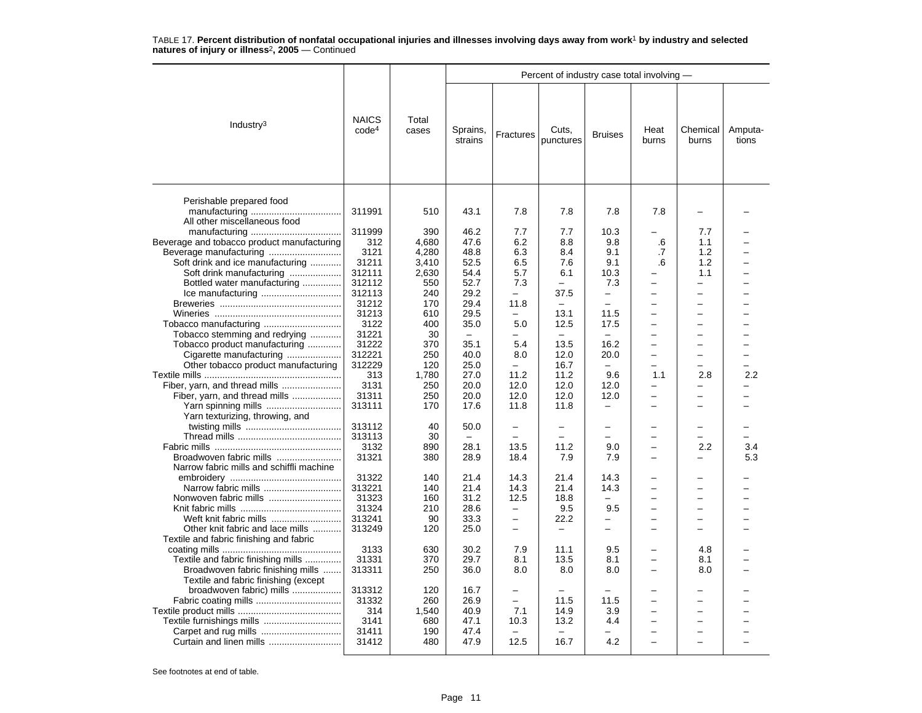|                                                                           |                                   |                |                     |                          |                          | Percent of industry case total involving - |                          |                          |                  |  |  |  |  |
|---------------------------------------------------------------------------|-----------------------------------|----------------|---------------------|--------------------------|--------------------------|--------------------------------------------|--------------------------|--------------------------|------------------|--|--|--|--|
| Industry <sup>3</sup>                                                     | <b>NAICS</b><br>code <sup>4</sup> | Total<br>cases | Sprains,<br>strains | Fractures                | Cuts,<br>punctures       | <b>Bruises</b>                             | Heat<br>burns            | Chemical<br>burns        | Amputa-<br>tions |  |  |  |  |
| Perishable prepared food<br>All other miscellaneous food                  | 311991                            | 510            | 43.1                | 7.8                      | 7.8                      | 7.8                                        | 7.8                      |                          |                  |  |  |  |  |
| Beverage and tobacco product manufacturing                                | 311999<br>312                     | 390<br>4.680   | 46.2<br>47.6        | 7.7<br>6.2               | 7.7<br>8.8               | 10.3<br>9.8                                | .6                       | 7.7<br>1.1               |                  |  |  |  |  |
|                                                                           |                                   |                |                     |                          |                          |                                            |                          |                          |                  |  |  |  |  |
|                                                                           | 3121                              | 4,280          | 48.8                | 6.3                      | 8.4                      | 9.1                                        | .7                       | 1.2                      |                  |  |  |  |  |
| Soft drink and ice manufacturing                                          | 31211                             | 3,410          | 52.5<br>54.4        | 6.5                      | 7.6                      | 9.1                                        | .6                       | 1.2                      |                  |  |  |  |  |
| Soft drink manufacturing                                                  | 312111                            | 2,630          |                     | 5.7                      | 6.1                      | 10.3                                       | $\overline{\phantom{0}}$ | 1.1                      |                  |  |  |  |  |
| Bottled water manufacturing                                               | 312112                            | 550            | 52.7                | 7.3                      |                          | 7.3                                        |                          | $\overline{\phantom{0}}$ |                  |  |  |  |  |
|                                                                           | 312113                            | 240            | 29.2                | $\overline{\phantom{0}}$ | 37.5                     | $\overline{\phantom{0}}$                   |                          |                          |                  |  |  |  |  |
|                                                                           | 31212                             | 170            | 29.4                | 11.8                     | $\equiv$                 | $\overline{\phantom{0}}$                   |                          |                          |                  |  |  |  |  |
|                                                                           | 31213                             | 610            | 29.5                | $\equiv$                 | 13.1                     | 11.5                                       | $\overline{\phantom{0}}$ |                          |                  |  |  |  |  |
|                                                                           | 3122                              | 400            | 35.0                | 5.0                      | 12.5                     | 17.5                                       |                          |                          |                  |  |  |  |  |
| Tobacco stemming and redrying                                             | 31221                             | 30             | $\qquad \qquad -$   | $\overline{\phantom{0}}$ | $\overline{\phantom{0}}$ | $\overline{\phantom{m}}$                   |                          |                          |                  |  |  |  |  |
| Tobacco product manufacturing                                             | 31222                             | 370            | 35.1                | 5.4                      | 13.5                     | 16.2                                       |                          |                          |                  |  |  |  |  |
| Cigarette manufacturing                                                   | 312221                            | 250            | 40.0                | 8.0                      | 12.0                     | 20.0                                       |                          |                          |                  |  |  |  |  |
| Other tobacco product manufacturing                                       | 312229                            | 120            | 25.0                | $\overline{\phantom{0}}$ | 16.7                     | $\overline{\phantom{0}}$                   |                          |                          |                  |  |  |  |  |
|                                                                           | 313                               | 1,780          | 27.0                | 11.2                     | 11.2                     | 9.6                                        | 1.1                      | 2.8                      | 2.2              |  |  |  |  |
| Fiber, yarn, and thread mills                                             | 3131                              | 250            | 20.0                | 12.0                     | 12.0                     | 12.0                                       | $\overline{\phantom{0}}$ | $\overline{\phantom{0}}$ |                  |  |  |  |  |
| Fiber, yarn, and thread mills                                             | 31311                             | 250            | 20.0                | 12.0                     | 12.0                     | 12.0                                       |                          |                          |                  |  |  |  |  |
| Yarn spinning mills                                                       | 313111                            | 170            | 17.6                | 11.8                     | 11.8                     | $\overline{\phantom{0}}$                   |                          |                          |                  |  |  |  |  |
| Yarn texturizing, throwing, and                                           |                                   |                |                     |                          |                          |                                            |                          |                          |                  |  |  |  |  |
|                                                                           | 313112                            | 40             | 50.0                | ÷                        | ۳                        | -                                          |                          |                          |                  |  |  |  |  |
|                                                                           | 313113                            | 30             | $\equiv$            | $\overline{\phantom{a}}$ | ÷                        | $\overline{\phantom{0}}$                   |                          |                          |                  |  |  |  |  |
|                                                                           | 3132                              | 890            | 28.1                | 13.5                     | 11.2                     | 9.0                                        |                          | 2.2                      | 3.4              |  |  |  |  |
|                                                                           | 31321                             | 380            | 28.9                | 18.4                     | 7.9                      | 7.9                                        |                          | $\overline{a}$           | 5.3              |  |  |  |  |
| Narrow fabric mills and schiffli machine                                  |                                   |                |                     |                          |                          |                                            |                          |                          |                  |  |  |  |  |
|                                                                           | 31322                             | 140            | 21.4                | 14.3                     | 21.4                     | 14.3                                       |                          |                          |                  |  |  |  |  |
| Narrow fabric mills                                                       | 313221                            | 140            | 21.4                | 14.3                     | 21.4                     | 14.3                                       |                          | $\overline{\phantom{a}}$ |                  |  |  |  |  |
|                                                                           | 31323                             | 160            | 31.2                | 12.5                     | 18.8                     |                                            |                          |                          |                  |  |  |  |  |
|                                                                           | 31324                             | 210            | 28.6                | $\overline{\phantom{m}}$ | 9.5                      | 9.5                                        |                          |                          |                  |  |  |  |  |
|                                                                           | 313241                            | 90             | 33.3                | $\qquad \qquad -$        | 22.2                     | -                                          |                          | -                        |                  |  |  |  |  |
| Other knit fabric and lace mills                                          | 313249                            | 120            | 25.0                | $\equiv$                 |                          | -                                          |                          |                          |                  |  |  |  |  |
| Textile and fabric finishing and fabric                                   |                                   |                |                     |                          |                          |                                            |                          |                          |                  |  |  |  |  |
|                                                                           | 3133                              | 630            | 30.2                | 7.9                      | 11.1                     | 9.5                                        |                          | 4.8                      |                  |  |  |  |  |
| Textile and fabric finishing mills                                        | 31331                             | 370            | 29.7                | 8.1                      | 13.5                     | 8.1                                        |                          | 8.1                      |                  |  |  |  |  |
| Broadwoven fabric finishing mills<br>Textile and fabric finishing (except | 313311                            | 250            | 36.0                | 8.0                      | 8.0                      | 8.0                                        |                          | 8.0                      |                  |  |  |  |  |
| broadwoven fabric) mills                                                  | 313312                            | 120            | 16.7                | $\overline{\phantom{0}}$ |                          |                                            |                          |                          |                  |  |  |  |  |
|                                                                           | 31332                             | 260            | 26.9                |                          | 11.5                     | 11.5                                       |                          |                          |                  |  |  |  |  |
|                                                                           | 314                               | 1,540          | 40.9                | 7.1                      | 14.9                     | 3.9                                        |                          | $\equiv$                 |                  |  |  |  |  |
| Textile furnishings mills                                                 | 3141                              | 680            | 47.1                | 10.3                     | 13.2                     | 4.4                                        | $\overline{\phantom{0}}$ | $\overline{\phantom{0}}$ |                  |  |  |  |  |
|                                                                           | 31411                             | 190            | 47.4                |                          |                          |                                            |                          |                          |                  |  |  |  |  |
|                                                                           | 31412                             | 480            | 47.9                | 12.5                     | 16.7                     | 4.2                                        |                          |                          |                  |  |  |  |  |
|                                                                           |                                   |                |                     |                          |                          |                                            |                          |                          |                  |  |  |  |  |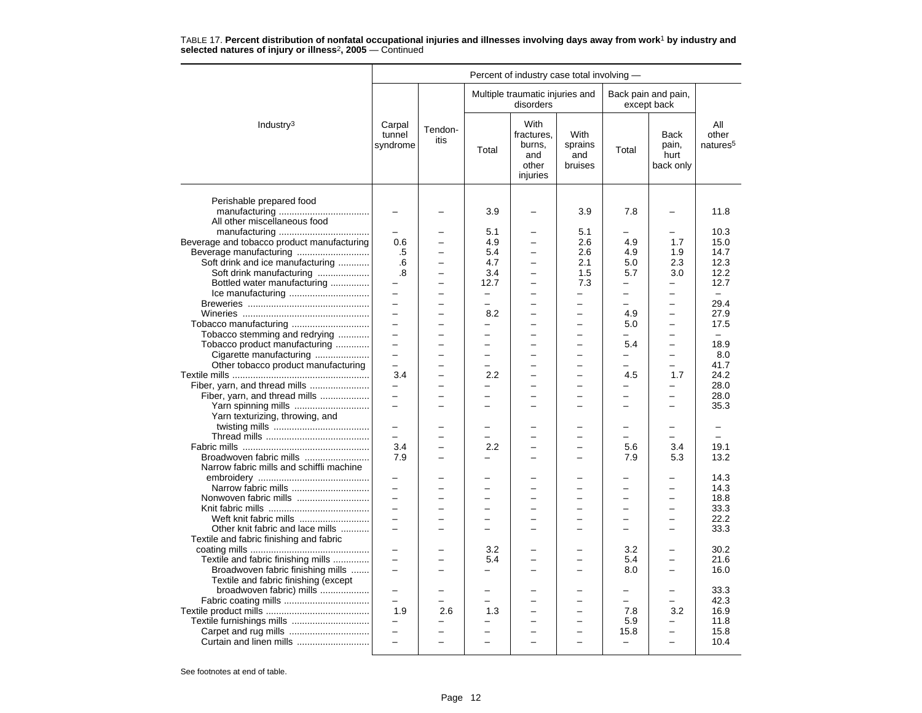|                                                                | Percent of industry case total involving - |                          |                          |                                                          |                                   |                          |                                           |                                      |  |  |
|----------------------------------------------------------------|--------------------------------------------|--------------------------|--------------------------|----------------------------------------------------------|-----------------------------------|--------------------------|-------------------------------------------|--------------------------------------|--|--|
|                                                                |                                            |                          |                          | Multiple traumatic injuries and<br>disorders             |                                   |                          | Back pain and pain,<br>except back        |                                      |  |  |
| Industry <sup>3</sup>                                          | Carpal<br>tunnel<br>syndrome               | Tendon-<br>itis          | Total                    | With<br>fractures.<br>burns,<br>and<br>other<br>injuries | With<br>sprains<br>and<br>bruises | Total                    | <b>Back</b><br>pain,<br>hurt<br>back only | All<br>other<br>natures <sup>5</sup> |  |  |
| Perishable prepared food<br>All other miscellaneous food       |                                            |                          | 3.9                      |                                                          | 3.9                               | 7.8                      |                                           | 11.8                                 |  |  |
|                                                                |                                            |                          | 5.1                      |                                                          | 5.1                               |                          |                                           | 10.3                                 |  |  |
| Beverage and tobacco product manufacturing                     | 0.6                                        | L,                       | 4.9                      |                                                          | 2.6                               | 4.9                      | 1.7                                       | 15.0                                 |  |  |
| Beverage manufacturing                                         | .5                                         | L,                       | 5.4                      | $\overline{\phantom{0}}$                                 | 2.6                               | 4.9                      | 1.9                                       | 14.7                                 |  |  |
| Soft drink and ice manufacturing                               | .6                                         |                          | 4.7                      |                                                          | 2.1                               | 5.0                      | 2.3                                       | 12.3                                 |  |  |
| Soft drink manufacturing                                       | .8                                         | $\overline{a}$           | 3.4                      | $\overline{a}$                                           | 1.5                               | 5.7                      | 3.0                                       | 12.2                                 |  |  |
| Bottled water manufacturing                                    |                                            | L,                       | 12.7                     | $\overline{\phantom{0}}$                                 | 7.3                               | $\qquad \qquad -$        | $\overline{\phantom{0}}$                  | 12.7                                 |  |  |
|                                                                | $\overline{\phantom{0}}$                   | L.                       | $\overline{\phantom{0}}$ | ÷                                                        | $\equiv$                          | $\equiv$                 | $\overline{a}$                            | $\sim$                               |  |  |
|                                                                | $\overline{\phantom{0}}$                   |                          | -                        |                                                          | $\overline{\phantom{0}}$          | $\overline{a}$           | -                                         | 29.4                                 |  |  |
|                                                                | $\overline{a}$                             |                          | 8.2                      |                                                          |                                   | 4.9                      | -                                         | 27.9                                 |  |  |
| Tobacco manufacturing                                          | $\overline{a}$                             |                          | L                        |                                                          |                                   | 5.0                      | L.                                        | 17.5                                 |  |  |
| Tobacco stemming and redrying                                  | $\equiv$                                   | ▃                        | $\overline{\phantom{0}}$ | $\overline{\phantom{0}}$                                 | $\overline{\phantom{0}}$          | -                        | $\overline{\phantom{0}}$                  | $\overline{\phantom{0}}$             |  |  |
| Tobacco product manufacturing                                  | $\overline{a}$                             | $\overline{\phantom{0}}$ | $\overline{\phantom{0}}$ |                                                          |                                   | 5.4                      | $\overline{\phantom{0}}$                  | 18.9                                 |  |  |
|                                                                | $\equiv$                                   |                          | $\overline{\phantom{0}}$ |                                                          |                                   | $\overline{\phantom{0}}$ | -                                         | 8.0                                  |  |  |
| Cigarette manufacturing<br>Other tobacco product manufacturing |                                            |                          | $\overline{\phantom{0}}$ |                                                          |                                   |                          | $\overline{a}$                            | 41.7                                 |  |  |
|                                                                | 3.4                                        | $\overline{\phantom{0}}$ | 2.2                      | $\overline{a}$                                           | $\equiv$                          | 4.5                      | 1.7                                       | 24.2                                 |  |  |
| Fiber, yarn, and thread mills                                  | $\overline{\phantom{0}}$                   | ÷                        | $\overline{\phantom{0}}$ | $\equiv$                                                 | ۳                                 | -                        | -                                         | 28.0                                 |  |  |
|                                                                |                                            |                          | -                        |                                                          |                                   |                          |                                           | 28.0                                 |  |  |
| Fiber, yarn, and thread mills<br>Yarn spinning mills           | $\equiv$                                   |                          | $\overline{\phantom{0}}$ | -                                                        |                                   | $\overline{a}$           | $\overline{\phantom{0}}$                  | 35.3                                 |  |  |
| Yarn texturizing, throwing, and                                |                                            |                          |                          |                                                          |                                   |                          |                                           |                                      |  |  |
|                                                                | $\equiv$                                   |                          | -                        |                                                          |                                   | -                        | $\overline{\phantom{0}}$                  |                                      |  |  |
|                                                                | $\equiv$                                   | <u>.</u>                 | $\overline{\phantom{0}}$ | $\overline{\phantom{0}}$                                 | $\overline{\phantom{0}}$          | $=$                      | $\overline{a}$                            |                                      |  |  |
|                                                                | 3.4                                        |                          | 2.2                      |                                                          |                                   | 5.6                      | 3.4                                       | 19.1                                 |  |  |
| Broadwoven fabric mills                                        | 7.9                                        |                          | $\equiv$                 |                                                          |                                   | 7.9                      | 5.3                                       | 13.2                                 |  |  |
| Narrow fabric mills and schiffli machine                       |                                            |                          |                          |                                                          |                                   |                          |                                           |                                      |  |  |
|                                                                | $\equiv$                                   |                          |                          |                                                          |                                   |                          |                                           | 14.3                                 |  |  |
|                                                                | $\overline{\phantom{0}}$                   |                          | -                        |                                                          |                                   | $\overline{a}$           | $\overline{\phantom{0}}$                  | 14.3                                 |  |  |
| Nonwoven fabric mills                                          |                                            |                          |                          |                                                          |                                   |                          |                                           | 18.8                                 |  |  |
|                                                                | $\equiv$                                   | $\overline{\phantom{0}}$ | $\overline{a}$           | $\overline{\phantom{0}}$                                 | $\overline{\phantom{0}}$          | $\equiv$                 | $\overline{\phantom{0}}$                  | 33.3                                 |  |  |
| Weft knit fabric mills                                         | $\equiv$                                   | L,                       | $\overline{\phantom{0}}$ | -                                                        | $\overline{\phantom{0}}$          | $\equiv$                 | $\overline{\phantom{0}}$                  | 22.2                                 |  |  |
| Other knit fabric and lace mills                               | $\equiv$                                   |                          |                          |                                                          |                                   |                          |                                           | 33.3                                 |  |  |
| Textile and fabric finishing and fabric                        |                                            |                          |                          |                                                          |                                   |                          |                                           |                                      |  |  |
|                                                                |                                            |                          | 3.2                      |                                                          |                                   | 3.2                      |                                           | 30.2                                 |  |  |
| Textile and fabric finishing mills                             | $\equiv$                                   | L                        | 5.4                      | $\overline{a}$                                           | $\overline{a}$                    | 5.4                      | $\overline{\phantom{0}}$                  | 21.6                                 |  |  |
| Broadwoven fabric finishing mills                              | $\equiv$                                   | $\overline{\phantom{0}}$ | $\overline{\phantom{m}}$ | -                                                        | $\equiv$                          | 8.0                      | $\overline{\phantom{0}}$                  | 16.0                                 |  |  |
| Textile and fabric finishing (except                           |                                            |                          |                          |                                                          |                                   |                          |                                           |                                      |  |  |
| broadwoven fabric) mills                                       |                                            |                          |                          |                                                          |                                   |                          |                                           | 33.3                                 |  |  |
|                                                                |                                            |                          |                          |                                                          |                                   | $\overline{a}$           |                                           | 42.3                                 |  |  |
|                                                                | 1.9                                        | 2.6                      | 1.3                      |                                                          |                                   | 7.8                      | 3.2                                       | 16.9                                 |  |  |
|                                                                | $\qquad \qquad -$                          | $\overline{\phantom{0}}$ | $\overline{\phantom{0}}$ | L.                                                       | L.                                | 5.9                      | $\overline{\phantom{0}}$                  | 11.8                                 |  |  |
|                                                                |                                            |                          |                          |                                                          |                                   | 15.8                     | -                                         | 15.8                                 |  |  |
| Curtain and linen mills                                        | $\overline{a}$                             | $\overline{a}$           | $\overline{\phantom{0}}$ |                                                          |                                   | $\overline{\phantom{0}}$ | $\overline{\phantom{0}}$                  | 10.4                                 |  |  |
|                                                                |                                            |                          |                          |                                                          |                                   |                          |                                           |                                      |  |  |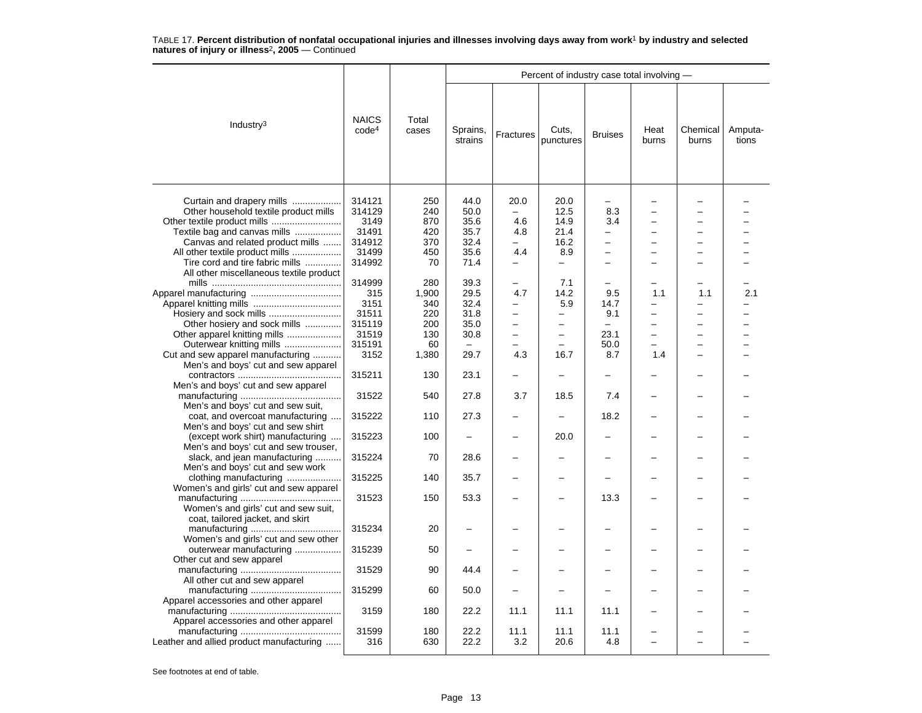|                                                                                                                                                                                                              |                                                                     |                                                         | Percent of industry case total involving -                     |                                                                                                            |                                                                                                     |                                                                              |                                             |                   |                  |  |  |
|--------------------------------------------------------------------------------------------------------------------------------------------------------------------------------------------------------------|---------------------------------------------------------------------|---------------------------------------------------------|----------------------------------------------------------------|------------------------------------------------------------------------------------------------------------|-----------------------------------------------------------------------------------------------------|------------------------------------------------------------------------------|---------------------------------------------|-------------------|------------------|--|--|
| Industry <sup>3</sup>                                                                                                                                                                                        | <b>NAICS</b><br>code <sup>4</sup>                                   | Total<br>cases                                          | Sprains,<br>strains                                            | Fractures                                                                                                  | Cuts,<br>punctures                                                                                  | <b>Bruises</b>                                                               | Heat<br>burns                               | Chemical<br>burns | Amputa-<br>tions |  |  |
| Curtain and drapery mills<br>Other household textile product mills<br>Textile bag and canvas mills<br>Canvas and related product mills<br>All other textile product mills<br>Tire cord and tire fabric mills | 314121<br>314129<br>3149<br>31491<br>314912<br>31499<br>314992      | 250<br>240<br>870<br>420<br>370<br>450<br>70            | 44.0<br>50.0<br>35.6<br>35.7<br>32.4<br>35.6<br>71.4           | 20.0<br>$\overline{\phantom{0}}$<br>4.6<br>4.8<br>$\equiv$<br>4.4<br>-                                     | 20.0<br>12.5<br>14.9<br>21.4<br>16.2<br>8.9<br>$\qquad \qquad -$                                    | 8.3<br>3.4<br>-<br>$\overline{\phantom{0}}$<br>$\overline{\phantom{0}}$<br>- |                                             |                   |                  |  |  |
| All other miscellaneous textile product<br>Other hosiery and sock mills<br>Other apparel knitting mills<br>Outerwear knitting mills<br>Cut and sew apparel manufacturing                                     | 314999<br>315<br>3151<br>31511<br>315119<br>31519<br>315191<br>3152 | 280<br>1,900<br>340<br>220<br>200<br>130<br>60<br>1,380 | 39.3<br>29.5<br>32.4<br>31.8<br>35.0<br>30.8<br>$\sim$<br>29.7 | 4.7<br>$\overline{\phantom{0}}$<br>$\overline{\phantom{0}}$<br>$\overline{\phantom{0}}$<br>$\equiv$<br>4.3 | 7.1<br>14.2<br>5.9<br>$\overline{\phantom{0}}$<br>-<br>$\overline{\phantom{0}}$<br>$\equiv$<br>16.7 | 9.5<br>14.7<br>9.1<br>23.1<br>50.0<br>8.7                                    | 1.1<br>-<br>$\overline{\phantom{0}}$<br>1.4 | 1.1<br>÷          | 2.1              |  |  |
| Men's and boys' cut and sew apparel                                                                                                                                                                          | 315211                                                              | 130                                                     | 23.1                                                           |                                                                                                            | $\overline{\phantom{0}}$                                                                            |                                                                              |                                             |                   |                  |  |  |
| Men's and boys' cut and sew apparel<br>Men's and boys' cut and sew suit,                                                                                                                                     | 31522                                                               | 540                                                     | 27.8                                                           | 3.7                                                                                                        | 18.5                                                                                                | 7.4                                                                          |                                             |                   |                  |  |  |
| coat, and overcoat manufacturing<br>Men's and boys' cut and sew shirt                                                                                                                                        | 315222                                                              | 110                                                     | 27.3                                                           |                                                                                                            | ÷                                                                                                   | 18.2                                                                         |                                             |                   |                  |  |  |
| (except work shirt) manufacturing<br>Men's and boys' cut and sew trouser,                                                                                                                                    | 315223                                                              | 100                                                     |                                                                |                                                                                                            | 20.0                                                                                                |                                                                              |                                             |                   |                  |  |  |
| slack, and jean manufacturing<br>Men's and boys' cut and sew work                                                                                                                                            | 315224                                                              | 70                                                      | 28.6                                                           |                                                                                                            |                                                                                                     |                                                                              |                                             |                   |                  |  |  |
| clothing manufacturing<br>Women's and girls' cut and sew apparel                                                                                                                                             | 315225                                                              | 140                                                     | 35.7                                                           |                                                                                                            |                                                                                                     | -                                                                            |                                             |                   |                  |  |  |
| Women's and girls' cut and sew suit,<br>coat, tailored jacket, and skirt                                                                                                                                     | 31523                                                               | 150                                                     | 53.3                                                           |                                                                                                            |                                                                                                     | 13.3                                                                         |                                             |                   |                  |  |  |
| Women's and girls' cut and sew other                                                                                                                                                                         | 315234                                                              | 20                                                      |                                                                |                                                                                                            |                                                                                                     |                                                                              |                                             |                   |                  |  |  |
| outerwear manufacturing<br>Other cut and sew apparel                                                                                                                                                         | 315239                                                              | 50                                                      |                                                                |                                                                                                            |                                                                                                     |                                                                              |                                             |                   |                  |  |  |
| All other cut and sew apparel                                                                                                                                                                                | 31529                                                               | 90                                                      | 44.4                                                           |                                                                                                            |                                                                                                     |                                                                              |                                             |                   |                  |  |  |
| Apparel accessories and other apparel                                                                                                                                                                        | 315299                                                              | 60                                                      | 50.0                                                           |                                                                                                            |                                                                                                     |                                                                              |                                             |                   |                  |  |  |
| Apparel accessories and other apparel                                                                                                                                                                        | 3159                                                                | 180                                                     | 22.2                                                           | 11.1                                                                                                       | 11.1                                                                                                | 11.1                                                                         |                                             |                   |                  |  |  |
| Leather and allied product manufacturing                                                                                                                                                                     | 31599<br>316                                                        | 180<br>630                                              | 22.2<br>22.2                                                   | 11.1<br>3.2                                                                                                | 11.1<br>20.6                                                                                        | 11.1<br>4.8                                                                  |                                             |                   |                  |  |  |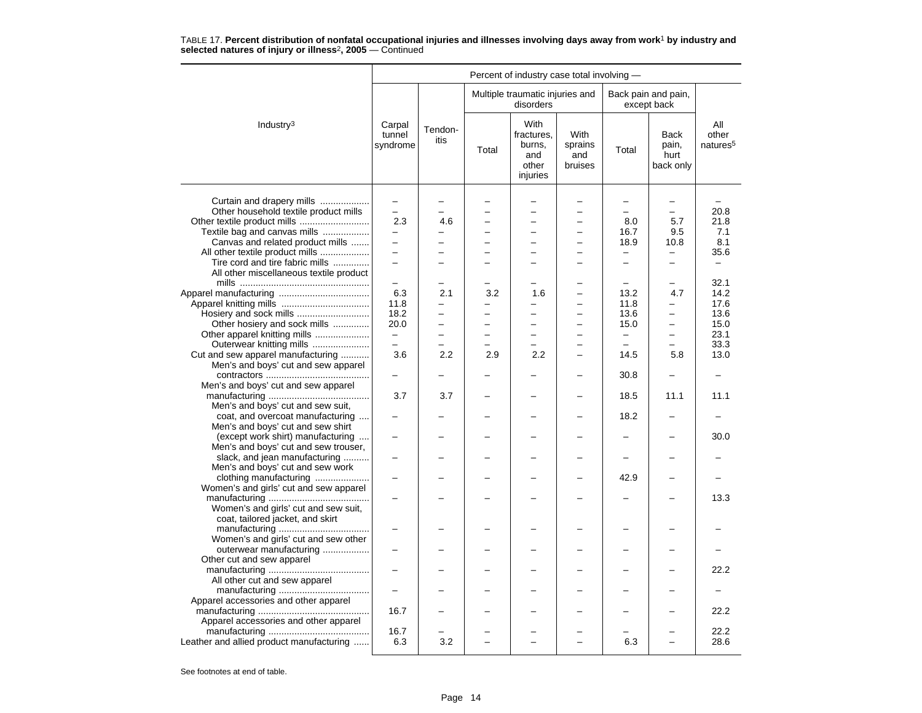|                                          |                              |                          |                          | Percent of industry case total involving -               |                                          |                          |                                    |                                      |
|------------------------------------------|------------------------------|--------------------------|--------------------------|----------------------------------------------------------|------------------------------------------|--------------------------|------------------------------------|--------------------------------------|
|                                          |                              |                          |                          | Multiple traumatic injuries and<br>disorders             |                                          |                          | Back pain and pain,<br>except back |                                      |
| Industry <sup>3</sup>                    | Carpal<br>tunnel<br>syndrome | Tendon-<br>itis          | Total                    | With<br>fractures.<br>burns,<br>and<br>other<br>injuries | <b>With</b><br>sprains<br>and<br>bruises | Total                    | Back<br>pain,<br>hurt<br>back only | All<br>other<br>natures <sup>5</sup> |
|                                          |                              |                          |                          |                                                          |                                          |                          |                                    |                                      |
| Curtain and drapery mills                |                              |                          |                          |                                                          |                                          |                          |                                    |                                      |
| Other household textile product mills    |                              |                          |                          | $\overline{\phantom{0}}$                                 |                                          | $\equiv$                 | $\overline{\phantom{0}}$           | 20.8                                 |
|                                          | 2.3                          | 4.6                      | ÷.                       | L.                                                       | L.                                       | 8.0                      | 5.7                                | 21.8                                 |
| Textile bag and canvas mills             |                              |                          |                          |                                                          |                                          | 16.7                     | 9.5                                | 7.1                                  |
| Canvas and related product mills         | $\overline{\phantom{0}}$     |                          |                          | $\overline{\phantom{0}}$                                 |                                          | 18.9                     | 10.8                               | 8.1                                  |
| All other textile product mills          | $\overline{a}$               |                          |                          | $\overline{\phantom{0}}$                                 |                                          | $\overline{\phantom{0}}$ | -                                  | 35.6                                 |
| Tire cord and tire fabric mills          | $\overline{a}$               |                          |                          | $\overline{\phantom{0}}$                                 |                                          | $\equiv$                 | $\equiv$                           |                                      |
| All other miscellaneous textile product  |                              |                          |                          |                                                          |                                          |                          |                                    |                                      |
|                                          |                              |                          |                          |                                                          |                                          |                          |                                    | 32.1                                 |
|                                          | 6.3                          | 2.1                      | 3.2                      | 1.6                                                      |                                          | 13.2                     | 4.7                                | 14.2                                 |
|                                          | 11.8                         | $\overline{\phantom{0}}$ | $\overline{\phantom{0}}$ | -                                                        |                                          | 11.8                     | -                                  | 17.6                                 |
| Hosiery and sock mills                   | 18.2                         | $\equiv$                 | $\overline{\phantom{0}}$ | L.                                                       |                                          | 13.6                     | $\overline{\phantom{0}}$           | 13.6                                 |
| Other hosiery and sock mills             | 20.0                         |                          |                          |                                                          |                                          | 15.0                     | $\overline{\phantom{0}}$           | 15.0                                 |
| Other apparel knitting mills             | $\overline{\phantom{0}}$     |                          |                          |                                                          |                                          | $\qquad \qquad -$        | $\overline{\phantom{0}}$           | 23.1                                 |
| Outerwear knitting mills                 | $\equiv$                     |                          |                          | $\overline{\phantom{0}}$                                 | -                                        | $\equiv$                 | $\equiv$                           | 33.3                                 |
| Cut and sew apparel manufacturing        | 3.6                          | 2.2                      | 2.9                      | 2.2                                                      | -                                        | 14.5                     | 5.8                                | 13.0                                 |
| Men's and boys' cut and sew apparel      |                              |                          |                          |                                                          |                                          |                          |                                    |                                      |
|                                          |                              |                          |                          |                                                          |                                          | 30.8                     |                                    |                                      |
| Men's and boys' cut and sew apparel      |                              |                          |                          |                                                          |                                          |                          |                                    |                                      |
|                                          | 3.7                          | 3.7                      |                          |                                                          |                                          | 18.5                     | 11.1                               | 11.1                                 |
| Men's and boys' cut and sew suit,        |                              |                          |                          |                                                          |                                          |                          |                                    |                                      |
|                                          |                              |                          |                          |                                                          |                                          | 18.2                     |                                    |                                      |
| coat, and overcoat manufacturing         |                              |                          |                          |                                                          |                                          |                          |                                    |                                      |
| Men's and boys' cut and sew shirt        |                              |                          |                          |                                                          |                                          |                          |                                    |                                      |
| (except work shirt) manufacturing        |                              |                          |                          |                                                          |                                          |                          |                                    | 30.0                                 |
| Men's and boys' cut and sew trouser,     |                              |                          |                          |                                                          |                                          |                          |                                    |                                      |
| slack, and jean manufacturing            |                              |                          |                          |                                                          |                                          |                          |                                    |                                      |
| Men's and boys' cut and sew work         |                              |                          |                          |                                                          |                                          |                          |                                    |                                      |
| clothing manufacturing                   |                              |                          |                          |                                                          |                                          | 42.9                     |                                    |                                      |
| Women's and girls' cut and sew apparel   |                              |                          |                          |                                                          |                                          |                          |                                    |                                      |
|                                          |                              |                          |                          |                                                          |                                          |                          |                                    | 13.3                                 |
| Women's and girls' cut and sew suit,     |                              |                          |                          |                                                          |                                          |                          |                                    |                                      |
| coat, tailored jacket, and skirt         |                              |                          |                          |                                                          |                                          |                          |                                    |                                      |
|                                          |                              |                          |                          |                                                          |                                          |                          |                                    |                                      |
| Women's and girls' cut and sew other     |                              |                          |                          |                                                          |                                          |                          |                                    |                                      |
| outerwear manufacturing                  |                              |                          |                          |                                                          |                                          |                          |                                    |                                      |
| Other cut and sew apparel                |                              |                          |                          |                                                          |                                          |                          |                                    |                                      |
|                                          |                              |                          |                          |                                                          |                                          |                          |                                    | 22.2                                 |
| All other cut and sew apparel            |                              |                          |                          |                                                          |                                          |                          |                                    |                                      |
|                                          | $\overline{\phantom{0}}$     |                          |                          |                                                          |                                          |                          |                                    |                                      |
| Apparel accessories and other apparel    |                              |                          |                          |                                                          |                                          |                          |                                    |                                      |
|                                          | 16.7                         |                          |                          |                                                          |                                          |                          |                                    | 22.2                                 |
| Apparel accessories and other apparel    |                              |                          |                          |                                                          |                                          |                          |                                    |                                      |
|                                          | 16.7                         |                          |                          |                                                          |                                          |                          |                                    | 22.2                                 |
| Leather and allied product manufacturing | 6.3                          | 3.2                      |                          |                                                          |                                          | 6.3                      |                                    | 28.6                                 |
|                                          |                              |                          |                          |                                                          |                                          |                          |                                    |                                      |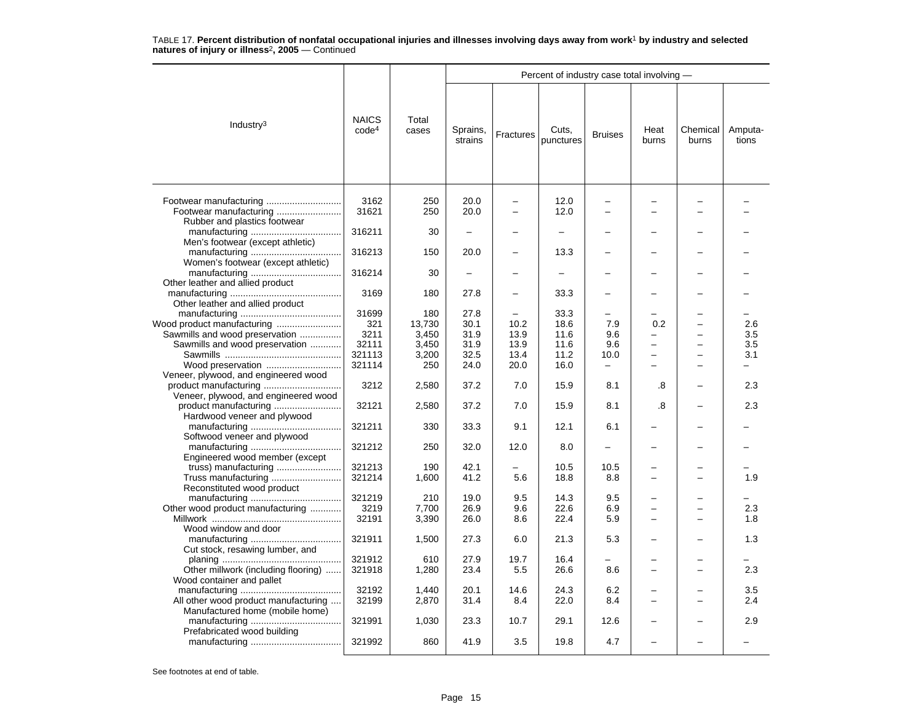|                                                                                              |                                   |                        |                          |                            |                      | Percent of industry case total involving - |                                                           |                                      |                                        |  |  |  |
|----------------------------------------------------------------------------------------------|-----------------------------------|------------------------|--------------------------|----------------------------|----------------------|--------------------------------------------|-----------------------------------------------------------|--------------------------------------|----------------------------------------|--|--|--|
| Industry $3$                                                                                 | <b>NAICS</b><br>code <sup>4</sup> | Total<br>cases         | Sprains,<br>strains      | <b>Fractures</b>           | Cuts,<br>punctures   | <b>Bruises</b>                             | Heat<br>burns                                             | Chemical<br>burns                    | Amputa-<br>tions                       |  |  |  |
|                                                                                              | 3162<br>31621                     | 250<br>250             | 20.0<br>20.0             | $\overline{a}$<br>$\equiv$ | 12.0<br>12.0         | $\overline{a}$<br>$\equiv$                 |                                                           | $\equiv$                             |                                        |  |  |  |
| Rubber and plastics footwear                                                                 | 316211                            | 30                     | $\overline{\phantom{0}}$ |                            | -                    |                                            |                                                           |                                      |                                        |  |  |  |
| Men's footwear (except athletic)                                                             | 316213                            | 150                    | 20.0                     |                            | 13.3                 |                                            |                                                           |                                      |                                        |  |  |  |
| Women's footwear (except athletic)<br>Other leather and allied product                       | 316214                            | 30                     |                          |                            |                      |                                            |                                                           |                                      |                                        |  |  |  |
| Other leather and allied product                                                             | 3169                              | 180                    | 27.8                     |                            | 33.3                 |                                            |                                                           |                                      |                                        |  |  |  |
| Sawmills and wood preservation                                                               | 31699<br>321<br>3211              | 180<br>13,730<br>3,450 | 27.8<br>30.1<br>31.9     | 10.2<br>13.9               | 33.3<br>18.6<br>11.6 | 7.9<br>9.6                                 | 0.2<br>-                                                  | $\overline{\phantom{0}}$             | 2.6<br>3.5                             |  |  |  |
| Sawmills and wood preservation<br>Wood preservation                                          | 32111<br>321113<br>321114         | 3,450<br>3,200<br>250  | 31.9<br>32.5<br>24.0     | 13.9<br>13.4<br>20.0       | 11.6<br>11.2<br>16.0 | 9.6<br>10.0<br>$\overline{\phantom{0}}$    | $\overline{\phantom{0}}$<br>÷<br>$\overline{\phantom{0}}$ | -<br>$\equiv$<br>$\equiv$            | 3.5<br>3.1<br>$\overline{\phantom{0}}$ |  |  |  |
| Veneer, plywood, and engineered wood<br>product manufacturing                                | 3212                              | 2,580                  | 37.2                     | 7.0                        | 15.9                 | 8.1                                        | .8                                                        |                                      | 2.3                                    |  |  |  |
| Veneer, plywood, and engineered wood<br>product manufacturing<br>Hardwood veneer and plywood | 32121                             | 2,580                  | 37.2                     | 7.0                        | 15.9                 | 8.1                                        | .8                                                        |                                      | 2.3                                    |  |  |  |
| Softwood veneer and plywood                                                                  | 321211                            | 330                    | 33.3                     | 9.1                        | 12.1                 | 6.1                                        |                                                           |                                      |                                        |  |  |  |
| Engineered wood member (except                                                               | 321212                            | 250                    | 32.0                     | 12.0                       | 8.0                  | $\overline{\phantom{0}}$                   |                                                           |                                      |                                        |  |  |  |
| Truss manufacturing<br>Reconstituted wood product                                            | 321213<br>321214                  | 190<br>1,600           | 42.1<br>41.2             | 5.6                        | 10.5<br>18.8         | 10.5<br>8.8                                | L.<br>$\overline{\phantom{0}}$                            | $\overline{\phantom{0}}$             | 1.9                                    |  |  |  |
| Other wood product manufacturing                                                             | 321219<br>3219<br>32191           | 210<br>7,700<br>3,390  | 19.0<br>26.9<br>26.0     | 9.5<br>9.6<br>8.6          | 14.3<br>22.6<br>22.4 | 9.5<br>6.9<br>5.9                          | $\equiv$<br>$\overline{\phantom{0}}$                      | $\equiv$<br>$\overline{\phantom{0}}$ | 2.3<br>1.8                             |  |  |  |
| Wood window and door<br>Cut stock, resawing lumber, and                                      | 321911                            | 1,500                  | 27.3                     | 6.0                        | 21.3                 | 5.3                                        |                                                           |                                      | 1.3                                    |  |  |  |
| Other millwork (including flooring)<br>Wood container and pallet                             | 321912<br>321918                  | 610<br>1,280           | 27.9<br>23.4             | 19.7<br>5.5                | 16.4<br>26.6         | 8.6                                        | $\overline{\phantom{0}}$                                  | $\overline{\phantom{0}}$             | 2.3                                    |  |  |  |
| All other wood product manufacturing<br>Manufactured home (mobile home)                      | 32192<br>32199                    | 1,440<br>2,870         | 20.1<br>31.4             | 14.6<br>8.4                | 24.3<br>22.0         | 6.2<br>8.4                                 |                                                           | -                                    | 3.5<br>2.4                             |  |  |  |
| Prefabricated wood building                                                                  | 321991                            | 1,030                  | 23.3                     | 10.7                       | 29.1                 | 12.6                                       |                                                           |                                      | 2.9                                    |  |  |  |
|                                                                                              | 321992                            | 860                    | 41.9                     | 3.5                        | 19.8                 | 4.7                                        |                                                           |                                      |                                        |  |  |  |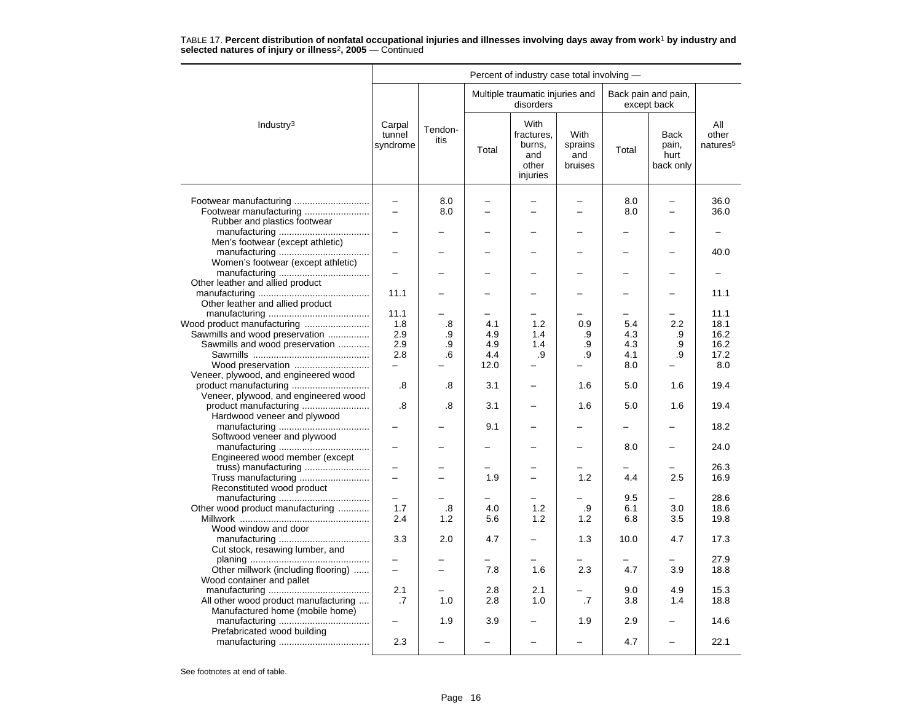| Percent of industry case total involving -                                                                                                                                                                                                                                                                                                                                                                                                                                                                                                                                                                                                                                                                                                                                                                                                                                                                                                                                                                                                                                                                                                                                                                                                                                                                                                                                                                                                                                                                                                                                                                                                                                                                                                                                                                               |                                      |     |     |           |     |     |     |              |  |
|--------------------------------------------------------------------------------------------------------------------------------------------------------------------------------------------------------------------------------------------------------------------------------------------------------------------------------------------------------------------------------------------------------------------------------------------------------------------------------------------------------------------------------------------------------------------------------------------------------------------------------------------------------------------------------------------------------------------------------------------------------------------------------------------------------------------------------------------------------------------------------------------------------------------------------------------------------------------------------------------------------------------------------------------------------------------------------------------------------------------------------------------------------------------------------------------------------------------------------------------------------------------------------------------------------------------------------------------------------------------------------------------------------------------------------------------------------------------------------------------------------------------------------------------------------------------------------------------------------------------------------------------------------------------------------------------------------------------------------------------------------------------------------------------------------------------------|--------------------------------------|-----|-----|-----------|-----|-----|-----|--------------|--|
|                                                                                                                                                                                                                                                                                                                                                                                                                                                                                                                                                                                                                                                                                                                                                                                                                                                                                                                                                                                                                                                                                                                                                                                                                                                                                                                                                                                                                                                                                                                                                                                                                                                                                                                                                                                                                          |                                      |     |     | disorders |     |     |     |              |  |
| Multiple traumatic injuries and<br>Back pain and pain,<br>except back<br>With<br>Industry <sup>3</sup><br>Carpal<br>Tendon-<br>fractures.<br>With<br>tunnel<br><b>Back</b><br>itis<br>syndrome<br>burns,<br>sprains<br>pain,<br>Total<br>Total<br>hurt<br>and<br>and<br>other<br>bruises<br>back only<br>injuries<br>8.0<br>8.0<br>$\overline{\phantom{0}}$<br>-<br>8.0<br>8.0<br>$\overline{a}$<br>Rubber and plastics footwear<br>Men's footwear (except athletic)<br>$\overline{\phantom{0}}$<br>Women's footwear (except athletic)<br>Other leather and allied product<br>11.1<br>Other leather and allied product<br>11.1<br>Wood product manufacturing<br>1.8<br>.8<br>4.1<br>1.2<br>0.9<br>5.4<br>2.2<br>Sawmills and wood preservation<br>2.9<br>4.9<br>4.3<br>.9<br>1.4<br>.9<br>.9<br>Sawmills and wood preservation<br>2.9<br>4.9<br>1.4<br>4.3<br>.9<br>.9<br>.9<br>2.8<br>4.4<br>.9<br>.9<br>4.1<br>.9<br>.6<br>Wood preservation<br>12.0<br>8.0<br>Veneer, plywood, and engineered wood<br>.8<br>.8<br>3.1<br>1.6<br>5.0<br>1.6<br>Veneer, plywood, and engineered wood<br>.8<br>.8<br>3.1<br>1.6<br>5.0<br>1.6<br>Hardwood veneer and plywood<br>9.1<br>Softwood veneer and plywood<br>8.0<br>Engineered wood member (except<br>truss) manufacturing<br>Truss manufacturing<br>1.9<br>1.2<br>4.4<br>2.5<br>$\overline{\phantom{0}}$<br>$\equiv$<br>Reconstituted wood product<br>9.5<br>Other wood product manufacturing<br>1.7<br>.8<br>4.0<br>1.2<br>.9<br>6.1<br>3.0<br>5.6<br>1.2<br>2.4<br>1.2<br>1.2<br>6.8<br>3.5<br>Wood window and door<br>3.3<br>2.0<br>4.7<br>1.3<br>10.0<br>4.7<br>Cut stock, resawing lumber, and<br>Other millwork (including flooring)<br>7.8<br>1.6<br>2.3<br>3.9<br>4.7<br>$\qquad \qquad -$<br>$\equiv$<br>Wood container and pallet<br>2.1<br>2.1<br>2.8<br>9.0<br>4.9 | All<br>other<br>natures <sup>5</sup> |     |     |           |     |     |     |              |  |
|                                                                                                                                                                                                                                                                                                                                                                                                                                                                                                                                                                                                                                                                                                                                                                                                                                                                                                                                                                                                                                                                                                                                                                                                                                                                                                                                                                                                                                                                                                                                                                                                                                                                                                                                                                                                                          |                                      |     |     |           |     |     |     | 36.0<br>36.0 |  |
|                                                                                                                                                                                                                                                                                                                                                                                                                                                                                                                                                                                                                                                                                                                                                                                                                                                                                                                                                                                                                                                                                                                                                                                                                                                                                                                                                                                                                                                                                                                                                                                                                                                                                                                                                                                                                          |                                      |     |     |           |     |     |     |              |  |
|                                                                                                                                                                                                                                                                                                                                                                                                                                                                                                                                                                                                                                                                                                                                                                                                                                                                                                                                                                                                                                                                                                                                                                                                                                                                                                                                                                                                                                                                                                                                                                                                                                                                                                                                                                                                                          |                                      |     |     |           |     |     |     | 40.0         |  |
|                                                                                                                                                                                                                                                                                                                                                                                                                                                                                                                                                                                                                                                                                                                                                                                                                                                                                                                                                                                                                                                                                                                                                                                                                                                                                                                                                                                                                                                                                                                                                                                                                                                                                                                                                                                                                          |                                      |     |     |           |     |     |     |              |  |
|                                                                                                                                                                                                                                                                                                                                                                                                                                                                                                                                                                                                                                                                                                                                                                                                                                                                                                                                                                                                                                                                                                                                                                                                                                                                                                                                                                                                                                                                                                                                                                                                                                                                                                                                                                                                                          |                                      |     |     |           |     |     |     | 11.1         |  |
|                                                                                                                                                                                                                                                                                                                                                                                                                                                                                                                                                                                                                                                                                                                                                                                                                                                                                                                                                                                                                                                                                                                                                                                                                                                                                                                                                                                                                                                                                                                                                                                                                                                                                                                                                                                                                          |                                      |     |     |           |     |     |     | 11.1         |  |
|                                                                                                                                                                                                                                                                                                                                                                                                                                                                                                                                                                                                                                                                                                                                                                                                                                                                                                                                                                                                                                                                                                                                                                                                                                                                                                                                                                                                                                                                                                                                                                                                                                                                                                                                                                                                                          |                                      |     |     |           |     |     |     | 18.1         |  |
|                                                                                                                                                                                                                                                                                                                                                                                                                                                                                                                                                                                                                                                                                                                                                                                                                                                                                                                                                                                                                                                                                                                                                                                                                                                                                                                                                                                                                                                                                                                                                                                                                                                                                                                                                                                                                          |                                      |     |     |           |     |     |     | 16.2         |  |
|                                                                                                                                                                                                                                                                                                                                                                                                                                                                                                                                                                                                                                                                                                                                                                                                                                                                                                                                                                                                                                                                                                                                                                                                                                                                                                                                                                                                                                                                                                                                                                                                                                                                                                                                                                                                                          |                                      |     |     |           |     |     |     | 16.2         |  |
|                                                                                                                                                                                                                                                                                                                                                                                                                                                                                                                                                                                                                                                                                                                                                                                                                                                                                                                                                                                                                                                                                                                                                                                                                                                                                                                                                                                                                                                                                                                                                                                                                                                                                                                                                                                                                          |                                      |     |     |           |     |     |     | 17.2         |  |
|                                                                                                                                                                                                                                                                                                                                                                                                                                                                                                                                                                                                                                                                                                                                                                                                                                                                                                                                                                                                                                                                                                                                                                                                                                                                                                                                                                                                                                                                                                                                                                                                                                                                                                                                                                                                                          |                                      |     |     |           |     |     |     | 8.0          |  |
|                                                                                                                                                                                                                                                                                                                                                                                                                                                                                                                                                                                                                                                                                                                                                                                                                                                                                                                                                                                                                                                                                                                                                                                                                                                                                                                                                                                                                                                                                                                                                                                                                                                                                                                                                                                                                          |                                      |     |     |           |     |     |     | 19.4         |  |
|                                                                                                                                                                                                                                                                                                                                                                                                                                                                                                                                                                                                                                                                                                                                                                                                                                                                                                                                                                                                                                                                                                                                                                                                                                                                                                                                                                                                                                                                                                                                                                                                                                                                                                                                                                                                                          |                                      |     |     |           |     |     |     |              |  |
|                                                                                                                                                                                                                                                                                                                                                                                                                                                                                                                                                                                                                                                                                                                                                                                                                                                                                                                                                                                                                                                                                                                                                                                                                                                                                                                                                                                                                                                                                                                                                                                                                                                                                                                                                                                                                          |                                      |     |     |           |     |     |     | 19.4         |  |
|                                                                                                                                                                                                                                                                                                                                                                                                                                                                                                                                                                                                                                                                                                                                                                                                                                                                                                                                                                                                                                                                                                                                                                                                                                                                                                                                                                                                                                                                                                                                                                                                                                                                                                                                                                                                                          |                                      |     |     |           |     |     |     | 18.2         |  |
|                                                                                                                                                                                                                                                                                                                                                                                                                                                                                                                                                                                                                                                                                                                                                                                                                                                                                                                                                                                                                                                                                                                                                                                                                                                                                                                                                                                                                                                                                                                                                                                                                                                                                                                                                                                                                          |                                      |     |     |           |     |     |     | 24.0         |  |
|                                                                                                                                                                                                                                                                                                                                                                                                                                                                                                                                                                                                                                                                                                                                                                                                                                                                                                                                                                                                                                                                                                                                                                                                                                                                                                                                                                                                                                                                                                                                                                                                                                                                                                                                                                                                                          |                                      |     |     |           |     |     |     | 26.3         |  |
|                                                                                                                                                                                                                                                                                                                                                                                                                                                                                                                                                                                                                                                                                                                                                                                                                                                                                                                                                                                                                                                                                                                                                                                                                                                                                                                                                                                                                                                                                                                                                                                                                                                                                                                                                                                                                          |                                      |     |     |           |     |     |     | 16.9         |  |
|                                                                                                                                                                                                                                                                                                                                                                                                                                                                                                                                                                                                                                                                                                                                                                                                                                                                                                                                                                                                                                                                                                                                                                                                                                                                                                                                                                                                                                                                                                                                                                                                                                                                                                                                                                                                                          |                                      |     |     |           |     |     |     | 28.6         |  |
|                                                                                                                                                                                                                                                                                                                                                                                                                                                                                                                                                                                                                                                                                                                                                                                                                                                                                                                                                                                                                                                                                                                                                                                                                                                                                                                                                                                                                                                                                                                                                                                                                                                                                                                                                                                                                          |                                      |     |     |           |     |     |     | 18.6         |  |
|                                                                                                                                                                                                                                                                                                                                                                                                                                                                                                                                                                                                                                                                                                                                                                                                                                                                                                                                                                                                                                                                                                                                                                                                                                                                                                                                                                                                                                                                                                                                                                                                                                                                                                                                                                                                                          |                                      |     |     |           |     |     |     | 19.8         |  |
|                                                                                                                                                                                                                                                                                                                                                                                                                                                                                                                                                                                                                                                                                                                                                                                                                                                                                                                                                                                                                                                                                                                                                                                                                                                                                                                                                                                                                                                                                                                                                                                                                                                                                                                                                                                                                          |                                      |     |     |           |     |     |     | 17.3         |  |
|                                                                                                                                                                                                                                                                                                                                                                                                                                                                                                                                                                                                                                                                                                                                                                                                                                                                                                                                                                                                                                                                                                                                                                                                                                                                                                                                                                                                                                                                                                                                                                                                                                                                                                                                                                                                                          |                                      |     |     |           |     |     |     | 27.9<br>18.8 |  |
|                                                                                                                                                                                                                                                                                                                                                                                                                                                                                                                                                                                                                                                                                                                                                                                                                                                                                                                                                                                                                                                                                                                                                                                                                                                                                                                                                                                                                                                                                                                                                                                                                                                                                                                                                                                                                          |                                      |     |     |           |     |     |     | 15.3         |  |
| All other wood product manufacturing<br>Manufactured home (mobile home)                                                                                                                                                                                                                                                                                                                                                                                                                                                                                                                                                                                                                                                                                                                                                                                                                                                                                                                                                                                                                                                                                                                                                                                                                                                                                                                                                                                                                                                                                                                                                                                                                                                                                                                                                  | .7                                   | 1.0 | 2.8 | 1.0       | .7  | 3.8 | 1.4 | 18.8         |  |
| Prefabricated wood building                                                                                                                                                                                                                                                                                                                                                                                                                                                                                                                                                                                                                                                                                                                                                                                                                                                                                                                                                                                                                                                                                                                                                                                                                                                                                                                                                                                                                                                                                                                                                                                                                                                                                                                                                                                              | -                                    | 1.9 | 3.9 |           | 1.9 | 2.9 | -   | 14.6         |  |
|                                                                                                                                                                                                                                                                                                                                                                                                                                                                                                                                                                                                                                                                                                                                                                                                                                                                                                                                                                                                                                                                                                                                                                                                                                                                                                                                                                                                                                                                                                                                                                                                                                                                                                                                                                                                                          | 2.3                                  |     |     |           |     | 4.7 |     | 22.1         |  |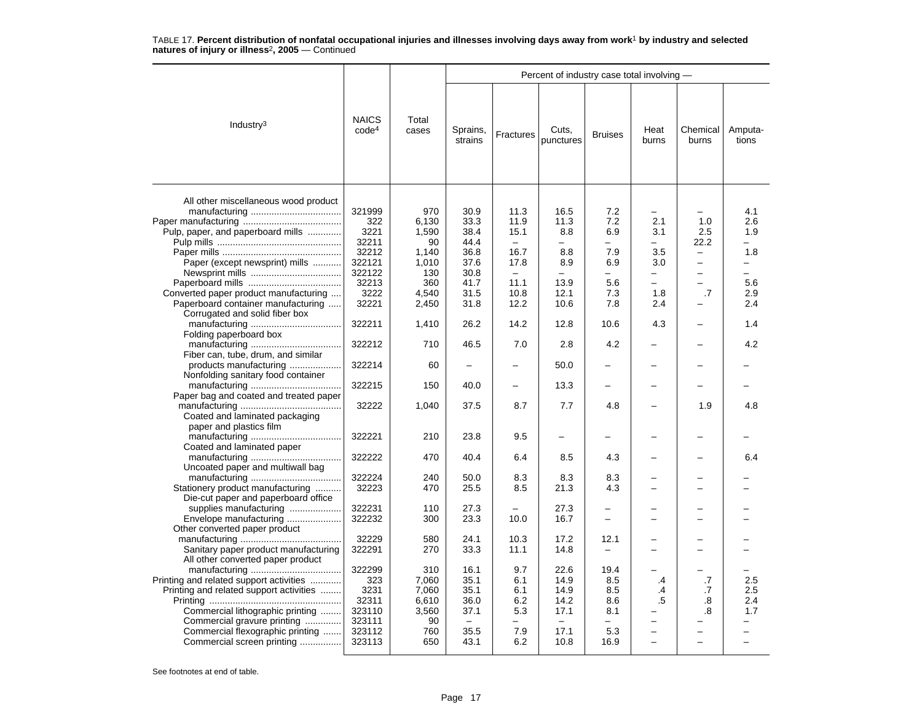|                                                                                                                                                                                                                         |                                                                        |                                                             |                                                                                  |                                                                                                      | Percent of industry case total involving -                                                        |                                                                                                |                                                                     |                                                                                 |                                                                                         |
|-------------------------------------------------------------------------------------------------------------------------------------------------------------------------------------------------------------------------|------------------------------------------------------------------------|-------------------------------------------------------------|----------------------------------------------------------------------------------|------------------------------------------------------------------------------------------------------|---------------------------------------------------------------------------------------------------|------------------------------------------------------------------------------------------------|---------------------------------------------------------------------|---------------------------------------------------------------------------------|-----------------------------------------------------------------------------------------|
| Industry $3$                                                                                                                                                                                                            | <b>NAICS</b><br>code <sup>4</sup>                                      | Total<br>cases                                              | Sprains,<br>strains                                                              | Fractures                                                                                            | Cuts.<br>punctures                                                                                | <b>Bruises</b>                                                                                 | Heat<br>burns                                                       | Chemical<br>burns                                                               | Amputa-<br>tions                                                                        |
| All other miscellaneous wood product<br>Pulp, paper, and paperboard mills<br>Paper (except newsprint) mills                                                                                                             | 321999<br>322<br>3221<br>32211<br>32212<br>322121<br>322122<br>32213   | 970<br>6,130<br>1,590<br>90<br>1,140<br>1.010<br>130<br>360 | 30.9<br>33.3<br>38.4<br>44.4<br>36.8<br>37.6<br>30.8<br>41.7                     | 11.3<br>11.9<br>15.1<br>$\overline{\phantom{m}}$<br>16.7<br>17.8<br>$\overline{\phantom{m}}$<br>11.1 | 16.5<br>11.3<br>8.8<br>$\overline{\phantom{0}}$<br>8.8<br>8.9<br>$\overline{\phantom{0}}$<br>13.9 | 7.2<br>7.2<br>6.9<br>$\overline{\phantom{0}}$<br>7.9<br>6.9<br>$\overline{\phantom{0}}$<br>5.6 | -<br>2.1<br>3.1<br>$\overline{\phantom{0}}$<br>3.5<br>3.0<br>-<br>▃ | -<br>1.0<br>2.5<br>22.2<br>$\overline{\phantom{0}}$<br>$\overline{\phantom{0}}$ | 4.1<br>2.6<br>1.9<br>$\overline{\phantom{0}}$<br>1.8<br>$\overline{\phantom{0}}$<br>5.6 |
| Converted paper product manufacturing<br>Paperboard container manufacturing<br>Corrugated and solid fiber box                                                                                                           | 3222<br>32221                                                          | 4,540<br>2,450                                              | 31.5<br>31.8                                                                     | 10.8<br>12.2                                                                                         | 12.1<br>10.6                                                                                      | 7.3<br>7.8                                                                                     | 1.8<br>2.4                                                          | .7                                                                              | 2.9<br>2.4                                                                              |
| Folding paperboard box                                                                                                                                                                                                  | 322211                                                                 | 1,410                                                       | 26.2                                                                             | 14.2                                                                                                 | 12.8                                                                                              | 10.6                                                                                           | 4.3                                                                 |                                                                                 | 1.4                                                                                     |
| Fiber can, tube, drum, and similar                                                                                                                                                                                      | 322212                                                                 | 710                                                         | 46.5                                                                             | 7.0                                                                                                  | 2.8                                                                                               | 4.2                                                                                            |                                                                     |                                                                                 | 4.2                                                                                     |
| products manufacturing<br>Nonfolding sanitary food container                                                                                                                                                            | 322214                                                                 | 60                                                          |                                                                                  |                                                                                                      | 50.0                                                                                              |                                                                                                |                                                                     |                                                                                 |                                                                                         |
| Paper bag and coated and treated paper                                                                                                                                                                                  | 322215                                                                 | 150                                                         | 40.0                                                                             | $\overline{\phantom{0}}$                                                                             | 13.3                                                                                              | $\overline{\phantom{0}}$                                                                       |                                                                     |                                                                                 |                                                                                         |
| Coated and laminated packaging<br>paper and plastics film                                                                                                                                                               | 32222                                                                  | 1,040                                                       | 37.5                                                                             | 8.7                                                                                                  | 7.7                                                                                               | 4.8                                                                                            |                                                                     | 1.9                                                                             | 4.8                                                                                     |
| Coated and laminated paper                                                                                                                                                                                              | 322221                                                                 | 210                                                         | 23.8                                                                             | 9.5                                                                                                  | $\overline{\phantom{0}}$                                                                          |                                                                                                |                                                                     |                                                                                 |                                                                                         |
| Uncoated paper and multiwall bag                                                                                                                                                                                        | 322222                                                                 | 470                                                         | 40.4                                                                             | 6.4                                                                                                  | 8.5                                                                                               | 4.3                                                                                            |                                                                     |                                                                                 | 6.4                                                                                     |
| Stationery product manufacturing<br>Die-cut paper and paperboard office                                                                                                                                                 | 322224<br>32223                                                        | 240<br>470                                                  | 50.0<br>25.5                                                                     | 8.3<br>8.5                                                                                           | 8.3<br>21.3                                                                                       | 8.3<br>4.3                                                                                     |                                                                     |                                                                                 |                                                                                         |
| supplies manufacturing<br>Envelope manufacturing<br>Other converted paper product                                                                                                                                       | 322231<br>322232                                                       | 110<br>300                                                  | 27.3<br>23.3                                                                     | 10.0                                                                                                 | 27.3<br>16.7                                                                                      | $\overline{\phantom{0}}$<br>$\overline{\phantom{0}}$                                           |                                                                     |                                                                                 |                                                                                         |
| Sanitary paper product manufacturing<br>All other converted paper product                                                                                                                                               | 32229<br>322291                                                        | 580<br>270                                                  | 24.1<br>33.3                                                                     | 10.3<br>11.1                                                                                         | 17.2<br>14.8                                                                                      | 12.1<br>$\overline{\phantom{m}}$                                                               |                                                                     | $\overline{\phantom{0}}$                                                        |                                                                                         |
| Printing and related support activities<br>Printing and related support activities<br>Commercial lithographic printing<br>Commercial gravure printing<br>Commercial flexographic printing<br>Commercial screen printing | 322299<br>323<br>3231<br>32311<br>323110<br>323111<br>323112<br>323113 | 310<br>7,060<br>7,060<br>6,610<br>3,560<br>90<br>760<br>650 | 16.1<br>35.1<br>35.1<br>36.0<br>37.1<br>$\overline{\phantom{m}}$<br>35.5<br>43.1 | 9.7<br>6.1<br>6.1<br>6.2<br>5.3<br>$\overline{\phantom{0}}$<br>7.9<br>6.2                            | 22.6<br>14.9<br>14.9<br>14.2<br>17.1<br>$\equiv$<br>17.1<br>10.8                                  | 19.4<br>8.5<br>8.5<br>8.6<br>8.1<br>$\equiv$<br>5.3<br>16.9                                    | .4<br>.4<br>.5<br>-<br>÷                                            | .7<br>.7<br>.8<br>.8                                                            | 2.5<br>2.5<br>2.4<br>1.7                                                                |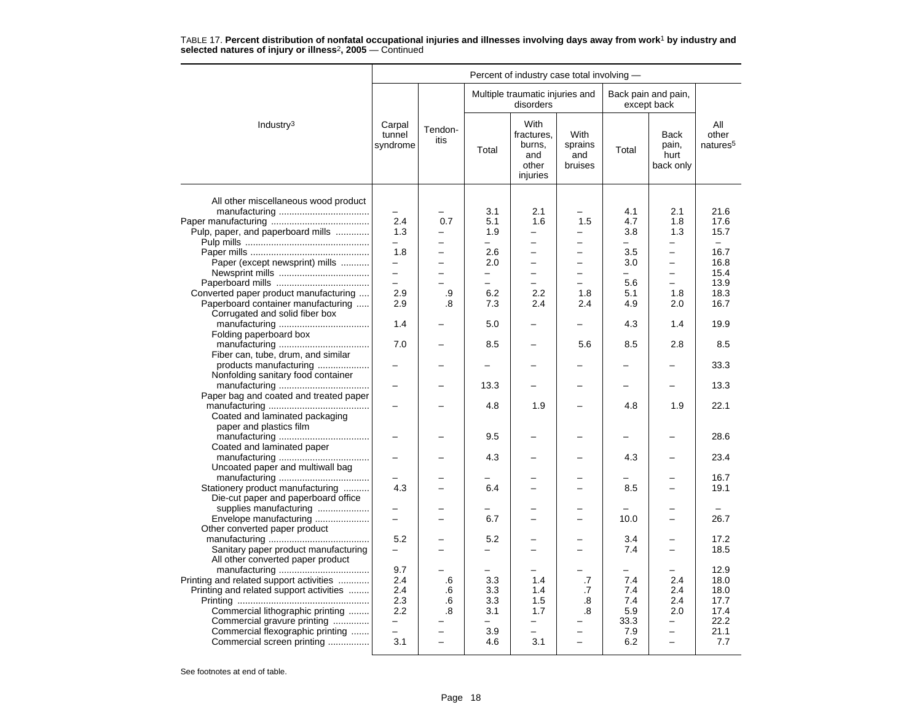|                                         | Percent of industry case total involving - |                          |                          |                                                          |                                   |                          |                                    |                                      |  |  |  |
|-----------------------------------------|--------------------------------------------|--------------------------|--------------------------|----------------------------------------------------------|-----------------------------------|--------------------------|------------------------------------|--------------------------------------|--|--|--|
|                                         |                                            |                          |                          | Multiple traumatic injuries and<br>disorders             |                                   |                          | Back pain and pain,<br>except back |                                      |  |  |  |
| Industry <sup>3</sup>                   | Carpal<br>tunnel<br>syndrome               | Tendon-<br>itis          | Total                    | With<br>fractures,<br>burns,<br>and<br>other<br>injuries | With<br>sprains<br>and<br>bruises | Total                    | Back<br>pain,<br>hurt<br>back only | All<br>other<br>natures <sup>5</sup> |  |  |  |
| All other miscellaneous wood product    |                                            |                          |                          |                                                          |                                   |                          |                                    |                                      |  |  |  |
|                                         |                                            |                          | 3.1                      | 2.1                                                      |                                   | 4.1                      | 2.1                                | 21.6<br>17.6                         |  |  |  |
|                                         | 2.4                                        | 0.7                      | 5.1                      | 1.6                                                      | 1.5                               | 4.7                      | 1.8                                |                                      |  |  |  |
| Pulp, paper, and paperboard mills       | 1.3                                        |                          | 1.9                      |                                                          |                                   | 3.8                      | 1.3                                | 15.7                                 |  |  |  |
|                                         | $\overline{\phantom{0}}$                   | $\overline{a}$           | $-$                      | $\overline{\phantom{0}}$                                 | $\overline{\phantom{0}}$          | $-$                      | $\overline{\phantom{0}}$           | $-$                                  |  |  |  |
|                                         | 1.8                                        | $\overline{a}$           | 2.6                      | ÷                                                        | $\equiv$                          | 3.5                      | $\overline{\phantom{0}}$           | 16.7                                 |  |  |  |
| Paper (except newsprint) mills          |                                            |                          | 2.0                      |                                                          |                                   | 3.0                      |                                    | 16.8                                 |  |  |  |
|                                         | $\equiv$                                   | $\overline{\phantom{0}}$ | $\qquad \qquad -$        | $\overline{\phantom{0}}$                                 | $\overline{\phantom{0}}$          | $\overline{\phantom{0}}$ | -                                  | 15.4                                 |  |  |  |
|                                         | $\overline{a}$                             |                          | $\overline{\phantom{0}}$ | L.                                                       |                                   | 5.6                      | $\overline{a}$                     | 13.9                                 |  |  |  |
| Converted paper product manufacturing   | 2.9                                        | .9                       | 6.2                      | 2.2                                                      | 1.8                               | 5.1                      | 1.8                                | 18.3                                 |  |  |  |
| Paperboard container manufacturing      | 2.9                                        | .8                       | 7.3                      | 2.4                                                      | 2.4                               | 4.9                      | 2.0                                | 16.7                                 |  |  |  |
| Corrugated and solid fiber box          |                                            |                          |                          |                                                          |                                   |                          |                                    |                                      |  |  |  |
|                                         | 1.4                                        |                          | 5.0                      |                                                          |                                   | 4.3                      | 1.4                                | 19.9                                 |  |  |  |
| Folding paperboard box                  |                                            |                          |                          |                                                          |                                   |                          |                                    |                                      |  |  |  |
|                                         | 7.0                                        |                          | 8.5                      |                                                          | 5.6                               | 8.5                      | 2.8                                | 8.5                                  |  |  |  |
| Fiber can, tube, drum, and similar      |                                            |                          |                          |                                                          |                                   |                          |                                    |                                      |  |  |  |
| products manufacturing                  |                                            |                          |                          |                                                          |                                   |                          |                                    | 33.3                                 |  |  |  |
| Nonfolding sanitary food container      |                                            |                          |                          |                                                          |                                   |                          |                                    |                                      |  |  |  |
|                                         |                                            |                          | 13.3                     |                                                          |                                   |                          | $\overline{\phantom{0}}$           | 13.3                                 |  |  |  |
| Paper bag and coated and treated paper  |                                            |                          |                          |                                                          |                                   |                          |                                    |                                      |  |  |  |
|                                         |                                            |                          | 4.8                      | 1.9                                                      |                                   | 4.8                      | 1.9                                | 22.1                                 |  |  |  |
| Coated and laminated packaging          |                                            |                          |                          |                                                          |                                   |                          |                                    |                                      |  |  |  |
| paper and plastics film                 |                                            |                          |                          |                                                          |                                   |                          |                                    |                                      |  |  |  |
|                                         |                                            |                          | 9.5                      |                                                          |                                   | -                        | $\overline{\phantom{0}}$           | 28.6                                 |  |  |  |
| Coated and laminated paper              |                                            |                          |                          |                                                          |                                   |                          |                                    |                                      |  |  |  |
|                                         |                                            |                          | 4.3                      |                                                          |                                   | 4.3                      |                                    | 23.4                                 |  |  |  |
| Uncoated paper and multiwall bag        |                                            |                          |                          |                                                          |                                   |                          |                                    |                                      |  |  |  |
|                                         |                                            |                          |                          |                                                          |                                   |                          |                                    | 16.7                                 |  |  |  |
| Stationery product manufacturing        | 4.3                                        | L                        | 6.4                      | $\equiv$                                                 | $\equiv$                          | 8.5                      | $\overline{\phantom{0}}$           | 19.1                                 |  |  |  |
| Die-cut paper and paperboard office     |                                            |                          |                          |                                                          |                                   |                          |                                    |                                      |  |  |  |
| supplies manufacturing                  |                                            |                          |                          |                                                          |                                   |                          |                                    |                                      |  |  |  |
| Envelope manufacturing                  | -                                          | ▃                        | 6.7                      | $\overline{\phantom{0}}$                                 | $\overline{\phantom{0}}$          | 10.0                     | $\overline{\phantom{0}}$           | 26.7                                 |  |  |  |
| Other converted paper product           |                                            |                          |                          |                                                          |                                   |                          |                                    |                                      |  |  |  |
|                                         | 5.2                                        | -                        | 5.2                      | $\equiv$                                                 | $\equiv$                          | 3.4                      | $\overline{\phantom{0}}$           | 17.2                                 |  |  |  |
| Sanitary paper product manufacturing    | $\overline{\phantom{0}}$                   |                          | -                        |                                                          |                                   | 7.4                      | $\overline{\phantom{0}}$           | 18.5                                 |  |  |  |
| All other converted paper product       |                                            |                          |                          |                                                          |                                   |                          |                                    |                                      |  |  |  |
|                                         | 9.7                                        |                          | -                        |                                                          |                                   | -                        |                                    | 12.9                                 |  |  |  |
| Printing and related support activities | 2.4                                        | .6                       | 3.3                      | 1.4                                                      | .7                                | 7.4                      | 2.4                                | 18.0                                 |  |  |  |
| Printing and related support activities | 2.4                                        | .6                       | 3.3                      | 1.4                                                      | .7                                | 7.4                      | 2.4                                | 18.0                                 |  |  |  |
|                                         | 2.3                                        | .6                       | 3.3                      | 1.5                                                      | .8                                | 7.4                      | 2.4                                | 17.7                                 |  |  |  |
| Commercial lithographic printing        | 2.2                                        | .8                       | 3.1                      | 1.7                                                      | .8                                | 5.9                      | 2.0                                | 17.4                                 |  |  |  |
| Commercial gravure printing             | $\overline{\phantom{0}}$                   |                          | $\overline{\phantom{0}}$ | -                                                        |                                   | 33.3                     | -                                  | 22.2                                 |  |  |  |
| Commercial flexographic printing        |                                            |                          | 3.9                      |                                                          |                                   | 7.9                      |                                    | 21.1                                 |  |  |  |
| Commercial screen printing              | 3.1                                        | $\overline{\phantom{0}}$ | 4.6                      | 3.1                                                      | $\overline{\phantom{0}}$          | 6.2                      | $\overline{\phantom{0}}$           | 7.7                                  |  |  |  |
|                                         |                                            |                          |                          |                                                          |                                   |                          |                                    |                                      |  |  |  |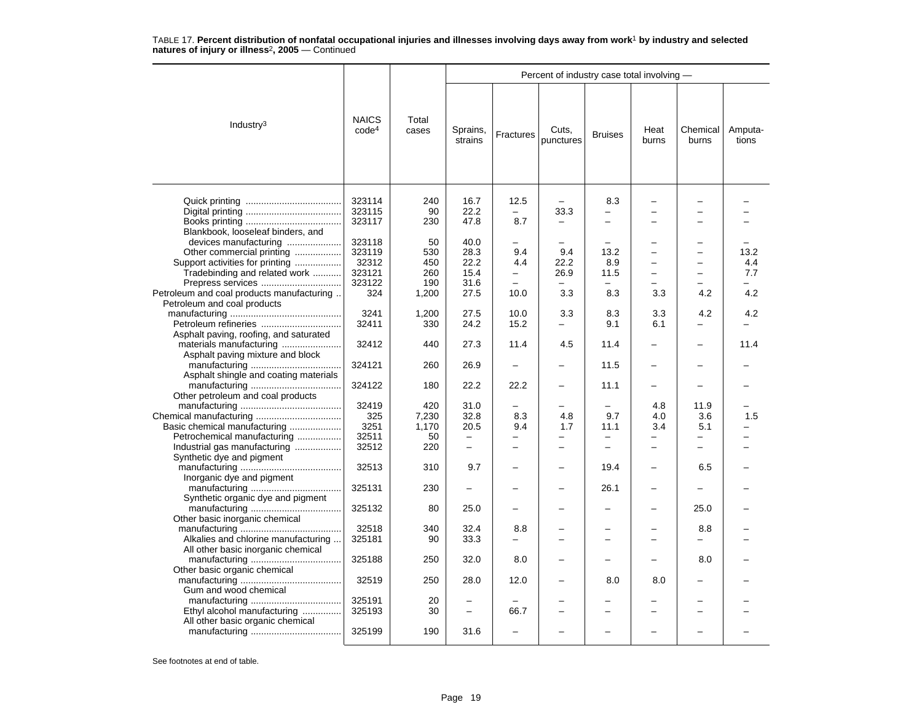|                                           |                                   |                |                          |                          |                          |                          | Percent of industry case total involving - |                          |                  |  |  |  |  |  |
|-------------------------------------------|-----------------------------------|----------------|--------------------------|--------------------------|--------------------------|--------------------------|--------------------------------------------|--------------------------|------------------|--|--|--|--|--|
| Industry <sup>3</sup>                     | <b>NAICS</b><br>code <sup>4</sup> | Total<br>cases | Sprains,<br>strains      | Fractures                | Cuts,<br>punctures       | <b>Bruises</b>           | Heat<br>burns                              | Chemical<br>burns        | Amputa-<br>tions |  |  |  |  |  |
|                                           | 323114                            | 240            | 16.7                     | 12.5                     |                          | 8.3                      |                                            |                          |                  |  |  |  |  |  |
|                                           | 323115                            | 90             | 22.2                     |                          | 33.3                     |                          |                                            |                          |                  |  |  |  |  |  |
|                                           | 323117                            | 230            | 47.8                     | 8.7                      |                          |                          |                                            | <u>.</u>                 |                  |  |  |  |  |  |
| Blankbook, looseleaf binders, and         |                                   |                |                          |                          |                          |                          |                                            |                          |                  |  |  |  |  |  |
| devices manufacturing                     | 323118                            | 50             | 40.0                     |                          |                          |                          |                                            | ▃                        |                  |  |  |  |  |  |
| Other commercial printing                 | 323119                            | 530            | 28.3                     | 9.4                      | 9.4                      | 13.2                     |                                            | -                        | 13.2             |  |  |  |  |  |
| Support activities for printing           | 32312                             | 450            | 22.2                     | 4.4                      | 22.2                     | 8.9                      |                                            | L.                       | 4.4              |  |  |  |  |  |
| Tradebinding and related work             | 323121                            | 260            | 15.4                     | $\equiv$                 | 26.9                     | 11.5                     | $\overline{\phantom{0}}$                   | $\overline{\phantom{0}}$ | 7.7              |  |  |  |  |  |
| Prepress services                         | 323122                            | 190            | 31.6                     | $\overline{\phantom{0}}$ | $\overline{\phantom{0}}$ |                          |                                            | <u>.</u>                 |                  |  |  |  |  |  |
| Petroleum and coal products manufacturing | 324                               | 1,200          | 27.5                     | 10.0                     | 3.3                      | 8.3                      | 3.3                                        | 4.2                      | 4.2              |  |  |  |  |  |
| Petroleum and coal products               |                                   |                |                          |                          |                          |                          |                                            |                          |                  |  |  |  |  |  |
|                                           | 3241                              | 1,200          | 27.5                     | 10.0                     | 3.3                      | 8.3                      | 3.3                                        | 4.2                      | 4.2              |  |  |  |  |  |
| Petroleum refineries                      | 32411                             | 330            | 24.2                     | 15.2                     | $\overline{\phantom{0}}$ | 9.1                      | 6.1                                        |                          |                  |  |  |  |  |  |
| Asphalt paving, roofing, and saturated    |                                   |                |                          |                          |                          |                          |                                            |                          |                  |  |  |  |  |  |
| materials manufacturing                   | 32412                             | 440            | 27.3                     | 11.4                     | 4.5                      | 11.4                     | $\overline{\phantom{0}}$                   | -                        | 11.4             |  |  |  |  |  |
| Asphalt paving mixture and block          |                                   |                |                          |                          |                          |                          |                                            |                          |                  |  |  |  |  |  |
|                                           | 324121                            | 260            | 26.9                     | $\equiv$                 | $\equiv$                 | 11.5                     |                                            |                          |                  |  |  |  |  |  |
| Asphalt shingle and coating materials     |                                   |                |                          |                          |                          |                          |                                            |                          |                  |  |  |  |  |  |
|                                           | 324122                            | 180            | 22.2                     | 22.2                     |                          | 11.1                     |                                            |                          |                  |  |  |  |  |  |
| Other petroleum and coal products         |                                   |                |                          |                          |                          |                          |                                            |                          |                  |  |  |  |  |  |
|                                           | 32419                             | 420            | 31.0                     |                          |                          |                          | 4.8                                        | 11.9                     |                  |  |  |  |  |  |
|                                           | 325                               | 7,230          | 32.8                     | 8.3                      | 4.8                      | 9.7                      | 4.0                                        | 3.6                      | 1.5              |  |  |  |  |  |
| Basic chemical manufacturing              | 3251                              | 1,170          | 20.5                     | 9.4                      | 1.7                      | 11.1                     | 3.4                                        | 5.1                      |                  |  |  |  |  |  |
| Petrochemical manufacturing               | 32511                             | 50             | $\overline{\phantom{0}}$ | $\overline{\phantom{0}}$ | $\overline{\phantom{0}}$ | $\overline{\phantom{0}}$ | -                                          | $\overline{\phantom{0}}$ |                  |  |  |  |  |  |
| Industrial gas manufacturing              | 32512                             | 220            | $\overline{\phantom{m}}$ | $\equiv$                 | $\equiv$                 | $\equiv$                 | $\equiv$                                   | $\overline{a}$           |                  |  |  |  |  |  |
| Synthetic dye and pigment                 |                                   |                |                          |                          |                          |                          |                                            |                          |                  |  |  |  |  |  |
|                                           | 32513                             | 310            | 9.7                      |                          |                          | 19.4                     |                                            | 6.5                      |                  |  |  |  |  |  |
| Inorganic dye and pigment                 |                                   |                |                          |                          |                          |                          |                                            |                          |                  |  |  |  |  |  |
|                                           | 325131                            | 230            |                          |                          |                          | 26.1                     |                                            |                          |                  |  |  |  |  |  |
| Synthetic organic dye and pigment         |                                   |                |                          |                          |                          |                          |                                            |                          |                  |  |  |  |  |  |
|                                           | 325132                            | 80             | 25.0                     |                          |                          |                          |                                            | 25.0                     |                  |  |  |  |  |  |
| Other basic inorganic chemical            |                                   |                |                          |                          |                          |                          |                                            |                          |                  |  |  |  |  |  |
|                                           | 32518                             | 340            | 32.4                     | 8.8                      |                          |                          |                                            | 8.8                      |                  |  |  |  |  |  |
| Alkalies and chlorine manufacturing       | 325181                            | 90             | 33.3                     |                          |                          |                          |                                            |                          |                  |  |  |  |  |  |
| All other basic inorganic chemical        |                                   |                |                          |                          |                          |                          |                                            |                          |                  |  |  |  |  |  |
|                                           | 325188                            | 250            | 32.0                     | 8.0                      |                          |                          |                                            | 8.0                      |                  |  |  |  |  |  |
| Other basic organic chemical              |                                   |                |                          |                          |                          |                          |                                            |                          |                  |  |  |  |  |  |
|                                           | 32519                             | 250            | 28.0                     | 12.0                     |                          | 8.0                      | 8.0                                        | -                        |                  |  |  |  |  |  |
| Gum and wood chemical                     |                                   |                |                          |                          |                          |                          |                                            |                          |                  |  |  |  |  |  |
|                                           | 325191                            | 20             |                          |                          |                          |                          |                                            |                          |                  |  |  |  |  |  |
| Ethyl alcohol manufacturing               | 325193                            | 30             | $\overline{\phantom{m}}$ | 66.7                     |                          | -                        | -                                          | ÷                        |                  |  |  |  |  |  |
| All other basic organic chemical          |                                   |                |                          |                          |                          |                          |                                            |                          |                  |  |  |  |  |  |
|                                           | 325199                            | 190            | 31.6                     |                          |                          |                          |                                            |                          |                  |  |  |  |  |  |
|                                           |                                   |                |                          |                          |                          |                          |                                            |                          |                  |  |  |  |  |  |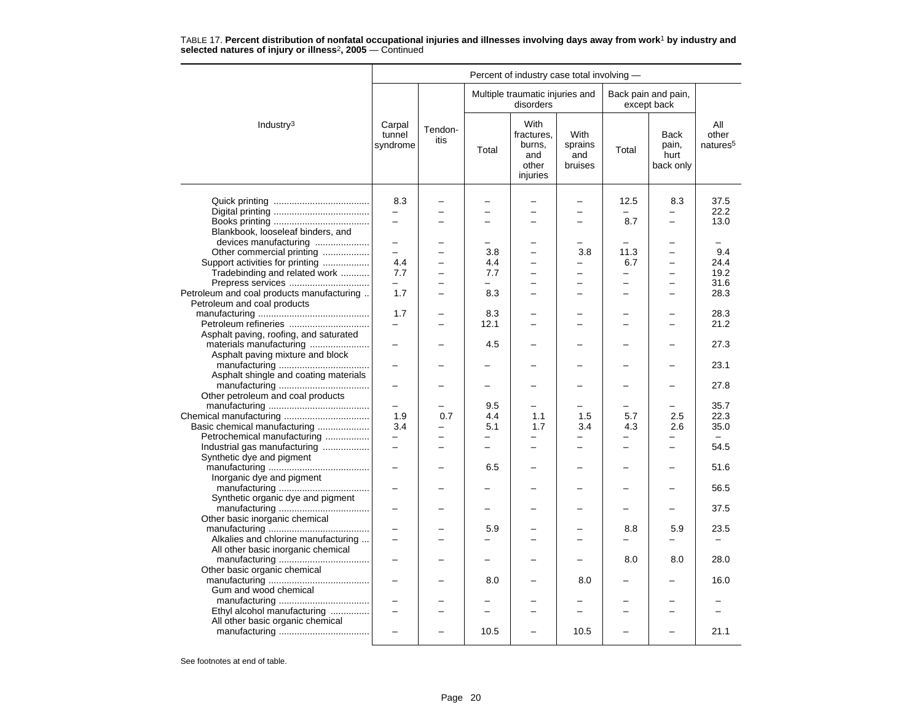| Percent of industry case total involving -                                                                                                                                       |                                        |                 |                   |                                                          |                                                                                         |                                    |                                                      |                                                         |  |  |  |
|----------------------------------------------------------------------------------------------------------------------------------------------------------------------------------|----------------------------------------|-----------------|-------------------|----------------------------------------------------------|-----------------------------------------------------------------------------------------|------------------------------------|------------------------------------------------------|---------------------------------------------------------|--|--|--|
|                                                                                                                                                                                  |                                        |                 |                   | Multiple traumatic injuries and<br>disorders             |                                                                                         |                                    | Back pain and pain,<br>except back                   |                                                         |  |  |  |
| Industry <sup>3</sup>                                                                                                                                                            | Carpal<br>tunnel<br>syndrome           | Tendon-<br>itis | Total             | With<br>fractures,<br>burns,<br>and<br>other<br>injuries | <b>With</b><br>sprains<br>and<br>bruises                                                | Total                              | <b>Back</b><br>pain,<br>hurt<br>back only            | All<br>other<br>natures <sup>5</sup>                    |  |  |  |
|                                                                                                                                                                                  | 8.3<br>-                               |                 |                   |                                                          | $\overline{\phantom{0}}$<br>$\overline{\phantom{0}}$                                    | 12.5<br>8.7                        | 8.3<br>$\overline{\phantom{0}}$                      | 37.5<br>22.2<br>13.0                                    |  |  |  |
| Blankbook, looseleaf binders, and<br>devices manufacturing<br>Other commercial printing<br>Support activities for printing<br>Tradebinding and related work<br>Prepress services | $\overline{\phantom{0}}$<br>4.4<br>7.7 |                 | 3.8<br>4.4<br>7.7 | -                                                        | $\overline{\phantom{0}}$<br>3.8<br>$\overline{\phantom{0}}$<br>$\overline{\phantom{0}}$ | 11.3<br>6.7<br>$\overline{a}$<br>- | $\overline{\phantom{0}}$<br>$\overline{\phantom{0}}$ | $\overline{\phantom{0}}$<br>9.4<br>24.4<br>19.2<br>31.6 |  |  |  |
| Petroleum and coal products manufacturing<br>Petroleum and coal products                                                                                                         | 1.7<br>1.7                             |                 | 8.3<br>8.3        | $\equiv$                                                 | $\overline{\phantom{0}}$                                                                | $=$                                | $\overline{\phantom{a}}$                             | 28.3<br>28.3                                            |  |  |  |
| Petroleum refineries<br>Asphalt paving, roofing, and saturated<br>materials manufacturing                                                                                        | -                                      |                 | 12.1<br>4.5       |                                                          |                                                                                         |                                    |                                                      | 21.2<br>27.3                                            |  |  |  |
| Asphalt paving mixture and block<br>Asphalt shingle and coating materials                                                                                                        |                                        |                 |                   |                                                          |                                                                                         |                                    |                                                      | 23.1                                                    |  |  |  |
| Other petroleum and coal products                                                                                                                                                |                                        |                 |                   |                                                          |                                                                                         |                                    |                                                      | 27.8                                                    |  |  |  |
| Basic chemical manufacturing<br>Petrochemical manufacturing                                                                                                                      | 1.9<br>3.4                             | 0.7             | 9.5<br>4.4<br>5.1 | 1.1<br>1.7                                               | 1.5<br>3.4                                                                              | 5.7<br>4.3                         | 2.5<br>2.6                                           | 35.7<br>22.3<br>35.0                                    |  |  |  |
| Industrial gas manufacturing<br>Synthetic dye and pigment                                                                                                                        | L.                                     |                 | $\equiv$<br>6.5   | $\equiv$                                                 | $\equiv$                                                                                | -                                  | $\equiv$                                             | 54.5<br>51.6                                            |  |  |  |
| Inorganic dye and pigment                                                                                                                                                        | -                                      |                 |                   |                                                          |                                                                                         |                                    |                                                      | 56.5                                                    |  |  |  |
| Synthetic organic dye and pigment<br>Other basic inorganic chemical                                                                                                              |                                        |                 |                   |                                                          |                                                                                         |                                    |                                                      | 37.5                                                    |  |  |  |
| Alkalies and chlorine manufacturing<br>All other basic inorganic chemical                                                                                                        |                                        |                 | 5.9               |                                                          | L.                                                                                      | 8.8                                | 5.9                                                  | 23.5                                                    |  |  |  |
| Other basic organic chemical<br>Gum and wood chemical                                                                                                                            |                                        |                 | 8.0               |                                                          | 8.0                                                                                     | 8.0                                | 8.0<br>$\overline{\phantom{0}}$                      | 28.0<br>16.0                                            |  |  |  |
| Ethyl alcohol manufacturing<br>All other basic organic chemical                                                                                                                  | $\overline{\phantom{0}}$               | $\equiv$        |                   | -                                                        | $\overline{\phantom{0}}$                                                                | $\overline{\phantom{0}}$           | $\overline{\phantom{0}}$                             | $\equiv$                                                |  |  |  |
|                                                                                                                                                                                  |                                        |                 | 10.5              |                                                          | 10.5                                                                                    |                                    |                                                      | 21.1                                                    |  |  |  |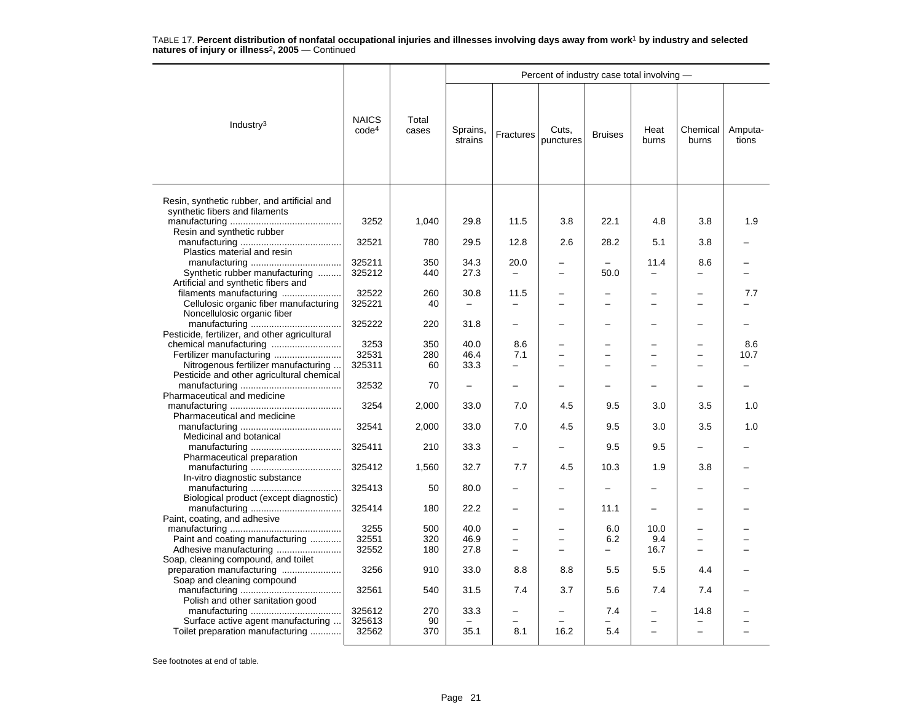|                                                                                                          |                                   |                | Percent of industry case total involving - |                          |                          |                          |               |                   |                  |  |  |
|----------------------------------------------------------------------------------------------------------|-----------------------------------|----------------|--------------------------------------------|--------------------------|--------------------------|--------------------------|---------------|-------------------|------------------|--|--|
| Industry <sup>3</sup>                                                                                    | <b>NAICS</b><br>code <sup>4</sup> | Total<br>cases | Sprains,<br>strains                        | Fractures                | Cuts,<br>punctures       | <b>Bruises</b>           | Heat<br>burns | Chemical<br>burns | Amputa-<br>tions |  |  |
| Resin, synthetic rubber, and artificial and                                                              |                                   |                |                                            |                          |                          |                          |               |                   |                  |  |  |
| synthetic fibers and filaments                                                                           | 3252                              | 1,040          | 29.8                                       | 11.5                     | 3.8                      | 22.1                     | 4.8           | 3.8               | 1.9              |  |  |
| Resin and synthetic rubber<br>Plastics material and resin                                                | 32521                             | 780            | 29.5                                       | 12.8                     | 2.6                      | 28.2                     | 5.1           | 3.8               |                  |  |  |
| Synthetic rubber manufacturing                                                                           | 325211<br>325212                  | 350<br>440     | 34.3<br>27.3                               | 20.0                     | -                        | 50.0                     | 11.4          | 8.6               |                  |  |  |
| Artificial and synthetic fibers and<br>filaments manufacturing<br>Cellulosic organic fiber manufacturing | 32522<br>325221                   | 260<br>40      | 30.8                                       | 11.5                     |                          | -<br>-                   |               |                   | 7.7              |  |  |
| Noncellulosic organic fiber                                                                              | 325222                            | 220            | 31.8                                       |                          |                          | -                        |               |                   |                  |  |  |
| Pesticide, fertilizer, and other agricultural<br>chemical manufacturing                                  | 3253                              | 350            | 40.0                                       | 8.6                      | -                        | -                        |               |                   | 8.6              |  |  |
| Nitrogenous fertilizer manufacturing                                                                     | 32531<br>325311                   | 280<br>60      | 46.4<br>33.3                               | 7.1<br>$\overline{a}$    |                          | -<br>L.                  |               |                   | 10.7             |  |  |
| Pesticide and other agricultural chemical                                                                | 32532                             | 70             | -                                          |                          |                          |                          |               |                   |                  |  |  |
| Pharmaceutical and medicine                                                                              | 3254                              | 2,000          | 33.0                                       | 7.0                      | 4.5                      | 9.5                      | 3.0           | 3.5               | 1.0              |  |  |
| Pharmaceutical and medicine                                                                              | 32541                             | 2,000          | 33.0                                       | 7.0                      | 4.5                      | 9.5                      | 3.0           | 3.5               | 1.0              |  |  |
| Medicinal and botanical                                                                                  | 325411                            | 210            | 33.3                                       |                          |                          | 9.5                      | 9.5           |                   |                  |  |  |
| Pharmaceutical preparation                                                                               | 325412                            | 1,560          | 32.7                                       | 7.7                      | 4.5                      | 10.3                     | 1.9           | 3.8               |                  |  |  |
| In-vitro diagnostic substance                                                                            | 325413                            | 50             | 80.0                                       |                          |                          | $\overline{\phantom{0}}$ |               |                   |                  |  |  |
| Biological product (except diagnostic)                                                                   | 325414                            | 180            | 22.2                                       |                          |                          | 11.1                     |               |                   |                  |  |  |
| Paint, coating, and adhesive<br>Paint and coating manufacturing                                          | 3255<br>32551                     | 500<br>320     | 40.0<br>46.9                               | $\equiv$                 | L.                       | 6.0<br>6.2               | 10.0<br>9.4   |                   |                  |  |  |
| Soap, cleaning compound, and toilet                                                                      | 32552                             | 180            | 27.8                                       | -                        | $\overline{\phantom{0}}$ | -                        | 16.7          |                   |                  |  |  |
| preparation manufacturing<br>Soap and cleaning compound                                                  | 3256                              | 910            | 33.0                                       | 8.8                      | 8.8                      | 5.5                      | 5.5           | 4.4               |                  |  |  |
| Polish and other sanitation good                                                                         | 32561                             | 540            | 31.5                                       | 7.4                      | 3.7                      | 5.6                      | 7.4           | 7.4               |                  |  |  |
| Surface active agent manufacturing                                                                       | 325612<br>325613                  | 270<br>90      | 33.3                                       | $\overline{\phantom{0}}$ | $\overline{\phantom{0}}$ | 7.4                      |               | 14.8              |                  |  |  |
| Toilet preparation manufacturing                                                                         | 32562                             | 370            | 35.1                                       | 8.1                      | 16.2                     | 5.4                      |               |                   |                  |  |  |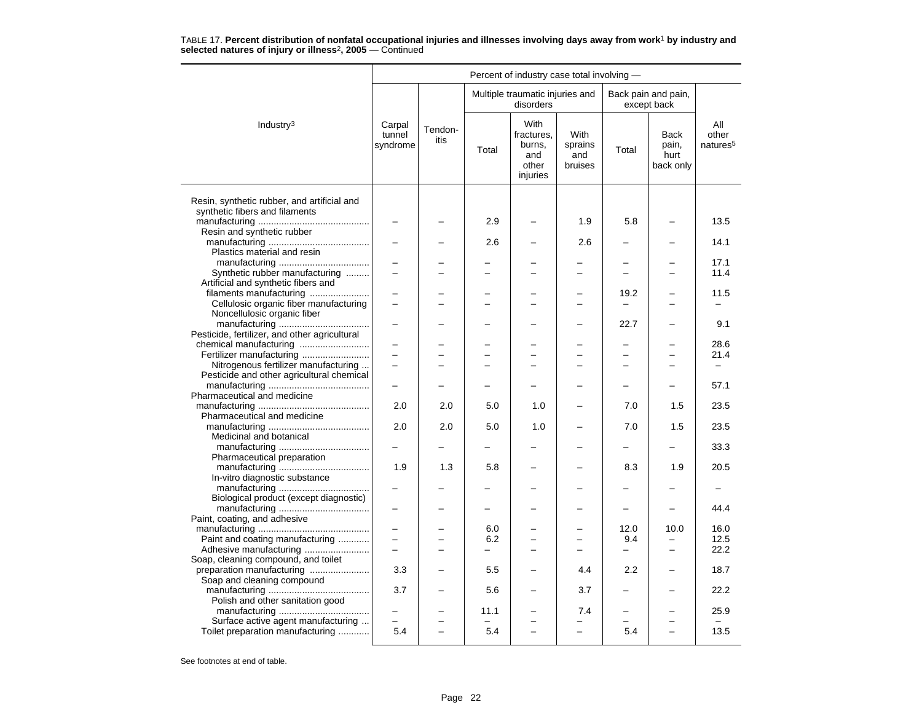|                                                                                            | Percent of industry case total involving - |                 |                                 |                                                          |                                          |                          |                                    |                                      |  |  |
|--------------------------------------------------------------------------------------------|--------------------------------------------|-----------------|---------------------------------|----------------------------------------------------------|------------------------------------------|--------------------------|------------------------------------|--------------------------------------|--|--|
|                                                                                            |                                            |                 |                                 | Multiple traumatic injuries and<br>disorders             |                                          |                          | Back pain and pain,<br>except back |                                      |  |  |
| Industry <sup>3</sup>                                                                      | Carpal<br>tunnel<br>syndrome               | Tendon-<br>itis | Total                           | With<br>fractures,<br>burns,<br>and<br>other<br>injuries | <b>With</b><br>sprains<br>and<br>bruises | Total                    | Back<br>pain,<br>hurt<br>back only | All<br>other<br>natures <sup>5</sup> |  |  |
| Resin, synthetic rubber, and artificial and                                                |                                            |                 |                                 |                                                          |                                          |                          |                                    |                                      |  |  |
| synthetic fibers and filaments                                                             |                                            |                 | 2.9                             |                                                          | 1.9                                      | 5.8                      |                                    | 13.5                                 |  |  |
| Resin and synthetic rubber<br>Plastics material and resin                                  |                                            |                 | 2.6                             |                                                          | 2.6                                      |                          |                                    | 14.1                                 |  |  |
| Synthetic rubber manufacturing                                                             |                                            |                 |                                 |                                                          |                                          |                          |                                    | 17.1<br>11.4                         |  |  |
| Artificial and synthetic fibers and<br>filaments manufacturing                             |                                            |                 |                                 |                                                          |                                          | 19.2                     |                                    | 11.5                                 |  |  |
| Cellulosic organic fiber manufacturing<br>Noncellulosic organic fiber                      |                                            |                 |                                 |                                                          |                                          | $\equiv$                 |                                    |                                      |  |  |
| Pesticide, fertilizer, and other agricultural                                              |                                            |                 |                                 |                                                          |                                          | 22.7                     |                                    | 9.1                                  |  |  |
| chemical manufacturing<br>Fertilizer manufacturing                                         | $\overline{\phantom{0}}$                   |                 |                                 |                                                          |                                          | $\overline{\phantom{0}}$ | -                                  | 28.6<br>21.4                         |  |  |
| Nitrogenous fertilizer manufacturing<br>Pesticide and other agricultural chemical          | $\equiv$                                   |                 |                                 |                                                          |                                          |                          |                                    |                                      |  |  |
| Pharmaceutical and medicine                                                                | $\overline{\phantom{0}}$                   |                 |                                 |                                                          |                                          |                          | $\equiv$                           | 57.1                                 |  |  |
| Pharmaceutical and medicine                                                                | 2.0                                        | 2.0             | 5.0                             | 1.0                                                      |                                          | 7.0                      | 1.5                                | 23.5                                 |  |  |
| Medicinal and botanical                                                                    | 2.0                                        | 2.0             | 5.0                             | 1.0                                                      |                                          | 7.0                      | 1.5                                | 23.5                                 |  |  |
| Pharmaceutical preparation                                                                 |                                            |                 |                                 |                                                          |                                          |                          | $\overline{\phantom{0}}$           | 33.3                                 |  |  |
| In-vitro diagnostic substance                                                              | 1.9                                        | 1.3             | 5.8                             |                                                          |                                          | 8.3                      | 1.9                                | 20.5                                 |  |  |
| Biological product (except diagnostic)                                                     |                                            |                 | ÷                               |                                                          |                                          | $\equiv$                 | $\equiv$                           | 44.4                                 |  |  |
| Paint, coating, and adhesive                                                               | $\overline{\phantom{m}}$                   |                 | 6.0                             |                                                          |                                          | 12.0                     | 10.0                               | 16.0                                 |  |  |
| Paint and coating manufacturing                                                            | $\equiv$                                   |                 | 6.2                             | -                                                        |                                          | 9.4                      |                                    | 12.5                                 |  |  |
| Adhesive manufacturing<br>Soap, cleaning compound, and toilet<br>preparation manufacturing | $\equiv$<br>3.3                            |                 | $\overline{\phantom{0}}$<br>5.5 |                                                          | 4.4                                      | $\equiv$<br>2.2          | $\overline{a}$                     | 22.2<br>18.7                         |  |  |
| Soap and cleaning compound                                                                 | 3.7                                        |                 | 5.6                             |                                                          | 3.7                                      | -                        |                                    | 22.2                                 |  |  |
| Polish and other sanitation good                                                           |                                            |                 | 11.1                            |                                                          | 7.4                                      |                          |                                    | 25.9                                 |  |  |
| Surface active agent manufacturing<br>Toilet preparation manufacturing                     | 5.4                                        |                 | 5.4                             | $\overline{\phantom{0}}$<br>$\overline{\phantom{0}}$     | $\equiv$                                 | 5.4                      | $\overline{\phantom{0}}$           | 13.5                                 |  |  |
|                                                                                            |                                            |                 |                                 |                                                          |                                          |                          |                                    |                                      |  |  |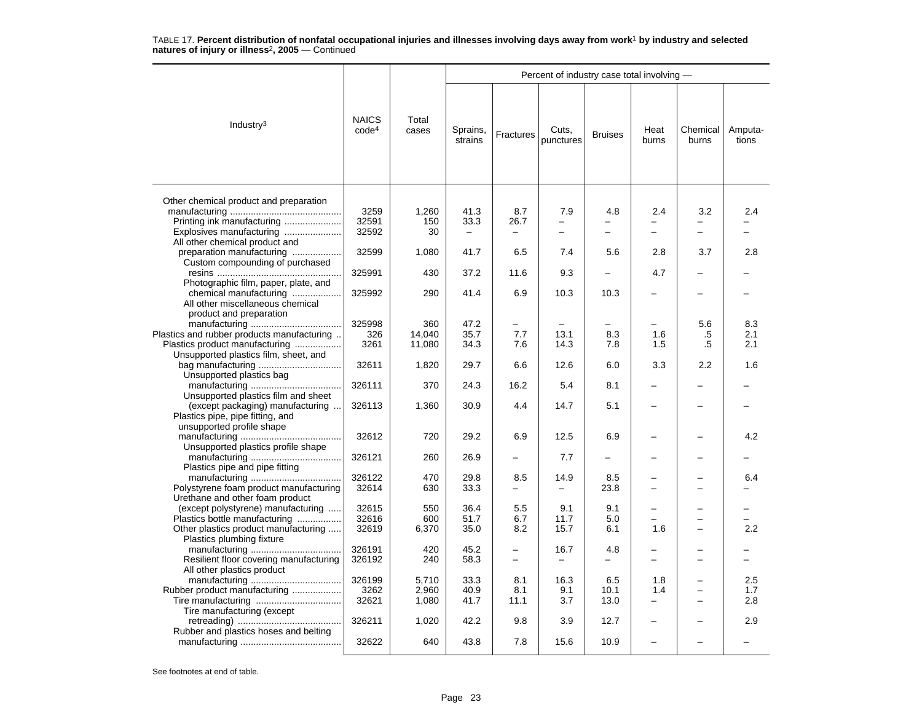|                                                                                                                                                                             |                                   |                         |                      | Percent of industry case total involving - |                                  |                     |                                 |                               |                   |  |  |  |
|-----------------------------------------------------------------------------------------------------------------------------------------------------------------------------|-----------------------------------|-------------------------|----------------------|--------------------------------------------|----------------------------------|---------------------|---------------------------------|-------------------------------|-------------------|--|--|--|
| Industry $3$                                                                                                                                                                | <b>NAICS</b><br>code <sup>4</sup> | Total<br>cases          | Sprains,<br>strains  | Fractures                                  | Cuts,<br>punctures               | <b>Bruises</b>      | Heat<br>burns                   | Chemical<br>burns             | Amputa-<br>tions  |  |  |  |
| Other chemical product and preparation<br>Printing ink manufacturing<br>Explosives manufacturing<br>All other chemical product and                                          | 3259<br>32591<br>32592            | 1,260<br>150<br>30      | 41.3<br>33.3         | 8.7<br>26.7                                | 7.9<br>$\overline{\phantom{0}}$  | 4.8<br>-            | 2.4<br>$\overline{\phantom{0}}$ | 3.2<br>-                      | 2.4               |  |  |  |
| preparation manufacturing<br>Custom compounding of purchased                                                                                                                | 32599                             | 1,080                   | 41.7                 | 6.5                                        | 7.4                              | 5.6                 | 2.8                             | 3.7                           | 2.8               |  |  |  |
|                                                                                                                                                                             | 325991                            | 430                     | 37.2                 | 11.6                                       | 9.3                              |                     | 4.7                             |                               |                   |  |  |  |
| Photographic film, paper, plate, and<br>chemical manufacturing<br>All other miscellaneous chemical<br>product and preparation                                               | 325992                            | 290                     | 41.4                 | 6.9                                        | 10.3                             | 10.3                |                                 |                               |                   |  |  |  |
|                                                                                                                                                                             | 325998                            | 360                     | 47.2                 |                                            |                                  |                     |                                 | 5.6                           | 8.3               |  |  |  |
| Plastics and rubber products manufacturing                                                                                                                                  | 326                               | 14.040                  | 35.7                 | 7.7                                        | 13.1                             | 8.3                 | 1.6                             | .5                            | 2.1               |  |  |  |
| Plastics product manufacturing<br>Unsupported plastics film, sheet, and                                                                                                     | 3261                              | 11,080                  | 34.3                 | 7.6                                        | 14.3                             | 7.8                 | 1.5                             | .5                            | 2.1               |  |  |  |
| Unsupported plastics bag                                                                                                                                                    | 32611                             | 1,820                   | 29.7                 | 6.6                                        | 12.6                             | 6.0                 | 3.3                             | 2.2                           | 1.6               |  |  |  |
| Unsupported plastics film and sheet                                                                                                                                         | 326111                            | 370                     | 24.3                 | 16.2                                       | 5.4                              | 8.1                 |                                 |                               |                   |  |  |  |
| (except packaging) manufacturing<br>Plastics pipe, pipe fitting, and<br>unsupported profile shape                                                                           | 326113                            | 1,360                   | 30.9                 | 4.4                                        | 14.7                             | 5.1                 |                                 |                               |                   |  |  |  |
| Unsupported plastics profile shape                                                                                                                                          | 32612                             | 720                     | 29.2                 | 6.9                                        | 12.5                             | 6.9                 |                                 |                               | 4.2               |  |  |  |
| Plastics pipe and pipe fitting                                                                                                                                              | 326121                            | 260                     | 26.9                 |                                            | 7.7                              |                     |                                 |                               |                   |  |  |  |
| Polystyrene foam product manufacturing                                                                                                                                      | 326122<br>32614                   | 470<br>630              | 29.8<br>33.3         | 8.5<br>-                                   | 14.9<br>$\overline{\phantom{0}}$ | 8.5<br>23.8         | $\overline{\phantom{0}}$        | -<br>-                        | 6.4               |  |  |  |
| Urethane and other foam product<br>(except polystyrene) manufacturing<br>Plastics bottle manufacturing<br>Other plastics product manufacturing<br>Plastics plumbing fixture | 32615<br>32616<br>32619           | 550<br>600<br>6,370     | 36.4<br>51.7<br>35.0 | 5.5<br>6.7<br>8.2                          | 9.1<br>11.7<br>15.7              | 9.1<br>5.0<br>6.1   | 1.6                             | -<br>-                        | 2.2               |  |  |  |
| Resilient floor covering manufacturing                                                                                                                                      | 326191<br>326192                  | 420<br>240              | 45.2<br>58.3         | -<br>$\equiv$                              | 16.7<br>$\equiv$                 | 4.8                 |                                 |                               |                   |  |  |  |
| All other plastics product<br>Rubber product manufacturing<br>Tire manufacturing (except                                                                                    | 326199<br>3262<br>32621           | 5,710<br>2,960<br>1,080 | 33.3<br>40.9<br>41.7 | 8.1<br>8.1<br>11.1                         | 16.3<br>9.1<br>3.7               | 6.5<br>10.1<br>13.0 | 1.8<br>1.4                      | $\overline{\phantom{0}}$<br>- | 2.5<br>1.7<br>2.8 |  |  |  |
| Rubber and plastics hoses and belting                                                                                                                                       | 326211                            | 1,020                   | 42.2                 | 9.8                                        | 3.9                              | 12.7                |                                 |                               | 2.9               |  |  |  |
|                                                                                                                                                                             | 32622                             | 640                     | 43.8                 | 7.8                                        | 15.6                             | 10.9                |                                 |                               |                   |  |  |  |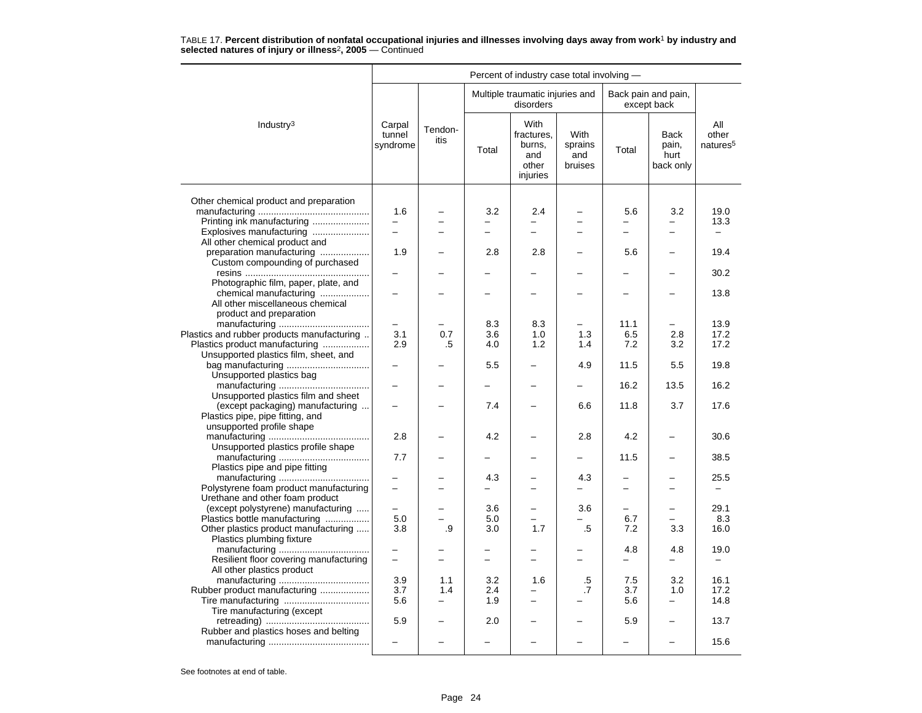|                                                                         |                              |                          | Percent of industry case total involving - |                                                          |                                   |                          |                                           |                                      |  |  |  |  |
|-------------------------------------------------------------------------|------------------------------|--------------------------|--------------------------------------------|----------------------------------------------------------|-----------------------------------|--------------------------|-------------------------------------------|--------------------------------------|--|--|--|--|
|                                                                         |                              |                          |                                            | Multiple traumatic injuries and<br>disorders             |                                   |                          | Back pain and pain,<br>except back        |                                      |  |  |  |  |
| Industry $3$                                                            | Carpal<br>tunnel<br>syndrome | Tendon-<br>itis          | Total                                      | With<br>fractures,<br>burns,<br>and<br>other<br>injuries | With<br>sprains<br>and<br>bruises | Total                    | <b>Back</b><br>pain,<br>hurt<br>back only | All<br>other<br>natures <sup>5</sup> |  |  |  |  |
|                                                                         |                              |                          |                                            |                                                          |                                   |                          |                                           |                                      |  |  |  |  |
| Other chemical product and preparation                                  | 1.6                          |                          | 3.2                                        | 2.4                                                      |                                   | 5.6                      | 3.2                                       | 19.0                                 |  |  |  |  |
| Printing ink manufacturing                                              | $\overline{\phantom{0}}$     |                          | $\overline{\phantom{0}}$                   | $\overline{\phantom{0}}$                                 | $\overline{\phantom{0}}$          | —                        | $\overline{\phantom{0}}$                  | 13.3                                 |  |  |  |  |
| Explosives manufacturing                                                |                              |                          |                                            |                                                          |                                   |                          |                                           |                                      |  |  |  |  |
| All other chemical product and                                          |                              |                          |                                            |                                                          |                                   |                          |                                           |                                      |  |  |  |  |
| preparation manufacturing                                               | 1.9                          |                          | 2.8                                        | 2.8                                                      |                                   | 5.6                      |                                           | 19.4                                 |  |  |  |  |
| Custom compounding of purchased                                         |                              |                          |                                            |                                                          |                                   |                          |                                           |                                      |  |  |  |  |
|                                                                         | -                            |                          |                                            |                                                          | $\equiv$                          | -                        | $\overline{\phantom{0}}$                  | 30.2                                 |  |  |  |  |
| Photographic film, paper, plate, and                                    |                              |                          |                                            |                                                          |                                   |                          |                                           |                                      |  |  |  |  |
| chemical manufacturing                                                  |                              |                          |                                            |                                                          |                                   |                          |                                           | 13.8                                 |  |  |  |  |
| All other miscellaneous chemical                                        |                              |                          |                                            |                                                          |                                   |                          |                                           |                                      |  |  |  |  |
| product and preparation                                                 |                              |                          |                                            |                                                          |                                   |                          |                                           |                                      |  |  |  |  |
|                                                                         | $\overline{\phantom{0}}$     |                          | 8.3                                        | 8.3                                                      |                                   | 11.1                     | -                                         | 13.9                                 |  |  |  |  |
| Plastics and rubber products manufacturing                              | 3.1                          | 0.7                      | 3.6                                        | 1.0                                                      | 1.3                               | 6.5                      | 2.8                                       | 17.2                                 |  |  |  |  |
| Plastics product manufacturing                                          | 2.9                          | .5                       | 4.0                                        | 1.2                                                      | 1.4                               | 7.2                      | 3.2                                       | 17.2                                 |  |  |  |  |
| Unsupported plastics film, sheet, and                                   |                              |                          |                                            |                                                          |                                   |                          |                                           |                                      |  |  |  |  |
|                                                                         |                              |                          | 5.5                                        |                                                          | 4.9                               | 11.5                     | 5.5                                       | 19.8                                 |  |  |  |  |
| Unsupported plastics bag                                                |                              |                          |                                            |                                                          |                                   | 16.2                     | 13.5                                      | 16.2                                 |  |  |  |  |
| Unsupported plastics film and sheet<br>(except packaging) manufacturing |                              |                          | 7.4                                        |                                                          | 6.6                               | 11.8                     | 3.7                                       | 17.6                                 |  |  |  |  |
| Plastics pipe, pipe fitting, and                                        |                              |                          |                                            |                                                          |                                   |                          |                                           |                                      |  |  |  |  |
| unsupported profile shape                                               |                              |                          |                                            |                                                          |                                   |                          |                                           |                                      |  |  |  |  |
|                                                                         | 2.8                          |                          | 4.2                                        |                                                          | 2.8                               | 4.2                      |                                           | 30.6                                 |  |  |  |  |
| Unsupported plastics profile shape                                      |                              |                          |                                            |                                                          |                                   |                          |                                           |                                      |  |  |  |  |
|                                                                         | 7.7                          |                          |                                            |                                                          | -                                 | 11.5                     | $\overline{\phantom{0}}$                  | 38.5                                 |  |  |  |  |
| Plastics pipe and pipe fitting                                          |                              |                          |                                            |                                                          |                                   |                          |                                           |                                      |  |  |  |  |
|                                                                         |                              |                          | 4.3                                        |                                                          | 4.3                               |                          |                                           | 25.5                                 |  |  |  |  |
| Polystyrene foam product manufacturing                                  |                              |                          |                                            |                                                          |                                   | $\overline{\phantom{0}}$ |                                           |                                      |  |  |  |  |
| Urethane and other foam product                                         |                              |                          |                                            |                                                          |                                   |                          |                                           |                                      |  |  |  |  |
| (except polystyrene) manufacturing                                      | $\equiv$                     |                          | 3.6                                        | $\overline{\phantom{0}}$                                 | 3.6                               | -                        | $\overline{\phantom{0}}$                  | 29.1                                 |  |  |  |  |
| Plastics bottle manufacturing                                           | 5.0                          |                          | 5.0                                        |                                                          |                                   | 6.7                      |                                           | 8.3                                  |  |  |  |  |
| Other plastics product manufacturing                                    | 3.8                          | .9                       | 3.0                                        | 1.7                                                      | .5                                | 7.2                      | 3.3                                       | 16.0                                 |  |  |  |  |
| Plastics plumbing fixture                                               |                              |                          |                                            |                                                          |                                   |                          |                                           |                                      |  |  |  |  |
|                                                                         |                              |                          |                                            |                                                          |                                   | 4.8                      | 4.8                                       | 19.0                                 |  |  |  |  |
| Resilient floor covering manufacturing                                  | $\overline{\phantom{0}}$     |                          | $\overline{\phantom{0}}$                   | $\equiv$                                                 | ╾                                 | -                        | $\qquad \qquad -$                         | $\overline{\phantom{0}}$             |  |  |  |  |
| All other plastics product                                              |                              |                          |                                            |                                                          |                                   |                          |                                           |                                      |  |  |  |  |
|                                                                         | 3.9                          | 1.1                      | 3.2                                        | 1.6                                                      | .5                                | 7.5                      | 3.2                                       | 16.1                                 |  |  |  |  |
| Rubber product manufacturing                                            | 3.7                          | 1.4                      | 2.4                                        |                                                          | .7                                | 3.7                      | 1.0                                       | 17.2                                 |  |  |  |  |
|                                                                         | 5.6                          | $\overline{\phantom{0}}$ | 1.9                                        | $\overline{\phantom{0}}$                                 |                                   | 5.6                      | $\overline{\phantom{0}}$                  | 14.8                                 |  |  |  |  |
| Tire manufacturing (except                                              |                              |                          |                                            |                                                          |                                   |                          |                                           |                                      |  |  |  |  |
|                                                                         | 5.9                          |                          | 2.0                                        |                                                          |                                   | 5.9                      |                                           | 13.7                                 |  |  |  |  |
| Rubber and plastics hoses and belting                                   |                              |                          |                                            |                                                          |                                   |                          |                                           |                                      |  |  |  |  |
|                                                                         |                              |                          |                                            |                                                          |                                   |                          |                                           | 15.6                                 |  |  |  |  |
|                                                                         |                              |                          |                                            |                                                          |                                   |                          |                                           |                                      |  |  |  |  |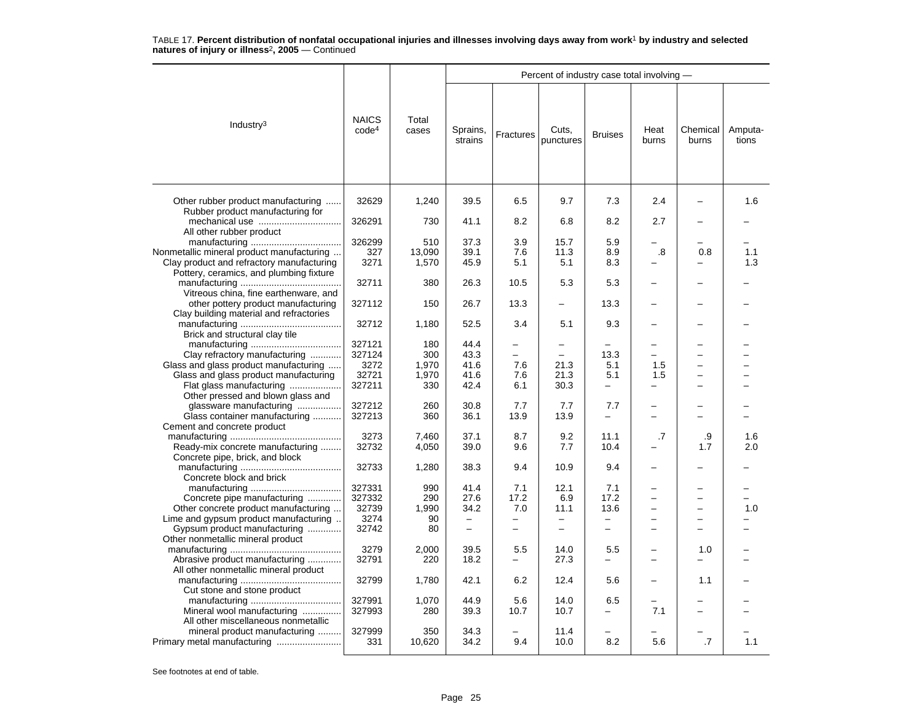|                                                                                      |                                   |                |                          |                   | Percent of industry case total involving - |                          |                          |                          |                  |
|--------------------------------------------------------------------------------------|-----------------------------------|----------------|--------------------------|-------------------|--------------------------------------------|--------------------------|--------------------------|--------------------------|------------------|
| Industry <sup>3</sup>                                                                | <b>NAICS</b><br>code <sup>4</sup> | Total<br>cases | Sprains,<br>strains      | Fractures         | Cuts,<br>punctures                         | <b>Bruises</b>           | Heat<br>burns            | Chemical<br>burns        | Amputa-<br>tions |
| Other rubber product manufacturing                                                   | 32629                             | 1,240          | 39.5                     | 6.5               | 9.7                                        | 7.3                      | 2.4                      |                          | 1.6              |
| Rubber product manufacturing for                                                     | 326291                            | 730            | 41.1                     | 8.2               | 6.8                                        | 8.2                      | 2.7                      |                          |                  |
| All other rubber product                                                             |                                   |                |                          |                   |                                            |                          |                          |                          |                  |
|                                                                                      | 326299                            | 510            | 37.3                     | 3.9               | 15.7                                       | 5.9                      |                          |                          |                  |
| Nonmetallic mineral product manufacturing                                            | 327                               | 13,090         | 39.1                     | 7.6               | 11.3                                       | 8.9                      | .8                       | 0.8                      | 1.1              |
| Clay product and refractory manufacturing<br>Pottery, ceramics, and plumbing fixture | 3271                              | 1,570          | 45.9                     | 5.1               | 5.1                                        | 8.3                      |                          |                          | 1.3              |
|                                                                                      | 32711                             | 380            | 26.3                     | 10.5              | 5.3                                        | 5.3                      |                          |                          |                  |
| Vitreous china, fine earthenware, and                                                |                                   |                |                          |                   |                                            |                          |                          |                          |                  |
| other pottery product manufacturing<br>Clay building material and refractories       | 327112                            | 150            | 26.7                     | 13.3              |                                            | 13.3                     |                          |                          |                  |
| Brick and structural clay tile                                                       | 32712                             | 1,180          | 52.5                     | 3.4               | 5.1                                        | 9.3                      |                          |                          |                  |
|                                                                                      | 327121                            | 180            | 44.4                     |                   |                                            |                          |                          | ▃                        |                  |
| Clay refractory manufacturing                                                        | 327124                            | 300            | 43.3                     | $\equiv$          | $\overline{\phantom{0}}$                   | 13.3                     | -                        | ▃                        |                  |
| Glass and glass product manufacturing                                                | 3272                              | 1,970          | 41.6                     | 7.6               | 21.3                                       | 5.1                      | 1.5                      | -                        |                  |
| Glass and glass product manufacturing                                                | 32721                             | 1,970          | 41.6                     | 7.6               | 21.3                                       | 5.1                      | 1.5                      | -                        |                  |
| Flat glass manufacturing                                                             | 327211                            | 330            | 42.4                     | 6.1               | 30.3                                       | $\overline{\phantom{0}}$ | $\overline{\phantom{0}}$ | $\overline{\phantom{0}}$ |                  |
| Other pressed and blown glass and                                                    |                                   |                |                          |                   |                                            |                          |                          |                          |                  |
| glassware manufacturing                                                              | 327212                            | 260            | 30.8                     | 7.7               | 7.7                                        | 7.7                      |                          |                          |                  |
| Glass container manufacturing                                                        | 327213                            | 360            | 36.1                     | 13.9              | 13.9                                       | $\overline{\phantom{0}}$ | $\overline{a}$           | -                        |                  |
| Cement and concrete product                                                          |                                   |                |                          |                   |                                            |                          |                          |                          |                  |
|                                                                                      | 3273                              | 7,460          | 37.1                     | 8.7               | 9.2                                        | 11.1                     | .7                       | .9                       | 1.6              |
| Ready-mix concrete manufacturing<br>Concrete pipe, brick, and block                  | 32732                             | 4,050          | 39.0                     | 9.6               | 7.7                                        | 10.4                     |                          | 1.7                      | 2.0              |
|                                                                                      | 32733                             | 1,280          | 38.3                     | 9.4               | 10.9                                       | 9.4                      |                          |                          |                  |
| Concrete block and brick                                                             |                                   |                |                          |                   |                                            |                          |                          |                          |                  |
|                                                                                      | 327331                            | 990            | 41.4                     | 7.1               | 12.1                                       | 7.1                      |                          |                          |                  |
| Concrete pipe manufacturing                                                          | 327332                            | 290            | 27.6                     | 17.2              | 6.9                                        | 17.2                     | $\overline{\phantom{0}}$ | $\overline{\phantom{0}}$ |                  |
| Other concrete product manufacturing                                                 | 32739                             | 1,990          | 34.2                     | 7.0               | 11.1                                       | 13.6                     |                          | ÷                        | 1.0              |
| Lime and gypsum product manufacturing                                                | 3274                              | 90             | $\overline{\phantom{0}}$ | $\qquad \qquad -$ | -                                          | $\overline{\phantom{0}}$ |                          |                          |                  |
| Gypsum product manufacturing                                                         | 32742                             | 80             | $\overline{\phantom{0}}$ |                   |                                            |                          |                          |                          |                  |
| Other nonmetallic mineral product                                                    |                                   |                |                          |                   |                                            |                          |                          |                          |                  |
|                                                                                      | 3279                              | 2,000          | 39.5                     | 5.5               | 14.0                                       | 5.5                      |                          | 1.0                      |                  |
| Abrasive product manufacturing                                                       | 32791                             | 220            | 18.2                     |                   | 27.3                                       |                          |                          |                          |                  |
| All other nonmetallic mineral product                                                | 32799                             | 1,780          | 42.1                     | 6.2               | 12.4                                       | 5.6                      |                          | 1.1                      |                  |
| Cut stone and stone product                                                          |                                   |                |                          |                   |                                            |                          |                          |                          |                  |
|                                                                                      | 327991                            | 1,070          | 44.9                     | 5.6               | 14.0                                       | 6.5                      |                          |                          |                  |
| Mineral wool manufacturing                                                           | 327993                            | 280            | 39.3                     | 10.7              | 10.7                                       |                          | 7.1                      |                          |                  |
| All other miscellaneous nonmetallic                                                  |                                   |                |                          |                   |                                            |                          |                          |                          |                  |
| mineral product manufacturing                                                        | 327999<br>331                     | 350<br>10,620  | 34.3<br>34.2             | 9.4               | 11.4<br>10.0                               | 8.2                      | 5.6                      | .7                       | 1.1              |
|                                                                                      |                                   |                |                          |                   |                                            |                          |                          |                          |                  |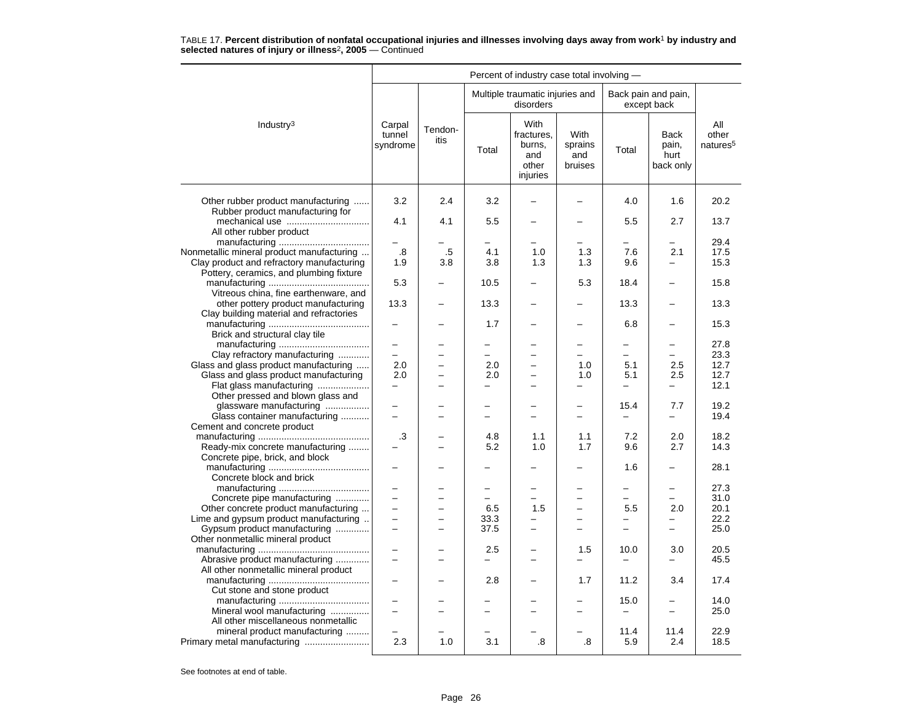|                                                                                      | Percent of industry case total involving - |                          |                          |                                                          |                                          |                          |                                           |                                      |  |  |
|--------------------------------------------------------------------------------------|--------------------------------------------|--------------------------|--------------------------|----------------------------------------------------------|------------------------------------------|--------------------------|-------------------------------------------|--------------------------------------|--|--|
|                                                                                      |                                            |                          |                          | Multiple traumatic injuries and<br>disorders             |                                          |                          | Back pain and pain,<br>except back        |                                      |  |  |
| Industry <sup>3</sup>                                                                | Carpal<br>tunnel<br>syndrome               | Tendon-<br>itis          | Total                    | With<br>fractures.<br>burns,<br>and<br>other<br>injuries | <b>With</b><br>sprains<br>and<br>bruises | Total                    | <b>Back</b><br>pain,<br>hurt<br>back only | All<br>other<br>natures <sup>5</sup> |  |  |
| Other rubber product manufacturing                                                   | 3.2                                        | 2.4                      | 3.2                      |                                                          |                                          | 4.0                      | 1.6                                       | 20.2                                 |  |  |
| Rubber product manufacturing for                                                     |                                            |                          |                          |                                                          |                                          |                          |                                           |                                      |  |  |
|                                                                                      | 4.1                                        | 4.1                      | 5.5                      | $\overline{a}$                                           | -                                        | 5.5                      | 2.7                                       | 13.7                                 |  |  |
| All other rubber product                                                             |                                            |                          |                          |                                                          |                                          |                          |                                           |                                      |  |  |
|                                                                                      |                                            |                          |                          |                                                          |                                          |                          |                                           | 29.4                                 |  |  |
| Nonmetallic mineral product manufacturing                                            | .8                                         | $.5\,$                   | 4.1                      | 1.0                                                      | 1.3                                      | 7.6                      | 2.1                                       | 17.5                                 |  |  |
| Clay product and refractory manufacturing<br>Pottery, ceramics, and plumbing fixture | 1.9                                        | 3.8                      | 3.8                      | 1.3                                                      | 1.3                                      | 9.6                      |                                           | 15.3                                 |  |  |
|                                                                                      | 5.3                                        |                          | 10.5                     | $\overline{\phantom{0}}$                                 | 5.3                                      | 18.4                     | $\overline{\phantom{0}}$                  | 15.8                                 |  |  |
| Vitreous china, fine earthenware, and                                                |                                            |                          |                          |                                                          |                                          |                          |                                           |                                      |  |  |
| other pottery product manufacturing                                                  | 13.3                                       |                          | 13.3                     | $\overline{\phantom{0}}$                                 |                                          | 13.3                     | $\overline{a}$                            | 13.3                                 |  |  |
| Clay building material and refractories                                              |                                            |                          |                          |                                                          |                                          |                          |                                           |                                      |  |  |
|                                                                                      |                                            |                          | 1.7                      |                                                          |                                          | 6.8                      |                                           | 15.3                                 |  |  |
| Brick and structural clay tile                                                       |                                            |                          |                          |                                                          |                                          |                          |                                           |                                      |  |  |
|                                                                                      | $\overline{\phantom{0}}$                   |                          |                          |                                                          |                                          | —                        | -                                         | 27.8                                 |  |  |
| Clay refractory manufacturing                                                        | $\overline{\phantom{0}}$                   |                          | $\overline{\phantom{0}}$ | $\overline{a}$                                           | $\equiv$                                 | $\equiv$                 | $\equiv$                                  | 23.3                                 |  |  |
| Glass and glass product manufacturing                                                | 2.0                                        | $\overline{\phantom{0}}$ | 2.0                      | $\overline{\phantom{0}}$                                 | 1.0                                      | 5.1                      | 2.5                                       | 12.7                                 |  |  |
| Glass and glass product manufacturing                                                | 2.0                                        |                          | 2.0                      | $\overline{\phantom{0}}$                                 | 1.0                                      | 5.1                      | 2.5                                       | 12.7                                 |  |  |
| Flat glass manufacturing                                                             | -                                          |                          | -                        | -                                                        | -                                        | -                        | $\overline{\phantom{0}}$                  | 12.1                                 |  |  |
| Other pressed and blown glass and                                                    |                                            |                          |                          |                                                          |                                          |                          |                                           |                                      |  |  |
| glassware manufacturing                                                              | $\overline{\phantom{0}}$<br>$\overline{a}$ |                          | ÷                        | $\overline{a}$                                           | $\overline{\phantom{0}}$                 | 15.4                     | 7.7                                       | 19.2                                 |  |  |
| Glass container manufacturing                                                        |                                            |                          |                          |                                                          | $\overline{\phantom{0}}$                 | $\overline{\phantom{0}}$ | $\overline{\phantom{0}}$                  | 19.4                                 |  |  |
| Cement and concrete product                                                          | .3                                         |                          | 4.8                      | 1.1                                                      | 1.1                                      | 7.2                      | 2.0                                       | 18.2                                 |  |  |
| Ready-mix concrete manufacturing                                                     |                                            |                          | 5.2                      | 1.0                                                      | 1.7                                      | 9.6                      | 2.7                                       | 14.3                                 |  |  |
| Concrete pipe, brick, and block                                                      |                                            |                          |                          |                                                          |                                          |                          |                                           |                                      |  |  |
|                                                                                      |                                            |                          |                          |                                                          |                                          | 1.6                      | -                                         | 28.1                                 |  |  |
| Concrete block and brick                                                             |                                            |                          |                          |                                                          |                                          |                          |                                           |                                      |  |  |
|                                                                                      |                                            |                          | -                        | $\overline{\phantom{0}}$                                 | -                                        | $\overline{\phantom{0}}$ | $\overline{\phantom{0}}$                  | 27.3                                 |  |  |
| Concrete pipe manufacturing                                                          | -                                          | $\equiv$                 | $=$                      | $\overline{\phantom{0}}$                                 | $\overline{\phantom{0}}$                 | $=$                      | $=$                                       | 31.0                                 |  |  |
| Other concrete product manufacturing                                                 |                                            |                          | 6.5                      | 1.5                                                      |                                          | 5.5                      | 2.0                                       | 20.1                                 |  |  |
| Lime and gypsum product manufacturing                                                | $\overline{\phantom{0}}$                   |                          | 33.3                     | $\equiv$                                                 | $\overline{\phantom{0}}$                 | $\overline{a}$           | $\overline{\phantom{0}}$                  | 22.2                                 |  |  |
| Gypsum product manufacturing                                                         | $\overline{\phantom{0}}$                   |                          | 37.5                     | ▃                                                        | $\overline{\phantom{0}}$                 | $\overline{\phantom{0}}$ | $\overline{\phantom{0}}$                  | 25.0                                 |  |  |
| Other nonmetallic mineral product                                                    |                                            |                          |                          |                                                          |                                          |                          |                                           |                                      |  |  |
|                                                                                      |                                            |                          | 2.5                      |                                                          | 1.5                                      | 10.0                     | 3.0                                       | 20.5                                 |  |  |
| Abrasive product manufacturing                                                       |                                            |                          |                          |                                                          |                                          |                          |                                           | 45.5                                 |  |  |
| All other nonmetallic mineral product                                                |                                            |                          |                          |                                                          |                                          |                          |                                           |                                      |  |  |
|                                                                                      | —                                          |                          | 2.8                      |                                                          | 1.7                                      | 11.2                     | 3.4                                       | 17.4                                 |  |  |
| Cut stone and stone product                                                          |                                            |                          |                          |                                                          |                                          | 15.0                     |                                           | 14.0                                 |  |  |
| Mineral wool manufacturing                                                           |                                            |                          |                          |                                                          | $\overline{\phantom{0}}$                 | $\qquad \qquad -$        | $\overline{\phantom{0}}$                  | 25.0                                 |  |  |
| All other miscellaneous nonmetallic                                                  |                                            |                          |                          |                                                          |                                          |                          |                                           |                                      |  |  |
| mineral product manufacturing                                                        |                                            |                          |                          |                                                          |                                          | 11.4                     | 11.4                                      | 22.9                                 |  |  |
| Primary metal manufacturing                                                          | 2.3                                        | 1.0                      | 3.1                      | .8                                                       | .8                                       | 5.9                      | 2.4                                       | 18.5                                 |  |  |
|                                                                                      |                                            |                          |                          |                                                          |                                          |                          |                                           |                                      |  |  |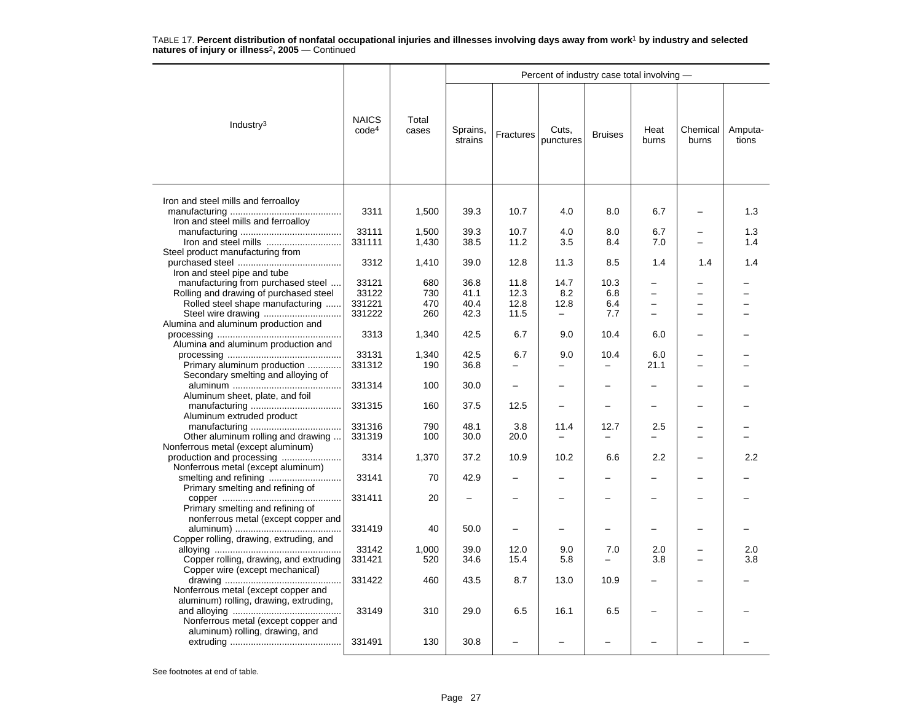|                                                                                                                      |                                   |                |                     |           | Percent of industry case total involving - |                          |                          |                   |                  |
|----------------------------------------------------------------------------------------------------------------------|-----------------------------------|----------------|---------------------|-----------|--------------------------------------------|--------------------------|--------------------------|-------------------|------------------|
| Industry $3$                                                                                                         | <b>NAICS</b><br>code <sup>4</sup> | Total<br>cases | Sprains,<br>strains | Fractures | Cuts.<br>punctures                         | <b>Bruises</b>           | Heat<br>burns            | Chemical<br>burns | Amputa-<br>tions |
| Iron and steel mills and ferroalloy                                                                                  | 3311                              | 1,500          | 39.3                | 10.7      | 4.0                                        | 8.0                      | 6.7                      |                   | 1.3              |
| Iron and steel mills and ferroalloy                                                                                  |                                   |                |                     |           |                                            |                          |                          |                   |                  |
|                                                                                                                      | 33111                             | 1,500          | 39.3                | 10.7      | 4.0                                        | 8.0                      | 6.7                      |                   | 1.3              |
| Iron and steel mills                                                                                                 | 331111                            | 1,430          | 38.5                | 11.2      | 3.5                                        | 8.4                      | 7.0                      |                   | 1.4              |
| Steel product manufacturing from<br>Iron and steel pipe and tube                                                     | 3312                              | 1,410          | 39.0                | 12.8      | 11.3                                       | 8.5                      | 1.4                      | 1.4               | 1.4              |
| manufacturing from purchased steel                                                                                   | 33121                             | 680            | 36.8                | 11.8      | 14.7                                       | 10.3                     |                          |                   |                  |
| Rolling and drawing of purchased steel                                                                               | 33122                             | 730            | 41.1                | 12.3      | 8.2                                        | 6.8                      |                          |                   |                  |
| Rolled steel shape manufacturing                                                                                     | 331221                            | 470            | 40.4                | 12.8      | 12.8                                       | 6.4                      |                          |                   |                  |
|                                                                                                                      | 331222                            | 260            | 42.3                | 11.5      | $\qquad \qquad -$                          | 7.7                      | $\overline{\phantom{0}}$ |                   |                  |
| Alumina and aluminum production and                                                                                  | 3313                              | 1,340          | 42.5                | 6.7       | 9.0                                        | 10.4                     | 6.0                      |                   |                  |
| Alumina and aluminum production and                                                                                  | 33131                             | 1,340          | 42.5                | 6.7       | 9.0                                        | 10.4                     | 6.0                      |                   |                  |
| Primary aluminum production                                                                                          | 331312                            | 190            | 36.8                |           |                                            | $\overline{\phantom{0}}$ | 21.1                     |                   |                  |
| Secondary smelting and alloying of                                                                                   | 331314                            | 100            | 30.0                | -         | -                                          | $\overline{\phantom{0}}$ |                          |                   |                  |
| Aluminum sheet, plate, and foil                                                                                      |                                   |                |                     |           |                                            |                          |                          |                   |                  |
| Aluminum extruded product                                                                                            | 331315                            | 160            | 37.5                | 12.5      |                                            | -                        |                          |                   |                  |
|                                                                                                                      | 331316                            | 790            | 48.1                | 3.8       | 11.4                                       | 12.7                     | 2.5                      |                   |                  |
| Other aluminum rolling and drawing                                                                                   | 331319                            | 100            | 30.0                | 20.0      | $\overline{\phantom{0}}$                   |                          | $\overline{\phantom{0}}$ |                   |                  |
| Nonferrous metal (except aluminum)<br>production and processing                                                      | 3314                              | 1,370          | 37.2                | 10.9      | 10.2                                       | 6.6                      | 2.2                      |                   | 2.2              |
| Nonferrous metal (except aluminum)                                                                                   | 33141                             | 70             | 42.9                |           |                                            |                          |                          |                   |                  |
| Primary smelting and refining of                                                                                     | 331411                            | 20             |                     |           |                                            |                          |                          |                   |                  |
| Primary smelting and refining of<br>nonferrous metal (except copper and                                              |                                   |                |                     |           |                                            |                          |                          |                   |                  |
| Copper rolling, drawing, extruding, and                                                                              | 331419                            | 40             | 50.0                |           |                                            | ▃                        |                          |                   |                  |
|                                                                                                                      | 33142                             | 1,000          | 39.0                | 12.0      | 9.0                                        | 7.0                      | 2.0                      |                   | 2.0              |
| Copper rolling, drawing, and extruding                                                                               | 331421                            | 520            | 34.6                | 15.4      | 5.8                                        | $\equiv$                 | 3.8                      |                   | 3.8              |
| Copper wire (except mechanical)                                                                                      | 331422                            | 460            | 43.5                | 8.7       | 13.0                                       | 10.9                     |                          |                   |                  |
| Nonferrous metal (except copper and<br>aluminum) rolling, drawing, extruding,<br>Nonferrous metal (except copper and | 33149                             | 310            | 29.0                | 6.5       | 16.1                                       | 6.5                      |                          |                   |                  |
| aluminum) rolling, drawing, and                                                                                      | 331491                            | 130            | 30.8                |           |                                            |                          |                          |                   |                  |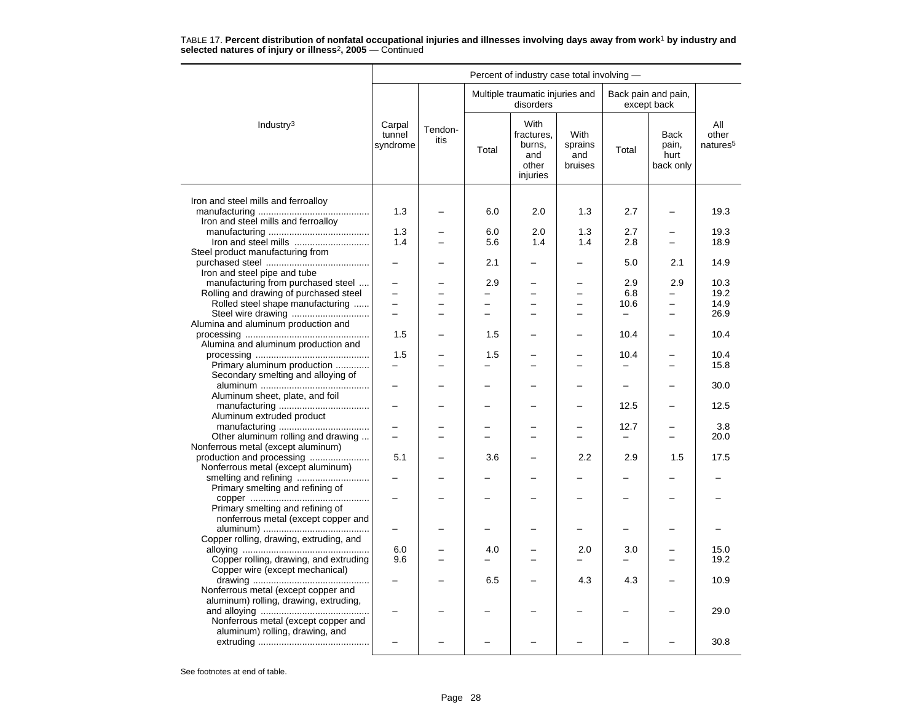|                                                                            |                              |                 |                                 | Percent of industry case total involving -               |                                   |                                                      |                                    |                                      |
|----------------------------------------------------------------------------|------------------------------|-----------------|---------------------------------|----------------------------------------------------------|-----------------------------------|------------------------------------------------------|------------------------------------|--------------------------------------|
|                                                                            |                              |                 |                                 | Multiple traumatic injuries and<br>disorders             |                                   |                                                      | Back pain and pain,<br>except back |                                      |
| Industry $3$                                                               | Carpal<br>tunnel<br>syndrome | Tendon-<br>itis | Total                           | With<br>fractures.<br>burns,<br>and<br>other<br>injuries | With<br>sprains<br>and<br>bruises | Total                                                | Back<br>pain,<br>hurt<br>back only | All<br>other<br>natures <sup>5</sup> |
|                                                                            |                              |                 |                                 |                                                          |                                   |                                                      |                                    |                                      |
| Iron and steel mills and ferroalloy<br>Iron and steel mills and ferroalloy | 1.3                          |                 | 6.0                             | 2.0                                                      | 1.3                               | 2.7                                                  |                                    | 19.3                                 |
|                                                                            | 1.3                          |                 | 6.0                             | 2.0                                                      | 1.3                               | 2.7                                                  |                                    | 19.3                                 |
|                                                                            | 1.4                          |                 | 5.6                             | 1.4                                                      | 1.4                               | 2.8                                                  | $\equiv$                           | 18.9                                 |
| Steel product manufacturing from                                           |                              |                 |                                 |                                                          |                                   |                                                      |                                    |                                      |
|                                                                            |                              |                 | 2.1                             |                                                          |                                   | 5.0                                                  | 2.1                                | 14.9                                 |
| Iron and steel pipe and tube                                               |                              |                 |                                 |                                                          |                                   |                                                      |                                    |                                      |
| manufacturing from purchased steel                                         | $\equiv$                     |                 | 2.9<br>$\overline{\phantom{0}}$ | $\overline{a}$                                           |                                   | 2.9<br>6.8                                           | 2.9<br>$\overline{a}$              | 10.3<br>19.2                         |
| Rolling and drawing of purchased steel<br>Rolled steel shape manufacturing | $\overline{\phantom{0}}$     | L.              | $\overline{\phantom{0}}$        | $\overline{\phantom{0}}$                                 | $\equiv$                          | 10.6                                                 | $\overline{\phantom{0}}$           | 14.9                                 |
| Steel wire drawing                                                         | $\equiv$                     |                 | $\overline{a}$                  | $\overline{\phantom{0}}$                                 |                                   | $\qquad \qquad -$                                    | -                                  | 26.9                                 |
| Alumina and aluminum production and                                        |                              |                 |                                 |                                                          |                                   |                                                      |                                    |                                      |
|                                                                            | 1.5                          |                 | 1.5                             |                                                          |                                   | 10.4                                                 |                                    | 10.4                                 |
| Alumina and aluminum production and                                        |                              |                 |                                 |                                                          |                                   |                                                      |                                    |                                      |
|                                                                            | 1.5                          |                 | 1.5                             |                                                          |                                   | 10.4                                                 | -                                  | 10.4                                 |
| Primary aluminum production<br>Secondary smelting and alloying of          |                              |                 |                                 |                                                          |                                   | $\overline{\phantom{0}}$<br>$\overline{\phantom{0}}$ |                                    | 15.8<br>30.0                         |
| Aluminum sheet, plate, and foil                                            |                              |                 |                                 |                                                          |                                   |                                                      |                                    |                                      |
|                                                                            |                              |                 |                                 |                                                          |                                   | 12.5                                                 |                                    | 12.5                                 |
| Aluminum extruded product                                                  |                              |                 |                                 |                                                          |                                   |                                                      |                                    |                                      |
|                                                                            |                              |                 |                                 |                                                          |                                   | 12.7                                                 |                                    | 3.8                                  |
| Other aluminum rolling and drawing                                         | $\equiv$                     |                 |                                 | $\overline{ }$                                           |                                   | $\overline{\phantom{0}}$                             | $\overline{\phantom{0}}$           | 20.0                                 |
| Nonferrous metal (except aluminum)                                         | 5.1                          |                 | 3.6                             |                                                          | 2.2                               | 2.9                                                  | 1.5                                | 17.5                                 |
| Nonferrous metal (except aluminum)                                         |                              |                 |                                 |                                                          |                                   |                                                      |                                    |                                      |
|                                                                            |                              |                 |                                 |                                                          |                                   |                                                      |                                    |                                      |
| Primary smelting and refining of                                           |                              |                 |                                 |                                                          |                                   |                                                      |                                    |                                      |
|                                                                            |                              |                 |                                 |                                                          |                                   |                                                      |                                    |                                      |
| Primary smelting and refining of                                           |                              |                 |                                 |                                                          |                                   |                                                      |                                    |                                      |
| nonferrous metal (except copper and                                        |                              |                 |                                 |                                                          |                                   |                                                      |                                    |                                      |
| Copper rolling, drawing, extruding, and                                    |                              |                 |                                 |                                                          |                                   |                                                      |                                    |                                      |
|                                                                            | 6.0                          |                 | 4.0                             |                                                          | 2.0                               | 3.0                                                  |                                    | 15.0                                 |
| Copper rolling, drawing, and extruding                                     | 9.6                          |                 |                                 |                                                          |                                   |                                                      |                                    | 19.2                                 |
| Copper wire (except mechanical)                                            |                              |                 |                                 |                                                          |                                   |                                                      |                                    |                                      |
|                                                                            |                              |                 | 6.5                             |                                                          | 4.3                               | 4.3                                                  |                                    | 10.9                                 |
| Nonferrous metal (except copper and                                        |                              |                 |                                 |                                                          |                                   |                                                      |                                    |                                      |
| aluminum) rolling, drawing, extruding,                                     |                              |                 |                                 |                                                          |                                   |                                                      |                                    | 29.0                                 |
| Nonferrous metal (except copper and                                        |                              |                 |                                 |                                                          |                                   |                                                      |                                    |                                      |
| aluminum) rolling, drawing, and                                            |                              |                 |                                 |                                                          |                                   |                                                      |                                    |                                      |
|                                                                            |                              |                 |                                 |                                                          |                                   |                                                      |                                    | 30.8                                 |
|                                                                            |                              |                 |                                 |                                                          |                                   |                                                      |                                    |                                      |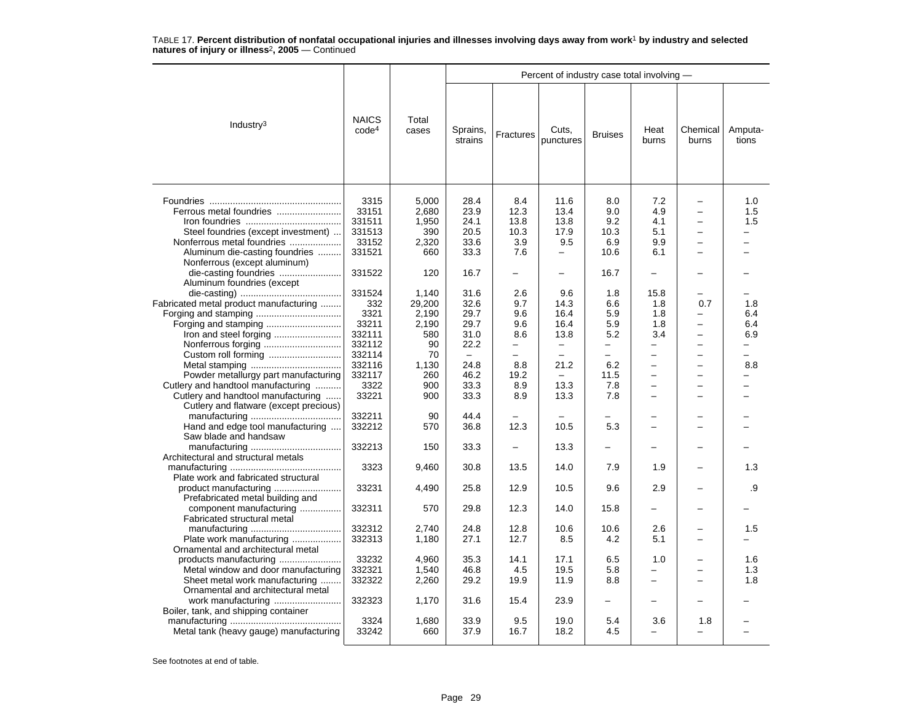|                                                                                                                                       |                                                      |                                                |                                                          |                                                     | Percent of industry case total involving -                                                |                                                                     |                                                                            |                                                                                                                                          |                                      |
|---------------------------------------------------------------------------------------------------------------------------------------|------------------------------------------------------|------------------------------------------------|----------------------------------------------------------|-----------------------------------------------------|-------------------------------------------------------------------------------------------|---------------------------------------------------------------------|----------------------------------------------------------------------------|------------------------------------------------------------------------------------------------------------------------------------------|--------------------------------------|
| Industry <sup>3</sup>                                                                                                                 | <b>NAICS</b><br>code <sup>4</sup>                    | Total<br>cases                                 | Sprains,<br>strains                                      | Fractures                                           | Cuts,<br>punctures                                                                        | <b>Bruises</b>                                                      | Heat<br>burns                                                              | Chemical<br>burns                                                                                                                        | Amputa-<br>tions                     |
| Steel foundries (except investment)<br>Nonferrous metal foundries<br>Aluminum die-casting foundries                                   | 3315<br>33151<br>331511<br>331513<br>33152<br>331521 | 5,000<br>2,680<br>1,950<br>390<br>2,320<br>660 | 28.4<br>23.9<br>24.1<br>20.5<br>33.6<br>33.3             | 8.4<br>12.3<br>13.8<br>10.3<br>3.9<br>7.6           | 11.6<br>13.4<br>13.8<br>17.9<br>9.5<br>$\overline{\phantom{0}}$                           | 8.0<br>9.0<br>9.2<br>10.3<br>6.9<br>10.6                            | 7.2<br>4.9<br>4.1<br>5.1<br>9.9<br>6.1                                     | $\overline{\phantom{0}}$<br>-<br>$\overline{\phantom{0}}$<br>$\overline{\phantom{0}}$<br>$\overline{a}$                                  | 1.0<br>1.5<br>1.5                    |
| Nonferrous (except aluminum)<br>die-casting foundries                                                                                 | 331522                                               | 120                                            | 16.7                                                     | $\overline{\phantom{0}}$                            | -                                                                                         | 16.7                                                                | L.                                                                         |                                                                                                                                          |                                      |
| Aluminum foundries (except<br>Fabricated metal product manufacturing                                                                  | 331524<br>332<br>3321<br>33211<br>332111             | 1,140<br>29,200<br>2,190<br>2,190<br>580       | 31.6<br>32.6<br>29.7<br>29.7<br>31.0                     | 2.6<br>9.7<br>9.6<br>9.6<br>8.6                     | 9.6<br>14.3<br>16.4<br>16.4<br>13.8                                                       | 1.8<br>6.6<br>5.9<br>5.9<br>5.2                                     | 15.8<br>1.8<br>1.8<br>1.8<br>3.4                                           | 0.7<br>-<br>$\overline{\phantom{0}}$<br>$\overline{a}$                                                                                   | 1.8<br>6.4<br>6.4<br>6.9             |
| Powder metallurgy part manufacturing<br>Cutlery and handtool manufacturing                                                            | 332112<br>332114<br>332116<br>332117<br>3322         | 90<br>70<br>1,130<br>260<br>900                | 22.2<br>$\overline{\phantom{0}}$<br>24.8<br>46.2<br>33.3 | -<br>$\overline{\phantom{0}}$<br>8.8<br>19.2<br>8.9 | $\qquad \qquad -$<br>$\overline{\phantom{0}}$<br>21.2<br>$\overline{\phantom{0}}$<br>13.3 | $\qquad \qquad -$<br>$\overline{\phantom{0}}$<br>6.2<br>11.5<br>7.8 | -<br>-<br>$\equiv$<br>$\overline{\phantom{0}}$<br>$\overline{\phantom{0}}$ | $\overline{\phantom{0}}$<br>$\overline{\phantom{0}}$<br>$\overline{\phantom{0}}$<br>$\overline{\phantom{0}}$<br>$\overline{\phantom{0}}$ | $\overline{\phantom{0}}$<br>8.8<br>- |
| Cutlery and handtool manufacturing<br>Cutlery and flatware (except precious)                                                          | 33221<br>332211                                      | 900<br>90                                      | 33.3<br>44.4<br>36.8                                     | 8.9<br>12.3                                         | 13.3<br>10.5                                                                              | 7.8<br>5.3                                                          |                                                                            |                                                                                                                                          |                                      |
| Hand and edge tool manufacturing<br>Saw blade and handsaw                                                                             | 332212<br>332213                                     | 570<br>150                                     | 33.3                                                     |                                                     | 13.3                                                                                      |                                                                     |                                                                            |                                                                                                                                          |                                      |
| Architectural and structural metals                                                                                                   | 3323                                                 | 9,460                                          | 30.8                                                     | 13.5                                                | 14.0                                                                                      | 7.9                                                                 | 1.9                                                                        |                                                                                                                                          | 1.3                                  |
| Plate work and fabricated structural                                                                                                  | 33231                                                | 4,490                                          | 25.8                                                     | 12.9                                                | 10.5                                                                                      | 9.6                                                                 | 2.9                                                                        |                                                                                                                                          | .9                                   |
| Prefabricated metal building and<br>component manufacturing<br>Fabricated structural metal                                            | 332311                                               | 570                                            | 29.8                                                     | 12.3                                                | 14.0                                                                                      | 15.8                                                                | $\overline{\phantom{0}}$                                                   |                                                                                                                                          |                                      |
| Plate work manufacturing<br>Ornamental and architectural metal                                                                        | 332312<br>332313                                     | 2,740<br>1,180                                 | 24.8<br>27.1                                             | 12.8<br>12.7                                        | 10.6<br>8.5                                                                               | 10.6<br>4.2                                                         | 2.6<br>5.1                                                                 | $\overline{\phantom{0}}$                                                                                                                 | 1.5                                  |
| products manufacturing<br>Metal window and door manufacturing<br>Sheet metal work manufacturing<br>Ornamental and architectural metal | 33232<br>332321<br>332322                            | 4.960<br>1,540<br>2,260                        | 35.3<br>46.8<br>29.2                                     | 14.1<br>4.5<br>19.9                                 | 17.1<br>19.5<br>11.9                                                                      | 6.5<br>5.8<br>8.8                                                   | 1.0<br>▃<br>$\overline{\phantom{0}}$                                       | -<br>$\overline{\phantom{0}}$                                                                                                            | 1.6<br>1.3<br>1.8                    |
| Boiler, tank, and shipping container                                                                                                  | 332323                                               | 1,170                                          | 31.6                                                     | 15.4                                                | 23.9                                                                                      | ▃                                                                   |                                                                            |                                                                                                                                          |                                      |
| Metal tank (heavy gauge) manufacturing                                                                                                | 3324<br>33242                                        | 1,680<br>660                                   | 33.9<br>37.9                                             | 9.5<br>16.7                                         | 19.0<br>18.2                                                                              | 5.4<br>4.5                                                          | 3.6<br>$\overline{a}$                                                      | 1.8<br>$\overline{\phantom{0}}$                                                                                                          |                                      |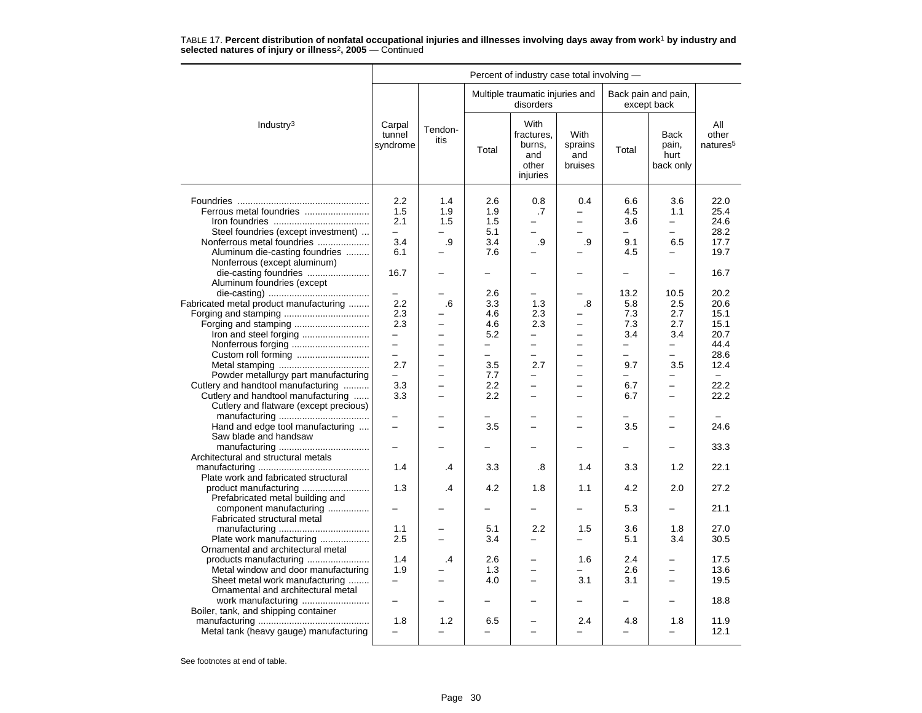|                                                                                                                                                                                                                                |                                                                                            |                                                                                                                 |                                                                                         | Percent of industry case total involving -                                                                                    |                                                                                                          |                                                                                               |                                                                                             |                                                                              |
|--------------------------------------------------------------------------------------------------------------------------------------------------------------------------------------------------------------------------------|--------------------------------------------------------------------------------------------|-----------------------------------------------------------------------------------------------------------------|-----------------------------------------------------------------------------------------|-------------------------------------------------------------------------------------------------------------------------------|----------------------------------------------------------------------------------------------------------|-----------------------------------------------------------------------------------------------|---------------------------------------------------------------------------------------------|------------------------------------------------------------------------------|
|                                                                                                                                                                                                                                |                                                                                            |                                                                                                                 |                                                                                         | Multiple traumatic injuries and<br>disorders                                                                                  |                                                                                                          |                                                                                               | Back pain and pain,<br>except back                                                          |                                                                              |
| Industry <sup>3</sup>                                                                                                                                                                                                          | Carpal<br>tunnel<br>syndrome                                                               | Tendon-<br>itis                                                                                                 | Total                                                                                   | <b>With</b><br>fractures.<br>burns,<br>and<br>other<br>injuries                                                               | <b>With</b><br>sprains<br>and<br>bruises                                                                 | Total                                                                                         | <b>Back</b><br>pain,<br>hurt<br>back only                                                   | All<br>other<br>natures <sup>5</sup>                                         |
| Ferrous metal foundries<br>Steel foundries (except investment)<br>Nonferrous metal foundries<br>Aluminum die-casting foundries                                                                                                 | 2.2<br>1.5<br>2.1<br>$\overline{\phantom{0}}$<br>3.4<br>6.1                                | 1.4<br>1.9<br>1.5<br>.9                                                                                         | 2.6<br>1.9<br>1.5<br>5.1<br>3.4<br>7.6                                                  | 0.8<br>.7<br>.9                                                                                                               | 0.4<br>-<br>$\overline{\phantom{0}}$<br>L.<br>.9                                                         | 6.6<br>4.5<br>3.6<br>9.1<br>4.5                                                               | 3.6<br>1.1<br>-<br>$\overline{\phantom{0}}$<br>6.5                                          | 22.0<br>25.4<br>24.6<br>28.2<br>17.7<br>19.7                                 |
| Nonferrous (except aluminum)<br>die-casting foundries<br>Aluminum foundries (except                                                                                                                                            | 16.7                                                                                       |                                                                                                                 |                                                                                         |                                                                                                                               | ▃                                                                                                        | -                                                                                             | $\overline{\phantom{0}}$                                                                    | 16.7                                                                         |
| Fabricated metal product manufacturing<br>Iron and steel forging<br>Powder metallurgy part manufacturing<br>Cutlery and handtool manufacturing<br>Cutlery and handtool manufacturing<br>Cutlery and flatware (except precious) | $\equiv$<br>2.2<br>2.3<br>2.3<br>$\overline{\phantom{m}}$<br>$\equiv$<br>2.7<br>3.3<br>3.3 | .6<br>-<br>$\overline{\phantom{0}}$<br>$\overline{a}$<br>$\overline{a}$<br>$\equiv$<br>$\overline{\phantom{0}}$ | 2.6<br>3.3<br>4.6<br>4.6<br>5.2<br>$\overline{\phantom{0}}$<br>3.5<br>7.7<br>2.2<br>2.2 | 1.3<br>2.3<br>2.3<br>$\equiv$<br>-<br>$\overline{\phantom{0}}$<br>2.7<br>$\overline{\phantom{0}}$<br>$\overline{\phantom{0}}$ | .8<br>-<br>$\equiv$<br>-<br>$\equiv$<br>$\overline{\phantom{0}}$<br>$\equiv$<br>$\overline{\phantom{0}}$ | 13.2<br>5.8<br>7.3<br>7.3<br>3.4<br>$\overline{\phantom{0}}$<br>$\equiv$<br>9.7<br>6.7<br>6.7 | 10.5<br>2.5<br>2.7<br>2.7<br>3.4<br>$\equiv$<br>3.5<br>$\equiv$<br>$\overline{\phantom{0}}$ | 20.2<br>20.6<br>15.1<br>15.1<br>20.7<br>44.4<br>28.6<br>12.4<br>22.2<br>22.2 |
| Hand and edge tool manufacturing<br>Saw blade and handsaw                                                                                                                                                                      | $\overline{\phantom{0}}$                                                                   |                                                                                                                 | 3.5                                                                                     |                                                                                                                               | $\overline{\phantom{0}}$                                                                                 | 3.5                                                                                           | $=$                                                                                         | 24.6                                                                         |
| Architectural and structural metals                                                                                                                                                                                            | $\overline{a}$                                                                             |                                                                                                                 |                                                                                         |                                                                                                                               |                                                                                                          |                                                                                               |                                                                                             | 33.3                                                                         |
| Plate work and fabricated structural                                                                                                                                                                                           | 1.4                                                                                        | .4                                                                                                              | 3.3                                                                                     | .8                                                                                                                            | 1.4                                                                                                      | 3.3                                                                                           | 1.2                                                                                         | 22.1                                                                         |
| product manufacturing<br>Prefabricated metal building and<br>component manufacturing                                                                                                                                           | 1.3                                                                                        | .4                                                                                                              | 4.2                                                                                     | 1.8                                                                                                                           | 1.1                                                                                                      | 4.2<br>5.3                                                                                    | 2.0                                                                                         | 27.2<br>21.1                                                                 |
| Fabricated structural metal<br>Plate work manufacturing                                                                                                                                                                        | 1.1<br>2.5                                                                                 | <u>.</u>                                                                                                        | 5.1<br>3.4                                                                              | 2.2<br>$\overline{\phantom{0}}$                                                                                               | 1.5<br>$\overline{\phantom{0}}$                                                                          | 3.6<br>5.1                                                                                    | 1.8<br>3.4                                                                                  | 27.0<br>30.5                                                                 |
| Ornamental and architectural metal<br>Metal window and door manufacturing<br>Sheet metal work manufacturing<br>Ornamental and architectural metal                                                                              | 1.4<br>1.9                                                                                 | .4                                                                                                              | 2.6<br>1.3<br>4.0                                                                       |                                                                                                                               | 1.6<br>3.1                                                                                               | 2.4<br>2.6<br>3.1                                                                             | -                                                                                           | 17.5<br>13.6<br>19.5                                                         |
| work manufacturing<br>Boiler, tank, and shipping container<br>Metal tank (heavy gauge) manufacturing                                                                                                                           | -<br>1.8<br>-                                                                              | 1.2                                                                                                             | 6.5                                                                                     | $\overline{\phantom{0}}$                                                                                                      | 2.4<br>-                                                                                                 | 4.8                                                                                           | 1.8<br>-                                                                                    | 18.8<br>11.9<br>12.1                                                         |
|                                                                                                                                                                                                                                |                                                                                            |                                                                                                                 |                                                                                         |                                                                                                                               |                                                                                                          |                                                                                               |                                                                                             |                                                                              |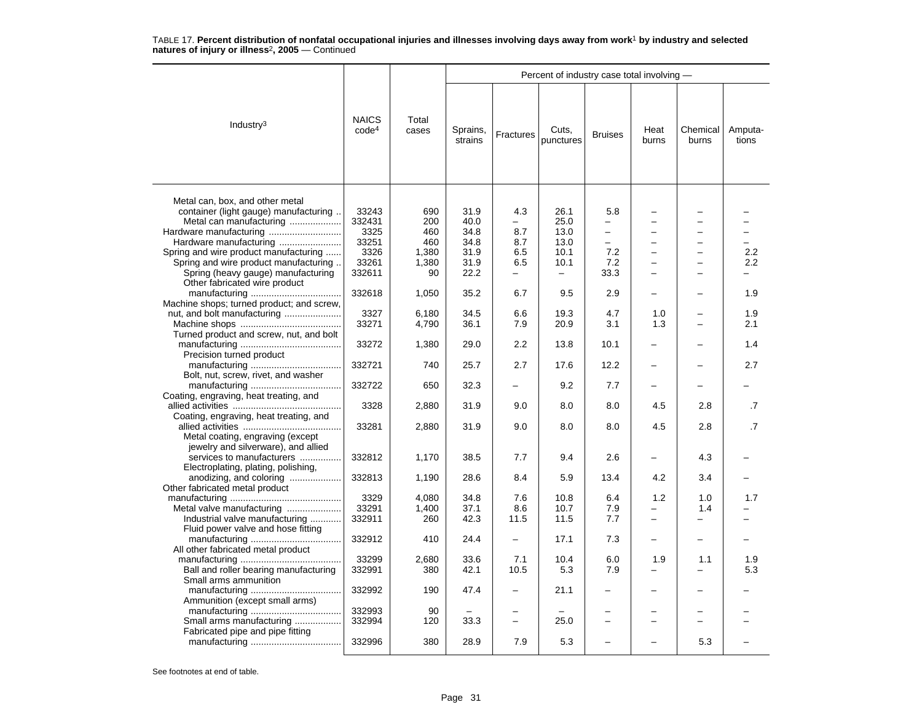|                                                                                                                                                                                                                                                        |                                                             |                                                  |                                                      |                                                             | Percent of industry case total involving -                               |                                                                                                 |                          |                            |                  |
|--------------------------------------------------------------------------------------------------------------------------------------------------------------------------------------------------------------------------------------------------------|-------------------------------------------------------------|--------------------------------------------------|------------------------------------------------------|-------------------------------------------------------------|--------------------------------------------------------------------------|-------------------------------------------------------------------------------------------------|--------------------------|----------------------------|------------------|
| Industry $3$                                                                                                                                                                                                                                           | <b>NAICS</b><br>code <sup>4</sup>                           | Total<br>cases                                   | Sprains,<br>strains                                  | Fractures                                                   | Cuts,<br>punctures                                                       | <b>Bruises</b>                                                                                  | Heat<br>burns            | Chemical<br>burns          | Amputa-<br>tions |
| Metal can, box, and other metal<br>container (light gauge) manufacturing.<br>Metal can manufacturing<br>Hardware manufacturing<br>Spring and wire product manufacturing<br>Spring and wire product manufacturing<br>Spring (heavy gauge) manufacturing | 33243<br>332431<br>3325<br>33251<br>3326<br>33261<br>332611 | 690<br>200<br>460<br>460<br>1,380<br>1,380<br>90 | 31.9<br>40.0<br>34.8<br>34.8<br>31.9<br>31.9<br>22.2 | 4.3<br>8.7<br>8.7<br>6.5<br>6.5<br>$\overline{\phantom{0}}$ | 26.1<br>25.0<br>13.0<br>13.0<br>10.1<br>10.1<br>$\overline{\phantom{0}}$ | 5.8<br>$\overline{\phantom{0}}$<br>$\qquad \qquad -$<br>$\qquad \qquad -$<br>7.2<br>7.2<br>33.3 | ▃<br>-<br>$\sim$         | -<br>÷<br>-<br>-<br>-<br>- | 2.2<br>2.2       |
| Other fabricated wire product                                                                                                                                                                                                                          | 332618                                                      | 1,050                                            | 35.2                                                 | 6.7                                                         | 9.5                                                                      | 2.9                                                                                             | ▃                        |                            | 1.9              |
| Machine shops; turned product; and screw,                                                                                                                                                                                                              | 3327<br>33271                                               | 6,180<br>4,790                                   | 34.5<br>36.1                                         | 6.6<br>7.9                                                  | 19.3<br>20.9                                                             | 4.7<br>3.1                                                                                      | 1.0<br>1.3               | -                          | 1.9<br>2.1       |
| Turned product and screw, nut, and bolt                                                                                                                                                                                                                | 33272                                                       | 1,380                                            | 29.0                                                 | 2.2                                                         | 13.8                                                                     | 10.1                                                                                            | -                        |                            | 1.4              |
| Precision turned product                                                                                                                                                                                                                               | 332721                                                      | 740                                              | 25.7                                                 | 2.7                                                         | 17.6                                                                     | 12.2                                                                                            | $\overline{\phantom{0}}$ | -                          | 2.7              |
| Bolt, nut, screw, rivet, and washer                                                                                                                                                                                                                    | 332722                                                      | 650                                              | 32.3                                                 | $\overline{\phantom{0}}$                                    | 9.2                                                                      | 7.7                                                                                             | $\overline{\phantom{0}}$ | -                          |                  |
| Coating, engraving, heat treating, and                                                                                                                                                                                                                 | 3328                                                        | 2,880                                            | 31.9                                                 | 9.0                                                         | 8.0                                                                      | 8.0                                                                                             | 4.5                      | 2.8                        | .7               |
| Coating, engraving, heat treating, and<br>Metal coating, engraving (except<br>jewelry and silverware), and allied                                                                                                                                      | 33281                                                       | 2,880                                            | 31.9                                                 | 9.0                                                         | 8.0                                                                      | 8.0                                                                                             | 4.5                      | 2.8                        | $\cdot$ 7        |
| services to manufacturers<br>Electroplating, plating, polishing,                                                                                                                                                                                       | 332812                                                      | 1,170                                            | 38.5                                                 | 7.7                                                         | 9.4                                                                      | 2.6                                                                                             | -                        | 4.3                        |                  |
| anodizing, and coloring<br>Other fabricated metal product                                                                                                                                                                                              | 332813                                                      | 1,190                                            | 28.6                                                 | 8.4                                                         | 5.9                                                                      | 13.4                                                                                            | 4.2                      | 3.4                        |                  |
| Metal valve manufacturing                                                                                                                                                                                                                              | 3329<br>33291                                               | 4.080<br>1,400                                   | 34.8<br>37.1                                         | 7.6<br>8.6                                                  | 10.8<br>10.7                                                             | 6.4<br>7.9                                                                                      | 1.2<br>-                 | 1.0<br>1.4                 | 1.7              |
| Industrial valve manufacturing<br>Fluid power valve and hose fitting                                                                                                                                                                                   | 332911                                                      | 260                                              | 42.3                                                 | 11.5                                                        | 11.5                                                                     | 7.7                                                                                             | -                        | —                          |                  |
| All other fabricated metal product                                                                                                                                                                                                                     | 332912                                                      | 410                                              | 24.4                                                 |                                                             | 17.1                                                                     | 7.3                                                                                             | $\overline{a}$           | -                          |                  |
| Ball and roller bearing manufacturing<br>Small arms ammunition                                                                                                                                                                                         | 33299<br>332991                                             | 2,680<br>380                                     | 33.6<br>42.1                                         | 7.1<br>10.5                                                 | 10.4<br>5.3                                                              | 6.0<br>7.9                                                                                      | 1.9<br>-                 | 1.1<br>-                   | 1.9<br>5.3       |
| Ammunition (except small arms)                                                                                                                                                                                                                         | 332992                                                      | 190                                              | 47.4                                                 |                                                             | 21.1                                                                     | $\equiv$                                                                                        |                          |                            |                  |
| Small arms manufacturing                                                                                                                                                                                                                               | 332993<br>332994                                            | 90<br>120                                        | 33.3                                                 | $\equiv$                                                    | 25.0                                                                     | $\overline{\phantom{0}}$                                                                        |                          | $\overline{\phantom{0}}$   |                  |
| Fabricated pipe and pipe fitting                                                                                                                                                                                                                       | 332996                                                      | 380                                              | 28.9                                                 | 7.9                                                         | 5.3                                                                      |                                                                                                 |                          | 5.3                        |                  |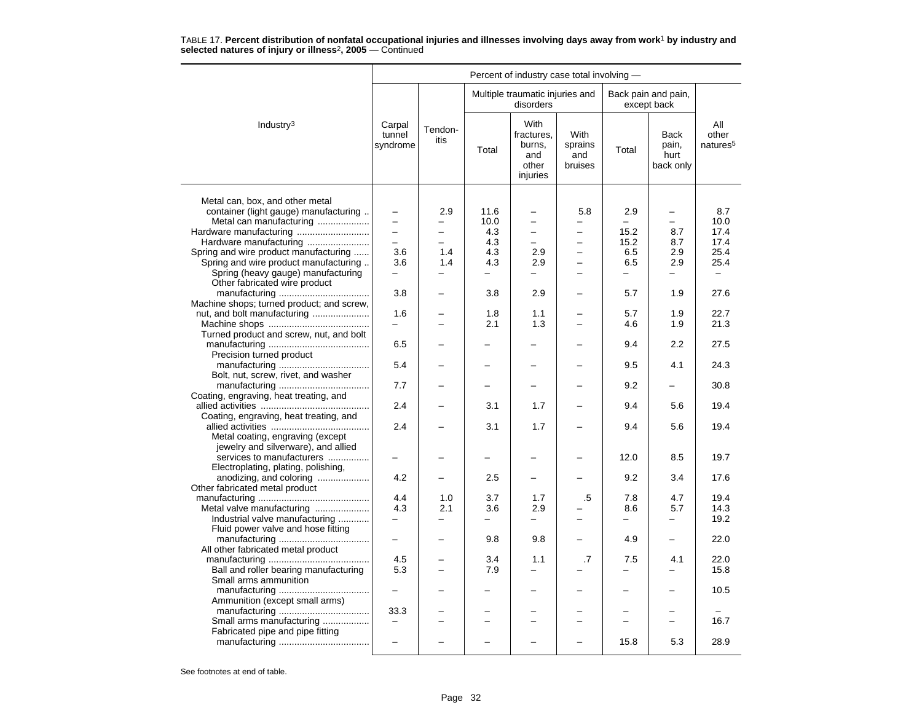|                                                                                |                              |                                      |                          | Percent of industry case total involving -               |                                      |                                 |                                    |                                      |
|--------------------------------------------------------------------------------|------------------------------|--------------------------------------|--------------------------|----------------------------------------------------------|--------------------------------------|---------------------------------|------------------------------------|--------------------------------------|
|                                                                                |                              |                                      |                          | Multiple traumatic injuries and<br>disorders             |                                      |                                 | Back pain and pain,<br>except back |                                      |
| Industry $3$                                                                   | Carpal<br>tunnel<br>syndrome | Tendon-<br>itis                      | Total                    | With<br>fractures.<br>burns,<br>and<br>other<br>injuries | With<br>sprains<br>and<br>bruises    | Total                           | Back<br>pain,<br>hurt<br>back only | All<br>other<br>natures <sup>5</sup> |
| Metal can, box, and other metal<br>container (light gauge) manufacturing       | $\overline{\phantom{0}}$     | 2.9                                  | 11.6<br>10.0             |                                                          | 5.8                                  | 2.9<br>$\overline{\phantom{0}}$ | -                                  | 8.7<br>10.0                          |
| Metal can manufacturing                                                        |                              | —                                    |                          | $\overline{\phantom{0}}$                                 | -                                    | 15.2                            | -                                  | 17.4                                 |
| Hardware manufacturing                                                         | $\overline{\phantom{0}}$     | $\overline{\phantom{0}}$<br>$\equiv$ | 4.3                      | $\overline{\phantom{0}}$<br>$\overline{\phantom{0}}$     | $\overline{\phantom{0}}$<br>$\equiv$ |                                 | 8.7                                |                                      |
| Hardware manufacturing                                                         | 3.6                          | 1.4                                  | 4.3<br>4.3               | 2.9                                                      | $\equiv$                             | 15.2                            | 8.7                                | 17.4<br>25.4                         |
| Spring and wire product manufacturing<br>Spring and wire product manufacturing | 3.6                          | 1.4                                  | 4.3                      | 2.9                                                      |                                      | 6.5<br>6.5                      | 2.9<br>2.9                         | 25.4                                 |
| Spring (heavy gauge) manufacturing                                             | $\overline{\phantom{0}}$     | —                                    | $\equiv$                 | $\overline{\phantom{0}}$                                 | $\overline{\phantom{0}}$             | $\overline{\phantom{0}}$        | -                                  | $\qquad \qquad -$                    |
| Other fabricated wire product                                                  |                              |                                      |                          |                                                          |                                      |                                 |                                    |                                      |
|                                                                                | 3.8                          |                                      | 3.8                      | 2.9                                                      |                                      | 5.7                             | 1.9                                | 27.6                                 |
| Machine shops; turned product; and screw,                                      |                              |                                      |                          |                                                          |                                      |                                 |                                    |                                      |
| nut, and bolt manufacturing                                                    | 1.6                          |                                      | 1.8                      | 1.1                                                      |                                      | 5.7                             | 1.9                                | 22.7                                 |
|                                                                                | $\equiv$                     |                                      | 2.1                      | 1.3                                                      |                                      | 4.6                             | 1.9                                | 21.3                                 |
| Turned product and screw, nut, and bolt                                        |                              |                                      |                          |                                                          |                                      |                                 |                                    |                                      |
| Precision turned product                                                       | 6.5                          |                                      |                          |                                                          |                                      | 9.4                             | 2.2                                | 27.5                                 |
| Bolt, nut, screw, rivet, and washer                                            | 5.4                          |                                      |                          |                                                          |                                      | 9.5                             | 4.1                                | 24.3                                 |
| Coating, engraving, heat treating, and                                         | 7.7                          |                                      | $\overline{\phantom{0}}$ |                                                          |                                      | 9.2                             | $\overline{\phantom{0}}$           | 30.8                                 |
| Coating, engraving, heat treating, and                                         | 2.4                          |                                      | 3.1                      | 1.7                                                      |                                      | 9.4                             | 5.6                                | 19.4                                 |
| Metal coating, engraving (except                                               | 2.4                          |                                      | 3.1                      | 1.7                                                      |                                      | 9.4                             | 5.6                                | 19.4                                 |
| jewelry and silverware), and allied<br>services to manufacturers               |                              |                                      | $\overline{\phantom{0}}$ |                                                          |                                      | 12.0                            | 8.5                                | 19.7                                 |
| Electroplating, plating, polishing,<br>anodizing, and coloring                 | 4.2                          |                                      | 2.5                      | ╾                                                        |                                      | 9.2                             | 3.4                                | 17.6                                 |
| Other fabricated metal product                                                 |                              |                                      |                          |                                                          |                                      |                                 |                                    |                                      |
|                                                                                | 4.4                          | 1.0                                  | 3.7                      | 1.7                                                      | .5                                   | 7.8                             | 4.7                                | 19.4                                 |
| Metal valve manufacturing                                                      | 4.3                          | 2.1                                  | 3.6                      | 2.9                                                      |                                      | 8.6                             | 5.7                                | 14.3                                 |
| Industrial valve manufacturing                                                 | $\overline{\phantom{0}}$     | $\overline{\phantom{0}}$             | -                        | $\overline{\phantom{0}}$                                 | -                                    | $\overline{\phantom{0}}$        | -                                  | 19.2                                 |
| Fluid power valve and hose fitting                                             |                              |                                      |                          |                                                          |                                      |                                 |                                    |                                      |
|                                                                                | $\equiv$                     | $\equiv$                             | 9.8                      | 9.8                                                      | ÷                                    | 4.9                             | —                                  | 22.0                                 |
| All other fabricated metal product                                             |                              |                                      |                          |                                                          |                                      |                                 |                                    |                                      |
|                                                                                | 4.5                          |                                      | 3.4                      | 1.1                                                      | .7                                   | 7.5                             | 4.1                                | 22.0                                 |
| Ball and roller bearing manufacturing<br>Small arms ammunition                 | 5.3                          | -                                    | 7.9                      | -                                                        |                                      | -                               | -                                  | 15.8                                 |
| Ammunition (except small arms)                                                 | $\overline{\phantom{0}}$     |                                      |                          |                                                          |                                      | —                               |                                    | 10.5                                 |
|                                                                                | 33.3                         |                                      |                          |                                                          |                                      |                                 |                                    |                                      |
| Small arms manufacturing                                                       | $\overline{\phantom{0}}$     |                                      | $\equiv$                 | -                                                        | $\equiv$                             | $\equiv$                        | $\overline{\phantom{0}}$           | 16.7                                 |
| Fabricated pipe and pipe fitting                                               |                              |                                      |                          |                                                          |                                      |                                 |                                    |                                      |
|                                                                                |                              |                                      |                          |                                                          |                                      | 15.8                            | 5.3                                | 28.9                                 |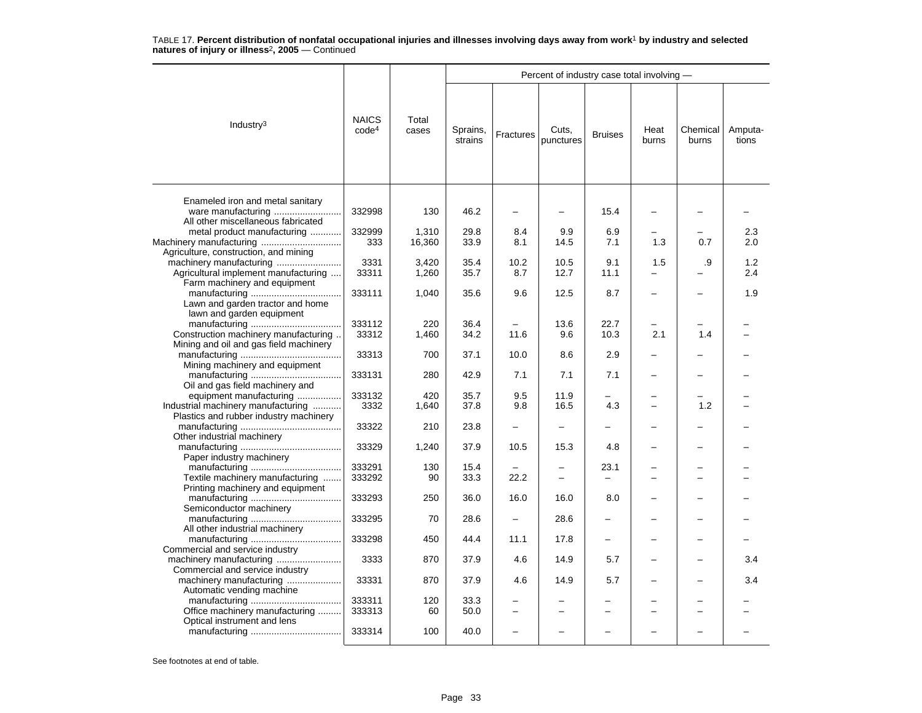|                                                                   |                                   |                |                     |                          | Percent of industry case total involving - |                          |               |                   |                  |
|-------------------------------------------------------------------|-----------------------------------|----------------|---------------------|--------------------------|--------------------------------------------|--------------------------|---------------|-------------------|------------------|
| Industry $3$                                                      | <b>NAICS</b><br>code <sup>4</sup> | Total<br>cases | Sprains,<br>strains | Fractures                | Cuts.<br>punctures                         | <b>Bruises</b>           | Heat<br>burns | Chemical<br>burns | Amputa-<br>tions |
| Enameled iron and metal sanitary                                  | 332998                            | 130            | 46.2                |                          |                                            | 15.4                     |               |                   |                  |
| All other miscellaneous fabricated<br>metal product manufacturing | 332999                            | 1,310          | 29.8                | 8.4                      | 9.9                                        | 6.9                      |               |                   | 2.3              |
|                                                                   | 333                               | 16,360         | 33.9                | 8.1                      | 14.5                                       | 7.1                      | 1.3           | 0.7               | 2.0              |
| Agriculture, construction, and mining                             |                                   |                |                     |                          |                                            |                          |               |                   |                  |
| machinery manufacturing                                           | 3331                              | 3,420          | 35.4                | 10.2                     | 10.5                                       | 9.1                      | 1.5           | .9                | 1.2              |
| Agricultural implement manufacturing                              | 33311                             | 1,260          | 35.7                | 8.7                      | 12.7                                       | 11.1                     |               |                   | 2.4              |
| Farm machinery and equipment<br>Lawn and garden tractor and home  | 333111                            | 1,040          | 35.6                | 9.6                      | 12.5                                       | 8.7                      |               |                   | 1.9              |
| lawn and garden equipment                                         |                                   |                |                     |                          |                                            |                          |               |                   |                  |
|                                                                   | 333112                            | 220            | 36.4                |                          | 13.6                                       | 22.7                     |               |                   |                  |
| Construction machinery manufacturing                              | 33312                             | 1,460          | 34.2                | 11.6                     | 9.6                                        | 10.3                     | 2.1           | 1.4               |                  |
| Mining and oil and gas field machinery                            |                                   |                |                     |                          |                                            |                          |               |                   |                  |
|                                                                   | 33313                             | 700            | 37.1                | 10.0                     | 8.6                                        | 2.9                      |               |                   |                  |
| Mining machinery and equipment                                    | 333131                            | 280            | 42.9                | 7.1                      | 7.1                                        | 7.1                      |               |                   |                  |
| Oil and gas field machinery and                                   |                                   |                |                     |                          |                                            |                          |               |                   |                  |
| equipment manufacturing                                           | 333132                            | 420            | 35.7                | 9.5                      | 11.9                                       |                          |               |                   |                  |
| Industrial machinery manufacturing                                | 3332                              | 1,640          | 37.8                | 9.8                      | 16.5                                       | 4.3                      |               | 1.2               |                  |
| Plastics and rubber industry machinery                            |                                   |                |                     |                          |                                            |                          |               |                   |                  |
|                                                                   | 33322                             | 210            | 23.8                | -                        | —                                          | -                        |               |                   |                  |
| Other industrial machinery                                        |                                   |                |                     |                          |                                            |                          |               |                   |                  |
|                                                                   | 33329                             | 1,240          | 37.9                | 10.5                     | 15.3                                       | 4.8                      |               |                   |                  |
| Paper industry machinery                                          | 333291                            | 130            | 15.4                |                          |                                            | 23.1                     |               |                   |                  |
| Textile machinery manufacturing                                   | 333292                            | 90             | 33.3                | 22.2                     | -                                          | $\overline{\phantom{0}}$ |               | -                 |                  |
| Printing machinery and equipment                                  |                                   |                |                     |                          |                                            |                          |               |                   |                  |
|                                                                   | 333293                            | 250            | 36.0                | 16.0                     | 16.0                                       | 8.0                      |               |                   |                  |
| Semiconductor machinery                                           |                                   |                |                     |                          |                                            |                          |               |                   |                  |
|                                                                   | 333295                            | 70             | 28.6                | $\overline{\phantom{0}}$ | 28.6                                       | $\overline{\phantom{0}}$ |               | -                 |                  |
| All other industrial machinery                                    | 333298                            | 450            | 44.4                | 11.1                     | 17.8                                       | $\equiv$                 |               |                   |                  |
| Commercial and service industry                                   | 3333                              | 870            | 37.9                | 4.6                      | 14.9                                       | 5.7                      |               |                   | 3.4              |
| Commercial and service industry<br>machinery manufacturing        | 33331                             | 870            | 37.9                | 4.6                      | 14.9                                       | 5.7                      |               |                   | 3.4              |
| Automatic vending machine                                         | 333311                            | 120            | 33.3                |                          |                                            |                          |               |                   |                  |
| Office machinery manufacturing                                    | 333313                            | 60             | 50.0                |                          |                                            | $\overline{\phantom{0}}$ |               |                   |                  |
| Optical instrument and lens                                       |                                   |                |                     |                          |                                            |                          |               |                   |                  |
|                                                                   | 333314                            | 100            | 40.0                |                          |                                            |                          |               |                   |                  |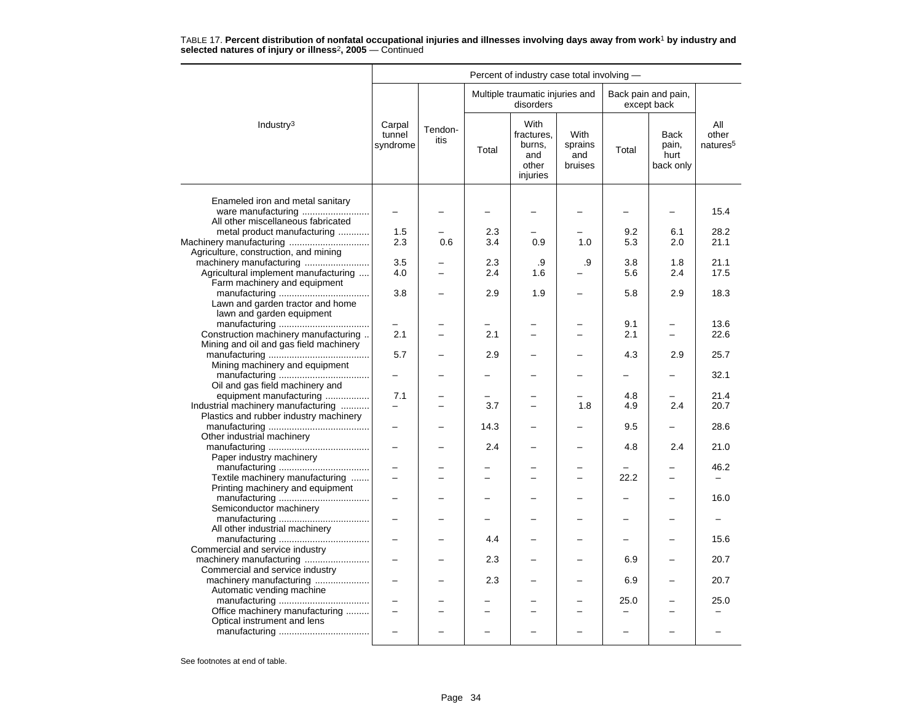|                                                                        |                              |                 |            | Percent of industry case total involving -               |                                   |                          |                                           |                                      |
|------------------------------------------------------------------------|------------------------------|-----------------|------------|----------------------------------------------------------|-----------------------------------|--------------------------|-------------------------------------------|--------------------------------------|
|                                                                        |                              |                 |            | Multiple traumatic injuries and<br>disorders             |                                   |                          | Back pain and pain,<br>except back        |                                      |
| Industry <sup>3</sup>                                                  | Carpal<br>tunnel<br>syndrome | Tendon-<br>itis | Total      | With<br>fractures,<br>burns,<br>and<br>other<br>injuries | With<br>sprains<br>and<br>bruises | Total                    | <b>Back</b><br>pain,<br>hurt<br>back only | All<br>other<br>natures <sup>5</sup> |
| Enameled iron and metal sanitary<br>All other miscellaneous fabricated | $\overline{\phantom{0}}$     |                 |            |                                                          |                                   |                          | -                                         | 15.4                                 |
| metal product manufacturing                                            | 1.5                          |                 | 2.3        |                                                          |                                   | 9.2                      | 6.1                                       | 28.2                                 |
| Machinery manufacturing<br>Agriculture, construction, and mining       | 2.3                          | 0.6             | 3.4        | 0.9                                                      | 1.0                               | 5.3                      | 2.0                                       | 21.1                                 |
| Agricultural implement manufacturing                                   | 3.5<br>4.0                   |                 | 2.3<br>2.4 | .9<br>1.6                                                | .9                                | 3.8<br>5.6               | 1.8<br>2.4                                | 21.1<br>17.5                         |
| Farm machinery and equipment<br>Lawn and garden tractor and home       | 3.8                          |                 | 2.9        | 1.9                                                      |                                   | 5.8                      | 2.9                                       | 18.3                                 |
| lawn and garden equipment<br>Construction machinery manufacturing      | 2.1                          |                 | 2.1        | −                                                        | ▃                                 | 9.1<br>2.1               | -<br>$\overline{\phantom{0}}$             | 13.6<br>22.6                         |
| Mining and oil and gas field machinery                                 | 5.7                          |                 | 2.9        |                                                          |                                   | 4.3                      | 2.9                                       | 25.7                                 |
| Mining machinery and equipment<br>Oil and gas field machinery and      |                              |                 |            |                                                          |                                   |                          |                                           | 32.1                                 |
| equipment manufacturing                                                | 7.1                          |                 |            |                                                          |                                   | 4.8                      | $\overline{\phantom{0}}$                  | 21.4                                 |
| Industrial machinery manufacturing                                     |                              |                 | 3.7        |                                                          | 1.8                               | 4.9                      | 2.4                                       | 20.7                                 |
| Plastics and rubber industry machinery                                 |                              |                 | 14.3       |                                                          |                                   | 9.5                      | —                                         | 28.6                                 |
| Other industrial machinery<br>Paper industry machinery                 | $\overline{\phantom{0}}$     |                 | 2.4        |                                                          |                                   | 4.8                      | 2.4                                       | 21.0                                 |
|                                                                        |                              |                 |            |                                                          |                                   |                          |                                           | 46.2                                 |
| Textile machinery manufacturing<br>Printing machinery and equipment    | $\overline{\phantom{0}}$     |                 |            |                                                          | $\overline{a}$                    | 22.2                     | $\overline{\phantom{0}}$                  |                                      |
| Semiconductor machinery                                                |                              |                 |            |                                                          |                                   |                          |                                           | 16.0                                 |
| All other industrial machinery                                         | $\overline{\phantom{0}}$     |                 |            |                                                          | $\overline{\phantom{0}}$          | $\overline{\phantom{0}}$ | $\overline{\phantom{0}}$                  |                                      |
| Commercial and service industry                                        | $\overline{a}$               |                 | 4.4        |                                                          |                                   |                          |                                           | 15.6                                 |
| machinery manufacturing<br>Commercial and service industry             |                              |                 | 2.3        |                                                          |                                   | 6.9                      |                                           | 20.7                                 |
| machinery manufacturing  <br>Automatic vending machine                 | $\overline{\phantom{0}}$     |                 | 2.3        |                                                          |                                   | 6.9                      |                                           | 20.7                                 |
|                                                                        |                              |                 |            |                                                          |                                   | 25.0                     |                                           | 25.0                                 |
| Office machinery manufacturing<br>Optical instrument and lens          | $\overline{a}$               |                 |            |                                                          | $\overline{\phantom{0}}$          |                          |                                           |                                      |
|                                                                        |                              |                 |            |                                                          |                                   |                          |                                           |                                      |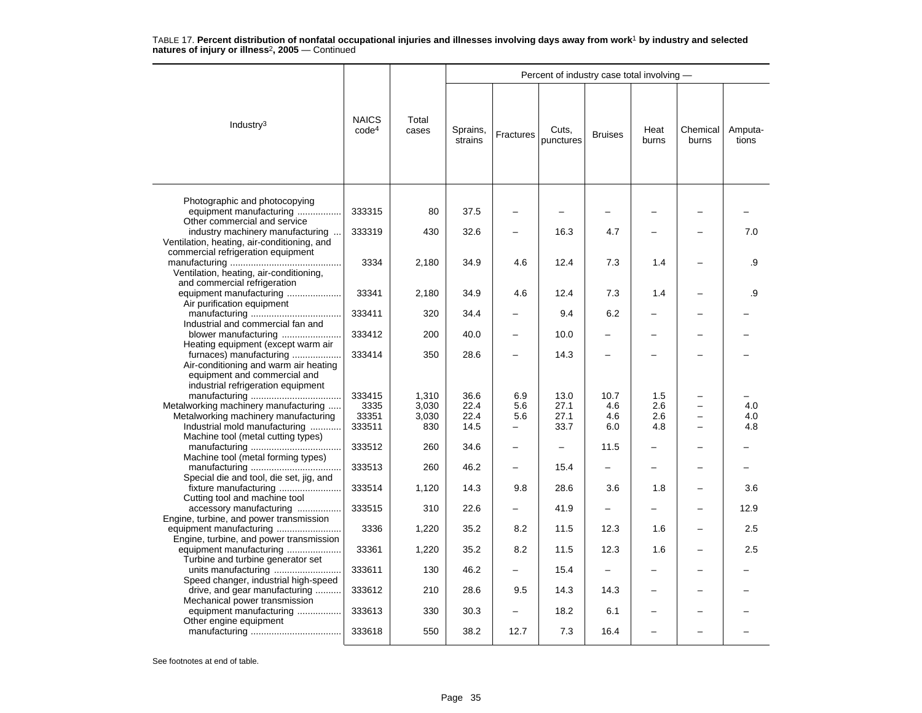|                                                                                                                                        |                                   |                |                     |                          | Percent of industry case total involving - |                |               |                   |                  |
|----------------------------------------------------------------------------------------------------------------------------------------|-----------------------------------|----------------|---------------------|--------------------------|--------------------------------------------|----------------|---------------|-------------------|------------------|
| Industry $3$                                                                                                                           | <b>NAICS</b><br>code <sup>4</sup> | Total<br>cases | Sprains,<br>strains | Fractures                | Cuts,<br>punctures                         | <b>Bruises</b> | Heat<br>burns | Chemical<br>burns | Amputa-<br>tions |
| Photographic and photocopying<br>equipment manufacturing                                                                               | 333315                            | 80             | 37.5                |                          |                                            |                |               |                   |                  |
| Other commercial and service<br>industry machinery manufacturing.                                                                      | 333319                            | 430            | 32.6                | $\overline{\phantom{0}}$ | 16.3                                       | 4.7            |               |                   | 7.0              |
| Ventilation, heating, air-conditioning, and<br>commercial refrigeration equipment<br>Ventilation, heating, air-conditioning,           | 3334                              | 2,180          | 34.9                | 4.6                      | 12.4                                       | 7.3            | 1.4           |                   | .9               |
| and commercial refrigeration<br>equipment manufacturing                                                                                | 33341                             | 2,180          | 34.9                | 4.6                      | 12.4                                       | 7.3            | 1.4           |                   | .9               |
| Air purification equipment                                                                                                             | 333411                            | 320            | 34.4                |                          | 9.4                                        | 6.2            |               |                   |                  |
| Industrial and commercial fan and<br>blower manufacturing                                                                              | 333412                            | 200            | 40.0                | -                        | 10.0                                       |                |               |                   |                  |
| Heating equipment (except warm air<br>furnaces) manufacturing<br>Air-conditioning and warm air heating<br>equipment and commercial and | 333414                            | 350            | 28.6                | -                        | 14.3                                       |                |               |                   |                  |
| industrial refrigeration equipment                                                                                                     | 333415                            | 1,310          | 36.6                | 6.9                      | 13.0                                       | 10.7           | 1.5           |                   |                  |
| Metalworking machinery manufacturing                                                                                                   | 3335                              | 3,030          | 22.4                | 5.6                      | 27.1                                       | 4.6            | 2.6           |                   | 4.0              |
| Metalworking machinery manufacturing                                                                                                   | 33351                             | 3,030          | 22.4                | 5.6                      | 27.1                                       | 4.6            | 2.6           |                   | 4.0              |
| Industrial mold manufacturing                                                                                                          | 333511                            | 830            | 14.5                | $\overline{\phantom{0}}$ | 33.7                                       | 6.0            | 4.8           |                   | 4.8              |
| Machine tool (metal cutting types)                                                                                                     | 333512                            | 260            | 34.6                | -                        | $\overline{\phantom{0}}$                   | 11.5           |               |                   |                  |
| Machine tool (metal forming types)                                                                                                     | 333513                            | 260            | 46.2                | -                        | 15.4                                       |                |               |                   |                  |
| Special die and tool, die set, jig, and                                                                                                | 333514                            | 1,120          | 14.3                | 9.8                      | 28.6                                       | 3.6            | 1.8           |                   | 3.6              |
| Cutting tool and machine tool<br>accessory manufacturing                                                                               | 333515                            | 310            | 22.6                |                          | 41.9                                       |                |               |                   | 12.9             |
| Engine, turbine, and power transmission                                                                                                | 3336                              |                | 35.2                | 8.2                      | 11.5                                       | 12.3           | 1.6           |                   | 2.5              |
| Engine, turbine, and power transmission                                                                                                |                                   | 1,220          |                     |                          |                                            |                |               |                   |                  |
| equipment manufacturing<br>Turbine and turbine generator set                                                                           | 33361                             | 1,220          | 35.2                | 8.2                      | 11.5                                       | 12.3           | 1.6           |                   | 2.5              |
| Speed changer, industrial high-speed                                                                                                   | 333611                            | 130            | 46.2                |                          | 15.4                                       |                |               |                   |                  |
| drive, and gear manufacturing<br>Mechanical power transmission                                                                         | 333612                            | 210            | 28.6                | 9.5                      | 14.3                                       | 14.3           |               |                   |                  |
| equipment manufacturing<br>Other engine equipment                                                                                      | 333613                            | 330            | 30.3                | $\qquad \qquad -$        | 18.2                                       | 6.1            |               |                   |                  |
|                                                                                                                                        | 333618                            | 550            | 38.2                | 12.7                     | 7.3                                        | 16.4           |               |                   |                  |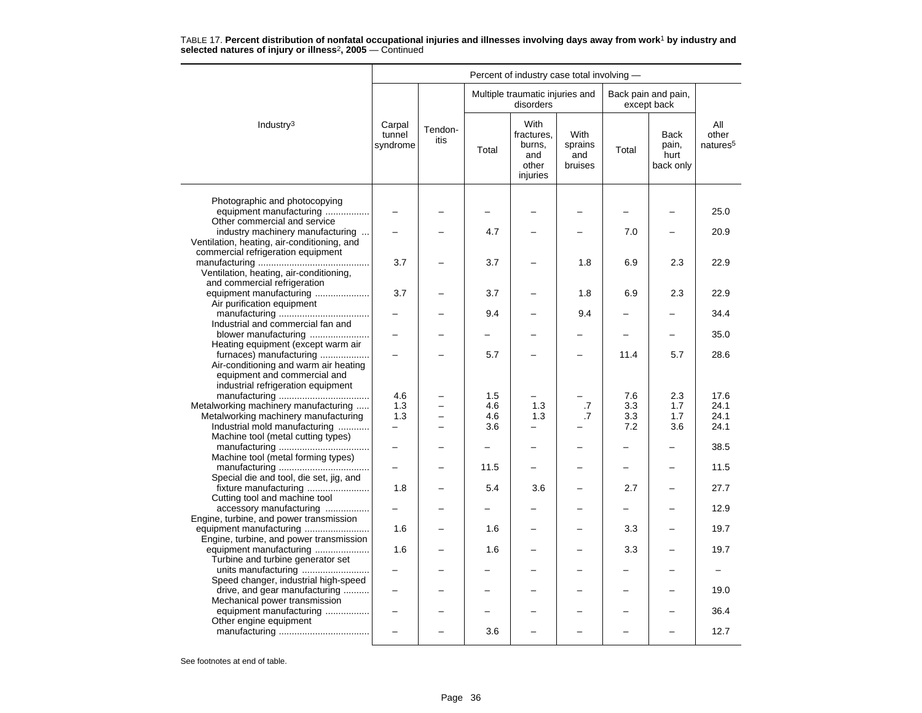|                                                                                                                                        |                              |                          |       | Percent of industry case total involving -               |                                          |                          |                                           |                                      |
|----------------------------------------------------------------------------------------------------------------------------------------|------------------------------|--------------------------|-------|----------------------------------------------------------|------------------------------------------|--------------------------|-------------------------------------------|--------------------------------------|
|                                                                                                                                        |                              |                          |       | Multiple traumatic injuries and<br>disorders             |                                          |                          | Back pain and pain,<br>except back        |                                      |
| Industry <sup>3</sup>                                                                                                                  | Carpal<br>tunnel<br>syndrome | Tendon-<br>itis          | Total | With<br>fractures,<br>burns,<br>and<br>other<br>injuries | <b>With</b><br>sprains<br>and<br>bruises | Total                    | <b>Back</b><br>pain,<br>hurt<br>back only | All<br>other<br>natures <sup>5</sup> |
| Photographic and photocopying<br>equipment manufacturing<br>Other commercial and service                                               |                              |                          |       |                                                          |                                          |                          |                                           | 25.0                                 |
| industry machinery manufacturing<br>Ventilation, heating, air-conditioning, and<br>commercial refrigeration equipment                  |                              |                          | 4.7   |                                                          |                                          | 7.0                      |                                           | 20.9                                 |
| Ventilation, heating, air-conditioning,<br>and commercial refrigeration                                                                | 3.7                          |                          | 3.7   |                                                          | 1.8                                      | 6.9                      | 2.3                                       | 22.9                                 |
| equipment manufacturing<br>Air purification equipment                                                                                  | 3.7                          |                          | 3.7   |                                                          | 1.8                                      | 6.9                      | 2.3                                       | 22.9                                 |
| Industrial and commercial fan and                                                                                                      |                              |                          | 9.4   |                                                          | 9.4                                      |                          |                                           | 34.4                                 |
| blower manufacturing<br>Heating equipment (except warm air                                                                             |                              |                          |       |                                                          |                                          | $\overline{\phantom{0}}$ | $\overline{\phantom{0}}$                  | 35.0                                 |
| furnaces) manufacturing<br>Air-conditioning and warm air heating<br>equipment and commercial and<br>industrial refrigeration equipment |                              |                          | 5.7   |                                                          |                                          | 11.4                     | 5.7                                       | 28.6                                 |
|                                                                                                                                        | 4.6                          |                          | 1.5   |                                                          |                                          | 7.6                      | 2.3                                       | 17.6                                 |
| Metalworking machinery manufacturing                                                                                                   | 1.3                          |                          | 4.6   | 1.3                                                      | .7                                       | 3.3                      | 1.7                                       | 24.1                                 |
| Metalworking machinery manufacturing                                                                                                   | 1.3                          | L.                       | 4.6   | 1.3                                                      | .7                                       | 3.3                      | 1.7                                       | 24.1                                 |
| Industrial mold manufacturing                                                                                                          | $\equiv$                     | $\overline{\phantom{a}}$ | 3.6   | $\overline{\phantom{0}}$                                 |                                          | 7.2                      | 3.6                                       | 24.1                                 |
| Machine tool (metal cutting types)                                                                                                     |                              |                          |       |                                                          |                                          |                          |                                           | 38.5                                 |
| Machine tool (metal forming types)                                                                                                     |                              |                          | 11.5  |                                                          |                                          |                          |                                           | 11.5                                 |
| Special die and tool, die set, jig, and<br>fixture manufacturing                                                                       | 1.8                          |                          | 5.4   | 3.6                                                      | $\equiv$                                 | 2.7                      | -                                         | 27.7                                 |
| Cutting tool and machine tool<br>accessory manufacturing                                                                               |                              |                          |       |                                                          |                                          | -                        |                                           | 12.9                                 |
| Engine, turbine, and power transmission<br>Engine, turbine, and power transmission                                                     | 1.6                          |                          | 1.6   |                                                          |                                          | 3.3                      |                                           | 19.7                                 |
| equipment manufacturing<br>Turbine and turbine generator set                                                                           | 1.6                          |                          | 1.6   | -                                                        | $\equiv$                                 | 3.3                      | -                                         | 19.7                                 |
| Speed changer, industrial high-speed                                                                                                   |                              |                          |       |                                                          |                                          |                          |                                           |                                      |
| drive, and gear manufacturing<br>Mechanical power transmission                                                                         |                              |                          |       |                                                          |                                          |                          |                                           | 19.0                                 |
| equipment manufacturing<br>Other engine equipment                                                                                      |                              |                          | -     |                                                          |                                          | -                        |                                           | 36.4                                 |
|                                                                                                                                        |                              |                          | 3.6   |                                                          |                                          |                          |                                           | 12.7                                 |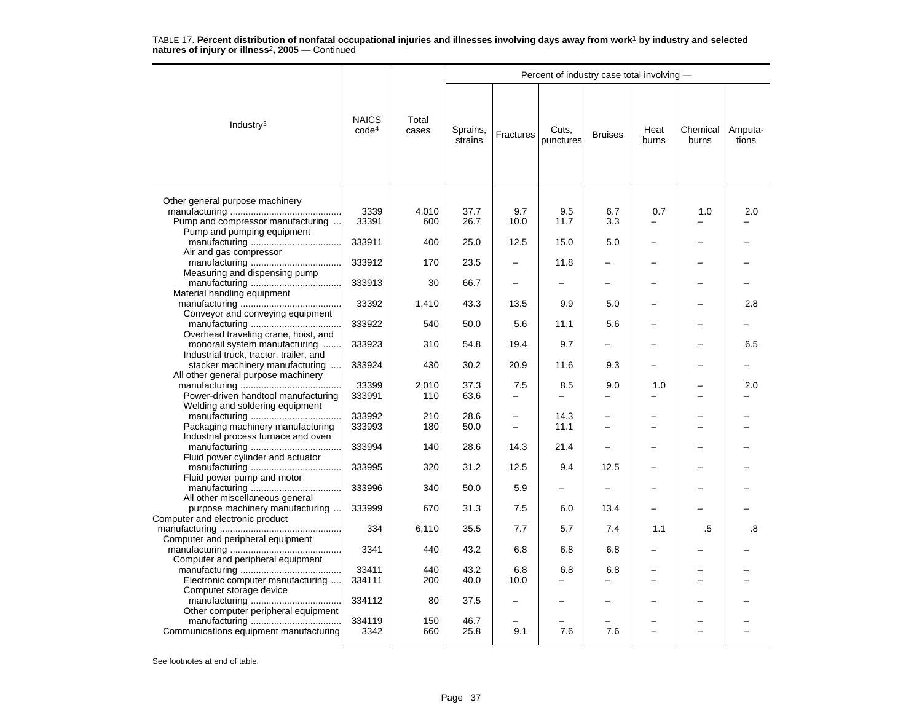|                                                                                                                  |                                   |                |                     |             | Percent of industry case total involving - |                          |               |                   |                  |
|------------------------------------------------------------------------------------------------------------------|-----------------------------------|----------------|---------------------|-------------|--------------------------------------------|--------------------------|---------------|-------------------|------------------|
| Industry <sup>3</sup>                                                                                            | <b>NAICS</b><br>code <sup>4</sup> | Total<br>cases | Sprains,<br>strains | Fractures   | Cuts,<br>punctures                         | <b>Bruises</b>           | Heat<br>burns | Chemical<br>burns | Amputa-<br>tions |
| Other general purpose machinery                                                                                  |                                   |                |                     |             |                                            |                          |               |                   |                  |
| Pump and compressor manufacturing                                                                                | 3339<br>33391                     | 4,010<br>600   | 37.7<br>26.7        | 9.7<br>10.0 | 9.5<br>11.7                                | 6.7<br>3.3               | 0.7           | 1.0               | 2.0              |
| Pump and pumping equipment                                                                                       | 333911                            | 400            | 25.0                | 12.5        | 15.0                                       | 5.0                      |               |                   |                  |
| Air and gas compressor                                                                                           | 333912                            | 170            | 23.5                |             | 11.8                                       |                          |               |                   |                  |
| Measuring and dispensing pump                                                                                    | 333913                            | 30             | 66.7                |             |                                            |                          |               |                   |                  |
| Material handling equipment                                                                                      | 33392                             | 1,410          | 43.3                | 13.5        | 9.9                                        | 5.0                      |               |                   | 2.8              |
| Conveyor and conveying equipment                                                                                 | 333922                            | 540            | 50.0                | 5.6         | 11.1                                       | 5.6                      |               |                   |                  |
| Overhead traveling crane, hoist, and<br>monorail system manufacturing<br>Industrial truck, tractor, trailer, and | 333923                            | 310            | 54.8                | 19.4        | 9.7                                        |                          |               |                   | 6.5              |
| stacker machinery manufacturing<br>All other general purpose machinery                                           | 333924                            | 430            | 30.2                | 20.9        | 11.6                                       | 9.3                      |               |                   |                  |
| Power-driven handtool manufacturing<br>Welding and soldering equipment                                           | 33399<br>333991                   | 2,010<br>110   | 37.3<br>63.6        | 7.5         | 8.5                                        | 9.0                      | 1.0           |                   | 2.0              |
| Packaging machinery manufacturing                                                                                | 333992<br>333993                  | 210<br>180     | 28.6<br>50.0        |             | 14.3<br>11.1                               |                          |               |                   |                  |
| Industrial process furnace and oven                                                                              | 333994                            | 140            | 28.6                | 14.3        | 21.4                                       |                          |               |                   |                  |
| Fluid power cylinder and actuator<br>Fluid power pump and motor                                                  | 333995                            | 320            | 31.2                | 12.5        | 9.4                                        | 12.5                     |               |                   |                  |
| All other miscellaneous general                                                                                  | 333996                            | 340            | 50.0                | 5.9         | $\equiv$                                   | $\overline{\phantom{0}}$ |               |                   |                  |
| purpose machinery manufacturing<br>Computer and electronic product                                               | 333999                            | 670            | 31.3                | 7.5         | 6.0                                        | 13.4                     |               |                   |                  |
| Computer and peripheral equipment                                                                                | 334                               | 6,110          | 35.5                | 7.7         | 5.7                                        | 7.4                      | 1.1           | .5                | .8               |
| Computer and peripheral equipment                                                                                | 3341                              | 440            | 43.2                | 6.8         | 6.8                                        | 6.8                      |               |                   |                  |
| Electronic computer manufacturing                                                                                | 33411<br>334111                   | 440<br>200     | 43.2<br>40.0        | 6.8<br>10.0 | 6.8<br>-                                   | 6.8                      |               | -                 |                  |
| Computer storage device                                                                                          | 334112                            | 80             | 37.5                |             |                                            |                          |               |                   |                  |
| Other computer peripheral equipment                                                                              | 334119                            | 150            | 46.7                |             |                                            |                          |               |                   |                  |
| Communications equipment manufacturing                                                                           | 3342                              | 660            | 25.8                | 9.1         | 7.6                                        | 7.6                      |               |                   |                  |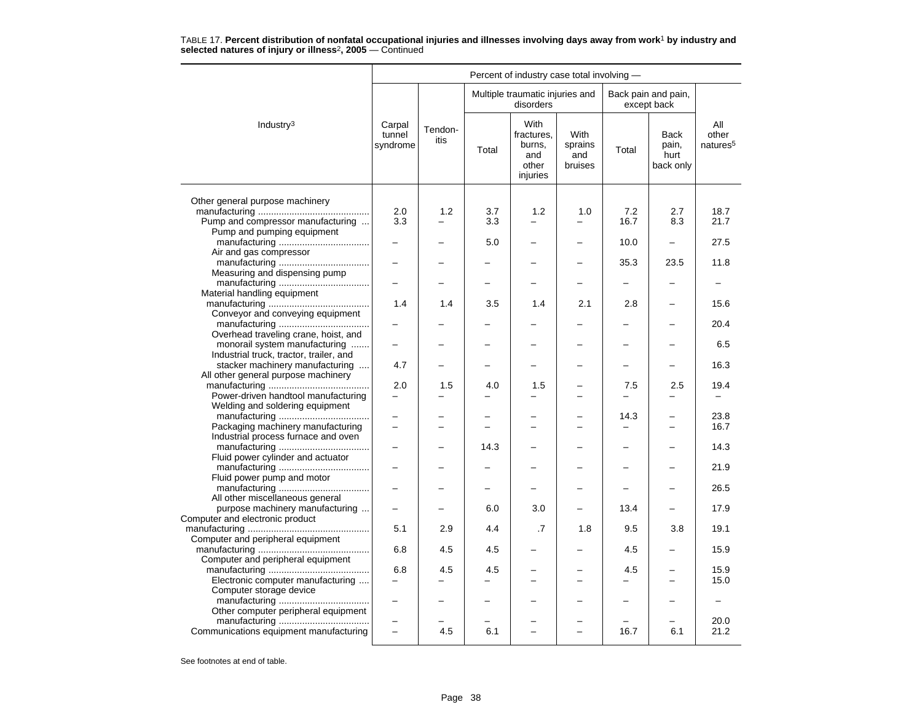|                                                                                                    |                                 |                 |            | Percent of industry case total involving -               |                                          |                                  |                                    |                                      |
|----------------------------------------------------------------------------------------------------|---------------------------------|-----------------|------------|----------------------------------------------------------|------------------------------------------|----------------------------------|------------------------------------|--------------------------------------|
|                                                                                                    |                                 |                 |            | Multiple traumatic injuries and<br>disorders             |                                          |                                  | Back pain and pain,<br>except back |                                      |
| Industry <sup>3</sup>                                                                              | Carpal<br>tunnel<br>syndrome    | Tendon-<br>itis | Total      | With<br>fractures.<br>burns,<br>and<br>other<br>injuries | <b>With</b><br>sprains<br>and<br>bruises | Total                            | Back<br>pain,<br>hurt<br>back only | All<br>other<br>natures <sup>5</sup> |
|                                                                                                    |                                 |                 |            |                                                          |                                          |                                  |                                    |                                      |
| Other general purpose machinery<br>Pump and compressor manufacturing<br>Pump and pumping equipment | 2.0<br>3.3                      | 1.2             | 3.7<br>3.3 | 1.2                                                      | 1.0                                      | 7.2<br>16.7                      | 2.7<br>8.3                         | 18.7<br>21.7                         |
| Air and gas compressor                                                                             |                                 |                 | 5.0        |                                                          |                                          | 10.0                             | $\overline{\phantom{0}}$           | 27.5                                 |
| Measuring and dispensing pump                                                                      |                                 |                 |            |                                                          |                                          | 35.3                             | 23.5                               | 11.8                                 |
| Material handling equipment                                                                        |                                 |                 |            |                                                          |                                          |                                  |                                    |                                      |
| Conveyor and conveying equipment                                                                   | 1.4                             | 1.4             | 3.5        | 1.4                                                      | 2.1                                      | 2.8                              |                                    | 15.6                                 |
| Overhead traveling crane, hoist, and                                                               |                                 |                 |            |                                                          |                                          |                                  |                                    | 20.4                                 |
| monorail system manufacturing                                                                      |                                 |                 |            |                                                          |                                          |                                  |                                    | 6.5                                  |
| Industrial truck, tractor, trailer, and<br>stacker machinery manufacturing                         | 4.7                             |                 |            | -                                                        |                                          | $\overline{\phantom{0}}$         | -                                  | 16.3                                 |
| All other general purpose machinery                                                                | 2.0                             | 1.5             | 4.0        | 1.5                                                      |                                          | 7.5                              | 2.5                                | 19.4                                 |
| Power-driven handtool manufacturing<br>Welding and soldering equipment                             |                                 |                 |            |                                                          |                                          | $\overline{\phantom{0}}$         |                                    |                                      |
| Packaging machinery manufacturing                                                                  | ÷                               |                 |            | L.                                                       | -                                        | 14.3<br>$\overline{\phantom{0}}$ | -                                  | 23.8<br>16.7                         |
| Industrial process furnace and oven                                                                |                                 |                 | 14.3       |                                                          |                                          |                                  |                                    | 14.3                                 |
| Fluid power cylinder and actuator                                                                  |                                 |                 |            |                                                          |                                          |                                  |                                    | 21.9                                 |
| Fluid power pump and motor                                                                         | $\overline{\phantom{0}}$        |                 |            | -                                                        | -                                        | $\overline{\phantom{0}}$         | -                                  | 26.5                                 |
| All other miscellaneous general                                                                    |                                 |                 |            |                                                          |                                          |                                  |                                    |                                      |
| purpose machinery manufacturing<br>Computer and electronic product                                 | $\overline{\phantom{0}}$        |                 | 6.0        | 3.0                                                      |                                          | 13.4                             |                                    | 17.9                                 |
| Computer and peripheral equipment                                                                  | 5.1                             | 2.9             | 4.4        | $\cdot$ 7                                                | 1.8                                      | 9.5                              | 3.8                                | 19.1                                 |
| Computer and peripheral equipment                                                                  | 6.8                             | 4.5             | 4.5        | $\overline{\phantom{0}}$                                 | -                                        | 4.5                              | -                                  | 15.9                                 |
| Electronic computer manufacturing                                                                  | 6.8<br>$\overline{\phantom{0}}$ | 4.5             | 4.5        | -                                                        | $\overline{\phantom{0}}$                 | 4.5<br>$\overline{\phantom{0}}$  | -                                  | 15.9<br>15.0                         |
| Computer storage device                                                                            |                                 |                 |            |                                                          |                                          |                                  |                                    |                                      |
| Other computer peripheral equipment                                                                |                                 |                 |            |                                                          |                                          |                                  |                                    | 20.0                                 |
| Communications equipment manufacturing                                                             | $\overline{\phantom{0}}$        | 4.5             | 6.1        |                                                          | $\equiv$                                 | 16.7                             | 6.1                                | 21.2                                 |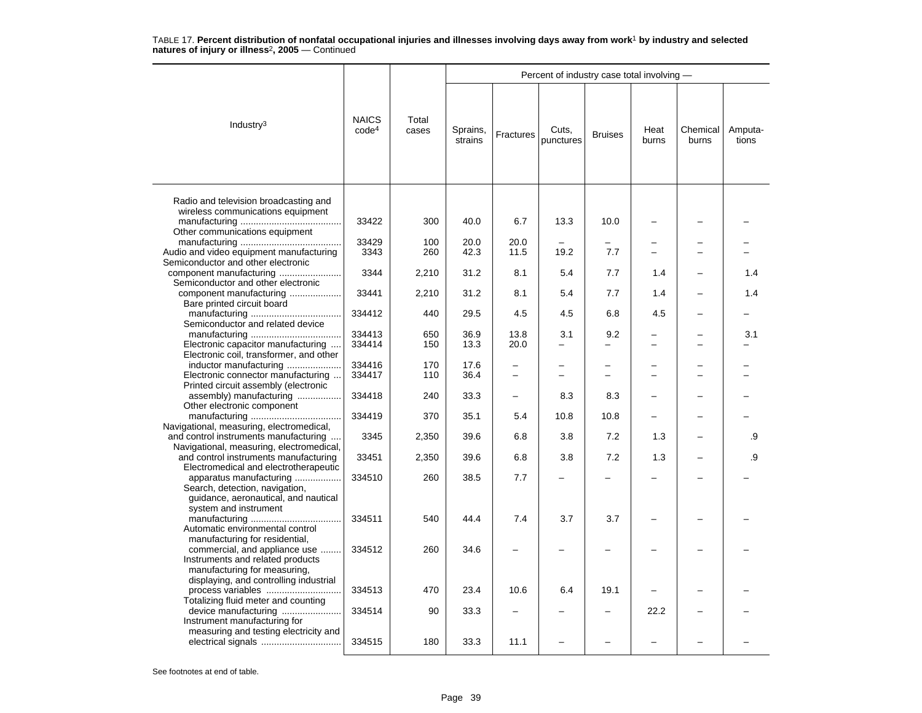|                                                                                                                                     |                                   |                |                     |              | Percent of industry case total involving - |                               |               |                   |                  |
|-------------------------------------------------------------------------------------------------------------------------------------|-----------------------------------|----------------|---------------------|--------------|--------------------------------------------|-------------------------------|---------------|-------------------|------------------|
| Industry $3$                                                                                                                        | <b>NAICS</b><br>code <sup>4</sup> | Total<br>cases | Sprains,<br>strains | Fractures    | Cuts,<br>punctures                         | <b>Bruises</b>                | Heat<br>burns | Chemical<br>burns | Amputa-<br>tions |
| Radio and television broadcasting and<br>wireless communications equipment                                                          |                                   |                |                     |              |                                            |                               |               |                   |                  |
| Other communications equipment                                                                                                      | 33422                             | 300            | 40.0                | 6.7          | 13.3                                       | 10.0                          |               |                   |                  |
| Audio and video equipment manufacturing<br>Semiconductor and other electronic                                                       | 33429<br>3343                     | 100<br>260     | 20.0<br>42.3        | 20.0<br>11.5 | 19.2                                       | 7.7                           |               |                   |                  |
| component manufacturing<br>Semiconductor and other electronic                                                                       | 3344                              | 2,210          | 31.2                | 8.1          | 5.4                                        | 7.7                           | 1.4           |                   | 1.4              |
| component manufacturing<br>Bare printed circuit board                                                                               | 33441                             | 2,210          | 31.2                | 8.1          | 5.4                                        | 7.7                           | 1.4           |                   | 1.4              |
| Semiconductor and related device                                                                                                    | 334412                            | 440            | 29.5                | 4.5          | 4.5                                        | 6.8                           | 4.5           |                   |                  |
|                                                                                                                                     | 334413                            | 650            | 36.9                | 13.8         | 3.1                                        | 9.2                           |               |                   | 3.1              |
| Electronic capacitor manufacturing<br>Electronic coil, transformer, and other                                                       | 334414                            | 150            | 13.3                | 20.0         | $\overline{a}$                             | $\overline{a}$                |               | -                 |                  |
| inductor manufacturing<br>Electronic connector manufacturing                                                                        | 334416<br>334417                  | 170<br>110     | 17.6<br>36.4        | -            | -<br>$\overline{\phantom{0}}$              | -<br>$\overline{\phantom{0}}$ |               | -<br>-            |                  |
| Printed circuit assembly (electronic<br>assembly) manufacturing                                                                     | 334418                            | 240            | 33.3                |              | 8.3                                        | 8.3                           |               |                   |                  |
| Other electronic component                                                                                                          | 334419                            | 370            | 35.1                | 5.4          | 10.8                                       | 10.8                          | -             | -                 |                  |
| Navigational, measuring, electromedical,<br>and control instruments manufacturing                                                   | 3345                              | 2,350          | 39.6                | 6.8          | 3.8                                        | 7.2                           | 1.3           |                   | .9               |
| Navigational, measuring, electromedical,<br>and control instruments manufacturing                                                   | 33451                             | 2,350          | 39.6                | 6.8          | 3.8                                        | 7.2                           | 1.3           |                   | .9               |
| Electromedical and electrotherapeutic<br>apparatus manufacturing                                                                    | 334510                            | 260            | 38.5                | 7.7          |                                            |                               |               |                   |                  |
| Search, detection, navigation,<br>guidance, aeronautical, and nautical<br>system and instrument                                     |                                   |                |                     |              |                                            |                               |               |                   |                  |
| Automatic environmental control                                                                                                     | 334511                            | 540            | 44.4                | 7.4          | 3.7                                        | 3.7                           | -             |                   |                  |
| manufacturing for residential,<br>commercial, and appliance use<br>Instruments and related products<br>manufacturing for measuring, | 334512                            | 260            | 34.6                |              |                                            |                               | L.            |                   |                  |
| displaying, and controlling industrial<br>process variables                                                                         | 334513                            | 470            | 23.4                | 10.6         | 6.4                                        | 19.1                          |               |                   |                  |
| Totalizing fluid meter and counting<br>device manufacturing<br>Instrument manufacturing for                                         | 334514                            | 90             | 33.3                |              |                                            |                               | 22.2          |                   |                  |
| measuring and testing electricity and                                                                                               | 334515                            | 180            | 33.3                | 11.1         |                                            |                               |               |                   |                  |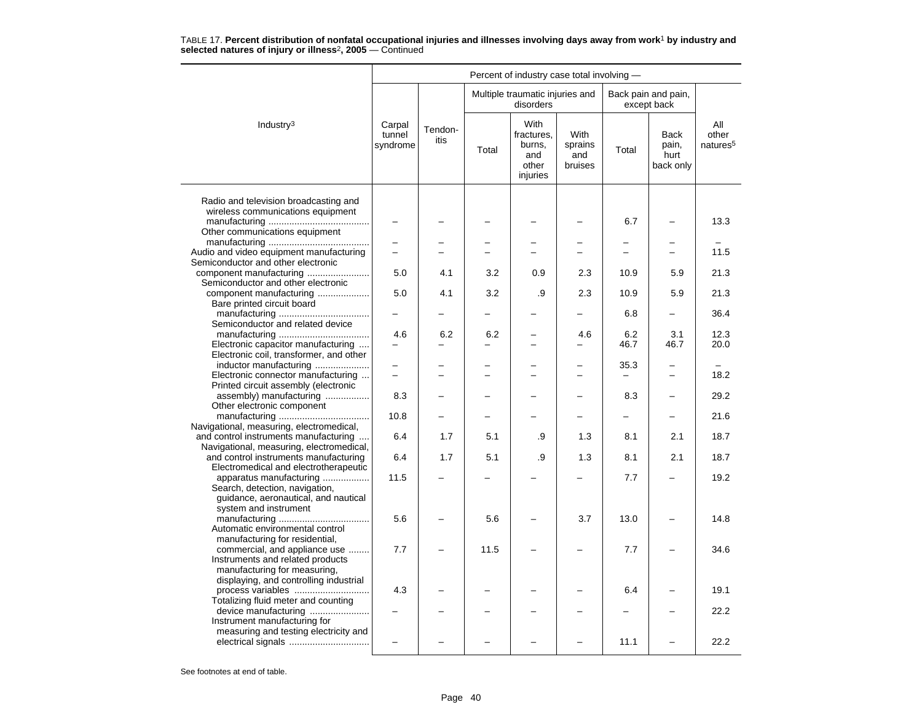|                                                                                                                                             |                              |                 |       | Percent of industry case total involving -               |                                          |                          |                                    |                                      |
|---------------------------------------------------------------------------------------------------------------------------------------------|------------------------------|-----------------|-------|----------------------------------------------------------|------------------------------------------|--------------------------|------------------------------------|--------------------------------------|
|                                                                                                                                             |                              |                 |       | Multiple traumatic injuries and<br>disorders             |                                          |                          | Back pain and pain,<br>except back |                                      |
| Industry <sup>3</sup>                                                                                                                       | Carpal<br>tunnel<br>syndrome | Tendon-<br>itis | Total | With<br>fractures.<br>burns,<br>and<br>other<br>injuries | <b>With</b><br>sprains<br>and<br>bruises | Total                    | Back<br>pain,<br>hurt<br>back only | All<br>other<br>natures <sup>5</sup> |
| Radio and television broadcasting and<br>wireless communications equipment<br>Other communications equipment                                |                              |                 |       |                                                          |                                          | 6.7                      | -                                  | 13.3                                 |
| Audio and video equipment manufacturing<br>Semiconductor and other electronic                                                               | $\overline{\phantom{0}}$     |                 |       | $\overline{\phantom{0}}$                                 | $\overline{\phantom{0}}$                 | $\overline{\phantom{0}}$ | $\overline{\phantom{0}}$           | 11.5                                 |
| component manufacturing<br>Semiconductor and other electronic                                                                               | 5.0                          | 4.1             | 3.2   | 0.9                                                      | 2.3                                      | 10.9                     | 5.9                                | 21.3                                 |
| component manufacturing<br>Bare printed circuit board                                                                                       | 5.0                          | 4.1             | 3.2   | .9                                                       | 2.3                                      | 10.9                     | 5.9                                | 21.3                                 |
| Semiconductor and related device                                                                                                            |                              |                 |       |                                                          |                                          | 6.8                      |                                    | 36.4                                 |
| Electronic capacitor manufacturing<br>Electronic coil, transformer, and other                                                               | 4.6                          | 6.2             | 6.2   | $\overline{\phantom{0}}$                                 | 4.6                                      | 6.2<br>46.7              | 3.1<br>46.7                        | 12.3<br>20.0                         |
| inductor manufacturing<br>Electronic connector manufacturing                                                                                |                              |                 |       |                                                          |                                          | 35.3                     |                                    | 18.2                                 |
| Printed circuit assembly (electronic<br>assembly) manufacturing<br>Other electronic component                                               | 8.3                          |                 |       |                                                          |                                          | 8.3                      |                                    | 29.2                                 |
| Navigational, measuring, electromedical,                                                                                                    | 10.8                         |                 |       |                                                          |                                          |                          | -                                  | 21.6                                 |
| and control instruments manufacturing<br>Navigational, measuring, electromedical,                                                           | 6.4                          | 1.7             | 5.1   | .9                                                       | 1.3                                      | 8.1                      | 2.1                                | 18.7                                 |
| and control instruments manufacturing<br>Electromedical and electrotherapeutic                                                              | 6.4                          | 1.7             | 5.1   | .9                                                       | 1.3                                      | 8.1                      | 2.1                                | 18.7                                 |
| apparatus manufacturing<br>Search, detection, navigation,<br>guidance, aeronautical, and nautical<br>system and instrument                  | 11.5                         |                 |       |                                                          |                                          | 7.7                      |                                    | 19.2                                 |
| Automatic environmental control<br>manufacturing for residential,                                                                           | 5.6                          |                 | 5.6   |                                                          | 3.7                                      | 13.0                     |                                    | 14.8                                 |
| commercial, and appliance use<br>Instruments and related products<br>manufacturing for measuring,<br>displaying, and controlling industrial | 7.7                          |                 | 11.5  |                                                          |                                          | 7.7                      |                                    | 34.6                                 |
| process variables<br>Totalizing fluid meter and counting                                                                                    | 4.3                          |                 |       |                                                          |                                          | 6.4                      |                                    | 19.1                                 |
| device manufacturing<br>Instrument manufacturing for                                                                                        |                              |                 |       |                                                          |                                          |                          |                                    | 22.2                                 |
| measuring and testing electricity and                                                                                                       |                              |                 |       |                                                          |                                          | 11.1                     |                                    | 22.2                                 |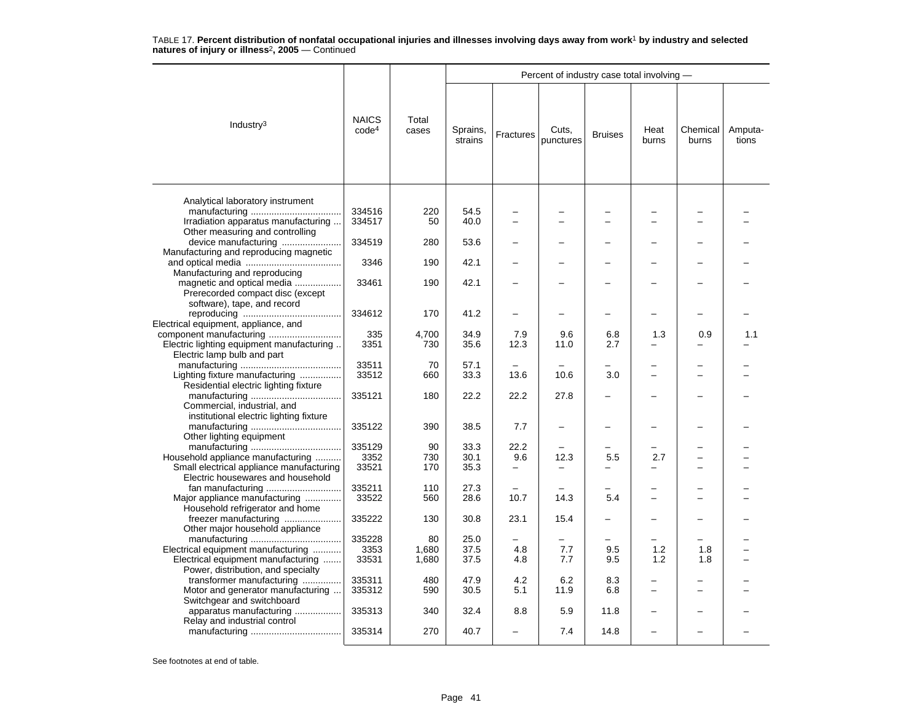|                                           |                                   |                |                     |           | Percent of industry case total involving - |                          |                          |                          |                  |
|-------------------------------------------|-----------------------------------|----------------|---------------------|-----------|--------------------------------------------|--------------------------|--------------------------|--------------------------|------------------|
| Industry $3$                              | <b>NAICS</b><br>code <sup>4</sup> | Total<br>cases | Sprains,<br>strains | Fractures | Cuts,<br>punctures                         | <b>Bruises</b>           | Heat<br>burns            | Chemical<br>burns        | Amputa-<br>tions |
| Analytical laboratory instrument          |                                   |                |                     |           |                                            |                          |                          |                          |                  |
|                                           | 334516                            | 220            | 54.5                |           |                                            |                          |                          |                          |                  |
| Irradiation apparatus manufacturing       | 334517                            | 50             | 40.0                |           |                                            |                          |                          |                          |                  |
| Other measuring and controlling           |                                   |                |                     |           |                                            |                          |                          |                          |                  |
| device manufacturing                      | 334519                            | 280            | 53.6                |           |                                            |                          |                          |                          |                  |
| Manufacturing and reproducing magnetic    |                                   |                |                     |           |                                            |                          |                          |                          |                  |
|                                           | 3346                              | 190            | 42.1                |           |                                            |                          |                          |                          |                  |
| Manufacturing and reproducing             |                                   |                |                     |           |                                            |                          |                          |                          |                  |
| magnetic and optical media                | 33461                             | 190            | 42.1                |           |                                            |                          |                          |                          |                  |
| Prerecorded compact disc (except          |                                   |                |                     |           |                                            |                          |                          |                          |                  |
| software), tape, and record               |                                   |                |                     |           |                                            |                          |                          |                          |                  |
|                                           | 334612                            | 170            | 41.2                |           |                                            |                          |                          |                          |                  |
| Electrical equipment, appliance, and      |                                   |                |                     |           |                                            |                          |                          |                          |                  |
|                                           | 335                               | 4,700          | 34.9                | 7.9       | 9.6                                        | 6.8                      | 1.3                      | 0.9                      | 1.1              |
| Electric lighting equipment manufacturing | 3351                              | 730            | 35.6                | 12.3      | 11.0                                       | 2.7                      |                          |                          |                  |
| Electric lamp bulb and part               |                                   |                |                     |           |                                            |                          |                          |                          |                  |
|                                           | 33511                             | 70             | 57.1                |           |                                            | $\overline{\phantom{0}}$ |                          |                          |                  |
| Lighting fixture manufacturing            | 33512                             | 660            | 33.3                | 13.6      | 10.6                                       | 3.0                      |                          | -                        |                  |
| Residential electric lighting fixture     |                                   |                |                     |           |                                            |                          |                          |                          |                  |
| Commercial, industrial, and               | 335121                            | 180            | 22.2                | 22.2      | 27.8                                       |                          |                          |                          |                  |
| institutional electric lighting fixture   |                                   |                |                     |           |                                            |                          |                          |                          |                  |
|                                           | 335122                            | 390            | 38.5                | 7.7       | $\overline{\phantom{0}}$                   |                          |                          |                          |                  |
| Other lighting equipment                  |                                   |                |                     |           |                                            |                          |                          |                          |                  |
|                                           | 335129                            | 90             | 33.3                | 22.2      |                                            |                          |                          |                          |                  |
| Household appliance manufacturing         | 3352                              | 730            | 30.1                | 9.6       | 12.3                                       | 5.5                      | 2.7                      | $\overline{\phantom{0}}$ |                  |
| Small electrical appliance manufacturing  | 33521                             | 170            | 35.3                |           |                                            |                          |                          |                          |                  |
| Electric housewares and household         |                                   |                |                     |           |                                            |                          |                          |                          |                  |
| fan manufacturing                         | 335211                            | 110            | 27.3                | $\sim$    |                                            | -                        |                          | -                        |                  |
| Major appliance manufacturing             | 33522                             | 560            | 28.6                | 10.7      | 14.3                                       | 5.4                      |                          |                          |                  |
| Household refrigerator and home           |                                   |                |                     |           |                                            |                          |                          |                          |                  |
| freezer manufacturing                     | 335222                            | 130            | 30.8                | 23.1      | 15.4                                       | -                        |                          |                          |                  |
| Other major household appliance           |                                   |                |                     |           |                                            |                          |                          |                          |                  |
| Electrical equipment manufacturing        | 335228<br>3353                    | 80<br>1,680    | 25.0<br>37.5        | 4.8       | 7.7                                        | 9.5                      | 1.2                      | 1.8                      |                  |
| Electrical equipment manufacturing        | 33531                             | 1,680          | 37.5                | 4.8       | 7.7                                        | 9.5                      | 1.2                      | 1.8                      |                  |
| Power, distribution, and specialty        |                                   |                |                     |           |                                            |                          |                          |                          |                  |
| transformer manufacturing                 | 335311                            | 480            | 47.9                | 4.2       | 6.2                                        | 8.3                      |                          |                          |                  |
| Motor and generator manufacturing         | 335312                            | 590            | 30.5                | 5.1       | 11.9                                       | 6.8                      | $\overline{\phantom{0}}$ | $\overline{\phantom{0}}$ |                  |
| Switchgear and switchboard                |                                   |                |                     |           |                                            |                          |                          |                          |                  |
| apparatus manufacturing                   | 335313                            | 340            | 32.4                | 8.8       | 5.9                                        | 11.8                     |                          |                          |                  |
| Relay and industrial control              | 335314                            | 270            | 40.7                |           | 7.4                                        | 14.8                     |                          |                          |                  |
|                                           |                                   |                |                     |           |                                            |                          |                          |                          |                  |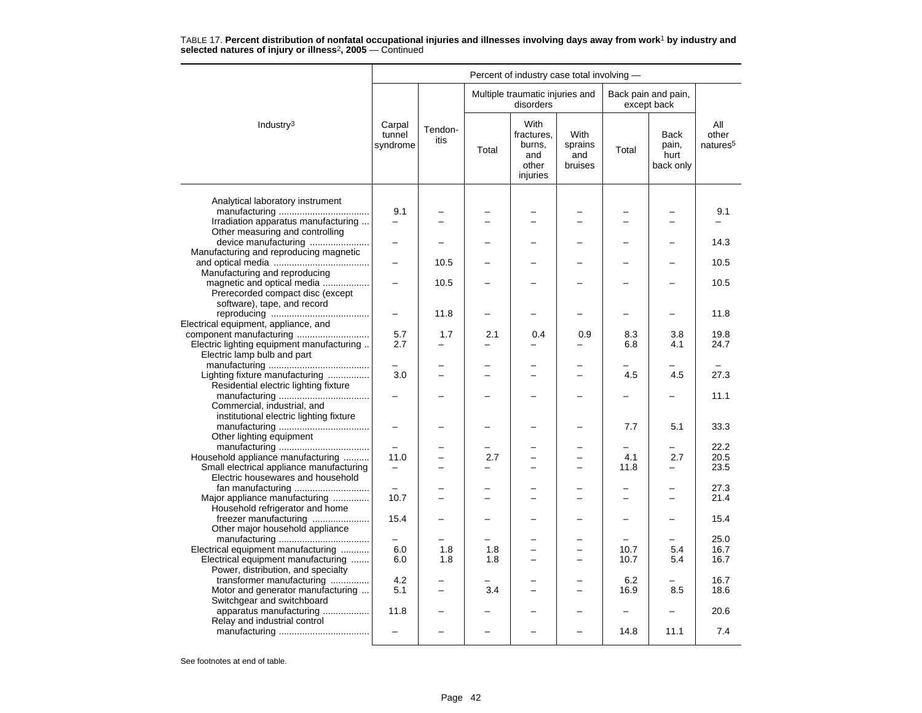|                                                                                                                |                                  |                 |            | Percent of industry case total involving -               |                                                           |              |                                    |                                      |
|----------------------------------------------------------------------------------------------------------------|----------------------------------|-----------------|------------|----------------------------------------------------------|-----------------------------------------------------------|--------------|------------------------------------|--------------------------------------|
|                                                                                                                |                                  |                 |            | Multiple traumatic injuries and<br>disorders             |                                                           |              | Back pain and pain,<br>except back |                                      |
| Industry <sup>3</sup>                                                                                          | Carpal<br>tunnel<br>syndrome     | Tendon-<br>itis | Total      | With<br>fractures,<br>burns,<br>and<br>other<br>injuries | With<br>sprains<br>and<br>bruises                         | Total        | Back<br>pain,<br>hurt<br>back only | All<br>other<br>natures <sup>5</sup> |
| Analytical laboratory instrument                                                                               | 9.1                              |                 |            |                                                          |                                                           |              |                                    | 9.1                                  |
| Irradiation apparatus manufacturing<br>Other measuring and controlling<br>device manufacturing                 |                                  |                 |            |                                                          |                                                           |              |                                    | 14.3                                 |
| Manufacturing and reproducing magnetic                                                                         |                                  | 10.5            |            |                                                          |                                                           |              |                                    | 10.5                                 |
| Manufacturing and reproducing<br>magnetic and optical media<br>Prerecorded compact disc (except                |                                  | 10.5            |            |                                                          |                                                           |              |                                    | 10.5                                 |
| software), tape, and record<br>Electrical equipment, appliance, and                                            |                                  | 11.8            |            |                                                          |                                                           |              |                                    | 11.8                                 |
| component manufacturing<br>Electric lighting equipment manufacturing<br>Electric lamp bulb and part            | 5.7<br>2.7                       | 1.7             | 2.1        | 0.4                                                      | 0.9                                                       | 8.3<br>6.8   | 3.8<br>4.1                         | 19.8<br>24.7                         |
| Lighting fixture manufacturing<br>Residential electric lighting fixture                                        | $\equiv$<br>3.0                  |                 |            |                                                          | -                                                         | -<br>4.5     | -<br>4.5                           | $\overline{\phantom{0}}$<br>27.3     |
| Commercial, industrial, and<br>institutional electric lighting fixture                                         |                                  |                 |            |                                                          | -                                                         |              |                                    | 11.1                                 |
| Other lighting equipment                                                                                       |                                  |                 |            |                                                          |                                                           | 7.7          | 5.1                                | 33.3                                 |
| Household appliance manufacturing                                                                              | 11.0                             |                 | 2.7        |                                                          | $\overline{\phantom{0}}$                                  | 4.1          | 2.7                                | 22.2<br>20.5                         |
| Small electrical appliance manufacturing<br>Electric housewares and household                                  | $\overline{\phantom{0}}$         |                 |            |                                                          |                                                           | 11.8         |                                    | 23.5<br>27.3                         |
| Major appliance manufacturing<br>Household refrigerator and home                                               | 10.7                             |                 |            |                                                          | L.                                                        | $\equiv$     | $\equiv$                           | 21.4                                 |
| freezer manufacturing<br>Other major household appliance                                                       | 15.4                             |                 |            |                                                          | -                                                         |              | $\overline{\phantom{0}}$           | 15.4                                 |
| Electrical equipment manufacturing<br>Electrical equipment manufacturing<br>Power, distribution, and specialty | 6.0<br>6.0                       | 1.8<br>1.8      | 1.8<br>1.8 | L.                                                       | -<br>$\overline{\phantom{0}}$<br>$\overline{\phantom{0}}$ | 10.7<br>10.7 | $\equiv$<br>5.4<br>5.4             | 25.0<br>16.7<br>16.7                 |
| transformer manufacturing<br>Motor and generator manufacturing<br>Switchgear and switchboard                   | 4.2<br>5.1                       |                 | 3.4        |                                                          | $\overline{\phantom{0}}$                                  | 6.2<br>16.9  | 8.5                                | 16.7<br>18.6                         |
| apparatus manufacturing<br>Relay and industrial control                                                        | 11.8<br>$\overline{\phantom{0}}$ |                 |            |                                                          | $\overline{\phantom{0}}$                                  | 14.8         | 11.1                               | 20.6<br>7.4                          |
|                                                                                                                |                                  |                 |            |                                                          |                                                           |              |                                    |                                      |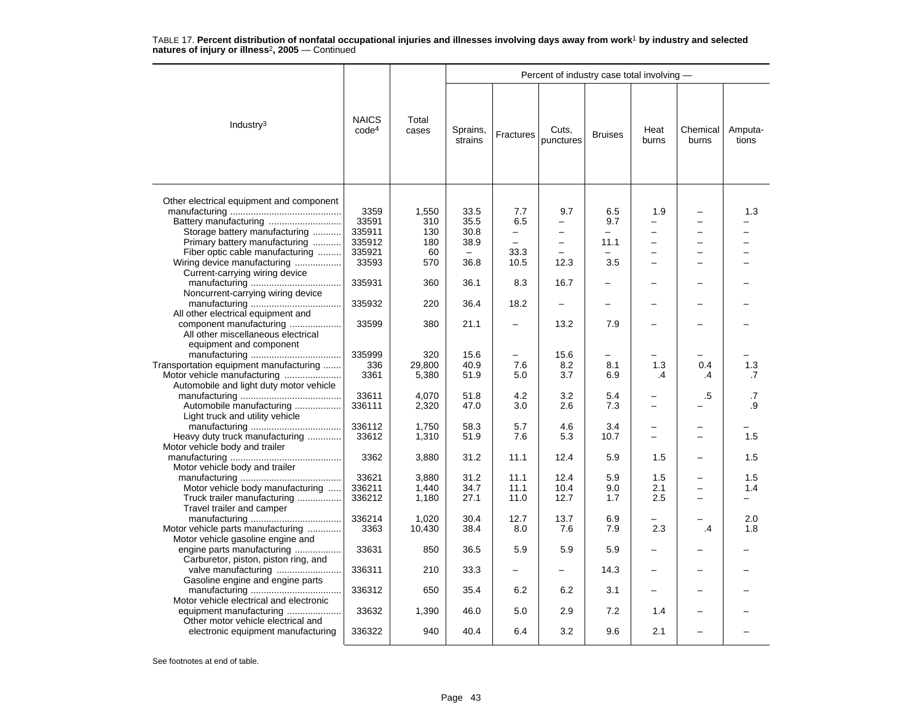|                                          |                                   |                |                          |                   | Percent of industry case total involving - |                |                          |                   |                  |
|------------------------------------------|-----------------------------------|----------------|--------------------------|-------------------|--------------------------------------------|----------------|--------------------------|-------------------|------------------|
| Industry <sup>3</sup>                    | <b>NAICS</b><br>code <sup>4</sup> | Total<br>cases | Sprains,<br>strains      | Fractures         | Cuts,<br>punctures                         | <b>Bruises</b> | Heat<br>burns            | Chemical<br>burns | Amputa-<br>tions |
|                                          |                                   |                |                          |                   |                                            |                |                          |                   |                  |
| Other electrical equipment and component |                                   |                |                          |                   |                                            |                |                          |                   |                  |
|                                          | 3359                              | 1,550          | 33.5                     | 7.7               | 9.7                                        | 6.5            | 1.9                      |                   | 1.3              |
|                                          | 33591                             | 310            | 35.5                     | 6.5               | -                                          | 9.7            |                          |                   |                  |
| Storage battery manufacturing            | 335911                            | 130            | 30.8                     | $\qquad \qquad -$ | $\overline{\phantom{0}}$                   | $\equiv$       | $\overline{\phantom{0}}$ | -                 |                  |
| Primary battery manufacturing            | 335912                            | 180            | 38.9                     | $\overline{a}$    | $\overline{\phantom{0}}$                   | 11.1           |                          |                   |                  |
| Fiber optic cable manufacturing          | 335921                            | 60             | $\overline{\phantom{0}}$ | 33.3              |                                            | -              |                          |                   |                  |
| Wiring device manufacturing              | 33593                             | 570            | 36.8                     | 10.5              | 12.3                                       | 3.5            |                          |                   |                  |
| Current-carrying wiring device           |                                   |                |                          |                   |                                            |                |                          |                   |                  |
|                                          | 335931                            | 360            | 36.1                     | 8.3               | 16.7                                       |                |                          |                   |                  |
| Noncurrent-carrying wiring device        |                                   |                |                          |                   |                                            |                |                          |                   |                  |
|                                          | 335932                            | 220            | 36.4                     | 18.2              | $\overline{\phantom{0}}$                   | -              |                          |                   |                  |
| All other electrical equipment and       |                                   |                |                          |                   |                                            |                |                          |                   |                  |
| component manufacturing                  | 33599                             | 380            | 21.1                     | -                 | 13.2                                       | 7.9            |                          |                   |                  |
| All other miscellaneous electrical       |                                   |                |                          |                   |                                            |                |                          |                   |                  |
| equipment and component                  |                                   |                |                          |                   |                                            |                |                          |                   |                  |
|                                          | 335999                            | 320            | 15.6                     |                   | 15.6                                       |                |                          |                   |                  |
| Transportation equipment manufacturing   | 336                               | 29,800         | 40.9                     | 7.6               | 8.2                                        | 8.1            | 1.3                      | 0.4               | 1.3              |
| Motor vehicle manufacturing              | 3361                              | 5,380          | 51.9                     | 5.0               | 3.7                                        | 6.9            | .4                       | $\cdot$ 4         | .7               |
| Automobile and light duty motor vehicle  |                                   |                |                          |                   |                                            |                |                          |                   |                  |
|                                          |                                   |                |                          |                   |                                            |                |                          |                   |                  |
|                                          | 33611                             | 4,070          | 51.8                     | 4.2               | 3.2                                        | 5.4            |                          | .5                | .7               |
| Automobile manufacturing                 | 336111                            | 2,320          | 47.0                     | 3.0               | 2.6                                        | 7.3            |                          |                   | .9               |
| Light truck and utility vehicle          |                                   |                |                          |                   |                                            |                |                          |                   |                  |
|                                          | 336112                            | 1,750          | 58.3                     | 5.7               | 4.6                                        | 3.4            |                          |                   |                  |
| Heavy duty truck manufacturing           | 33612                             | 1,310          | 51.9                     | 7.6               | 5.3                                        | 10.7           |                          |                   | 1.5              |
| Motor vehicle body and trailer           |                                   |                |                          |                   |                                            |                |                          |                   |                  |
|                                          | 3362                              | 3,880          | 31.2                     | 11.1              | 12.4                                       | 5.9            | 1.5                      |                   | 1.5              |
| Motor vehicle body and trailer           |                                   |                |                          |                   |                                            |                |                          |                   |                  |
|                                          | 33621                             | 3.880          | 31.2                     | 11.1              | 12.4                                       | 5.9            | 1.5                      |                   | 1.5              |
| Motor vehicle body manufacturing         | 336211                            | 1,440          | 34.7                     | 11.1              | 10.4                                       | 9.0            | 2.1                      |                   | 1.4              |
| Truck trailer manufacturing              | 336212                            | 1,180          | 27.1                     | 11.0              | 12.7                                       | 1.7            | 2.5                      |                   |                  |
| Travel trailer and camper                |                                   |                |                          |                   |                                            |                |                          |                   |                  |
|                                          | 336214                            | 1.020          | 30.4                     | 12.7              | 13.7                                       | 6.9            |                          |                   | 2.0              |
| Motor vehicle parts manufacturing        | 3363                              | 10,430         | 38.4                     | 8.0               | 7.6                                        | 7.9            | 2.3                      | $\mathbf{.4}$     | 1.8              |
| Motor vehicle gasoline engine and        |                                   |                |                          |                   |                                            |                |                          |                   |                  |
| engine parts manufacturing               | 33631                             | 850            | 36.5                     | 5.9               | 5.9                                        | 5.9            | $\overline{\phantom{0}}$ |                   |                  |
| Carburetor, piston, piston ring, and     |                                   |                |                          |                   |                                            |                |                          |                   |                  |
| valve manufacturing                      | 336311                            | 210            | 33.3                     |                   |                                            | 14.3           |                          |                   |                  |
| Gasoline engine and engine parts         |                                   |                |                          |                   |                                            |                |                          |                   |                  |
|                                          | 336312                            | 650            | 35.4                     | 6.2               | 6.2                                        | 3.1            |                          |                   |                  |
| Motor vehicle electrical and electronic  |                                   |                |                          |                   |                                            |                |                          |                   |                  |
|                                          | 33632                             |                |                          |                   | 2.9                                        | 7.2            | 1.4                      |                   |                  |
| equipment manufacturing                  |                                   | 1,390          | 46.0                     | 5.0               |                                            |                |                          |                   |                  |
| Other motor vehicle electrical and       |                                   | 940            | 40.4                     |                   |                                            | 9.6            |                          |                   |                  |
| electronic equipment manufacturing       | 336322                            |                |                          | 6.4               | 3.2                                        |                | 2.1                      |                   |                  |
|                                          |                                   |                |                          |                   |                                            |                |                          |                   |                  |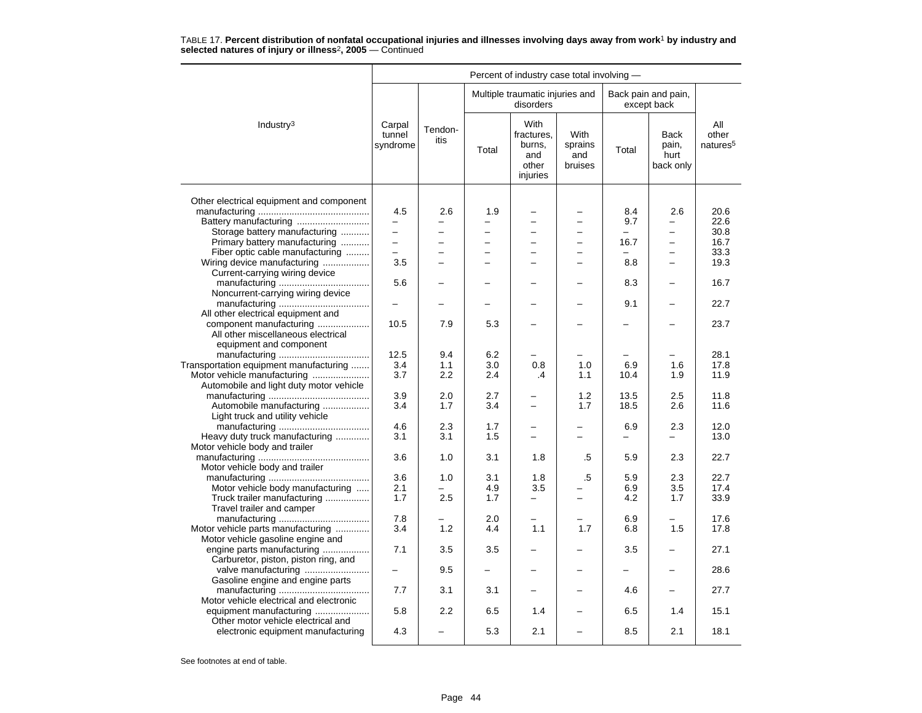|                                                               |                                 |                          |                          | Percent of industry case total involving -               |                                   |            |                                    |                                      |
|---------------------------------------------------------------|---------------------------------|--------------------------|--------------------------|----------------------------------------------------------|-----------------------------------|------------|------------------------------------|--------------------------------------|
|                                                               |                                 |                          |                          | Multiple traumatic injuries and<br>disorders             |                                   |            | Back pain and pain,<br>except back |                                      |
| Industry <sup>3</sup>                                         | Carpal<br>tunnel<br>syndrome    | Tendon-<br>itis          | Total                    | With<br>fractures.<br>burns,<br>and<br>other<br>injuries | With<br>sprains<br>and<br>bruises | Total      | Back<br>pain,<br>hurt<br>back only | All<br>other<br>natures <sup>5</sup> |
|                                                               |                                 |                          |                          |                                                          |                                   |            |                                    |                                      |
| Other electrical equipment and component                      |                                 |                          |                          |                                                          |                                   |            |                                    |                                      |
| Battery manufacturing                                         | 4.5<br>$\overline{\phantom{0}}$ | 2.6                      | 1.9                      | -                                                        | $\overline{\phantom{0}}$          | 8.4<br>9.7 | 2.6<br>-                           | 20.6<br>22.6                         |
| Storage battery manufacturing                                 | L.                              | -                        | $\overline{\phantom{0}}$ | ÷                                                        | $\overline{a}$                    |            | ÷                                  | 30.8                                 |
| Primary battery manufacturing                                 | $\overline{a}$                  |                          |                          | $\overline{\phantom{0}}$                                 | $\overline{\phantom{0}}$          | 16.7       | $\overline{\phantom{0}}$           | 16.7                                 |
| Fiber optic cable manufacturing                               |                                 |                          |                          |                                                          | $\overline{\phantom{0}}$          |            |                                    | 33.3                                 |
|                                                               | 3.5                             | $\overline{\phantom{0}}$ |                          | $\overline{\phantom{0}}$                                 | $=$                               |            | $\equiv$                           | 19.3                                 |
| Wiring device manufacturing                                   |                                 |                          |                          |                                                          |                                   | 8.8        |                                    |                                      |
| Current-carrying wiring device                                |                                 |                          |                          |                                                          |                                   |            |                                    |                                      |
|                                                               | 5.6                             |                          |                          |                                                          |                                   | 8.3        |                                    | 16.7                                 |
| Noncurrent-carrying wiring device                             |                                 |                          |                          |                                                          |                                   |            |                                    | 22.7                                 |
|                                                               | $\overline{\phantom{0}}$        |                          |                          |                                                          |                                   | 9.1        |                                    |                                      |
| All other electrical equipment and                            | 10.5                            | 7.9                      | 5.3                      |                                                          |                                   |            |                                    | 23.7                                 |
| component manufacturing<br>All other miscellaneous electrical |                                 |                          |                          |                                                          |                                   |            |                                    |                                      |
|                                                               |                                 |                          |                          |                                                          |                                   |            |                                    |                                      |
| equipment and component                                       | 12.5                            | 9.4                      | 6.2                      |                                                          |                                   |            |                                    | 28.1                                 |
| Transportation equipment manufacturing                        | 3.4                             | 1.1                      | 3.0                      | 0.8                                                      | 1.0                               | 6.9        | 1.6                                | 17.8                                 |
| Motor vehicle manufacturing                                   | 3.7                             | 2.2                      | 2.4                      | $\cdot$                                                  | 1.1                               | 10.4       | 1.9                                | 11.9                                 |
| Automobile and light duty motor vehicle                       |                                 |                          |                          |                                                          |                                   |            |                                    |                                      |
|                                                               | 3.9                             | 2.0                      | 2.7                      | $\overline{\phantom{0}}$                                 | 1.2                               | 13.5       | 2.5                                | 11.8                                 |
| Automobile manufacturing                                      | 3.4                             | 1.7                      | 3.4                      |                                                          | 1.7                               | 18.5       | 2.6                                | 11.6                                 |
| Light truck and utility vehicle                               |                                 |                          |                          |                                                          |                                   |            |                                    |                                      |
|                                                               | 4.6                             | 2.3                      | 1.7                      | —                                                        | -                                 | 6.9        | 2.3                                | 12.0                                 |
| Heavy duty truck manufacturing                                | 3.1                             | 3.1                      | 1.5                      |                                                          |                                   |            |                                    | 13.0                                 |
| Motor vehicle body and trailer                                |                                 |                          |                          |                                                          |                                   |            |                                    |                                      |
|                                                               | 3.6                             | 1.0                      | 3.1                      | 1.8                                                      | .5                                | 5.9        | 2.3                                | 22.7                                 |
| Motor vehicle body and trailer                                |                                 |                          |                          |                                                          |                                   |            |                                    |                                      |
|                                                               | 3.6                             | 1.0                      | 3.1                      | 1.8                                                      | .5                                | 5.9        | 2.3                                | 22.7                                 |
| Motor vehicle body manufacturing                              | 2.1                             |                          | 4.9                      | 3.5                                                      |                                   | 6.9        | $3.5\,$                            | 17.4                                 |
| Truck trailer manufacturing                                   | 1.7                             | 2.5                      | 1.7                      |                                                          |                                   | 4.2        | 1.7                                | 33.9                                 |
| Travel trailer and camper                                     |                                 |                          |                          |                                                          |                                   |            |                                    |                                      |
|                                                               | 7.8                             |                          | 2.0                      |                                                          |                                   | 6.9        |                                    | 17.6                                 |
| Motor vehicle parts manufacturing                             | 3.4                             | 1.2                      | 4.4                      | 1.1                                                      | 1.7                               | 6.8        | 1.5                                | 17.8                                 |
| Motor vehicle gasoline engine and                             |                                 |                          |                          |                                                          |                                   |            |                                    |                                      |
| engine parts manufacturing                                    | 7.1                             | 3.5                      | 3.5                      |                                                          |                                   | 3.5        |                                    | 27.1                                 |
| Carburetor, piston, piston ring, and                          |                                 |                          |                          |                                                          |                                   |            |                                    |                                      |
| valve manufacturing                                           | -                               | 9.5                      |                          |                                                          |                                   |            |                                    | 28.6                                 |
| Gasoline engine and engine parts                              |                                 |                          |                          |                                                          |                                   |            |                                    |                                      |
|                                                               | 7.7                             | 3.1                      | 3.1                      |                                                          |                                   | 4.6        |                                    | 27.7                                 |
| Motor vehicle electrical and electronic                       |                                 |                          |                          |                                                          |                                   |            |                                    |                                      |
| equipment manufacturing                                       | 5.8                             | 2.2                      | 6.5                      | 1.4                                                      |                                   | 6.5        | 1.4                                | 15.1                                 |
| Other motor vehicle electrical and                            |                                 |                          |                          |                                                          |                                   |            |                                    |                                      |
| electronic equipment manufacturing                            | 4.3                             |                          | 5.3                      | 2.1                                                      | -                                 | 8.5        | 2.1                                | 18.1                                 |
|                                                               |                                 |                          |                          |                                                          |                                   |            |                                    |                                      |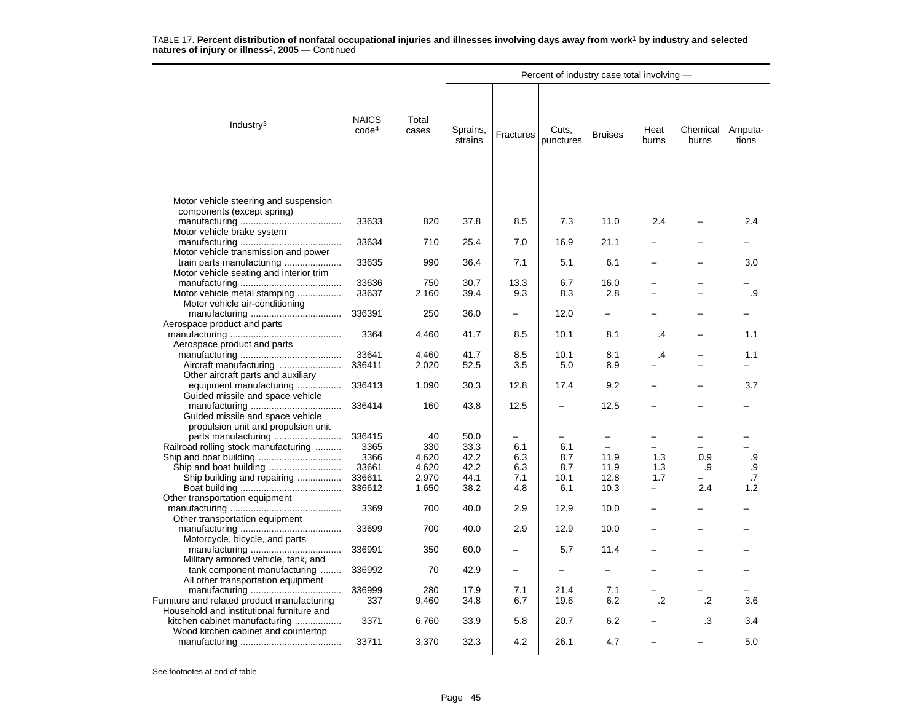|                                                                            |                                   |                |                     |             | Percent of industry case total involving - |                          |                          |                   |                  |
|----------------------------------------------------------------------------|-----------------------------------|----------------|---------------------|-------------|--------------------------------------------|--------------------------|--------------------------|-------------------|------------------|
| Industry $3$                                                               | <b>NAICS</b><br>code <sup>4</sup> | Total<br>cases | Sprains,<br>strains | Fractures   | Cuts,<br>punctures                         | <b>Bruises</b>           | Heat<br>burns            | Chemical<br>burns | Amputa-<br>tions |
| Motor vehicle steering and suspension<br>components (except spring)        |                                   |                |                     |             |                                            |                          |                          |                   |                  |
| Motor vehicle brake system                                                 | 33633                             | 820            | 37.8                | 8.5         | 7.3                                        | 11.0                     | 2.4                      |                   | 2.4              |
| Motor vehicle transmission and power                                       | 33634                             | 710            | 25.4                | 7.0         | 16.9                                       | 21.1                     |                          |                   |                  |
| train parts manufacturing<br>Motor vehicle seating and interior trim       | 33635                             | 990            | 36.4                | 7.1         | 5.1                                        | 6.1                      |                          |                   | 3.0              |
| Motor vehicle metal stamping                                               | 33636<br>33637                    | 750<br>2,160   | 30.7<br>39.4        | 13.3<br>9.3 | 6.7<br>8.3                                 | 16.0<br>2.8              |                          |                   | .9               |
| Motor vehicle air-conditioning                                             | 336391                            | 250            | 36.0                |             | 12.0                                       | $\overline{\phantom{0}}$ |                          |                   |                  |
| Aerospace product and parts<br>Aerospace product and parts                 | 3364                              | 4,460          | 41.7                | 8.5         | 10.1                                       | 8.1                      | .4                       |                   | 1.1              |
| Aircraft manufacturing                                                     | 33641<br>336411                   | 4,460<br>2,020 | 41.7<br>52.5        | 8.5<br>3.5  | 10.1<br>5.0                                | 8.1<br>8.9               | .4                       | ÷                 | 1.1              |
| Other aircraft parts and auxiliary<br>equipment manufacturing              | 336413                            | 1,090          | 30.3                | 12.8        | 17.4                                       | 9.2                      |                          |                   | 3.7              |
| Guided missile and space vehicle<br>Guided missile and space vehicle       | 336414                            | 160            | 43.8                | 12.5        | $\equiv$                                   | 12.5                     |                          |                   |                  |
| propulsion unit and propulsion unit                                        | 336415                            | 40             | 50.0                |             |                                            |                          |                          |                   |                  |
| Railroad rolling stock manufacturing<br>Ship and boat building             | 3365<br>3366                      | 330<br>4,620   | 33.3<br>42.2        | 6.1<br>6.3  | 6.1<br>8.7                                 | 11.9                     | 1.3                      | 0.9               | .9               |
| Ship building and repairing                                                | 33661<br>336611                   | 4,620<br>2,970 | 42.2<br>44.1        | 6.3<br>7.1  | 8.7<br>10.1                                | 11.9<br>12.8             | 1.3<br>1.7               | .9                | $\cdot$ 9<br>.7  |
| Other transportation equipment                                             | 336612                            | 1,650          | 38.2                | 4.8         | 6.1                                        | 10.3                     | $\overline{\phantom{0}}$ | 2.4               | 1.2              |
| Other transportation equipment                                             | 3369                              | 700            | 40.0                | 2.9         | 12.9                                       | 10.0                     |                          |                   |                  |
| Motorcycle, bicycle, and parts                                             | 33699                             | 700            | 40.0                | 2.9         | 12.9                                       | 10.0                     |                          |                   |                  |
| Military armored vehicle, tank, and                                        | 336991                            | 350            | 60.0                |             | 5.7                                        | 11.4                     |                          |                   |                  |
| tank component manufacturing<br>All other transportation equipment         | 336992                            | 70             | 42.9                |             |                                            |                          |                          |                   |                  |
| Furniture and related product manufacturing                                | 336999<br>337                     | 280<br>9,460   | 17.9<br>34.8        | 7.1<br>6.7  | 21.4<br>19.6                               | 7.1<br>6.2               | .2                       | .2                | 3.6              |
| Household and institutional furniture and<br>kitchen cabinet manufacturing | 3371                              | 6,760          | 33.9                | 5.8         | 20.7                                       | 6.2                      |                          | .3                | 3.4              |
| Wood kitchen cabinet and countertop                                        | 33711                             | 3,370          | 32.3                | 4.2         | 26.1                                       | 4.7                      |                          |                   | 5.0              |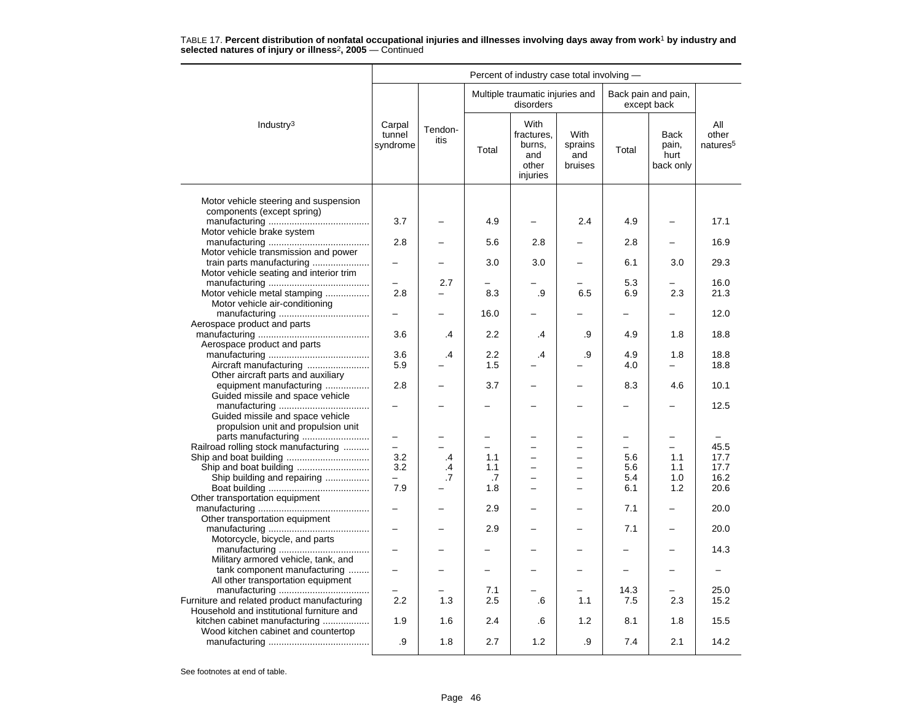|                                                                            |                              |                     |                  | Percent of industry case total involving -               |                                   |                          |                                           |                                      |
|----------------------------------------------------------------------------|------------------------------|---------------------|------------------|----------------------------------------------------------|-----------------------------------|--------------------------|-------------------------------------------|--------------------------------------|
|                                                                            |                              |                     |                  | Multiple traumatic injuries and<br>disorders             |                                   |                          | Back pain and pain,<br>except back        |                                      |
| Industry <sup>3</sup>                                                      | Carpal<br>tunnel<br>syndrome | Tendon-<br>itis     | Total            | With<br>fractures.<br>burns,<br>and<br>other<br>injuries | With<br>sprains<br>and<br>bruises | Total                    | <b>Back</b><br>pain,<br>hurt<br>back only | All<br>other<br>natures <sup>5</sup> |
| Motor vehicle steering and suspension                                      |                              |                     |                  |                                                          |                                   |                          |                                           |                                      |
| components (except spring)<br>Motor vehicle brake system                   | 3.7                          |                     | 4.9              |                                                          | 2.4                               | 4.9                      |                                           | 17.1                                 |
| Motor vehicle transmission and power                                       | 2.8                          |                     | 5.6              | 2.8                                                      |                                   | 2.8                      |                                           | 16.9                                 |
| train parts manufacturing<br>Motor vehicle seating and interior trim       |                              |                     | 3.0              | 3.0                                                      |                                   | 6.1                      | 3.0                                       | 29.3                                 |
| Motor vehicle metal stamping<br>Motor vehicle air-conditioning             | 2.8                          | 2.7                 | 8.3              | .9                                                       | 6.5                               | 5.3<br>6.9               | 2.3                                       | 16.0<br>21.3                         |
| Aerospace product and parts                                                | —                            |                     | 16.0             |                                                          |                                   |                          | -                                         | 12.0                                 |
| Aerospace product and parts                                                | 3.6                          | .4                  | $2.2\phantom{0}$ | .4                                                       | .9                                | 4.9                      | 1.8                                       | 18.8                                 |
| Aircraft manufacturing                                                     | 3.6<br>5.9                   | $\cdot$ 4           | 2.2<br>1.5       | .4                                                       | .9                                | 4.9<br>4.0               | 1.8                                       | 18.8<br>18.8                         |
| Other aircraft parts and auxiliary<br>equipment manufacturing              | 2.8                          |                     | 3.7              |                                                          |                                   | 8.3                      | 4.6                                       | 10.1                                 |
| Guided missile and space vehicle                                           |                              |                     |                  |                                                          |                                   |                          |                                           | 12.5                                 |
| Guided missile and space vehicle<br>propulsion unit and propulsion unit    |                              |                     |                  |                                                          |                                   |                          |                                           |                                      |
| parts manufacturing<br>Railroad rolling stock manufacturing                | $\overline{\phantom{0}}$     |                     |                  |                                                          |                                   |                          | -                                         | 45.5                                 |
| Ship and boat building<br>Ship building and repairing                      | 3.2<br>3.2                   | $\cdot$<br>.4<br>.7 | 1.1<br>1.1<br>.7 | $\equiv$                                                 | $\overline{\phantom{0}}$<br>L.    | 5.6<br>5.6<br>5.4        | 1.1<br>1.1<br>1.0                         | 17.7<br>17.7<br>16.2                 |
| Other transportation equipment                                             | 7.9                          |                     | 1.8              | $\overline{\phantom{0}}$                                 | ▃                                 | 6.1                      | 1.2                                       | 20.6                                 |
| Other transportation equipment                                             |                              |                     | 2.9              |                                                          |                                   | 7.1                      |                                           | 20.0                                 |
| Motorcycle, bicycle, and parts                                             |                              |                     | 2.9              |                                                          |                                   | 7.1                      |                                           | 20.0                                 |
| Military armored vehicle, tank, and                                        |                              |                     |                  |                                                          |                                   |                          |                                           | 14.3                                 |
| tank component manufacturing<br>All other transportation equipment         | $\overline{\phantom{0}}$     |                     | $\equiv$         |                                                          | ÷                                 | $\overline{\phantom{0}}$ | -                                         | $\overline{\phantom{0}}$             |
| Furniture and related product manufacturing                                | 2.2                          | 1.3                 | 7.1<br>2.5       | .6                                                       | 1.1                               | 14.3<br>7.5              | 2.3                                       | 25.0<br>15.2                         |
| Household and institutional furniture and<br>kitchen cabinet manufacturing | 1.9                          | 1.6                 | 2.4              | .6                                                       | 1.2                               | 8.1                      | 1.8                                       | 15.5                                 |
| Wood kitchen cabinet and countertop                                        | .9                           | 1.8                 | 2.7              | 1.2                                                      | .9                                | 7.4                      | 2.1                                       | 14.2                                 |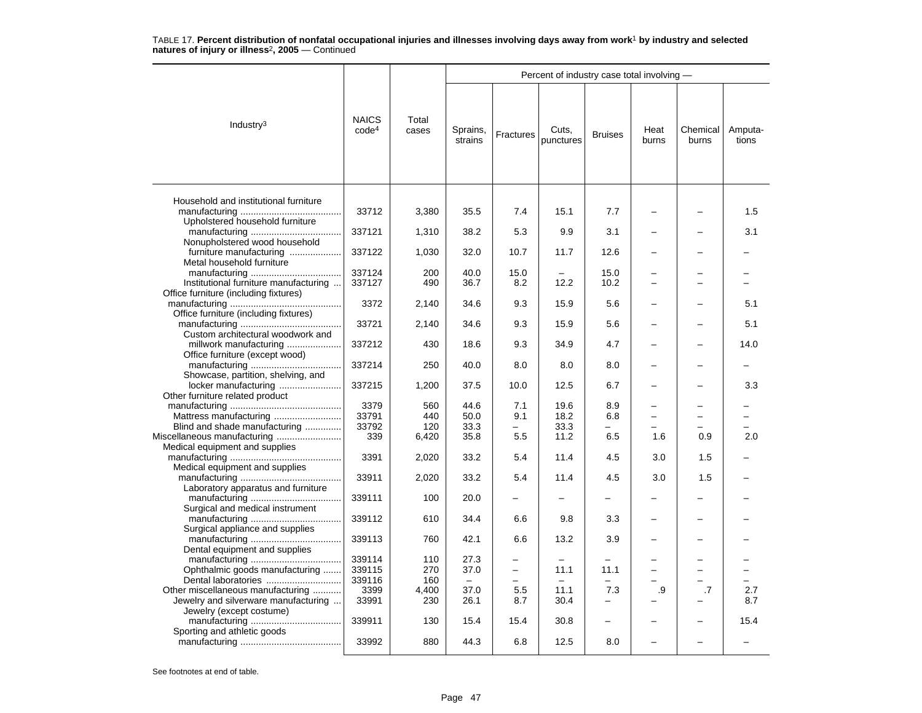|                                                               |                                   |                |                                  |           | Percent of industry case total involving - |                          |                          |                          |                  |
|---------------------------------------------------------------|-----------------------------------|----------------|----------------------------------|-----------|--------------------------------------------|--------------------------|--------------------------|--------------------------|------------------|
| Industry $3$                                                  | <b>NAICS</b><br>code <sup>4</sup> | Total<br>cases | Sprains,<br>strains              | Fractures | Cuts,<br>punctures                         | <b>Bruises</b>           | Heat<br>burns            | Chemical<br>burns        | Amputa-<br>tions |
| Household and institutional furniture                         |                                   |                |                                  |           |                                            |                          |                          |                          |                  |
| Upholstered household furniture                               | 33712                             | 3,380          | 35.5                             | 7.4       | 15.1                                       | 7.7                      |                          |                          | 1.5              |
| Nonupholstered wood household                                 | 337121                            | 1,310          | 38.2                             | 5.3       | 9.9                                        | 3.1                      |                          |                          | 3.1              |
| furniture manufacturing                                       | 337122                            | 1,030          | 32.0                             | 10.7      | 11.7                                       | 12.6                     |                          |                          |                  |
| Metal household furniture                                     | 337124                            | 200            | 40.0                             | 15.0      |                                            | 15.0                     |                          |                          |                  |
| Institutional furniture manufacturing                         | 337127                            | 490            | 36.7                             | 8.2       | 12.2                                       | 10.2                     |                          |                          |                  |
| Office furniture (including fixtures)                         |                                   |                |                                  |           |                                            |                          |                          |                          |                  |
|                                                               | 3372                              | 2,140          | 34.6                             | 9.3       | 15.9                                       | 5.6                      |                          |                          | 5.1              |
| Office furniture (including fixtures)                         |                                   |                |                                  |           |                                            |                          |                          |                          |                  |
| Custom architectural woodwork and                             | 33721                             | 2,140          | 34.6                             | 9.3       | 15.9                                       | 5.6                      |                          |                          | 5.1              |
| millwork manufacturing                                        | 337212                            | 430            | 18.6                             | 9.3       | 34.9                                       | 4.7                      |                          |                          | 14.0             |
| Office furniture (except wood)                                | 337214                            | 250            | 40.0                             | 8.0       | 8.0                                        | 8.0                      |                          |                          |                  |
| Showcase, partition, shelving, and<br>locker manufacturing    | 337215                            | 1,200          | 37.5                             | 10.0      | 12.5                                       | 6.7                      |                          |                          | 3.3              |
| Other furniture related product                               |                                   |                |                                  |           |                                            |                          |                          |                          |                  |
|                                                               | 3379                              | 560            | 44.6                             | 7.1       | 19.6                                       | 8.9                      |                          |                          |                  |
|                                                               | 33791                             | 440            | 50.0                             | 9.1       | 18.2                                       | 6.8                      | $\overline{\phantom{0}}$ | $\overline{\phantom{0}}$ |                  |
| Blind and shade manufacturing                                 | 33792                             | 120            | 33.3                             |           | 33.3                                       |                          |                          |                          |                  |
| Miscellaneous manufacturing<br>Medical equipment and supplies | 339                               | 6,420          | 35.8                             | 5.5       | 11.2                                       | 6.5                      | 1.6                      | 0.9                      | 2.0              |
| Medical equipment and supplies                                | 3391                              | 2,020          | 33.2                             | 5.4       | 11.4                                       | 4.5                      | 3.0                      | 1.5                      |                  |
| Laboratory apparatus and furniture                            | 33911                             | 2,020          | 33.2                             | 5.4       | 11.4                                       | 4.5                      | 3.0                      | 1.5                      |                  |
|                                                               | 339111                            | 100            | 20.0                             |           |                                            |                          |                          |                          |                  |
| Surgical and medical instrument                               | 339112                            | 610            | 34.4                             | 6.6       | 9.8                                        | 3.3                      |                          |                          |                  |
| Surgical appliance and supplies                               | 339113                            | 760            | 42.1                             | 6.6       | 13.2                                       | 3.9                      |                          |                          |                  |
| Dental equipment and supplies                                 |                                   |                |                                  |           |                                            |                          |                          |                          |                  |
|                                                               | 339114                            | 110            | 27.3                             |           |                                            |                          |                          |                          |                  |
| Ophthalmic goods manufacturing                                | 339115<br>339116                  | 270<br>160     | 37.0<br>$\overline{\phantom{m}}$ | $\equiv$  | 11.1<br>$\overline{\phantom{0}}$           | 11.1                     |                          | $\overline{\phantom{0}}$ |                  |
| Other miscellaneous manufacturing                             | 3399                              | 4,400          | 37.0                             | 5.5       | 11.1                                       | 7.3                      | .9                       | .7                       | 2.7              |
| Jewelry and silverware manufacturing                          | 33991                             | 230            | 26.1                             | 8.7       | 30.4                                       |                          |                          |                          | 8.7              |
| Jewelry (except costume)                                      |                                   |                |                                  |           |                                            |                          |                          |                          |                  |
|                                                               | 339911                            | 130            | 15.4                             | 15.4      | 30.8                                       | $\overline{\phantom{0}}$ |                          |                          | 15.4             |
| Sporting and athletic goods                                   | 33992                             | 880            | 44.3                             | 6.8       | 12.5                                       | 8.0                      |                          |                          |                  |
|                                                               |                                   |                |                                  |           |                                            |                          |                          |                          |                  |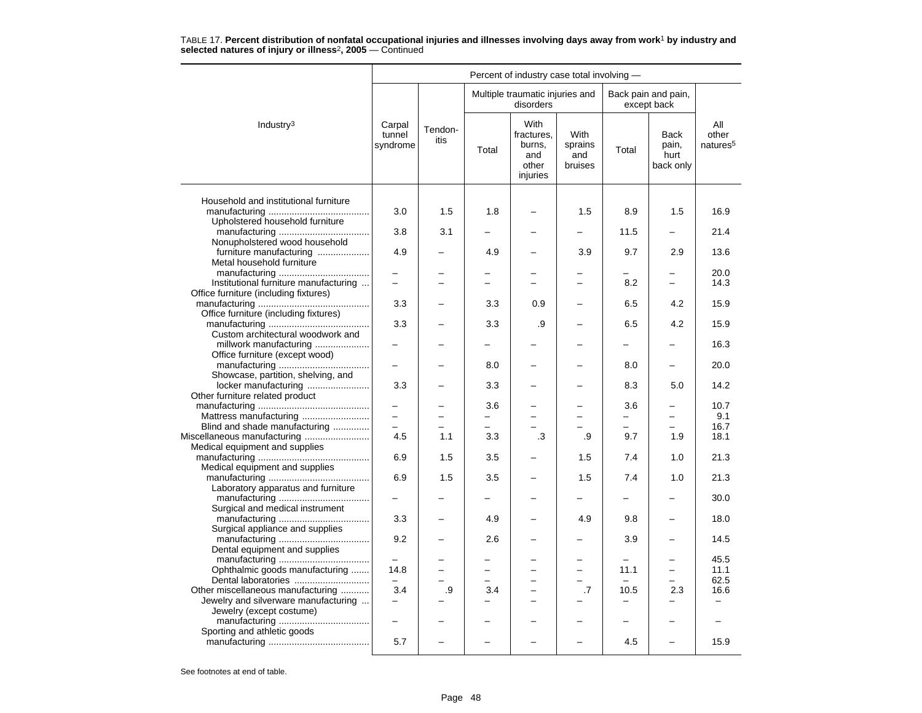|                                                                          | Percent of industry case total involving - |                 |          |                                                          |                                   |                          |                                           |                                      |  |  |  |
|--------------------------------------------------------------------------|--------------------------------------------|-----------------|----------|----------------------------------------------------------|-----------------------------------|--------------------------|-------------------------------------------|--------------------------------------|--|--|--|
|                                                                          |                                            |                 |          | Multiple traumatic injuries and<br>disorders             |                                   |                          | Back pain and pain,<br>except back        |                                      |  |  |  |
| Industry <sup>3</sup>                                                    | Carpal<br>tunnel<br>syndrome               | Tendon-<br>itis | Total    | With<br>fractures,<br>burns,<br>and<br>other<br>injuries | With<br>sprains<br>and<br>bruises | Total                    | <b>Back</b><br>pain,<br>hurt<br>back only | All<br>other<br>natures <sup>5</sup> |  |  |  |
|                                                                          |                                            |                 |          |                                                          |                                   |                          |                                           |                                      |  |  |  |
| Household and institutional furniture<br>Upholstered household furniture | 3.0                                        | 1.5             | 1.8      |                                                          | 1.5                               | 8.9                      | 1.5                                       | 16.9                                 |  |  |  |
|                                                                          | 3.8                                        | 3.1             |          |                                                          |                                   | 11.5                     |                                           | 21.4                                 |  |  |  |
| Nonupholstered wood household                                            |                                            |                 |          |                                                          |                                   |                          |                                           |                                      |  |  |  |
| furniture manufacturing                                                  | 4.9                                        |                 | 4.9      |                                                          | 3.9                               | 9.7                      | 2.9                                       | 13.6                                 |  |  |  |
| Metal household furniture                                                |                                            |                 |          |                                                          |                                   |                          |                                           | 20.0                                 |  |  |  |
| Institutional furniture manufacturing                                    | $\overline{\phantom{0}}$                   |                 |          |                                                          | $\overline{\phantom{0}}$          | 8.2                      | $\equiv$                                  | 14.3                                 |  |  |  |
| Office furniture (including fixtures)                                    |                                            |                 |          |                                                          |                                   |                          |                                           |                                      |  |  |  |
| Office furniture (including fixtures)                                    | 3.3                                        |                 | 3.3      | 0.9                                                      |                                   | 6.5                      | 4.2                                       | 15.9                                 |  |  |  |
|                                                                          | 3.3                                        |                 | 3.3      | .9                                                       |                                   | 6.5                      | 4.2                                       | 15.9                                 |  |  |  |
| Custom architectural woodwork and<br>millwork manufacturing              |                                            |                 |          |                                                          |                                   |                          |                                           | 16.3                                 |  |  |  |
| Office furniture (except wood)                                           |                                            |                 |          |                                                          |                                   |                          |                                           |                                      |  |  |  |
|                                                                          |                                            |                 | 8.0      |                                                          |                                   | 8.0                      |                                           | 20.0                                 |  |  |  |
| Showcase, partition, shelving, and                                       |                                            |                 |          |                                                          |                                   |                          |                                           |                                      |  |  |  |
| locker manufacturing<br>Other furniture related product                  | 3.3                                        |                 | 3.3      |                                                          |                                   | 8.3                      | 5.0                                       | 14.2                                 |  |  |  |
|                                                                          |                                            |                 | 3.6      |                                                          |                                   | 3.6                      | -                                         | 10.7                                 |  |  |  |
| Mattress manufacturing                                                   | $\overline{a}$                             |                 |          |                                                          |                                   |                          |                                           | 9.1                                  |  |  |  |
| Blind and shade manufacturing                                            |                                            |                 |          |                                                          |                                   |                          |                                           | 16.7                                 |  |  |  |
| Miscellaneous manufacturing                                              | 4.5                                        | 1.1             | 3.3      | .3                                                       | .9                                | 9.7                      | 1.9                                       | 18.1                                 |  |  |  |
| Medical equipment and supplies                                           |                                            |                 |          |                                                          |                                   |                          |                                           |                                      |  |  |  |
| Medical equipment and supplies                                           | 6.9                                        | 1.5             | 3.5      |                                                          | 1.5                               | 7.4                      | 1.0                                       | 21.3                                 |  |  |  |
|                                                                          | 6.9                                        | 1.5             | 3.5      |                                                          | 1.5                               | 7.4                      | 1.0                                       | 21.3                                 |  |  |  |
| Laboratory apparatus and furniture                                       |                                            |                 |          |                                                          |                                   |                          |                                           |                                      |  |  |  |
|                                                                          |                                            |                 |          |                                                          |                                   |                          |                                           | 30.0                                 |  |  |  |
| Surgical and medical instrument                                          | 3.3                                        |                 | 4.9      | $\overline{\phantom{0}}$                                 | 4.9                               | 9.8                      | $\overline{\phantom{0}}$                  | 18.0                                 |  |  |  |
| Surgical appliance and supplies                                          |                                            |                 |          |                                                          |                                   |                          |                                           |                                      |  |  |  |
|                                                                          | 9.2                                        |                 | 2.6      |                                                          |                                   | 3.9                      |                                           | 14.5                                 |  |  |  |
| Dental equipment and supplies                                            |                                            |                 |          |                                                          |                                   |                          |                                           |                                      |  |  |  |
|                                                                          |                                            |                 |          |                                                          |                                   |                          |                                           | 45.5                                 |  |  |  |
| Ophthalmic goods manufacturing                                           | 14.8                                       |                 | $\equiv$ | -                                                        | $\equiv$                          | 11.1                     | $\overline{\phantom{0}}$                  | 11.1<br>62.5                         |  |  |  |
| Other miscellaneous manufacturing                                        | 3.4                                        | .9              | 3.4      |                                                          | .7                                | 10.5                     | 2.3                                       | 16.6                                 |  |  |  |
| Jewelry and silverware manufacturing                                     | $\overline{\phantom{0}}$                   |                 |          |                                                          |                                   |                          |                                           | $\overline{\phantom{0}}$             |  |  |  |
| Jewelry (except costume)                                                 |                                            |                 |          |                                                          |                                   |                          |                                           |                                      |  |  |  |
|                                                                          | $\qquad \qquad -$                          |                 |          | -                                                        |                                   | $\overline{\phantom{0}}$ | -                                         |                                      |  |  |  |
| Sporting and athletic goods                                              | 5.7                                        |                 |          |                                                          |                                   | 4.5                      |                                           | 15.9                                 |  |  |  |
|                                                                          |                                            |                 |          |                                                          |                                   |                          |                                           |                                      |  |  |  |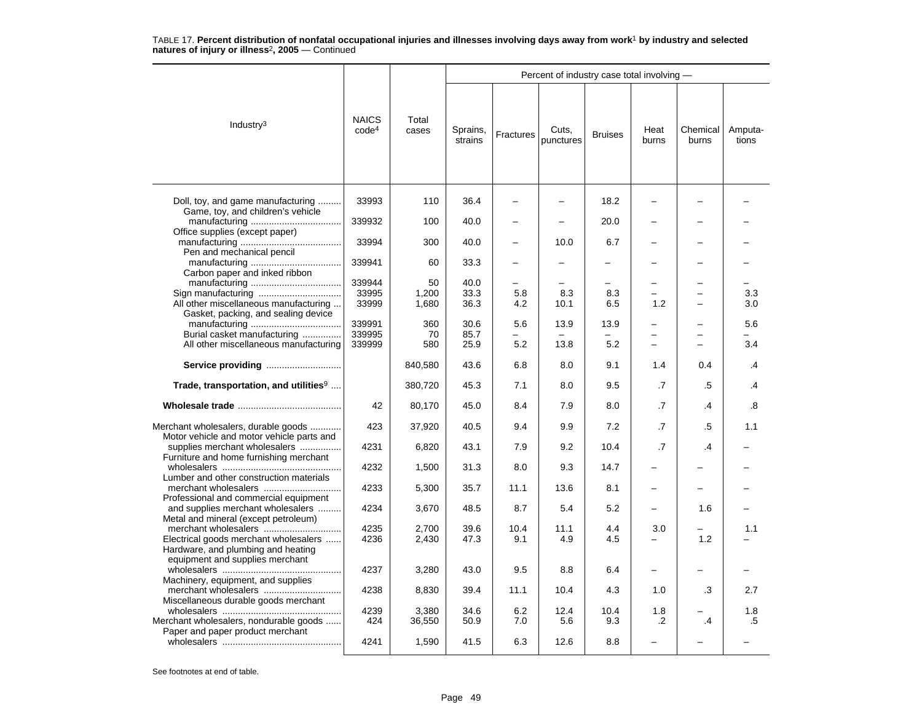|                                                                                  |                                   |                 |                     |            | Percent of industry case total involving - |                |                          |                   |                  |
|----------------------------------------------------------------------------------|-----------------------------------|-----------------|---------------------|------------|--------------------------------------------|----------------|--------------------------|-------------------|------------------|
| Industry $3$                                                                     | <b>NAICS</b><br>code <sup>4</sup> | Total<br>cases  | Sprains,<br>strains | Fractures  | Cuts,<br>punctures                         | <b>Bruises</b> | Heat<br>burns            | Chemical<br>burns | Amputa-<br>tions |
| Doll, toy, and game manufacturing<br>Game, toy, and children's vehicle           | 33993                             | 110             | 36.4                |            |                                            | 18.2           |                          |                   |                  |
| Office supplies (except paper)                                                   | 339932                            | 100             | 40.0                |            |                                            | 20.0           |                          |                   |                  |
| Pen and mechanical pencil                                                        | 33994                             | 300             | 40.0                |            | 10.0                                       | 6.7            |                          |                   |                  |
| Carbon paper and inked ribbon                                                    | 339941                            | 60              | 33.3                |            |                                            |                |                          |                   |                  |
|                                                                                  | 339944                            | 50              | 40.0                |            |                                            |                |                          |                   |                  |
|                                                                                  | 33995                             | 1,200           | 33.3                | 5.8        | 8.3                                        | 8.3            |                          |                   | 3.3              |
| All other miscellaneous manufacturing<br>Gasket, packing, and sealing device     | 33999                             | 1,680           | 36.3                | 4.2        | 10.1                                       | 6.5            | 1.2                      | -                 | 3.0              |
|                                                                                  | 339991                            | 360             | 30.6                | 5.6        | 13.9                                       | 13.9           |                          |                   | 5.6              |
| Burial casket manufacturing<br>All other miscellaneous manufacturing             | 339995<br>339999                  | 70<br>580       | 85.7<br>25.9        | 5.2        | 13.8                                       | 5.2            | L.                       |                   | 3.4              |
| Service providing                                                                |                                   | 840,580         | 43.6                | 6.8        | 8.0                                        | 9.1            | 1.4                      | 0.4               | .4               |
| Trade, transportation, and utilities <sup>9</sup>                                |                                   | 380,720         | 45.3                | 7.1        | 8.0                                        | 9.5            | .7                       | .5                | $\mathbf{.4}$    |
|                                                                                  | 42                                | 80,170          | 45.0                | 8.4        | 7.9                                        | 8.0            | .7                       | $\cdot$           | .8               |
| Merchant wholesalers, durable goods<br>Motor vehicle and motor vehicle parts and | 423                               | 37,920          | 40.5                | 9.4        | 9.9                                        | 7.2            | $\cdot$ 7                | .5                | 1.1              |
| supplies merchant wholesalers<br>Furniture and home furnishing merchant          | 4231                              | 6,820           | 43.1                | 7.9        | 9.2                                        | 10.4           | $\cdot$ 7                | .4                |                  |
| Lumber and other construction materials                                          | 4232                              | 1,500           | 31.3                | 8.0        | 9.3                                        | 14.7           |                          |                   |                  |
| Professional and commercial equipment                                            | 4233                              | 5,300           | 35.7                | 11.1       | 13.6                                       | 8.1            |                          |                   |                  |
| and supplies merchant wholesalers<br>Metal and mineral (except petroleum)        | 4234                              | 3,670           | 48.5                | 8.7        | 5.4                                        | 5.2            |                          | 1.6               |                  |
|                                                                                  | 4235                              | 2,700           | 39.6                | 10.4       | 11.1                                       | 4.4            | 3.0                      |                   | 1.1              |
| Electrical goods merchant wholesalers<br>Hardware, and plumbing and heating      | 4236                              | 2,430           | 47.3                | 9.1        | 4.9                                        | 4.5            | $\overline{\phantom{0}}$ | 1.2               |                  |
| equipment and supplies merchant<br>Machinery, equipment, and supplies            | 4237                              | 3,280           | 43.0                | 9.5        | 8.8                                        | 6.4            | $\overline{\phantom{0}}$ |                   |                  |
| merchant wholesalers<br>Miscellaneous durable goods merchant                     | 4238                              | 8,830           | 39.4                | 11.1       | 10.4                                       | 4.3            | 1.0                      | .3                | 2.7              |
| Merchant wholesalers, nondurable goods                                           | 4239<br>424                       | 3,380<br>36,550 | 34.6<br>50.9        | 6.2<br>7.0 | 12.4<br>5.6                                | 10.4<br>9.3    | 1.8<br>$\cdot$           | $\overline{A}$    | 1.8<br>.5        |
| Paper and paper product merchant                                                 | 4241                              | 1,590           | 41.5                | 6.3        | 12.6                                       | 8.8            |                          |                   |                  |
|                                                                                  |                                   |                 |                     |            |                                            |                |                          |                   |                  |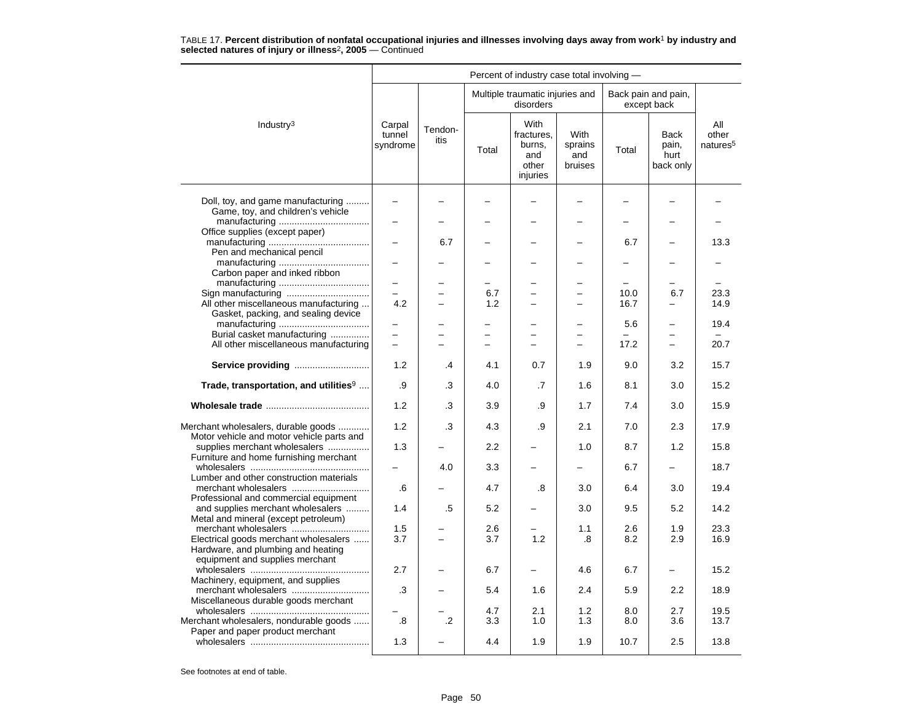| Percent of industry case total involving -                                                            |                                 |                 |            |                                                          |                                          |                                         |                                           |                                      |  |
|-------------------------------------------------------------------------------------------------------|---------------------------------|-----------------|------------|----------------------------------------------------------|------------------------------------------|-----------------------------------------|-------------------------------------------|--------------------------------------|--|
|                                                                                                       |                                 |                 |            | Multiple traumatic injuries and<br>disorders             |                                          |                                         | Back pain and pain,<br>except back        |                                      |  |
| Industry <sup>3</sup>                                                                                 | Carpal<br>tunnel<br>syndrome    | Tendon-<br>itis | Total      | With<br>fractures.<br>burns,<br>and<br>other<br>injuries | <b>With</b><br>sprains<br>and<br>bruises | Total                                   | <b>Back</b><br>pain,<br>hurt<br>back only | All<br>other<br>natures <sup>5</sup> |  |
| Doll, toy, and game manufacturing<br>Game, toy, and children's vehicle                                | $\overline{\phantom{0}}$        |                 |            |                                                          |                                          |                                         |                                           |                                      |  |
| Office supplies (except paper)<br>Pen and mechanical pencil                                           |                                 | 6.7             |            |                                                          |                                          | 6.7                                     |                                           | 13.3                                 |  |
| Carbon paper and inked ribbon                                                                         |                                 |                 |            |                                                          |                                          |                                         |                                           |                                      |  |
| Sign manufacturing<br>All other miscellaneous manufacturing<br>Gasket, packing, and sealing device    | $\overline{\phantom{0}}$<br>4.2 |                 | 6.7<br>1.2 | L<br>−                                                   |                                          | 10.0<br>16.7                            | 6.7<br>—                                  | 23.3<br>14.9                         |  |
| Burial casket manufacturing<br>All other miscellaneous manufacturing                                  | -                               |                 | -          | -                                                        | $\overline{\phantom{0}}$                 | 5.6<br>$\overline{\phantom{0}}$<br>17.2 | -<br>-                                    | 19.4<br>20.7                         |  |
| Service providing                                                                                     | 1.2                             | $\overline{A}$  | 4.1        | 0.7                                                      | 1.9                                      | 9.0                                     | 3.2                                       | 15.7                                 |  |
| Trade, transportation, and utilities <sup>9</sup>                                                     | .9                              | .3              | 4.0        | .7                                                       | 1.6                                      | 8.1                                     | 3.0                                       | 15.2                                 |  |
|                                                                                                       | 1.2                             | .3              | 3.9        | .9                                                       | 1.7                                      | 7.4                                     | 3.0                                       | 15.9                                 |  |
| Merchant wholesalers, durable goods<br>Motor vehicle and motor vehicle parts and                      | 1.2                             | .3              | 4.3        | .9                                                       | 2.1                                      | 7.0                                     | 2.3                                       | 17.9                                 |  |
| supplies merchant wholesalers<br>Furniture and home furnishing merchant                               | 1.3                             |                 | 2.2        |                                                          | 1.0                                      | 8.7                                     | 1.2                                       | 15.8                                 |  |
| Lumber and other construction materials                                                               | .6                              | 4.0             | 3.3<br>4.7 | .8                                                       | 3.0                                      | 6.7<br>6.4                              | -<br>3.0                                  | 18.7<br>19.4                         |  |
| Professional and commercial equipment<br>and supplies merchant wholesalers                            | 1.4                             | .5              | 5.2        |                                                          | 3.0                                      | 9.5                                     | 5.2                                       | 14.2                                 |  |
| Metal and mineral (except petroleum)<br>merchant wholesalers<br>Electrical goods merchant wholesalers | 1.5<br>3.7                      |                 | 2.6<br>3.7 | 1.2                                                      | 1.1<br>.8                                | 2.6<br>8.2                              | 1.9<br>2.9                                | 23.3<br>16.9                         |  |
| Hardware, and plumbing and heating<br>equipment and supplies merchant                                 |                                 |                 |            |                                                          |                                          |                                         |                                           |                                      |  |
| Machinery, equipment, and supplies<br>merchant wholesalers                                            | 2.7<br>.3                       |                 | 6.7<br>5.4 | 1.6                                                      | 4.6<br>2.4                               | 6.7<br>5.9                              | 2.2                                       | 15.2<br>18.9                         |  |
| Miscellaneous durable goods merchant                                                                  |                                 |                 | 4.7        | 2.1                                                      | 1.2                                      | 8.0                                     | 2.7                                       | 19.5                                 |  |
| Merchant wholesalers, nondurable goods<br>Paper and paper product merchant                            | .8                              | $\overline{2}$  | 3.3        | 1.0                                                      | 1.3                                      | 8.0                                     | 3.6                                       | 13.7                                 |  |
|                                                                                                       | 1.3                             |                 | 4.4        | 1.9                                                      | 1.9                                      | 10.7                                    | 2.5                                       | 13.8                                 |  |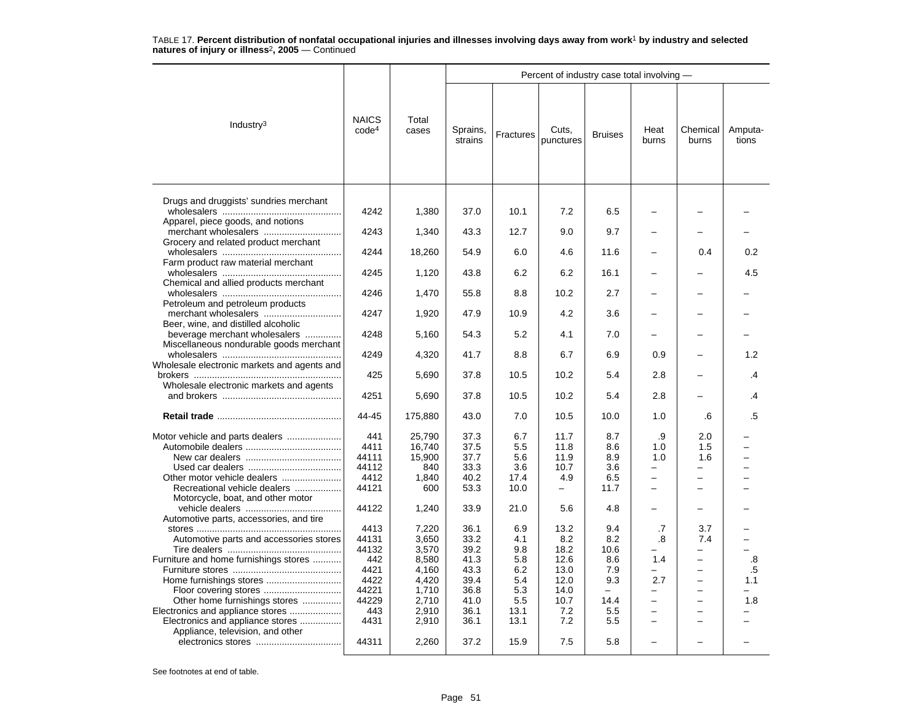|                                                                                                                                                                                                  |                                                                                                                   |                                                                                                                           |                                                                                                              |                                                                                                   | Percent of industry case total involving -                                                                                    |                                                                                                                       |                                                      |                                                                                                          |                  |
|--------------------------------------------------------------------------------------------------------------------------------------------------------------------------------------------------|-------------------------------------------------------------------------------------------------------------------|---------------------------------------------------------------------------------------------------------------------------|--------------------------------------------------------------------------------------------------------------|---------------------------------------------------------------------------------------------------|-------------------------------------------------------------------------------------------------------------------------------|-----------------------------------------------------------------------------------------------------------------------|------------------------------------------------------|----------------------------------------------------------------------------------------------------------|------------------|
| Industry <sup>3</sup>                                                                                                                                                                            | <b>NAICS</b><br>code <sup>4</sup>                                                                                 | Total<br>cases                                                                                                            | Sprains,<br>strains                                                                                          | Fractures                                                                                         | Cuts,<br>punctures                                                                                                            | <b>Bruises</b>                                                                                                        | Heat<br>burns                                        | Chemical<br>burns                                                                                        | Amputa-<br>tions |
| Drugs and druggists' sundries merchant<br>Apparel, piece goods, and notions                                                                                                                      | 4242                                                                                                              | 1,380                                                                                                                     | 37.0                                                                                                         | 10.1                                                                                              | 7.2                                                                                                                           | 6.5                                                                                                                   |                                                      |                                                                                                          |                  |
|                                                                                                                                                                                                  | 4243                                                                                                              | 1,340                                                                                                                     | 43.3                                                                                                         | 12.7                                                                                              | 9.0                                                                                                                           | 9.7                                                                                                                   |                                                      |                                                                                                          |                  |
| Grocery and related product merchant<br>Farm product raw material merchant                                                                                                                       | 4244                                                                                                              | 18,260                                                                                                                    | 54.9                                                                                                         | 6.0                                                                                               | 4.6                                                                                                                           | 11.6                                                                                                                  |                                                      | 0.4                                                                                                      | 0.2              |
| Chemical and allied products merchant                                                                                                                                                            | 4245                                                                                                              | 1,120                                                                                                                     | 43.8                                                                                                         | 6.2                                                                                               | 6.2                                                                                                                           | 16.1                                                                                                                  |                                                      |                                                                                                          | 4.5              |
| Petroleum and petroleum products                                                                                                                                                                 | 4246                                                                                                              | 1,470                                                                                                                     | 55.8                                                                                                         | 8.8                                                                                               | 10.2                                                                                                                          | 2.7                                                                                                                   |                                                      |                                                                                                          |                  |
| merchant wholesalers<br>Beer, wine, and distilled alcoholic                                                                                                                                      | 4247                                                                                                              | 1,920                                                                                                                     | 47.9                                                                                                         | 10.9                                                                                              | 4.2                                                                                                                           | 3.6                                                                                                                   |                                                      |                                                                                                          |                  |
| beverage merchant wholesalers<br>Miscellaneous nondurable goods merchant                                                                                                                         | 4248                                                                                                              | 5,160                                                                                                                     | 54.3                                                                                                         | 5.2                                                                                               | 4.1                                                                                                                           | 7.0                                                                                                                   |                                                      |                                                                                                          |                  |
|                                                                                                                                                                                                  | 4249                                                                                                              | 4,320                                                                                                                     | 41.7                                                                                                         | 8.8                                                                                               | 6.7                                                                                                                           | 6.9                                                                                                                   | 0.9                                                  |                                                                                                          | 1.2              |
| Wholesale electronic markets and agents and<br>Wholesale electronic markets and agents                                                                                                           | 425                                                                                                               | 5,690                                                                                                                     | 37.8                                                                                                         | 10.5                                                                                              | 10.2                                                                                                                          | 5.4                                                                                                                   | 2.8                                                  |                                                                                                          | .4               |
|                                                                                                                                                                                                  | 4251                                                                                                              | 5,690                                                                                                                     | 37.8                                                                                                         | 10.5                                                                                              | 10.2                                                                                                                          | 5.4                                                                                                                   | 2.8                                                  |                                                                                                          | .4               |
|                                                                                                                                                                                                  | 44-45                                                                                                             | 175,880                                                                                                                   | 43.0                                                                                                         | 7.0                                                                                               | 10.5                                                                                                                          | 10.0                                                                                                                  | 1.0                                                  | .6                                                                                                       | .5               |
| Recreational vehicle dealers<br>Motorcycle, boat, and other motor<br>Automotive parts, accessories, and tire<br>Automotive parts and accessories stores<br>Furniture and home furnishings stores | 441<br>4411<br>44111<br>44112<br>4412<br>44121<br>44122<br>4413<br>44131<br>44132<br>442<br>4421<br>4422<br>44221 | 25,790<br>16,740<br>15,900<br>840<br>1,840<br>600<br>1,240<br>7,220<br>3,650<br>3,570<br>8,580<br>4,160<br>4,420<br>1,710 | 37.3<br>37.5<br>37.7<br>33.3<br>40.2<br>53.3<br>33.9<br>36.1<br>33.2<br>39.2<br>41.3<br>43.3<br>39.4<br>36.8 | 6.7<br>5.5<br>5.6<br>3.6<br>17.4<br>10.0<br>21.0<br>6.9<br>4.1<br>9.8<br>5.8<br>6.2<br>5.4<br>5.3 | 11.7<br>11.8<br>11.9<br>10.7<br>4.9<br>$\overline{\phantom{0}}$<br>5.6<br>13.2<br>8.2<br>18.2<br>12.6<br>13.0<br>12.0<br>14.0 | 8.7<br>8.6<br>8.9<br>3.6<br>6.5<br>11.7<br>4.8<br>9.4<br>8.2<br>10.6<br>8.6<br>7.9<br>9.3<br>$\overline{\phantom{0}}$ | .9<br>1.0<br>1.0<br>-<br>.7<br>.8<br>1.4<br>2.7<br>- | 2.0<br>1.5<br>1.6<br>-<br>3.7<br>7.4<br>$\overline{\phantom{0}}$<br>$\overline{\phantom{0}}$<br>$\equiv$ | .8<br>.5<br>1.1  |
| Other home furnishings stores<br>Electronics and appliance stores<br>Electronics and appliance stores<br>Appliance, television, and other                                                        | 44229<br>443<br>4431                                                                                              | 2,710<br>2,910<br>2,910                                                                                                   | 41.0<br>36.1<br>36.1                                                                                         | 5.5<br>13.1<br>13.1                                                                               | 10.7<br>7.2<br>7.2                                                                                                            | 14.4<br>5.5<br>5.5                                                                                                    | -<br>$\overline{\phantom{0}}$                        | $\equiv$                                                                                                 | 1.8              |
|                                                                                                                                                                                                  | 44311                                                                                                             | 2,260                                                                                                                     | 37.2                                                                                                         | 15.9                                                                                              | 7.5                                                                                                                           | 5.8                                                                                                                   |                                                      |                                                                                                          |                  |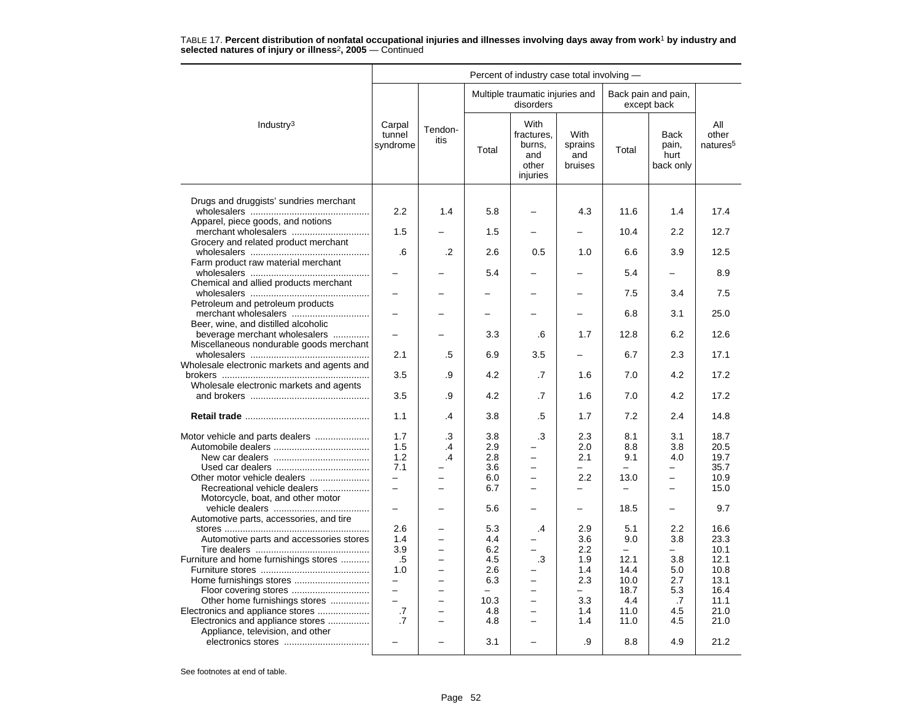|                                                                          |                              |                          |            | Percent of industry case total involving -               |                                   |                   |                                    |                                      |
|--------------------------------------------------------------------------|------------------------------|--------------------------|------------|----------------------------------------------------------|-----------------------------------|-------------------|------------------------------------|--------------------------------------|
|                                                                          |                              |                          |            | Multiple traumatic injuries and<br>disorders             |                                   |                   | Back pain and pain,<br>except back |                                      |
| Industry <sup>3</sup>                                                    | Carpal<br>tunnel<br>syndrome | Tendon-<br>itis          | Total      | With<br>fractures.<br>burns,<br>and<br>other<br>injuries | With<br>sprains<br>and<br>bruises | Total             | Back<br>pain,<br>hurt<br>back only | All<br>other<br>natures <sup>5</sup> |
| Drugs and druggists' sundries merchant                                   |                              |                          |            |                                                          |                                   |                   |                                    |                                      |
| Apparel, piece goods, and notions                                        | 2.2                          | 1.4                      | 5.8        |                                                          | 4.3                               | 11.6              | 1.4                                | 17.4                                 |
|                                                                          | 1.5                          |                          | 1.5        |                                                          |                                   | 10.4              | 2.2                                | 12.7                                 |
| Grocery and related product merchant                                     | .6                           | .2                       | 2.6        | 0.5                                                      | 1.0                               | 6.6               | 3.9                                | 12.5                                 |
| Farm product raw material merchant                                       |                              |                          | 5.4        |                                                          |                                   | 5.4               |                                    | 8.9                                  |
| Chemical and allied products merchant                                    |                              |                          |            |                                                          |                                   | 7.5               | 3.4                                | 7.5                                  |
| Petroleum and petroleum products                                         |                              |                          |            |                                                          |                                   |                   |                                    |                                      |
| Beer, wine, and distilled alcoholic                                      |                              |                          |            |                                                          |                                   | 6.8               | 3.1                                | 25.0                                 |
| beverage merchant wholesalers<br>Miscellaneous nondurable goods merchant |                              |                          | 3.3        | .6                                                       | 1.7                               | 12.8              | 6.2                                | 12.6                                 |
|                                                                          | 2.1                          | .5                       | 6.9        | 3.5                                                      | $\overline{\phantom{0}}$          | 6.7               | 2.3                                | 17.1                                 |
| Wholesale electronic markets and agents and                              | 3.5                          | .9                       | 4.2        | .7                                                       | 1.6                               | 7.0               | 4.2                                | 17.2                                 |
| Wholesale electronic markets and agents                                  | 3.5                          | .9                       | 4.2        | .7                                                       | 1.6                               | 7.0               | 4.2                                | 17.2                                 |
|                                                                          | 1.1                          | .4                       | 3.8        | .5                                                       | 1.7                               | 7.2               | 2.4                                | 14.8                                 |
|                                                                          |                              |                          |            |                                                          |                                   |                   |                                    |                                      |
| Motor vehicle and parts dealers                                          | 1.7<br>1.5                   | .3<br>.4                 | 3.8<br>2.9 | .3                                                       | 2.3<br>2.0                        | 8.1<br>8.8        | 3.1<br>3.8                         | 18.7<br>20.5                         |
|                                                                          | 1.2                          | .4                       | 2.8        | $\overline{a}$                                           | 2.1                               | 9.1               | 4.0                                | 19.7                                 |
|                                                                          | 7.1                          |                          | 3.6        | $\overline{a}$                                           |                                   |                   |                                    | 35.7                                 |
| Other motor vehicle dealers                                              | $\overline{\phantom{0}}$     |                          | 6.0        | $\overline{\phantom{0}}$                                 | 2.2                               | 13.0              | $\overline{\phantom{0}}$           | 10.9                                 |
| Recreational vehicle dealers                                             | $\overline{\phantom{m}}$     | $\equiv$                 | 6.7        | $\overline{\phantom{0}}$                                 | $\overline{\phantom{0}}$          | $\qquad \qquad -$ | $\overline{\phantom{0}}$           | 15.0                                 |
| Motorcycle, boat, and other motor                                        | $\overline{\phantom{0}}$     |                          | 5.6        | $\overline{\phantom{0}}$                                 | -                                 | 18.5              | $\overline{a}$                     | 9.7                                  |
| Automotive parts, accessories, and tire                                  | 2.6                          |                          | 5.3        | $\cdot$                                                  | 2.9                               | 5.1               | 2.2                                | 16.6                                 |
| Automotive parts and accessories stores                                  | 1.4                          | $\equiv$                 | 4.4        | $\overline{\phantom{0}}$                                 | 3.6                               | 9.0               | 3.8                                | 23.3                                 |
|                                                                          | 3.9                          |                          | 6.2        |                                                          | 2.2                               |                   | $\overline{a}$                     | 10.1                                 |
| Furniture and home furnishings stores                                    | .5                           |                          | 4.5        | .3                                                       | 1.9                               | 12.1              | 3.8                                | 12.1                                 |
|                                                                          | 1.0                          | $\equiv$                 | 2.6        |                                                          | 1.4                               | 14.4              | 5.0                                | 10.8                                 |
|                                                                          | -                            | $\overline{\phantom{0}}$ | 6.3        | $\overline{\phantom{0}}$                                 | 2.3                               | 10.0              | 2.7                                | 13.1                                 |
| Floor covering stores                                                    | $\overline{\phantom{0}}$     |                          | -          | $\overline{\phantom{0}}$                                 | $\overline{\phantom{0}}$          | 18.7              | 5.3                                | 16.4                                 |
| Other home furnishings stores                                            |                              |                          | 10.3       | $\overline{\phantom{0}}$                                 | 3.3                               | 4.4               | .7                                 | 11.1                                 |
| Electronics and appliance stores                                         | .7                           | $\equiv$                 | 4.8        | $\overline{\phantom{0}}$                                 | 1.4                               | 11.0              | 4.5                                | 21.0                                 |
| Electronics and appliance stores                                         | .7                           | $\overline{\phantom{a}}$ | 4.8        | $\equiv$                                                 | 1.4                               | 11.0              | 4.5                                | 21.0                                 |
| Appliance, television, and other                                         |                              |                          |            |                                                          |                                   |                   |                                    |                                      |
|                                                                          |                              |                          | 3.1        |                                                          | .9                                | 8.8               | 4.9                                | 21.2                                 |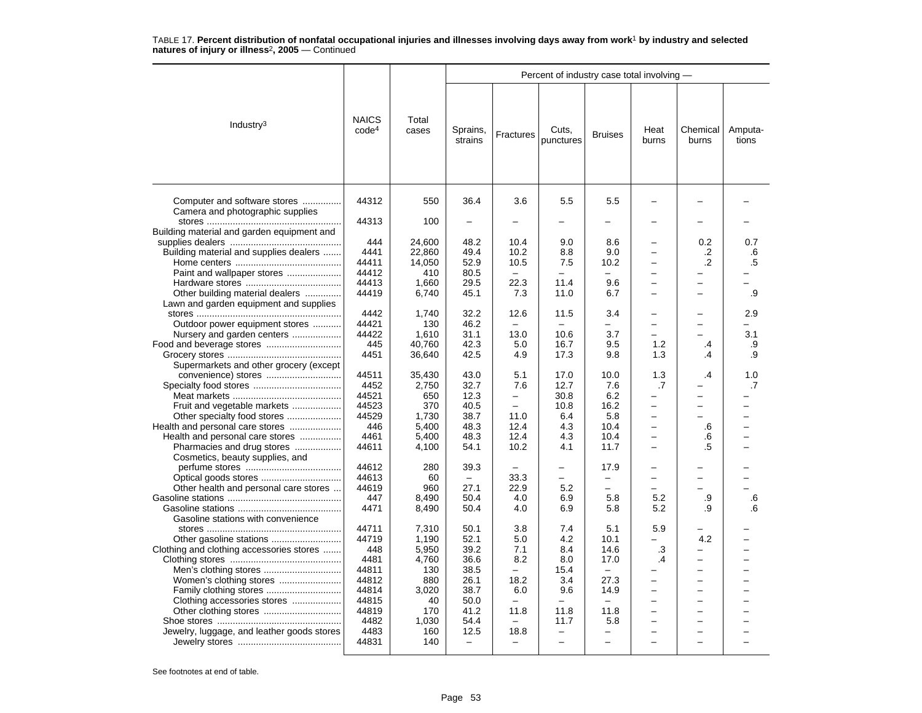|                                                                  |                                   |                |                                  |                                  | Percent of industry case total involving - |                               |                               |                          |                  |
|------------------------------------------------------------------|-----------------------------------|----------------|----------------------------------|----------------------------------|--------------------------------------------|-------------------------------|-------------------------------|--------------------------|------------------|
| Industry $3$                                                     | <b>NAICS</b><br>code <sup>4</sup> | Total<br>cases | Sprains,<br>strains              | Fractures                        | Cuts,<br>punctures                         | <b>Bruises</b>                | Heat<br>burns                 | Chemical<br>burns        | Amputa-<br>tions |
| Computer and software stores<br>Camera and photographic supplies | 44312                             | 550            | 36.4                             | 3.6                              | 5.5                                        | 5.5                           |                               |                          |                  |
| Building material and garden equipment and                       | 44313                             | 100            |                                  |                                  |                                            |                               |                               |                          |                  |
|                                                                  | 444                               | 24,600         | 48.2                             | 10.4                             | 9.0                                        | 8.6                           |                               | 0.2                      | 0.7              |
| Building material and supplies dealers                           | 4441                              | 22,860         | 49.4                             | 10.2                             | 8.8                                        | 9.0                           |                               | .2                       | .6               |
|                                                                  | 44411                             | 14,050         | 52.9                             | 10.5                             | 7.5                                        | 10.2                          |                               | $\cdot$                  | .5               |
| Paint and wallpaper stores                                       | 44412                             | 410            | 80.5                             | $\overline{\phantom{m}}$         | $\equiv$                                   | $\overline{\phantom{0}}$      | -                             |                          |                  |
|                                                                  | 44413                             | 1.660          | 29.5                             | 22.3                             | 11.4                                       | 9.6                           | $\overline{\phantom{0}}$      | -                        |                  |
| Other building material dealers                                  | 44419                             | 6,740          | 45.1                             | 7.3                              | 11.0                                       | 6.7                           |                               |                          | .9               |
| Lawn and garden equipment and supplies                           |                                   |                |                                  |                                  |                                            |                               |                               |                          |                  |
|                                                                  | 4442                              | 1,740          | 32.2                             | 12.6                             | 11.5                                       | 3.4                           |                               |                          | 2.9              |
| Outdoor power equipment stores                                   | 44421                             | 130            | 46.2                             |                                  |                                            |                               |                               |                          |                  |
| Nursery and garden centers                                       | 44422                             | 1,610          | 31.1                             | 13.0                             | 10.6                                       | 3.7                           |                               |                          | 3.1              |
|                                                                  | 445                               | 40.760         | 42.3                             | 5.0                              | 16.7                                       | 9.5                           | 1.2                           | $\cdot$                  | .9               |
|                                                                  | 4451                              | 36,640         | 42.5                             | 4.9                              | 17.3                                       | 9.8                           | 1.3                           | .4                       | .9               |
| Supermarkets and other grocery (except                           |                                   |                |                                  |                                  |                                            |                               |                               |                          |                  |
| convenience) stores                                              | 44511                             | 35,430         | 43.0                             | 5.1                              | 17.0                                       | 10.0                          | 1.3                           | .4                       | 1.0              |
|                                                                  | 4452                              | 2,750          | 32.7                             | 7.6                              | 12.7                                       | 7.6                           | .7                            |                          | .7               |
|                                                                  | 44521                             | 650            | 12.3                             | $\overline{\phantom{0}}$         | 30.8                                       | 6.2                           |                               |                          |                  |
| Fruit and vegetable markets                                      | 44523                             | 370            | 40.5                             | $\overline{\phantom{0}}$         | 10.8                                       | 16.2                          | -                             | $\overline{\phantom{0}}$ |                  |
| Other specialty food stores                                      | 44529                             | 1,730          | 38.7                             | 11.0                             | 6.4                                        | 5.8                           | -<br>L.                       |                          |                  |
| Health and personal care stores                                  | 446                               | 5,400          | 48.3                             | 12.4                             | 4.3                                        | 10.4                          |                               | .6                       |                  |
| Health and personal care stores<br>Pharmacies and drug stores    | 4461<br>44611                     | 5,400<br>4,100 | 48.3<br>54.1                     | 12.4<br>10.2                     | 4.3<br>4.1                                 | 10.4<br>11.7                  | -<br>$\overline{\phantom{0}}$ | .6<br>.5                 |                  |
| Cosmetics, beauty supplies, and                                  |                                   |                |                                  |                                  |                                            |                               |                               |                          |                  |
|                                                                  | 44612                             | 280            | 39.3                             |                                  |                                            | 17.9                          |                               |                          |                  |
|                                                                  | 44613                             | 60             | $\equiv$                         | 33.3                             | -                                          | -                             | -                             |                          |                  |
| Other health and personal care stores                            | 44619                             | 960            | 27.1                             | 22.9                             | 5.2                                        | $\overline{\phantom{0}}$      | -                             |                          |                  |
|                                                                  | 447                               | 8,490          | 50.4                             | 4.0                              | 6.9                                        | 5.8                           | 5.2                           | .9                       | .6               |
|                                                                  | 4471                              | 8,490          | 50.4                             | 4.0                              | 6.9                                        | 5.8                           | 5.2                           | .9                       | .6               |
| Gasoline stations with convenience                               |                                   |                |                                  |                                  |                                            |                               |                               |                          |                  |
|                                                                  | 44711                             | 7,310          | 50.1                             | 3.8                              | 7.4                                        | 5.1                           | 5.9                           |                          |                  |
|                                                                  | 44719                             | 1,190          | 52.1                             | 5.0                              | 4.2                                        | 10.1                          | ÷                             | 4.2                      |                  |
| Clothing and clothing accessories stores                         | 448                               | 5,950          | 39.2                             | 7.1                              | 8.4                                        | 14.6                          | $\cdot$ 3                     |                          |                  |
|                                                                  | 4481                              | 4.760          | 36.6                             | 8.2                              | 8.0                                        | 17.0                          | .4                            |                          |                  |
|                                                                  | 44811                             | 130            | 38.5                             | $\overline{\phantom{0}}$         | 15.4                                       | $\overline{\phantom{0}}$      |                               | -                        |                  |
| Women's clothing stores                                          | 44812                             | 880            | 26.1                             | 18.2                             | 3.4                                        | 27.3                          | $\overline{\phantom{0}}$      | $\overline{\phantom{0}}$ |                  |
| Family clothing stores                                           | 44814                             | 3.020          | 38.7                             | 6.0                              | 9.6                                        | 14.9                          | $\overline{\phantom{0}}$      | $\equiv$                 |                  |
| Clothing accessories stores                                      | 44815                             | 40             | 50.0                             |                                  |                                            |                               |                               |                          |                  |
|                                                                  | 44819                             | 170            | 41.2                             | 11.8                             | 11.8                                       | 11.8                          |                               |                          |                  |
|                                                                  | 4482<br>4483                      | 1,030          | 54.4                             | $\overline{\phantom{0}}$         | 11.7                                       | 5.8                           |                               |                          |                  |
| Jewelry, luggage, and leather goods stores                       | 44831                             | 160<br>140     | 12.5<br>$\overline{\phantom{0}}$ | 18.8<br>$\overline{\phantom{0}}$ | $\overline{\phantom{0}}$                   | -<br>$\overline{\phantom{0}}$ |                               |                          |                  |
|                                                                  |                                   |                |                                  |                                  |                                            |                               |                               |                          |                  |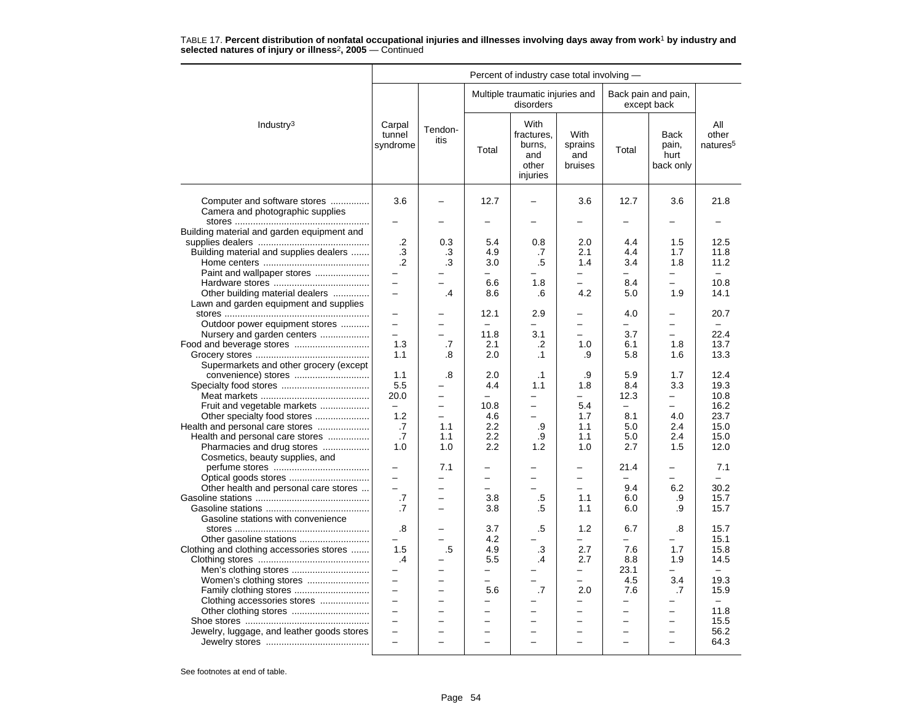|                                                                           | Percent of industry case total involving - |                          |                          |                                                          |                                   |                                 |                                           |                                      |  |  |
|---------------------------------------------------------------------------|--------------------------------------------|--------------------------|--------------------------|----------------------------------------------------------|-----------------------------------|---------------------------------|-------------------------------------------|--------------------------------------|--|--|
|                                                                           |                                            |                          |                          | Multiple traumatic injuries and<br>disorders             |                                   |                                 | Back pain and pain,<br>except back        |                                      |  |  |
| Industry <sup>3</sup>                                                     | Carpal<br>tunnel<br>syndrome               | Tendon-<br>itis          | Total                    | With<br>fractures.<br>burns,<br>and<br>other<br>injuries | With<br>sprains<br>and<br>bruises | Total                           | <b>Back</b><br>pain,<br>hurt<br>back only | All<br>other<br>natures <sup>5</sup> |  |  |
| Computer and software stores<br>Camera and photographic supplies          | 3.6                                        |                          | 12.7                     |                                                          | 3.6                               | 12.7                            | 3.6                                       | 21.8                                 |  |  |
| Building material and garden equipment and                                |                                            |                          |                          |                                                          |                                   | -                               |                                           |                                      |  |  |
| Building material and supplies dealers                                    | $\cdot$<br>.3<br>$\cdot$                   | 0.3<br>.3<br>.3          | 5.4<br>4.9<br>3.0        | 0.8<br>.7<br>.5                                          | 2.0<br>2.1<br>1.4                 | 4.4<br>4.4<br>3.4               | 1.5<br>1.7<br>1.8                         | 12.5<br>11.8<br>11.2                 |  |  |
| Paint and wallpaper stores                                                | —                                          |                          | $\overline{\phantom{0}}$ |                                                          | $\overline{\phantom{0}}$          | -                               | -                                         | $\equiv$                             |  |  |
|                                                                           | $\equiv$                                   |                          | 6.6                      | 1.8                                                      | $\overline{\phantom{0}}$          | 8.4                             | $\overline{\phantom{0}}$                  | 10.8                                 |  |  |
| Other building material dealers<br>Lawn and garden equipment and supplies | $\equiv$                                   | .4                       | 8.6                      | .6                                                       | 4.2                               | 5.0                             | 1.9                                       | 14.1                                 |  |  |
|                                                                           |                                            |                          | 12.1                     | 2.9                                                      |                                   | 4.0                             | -                                         | 20.7                                 |  |  |
| Outdoor power equipment stores                                            | $\equiv$                                   | $\overline{\phantom{0}}$ | $\equiv$<br>11.8         | $\equiv$<br>3.1                                          | $\overline{\phantom{0}}$          | $\overline{\phantom{0}}$<br>3.7 | $\overline{a}$<br>-                       | $\equiv$<br>22.4                     |  |  |
| Nursery and garden centers<br>Food and beverage stores                    | 1.3                                        | .7                       | 2.1                      | $\cdot$                                                  | 1.0                               | 6.1                             | 1.8                                       | 13.7                                 |  |  |
|                                                                           | 1.1                                        | .8                       | 2.0                      | $\cdot$ 1                                                | .9                                | 5.8                             | 1.6                                       | 13.3                                 |  |  |
| Supermarkets and other grocery (except                                    |                                            |                          |                          |                                                          |                                   |                                 |                                           |                                      |  |  |
| convenience) stores                                                       | 1.1                                        | .8                       | 2.0                      | $\cdot$ 1                                                | .9                                | 5.9                             | 1.7                                       | 12.4                                 |  |  |
|                                                                           | 5.5                                        |                          | 4.4                      | 1.1                                                      | 1.8                               | 8.4                             | 3.3                                       | 19.3                                 |  |  |
|                                                                           | 20.0                                       | ÷                        | $\equiv$                 |                                                          | $\equiv$                          | 12.3                            | $\overline{\phantom{0}}$                  | 10.8                                 |  |  |
| Fruit and vegetable markets                                               | $\overline{\phantom{0}}$                   | $\overline{\phantom{0}}$ | 10.8                     | $\overline{\phantom{0}}$                                 | 5.4                               | $\overline{\phantom{m}}$        | -                                         | 16.2                                 |  |  |
| Other specialty food stores                                               | 1.2                                        | $\equiv$                 | 4.6                      |                                                          | 1.7                               | 8.1                             | 4.0                                       | 23.7                                 |  |  |
| Health and personal care stores                                           | .7                                         | 1.1                      | 2.2                      | .9                                                       | 1.1                               | 5.0                             | 2.4                                       | 15.0                                 |  |  |
| Health and personal care stores<br>Pharmacies and drug stores             | .7<br>1.0                                  | 1.1<br>1.0               | 2.2<br>2.2               | .9<br>1.2                                                | 1.1<br>1.0                        | 5.0<br>2.7                      | 2.4<br>1.5                                | 15.0<br>12.0                         |  |  |
| Cosmetics, beauty supplies, and                                           |                                            |                          |                          |                                                          |                                   |                                 |                                           |                                      |  |  |
|                                                                           |                                            | 7.1                      |                          |                                                          |                                   | 21.4                            |                                           | 7.1                                  |  |  |
|                                                                           | $\equiv$                                   | $\equiv$                 | $\overline{\phantom{0}}$ | $\equiv$                                                 |                                   |                                 | $\equiv$                                  | $\equiv$                             |  |  |
| Other health and personal care stores                                     | $\overline{a}$                             | $\equiv$                 | $\equiv$                 | $\equiv$                                                 | $\sim$                            | 9.4                             | 6.2                                       | 30.2                                 |  |  |
|                                                                           | .7                                         |                          | 3.8                      | .5                                                       | 1.1                               | 6.0                             | .9                                        | 15.7                                 |  |  |
|                                                                           | .7                                         |                          | 3.8                      | .5                                                       | 1.1                               | 6.0                             | .9                                        | 15.7                                 |  |  |
| Gasoline stations with convenience                                        |                                            |                          |                          |                                                          |                                   |                                 |                                           |                                      |  |  |
|                                                                           | .8<br>-                                    | ÷                        | 3.7<br>4.2               | .5                                                       | 1.2<br>$\equiv$                   | 6.7<br>Ξ.                       | .8<br>-                                   | 15.7<br>15.1                         |  |  |
| Clothing and clothing accessories stores                                  | 1.5                                        | .5                       | 4.9                      | .3                                                       | 2.7                               | 7.6                             | 1.7                                       | 15.8                                 |  |  |
|                                                                           | $\cdot$                                    |                          | 5.5                      | .4                                                       | 2.7                               | 8.8                             | 1.9                                       | 14.5                                 |  |  |
|                                                                           | $\overline{\phantom{0}}$                   | -                        | $\overline{\phantom{0}}$ | -                                                        | $\overline{\phantom{0}}$          | 23.1                            | -                                         | $\overline{\phantom{0}}$             |  |  |
| Women's clothing stores                                                   | $\equiv$                                   | L,                       | $\overline{\phantom{0}}$ |                                                          | $\overline{\phantom{0}}$          | 4.5                             | 3.4                                       | 19.3                                 |  |  |
| Family clothing stores                                                    | $\equiv$                                   | $\overline{\phantom{0}}$ | 5.6                      | .7                                                       | 2.0                               | 7.6                             | .7                                        | 15.9                                 |  |  |
| Clothing accessories stores                                               | $\overline{\phantom{0}}$                   |                          | -                        |                                                          | $\overline{\phantom{0}}$          | -                               |                                           | $\overline{\phantom{0}}$             |  |  |
|                                                                           | $\overline{\phantom{m}}$                   | $\overline{a}$           | $\overline{\phantom{0}}$ |                                                          | $\overline{\phantom{0}}$          | $\overline{\phantom{0}}$        | $\overline{\phantom{0}}$                  | 11.8                                 |  |  |
|                                                                           | $\overline{\phantom{m}}$                   | $\overline{\phantom{0}}$ | ÷                        | $\overline{\phantom{0}}$                                 | $\overline{\phantom{0}}$          | $\overline{\phantom{0}}$        | -                                         | 15.5                                 |  |  |
| Jewelry, luggage, and leather goods stores                                | $\qquad \qquad -$                          | $\overline{\phantom{0}}$ | $\overline{\phantom{0}}$ |                                                          |                                   | $\overline{\phantom{0}}$        | $\overline{\phantom{0}}$                  | 56.2                                 |  |  |
|                                                                           |                                            |                          |                          |                                                          |                                   |                                 |                                           | 64.3                                 |  |  |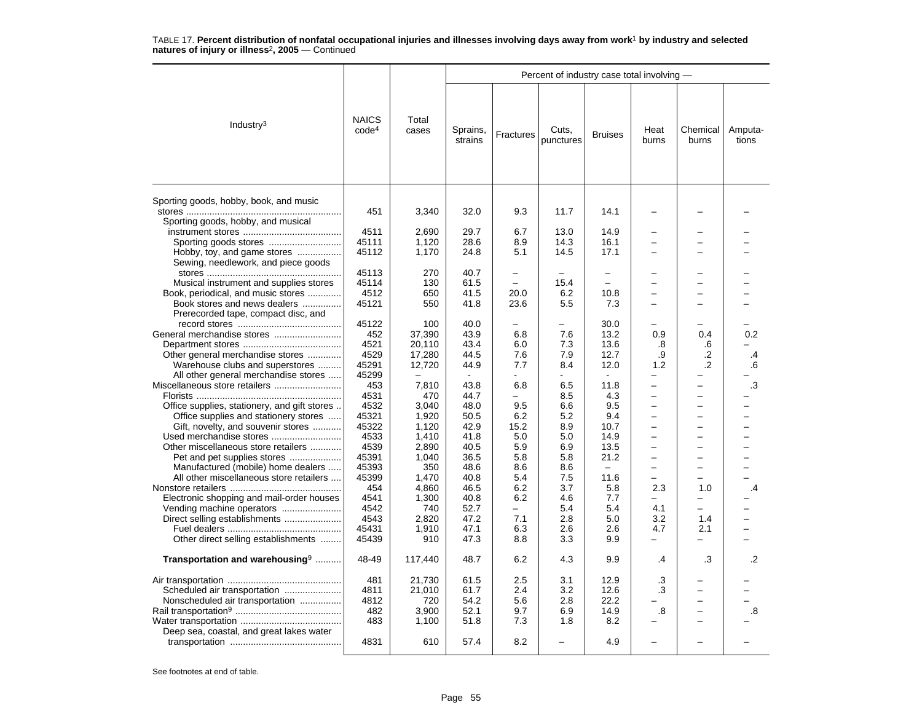|                                                                     |                                   |                  |                     |                          | Percent of industry case total involving - |                          |                          |                          |                  |
|---------------------------------------------------------------------|-----------------------------------|------------------|---------------------|--------------------------|--------------------------------------------|--------------------------|--------------------------|--------------------------|------------------|
| Industry <sup>3</sup>                                               | <b>NAICS</b><br>code <sup>4</sup> | Total<br>cases   | Sprains,<br>strains | Fractures                | Cuts,<br>punctures                         | <b>Bruises</b>           | Heat<br>burns            | Chemical<br>burns        | Amputa-<br>tions |
| Sporting goods, hobby, book, and music                              | 451                               | 3,340            | 32.0                | 9.3                      | 11.7                                       | 14.1                     | $\overline{\phantom{0}}$ |                          |                  |
| Sporting goods, hobby, and musical                                  |                                   |                  |                     |                          |                                            |                          |                          |                          |                  |
|                                                                     | 4511                              | 2,690            | 29.7                | 6.7                      | 13.0                                       | 14.9                     | $\overline{\phantom{0}}$ | -                        |                  |
| Sporting goods stores                                               | 45111                             | 1,120            | 28.6                | 8.9                      | 14.3                                       | 16.1                     |                          |                          |                  |
| Hobby, toy, and game stores                                         | 45112                             | 1,170            | 24.8                | 5.1                      | 14.5                                       | 17.1                     | -                        | -                        |                  |
| Sewing, needlework, and piece goods                                 |                                   |                  |                     |                          |                                            |                          |                          |                          |                  |
|                                                                     | 45113                             | 270              | 40.7                | $\equiv$                 | $\overline{\phantom{0}}$                   | $\equiv$                 |                          | -                        |                  |
| Musical instrument and supplies stores                              | 45114                             | 130              | 61.5                | $\sim$                   | 15.4                                       | $\overline{\phantom{0}}$ | -                        | $\overline{\phantom{0}}$ |                  |
| Book, periodical, and music stores                                  | 4512                              | 650              | 41.5                | 20.0                     | 6.2                                        | 10.8                     |                          | $\overline{\phantom{0}}$ |                  |
| Book stores and news dealers<br>Prerecorded tape, compact disc, and | 45121                             | 550              | 41.8                | 23.6                     | 5.5                                        | 7.3                      | $\overline{\phantom{0}}$ |                          |                  |
|                                                                     | 45122                             | 100              | 40.0                |                          |                                            | 30.0                     |                          |                          |                  |
|                                                                     | 452                               | 37,390           | 43.9                | 6.8                      | 7.6                                        | 13.2                     | 0.9                      | 0.4                      | 0.2              |
|                                                                     | 4521                              | 20.110           | 43.4                | 6.0                      | 7.3                                        | 13.6                     | .8                       | .6                       |                  |
| Other general merchandise stores                                    | 4529                              | 17,280           | 44.5                | 7.6                      | 7.9                                        | 12.7                     | .9                       | .2                       | .4               |
| Warehouse clubs and superstores                                     | 45291                             | 12,720           | 44.9                | 7.7                      | 8.4                                        | 12.0                     | 1.2                      | .2                       | .6               |
| All other general merchandise stores                                | 45299                             |                  |                     |                          |                                            |                          | -                        |                          |                  |
|                                                                     | 453                               | 7,810            | 43.8                | 6.8                      | 6.5                                        | 11.8                     | $\overline{a}$           | $\overline{\phantom{0}}$ | .3               |
|                                                                     | 4531                              | 470              | 44.7                |                          | 8.5                                        | 4.3                      | -                        | $\overline{\phantom{0}}$ |                  |
| Office supplies, stationery, and gift stores                        | 4532                              | 3.040            | 48.0                | 9.5                      | 6.6                                        | 9.5                      | -                        | -                        |                  |
| Office supplies and stationery stores                               | 45321                             | 1,920            | 50.5                | 6.2                      | 5.2                                        | 9.4                      | $\overline{\phantom{0}}$ | -                        |                  |
| Gift, novelty, and souvenir stores                                  | 45322                             | 1,120            | 42.9                | 15.2                     | 8.9                                        | 10.7                     | $\overline{\phantom{0}}$ | -                        |                  |
|                                                                     | 4533                              | 1.410            | 41.8                | 5.0                      | 5.0                                        | 14.9                     | -                        | -                        |                  |
| Other miscellaneous store retailers                                 | 4539                              | 2,890            | 40.5                | 5.9                      | 6.9                                        | 13.5                     | $\overline{\phantom{0}}$ | −                        |                  |
| Pet and pet supplies stores                                         | 45391                             | 1,040            | 36.5                | 5.8                      | 5.8                                        | 21.2                     | $\overline{\phantom{0}}$ | $\overline{\phantom{0}}$ |                  |
| Manufactured (mobile) home dealers                                  | 45393                             | 350              | 48.6                | 8.6                      | 8.6                                        |                          | ▃                        | $\overline{\phantom{0}}$ |                  |
| All other miscellaneous store retailers                             | 45399                             | 1,470            | 40.8                | 5.4                      | 7.5                                        | 11.6                     | -                        | -                        |                  |
| Electronic shopping and mail-order houses                           | 454<br>4541                       | 4,860<br>1,300   | 46.5<br>40.8        | 6.2<br>6.2               | 3.7<br>4.6                                 | 5.8<br>7.7               | 2.3                      | 1.0                      | .4               |
|                                                                     | 4542                              | 740              | 52.7                | $\overline{\phantom{0}}$ | 5.4                                        | 5.4                      | 4.1                      | $\overline{\phantom{0}}$ |                  |
| Direct selling establishments                                       | 4543                              | 2,820            | 47.2                | 7.1                      | 2.8                                        | 5.0                      | 3.2                      | 1.4                      |                  |
|                                                                     | 45431                             | 1,910            | 47.1                | 6.3                      | 2.6                                        | 2.6                      | 4.7                      | 2.1                      |                  |
| Other direct selling establishments                                 | 45439                             | 910              | 47.3                | 8.8                      | 3.3                                        | 9.9                      | -                        |                          |                  |
| Transportation and warehousing <sup>9</sup>                         | 48-49                             | 117,440          | 48.7                | 6.2                      | 4.3                                        | 9.9                      | .4                       | .3                       | $\cdot$          |
|                                                                     |                                   |                  |                     | 2.5                      |                                            |                          |                          |                          |                  |
|                                                                     | 481<br>4811                       | 21,730<br>21.010 | 61.5<br>61.7        | 2.4                      | 3.1<br>3.2                                 | 12.9<br>12.6             | .3<br>.3                 | $\overline{\phantom{0}}$ |                  |
| Scheduled air transportation<br>Nonscheduled air transportation     | 4812                              | 720              | 54.2                | 5.6                      | 2.8                                        | 22.2                     |                          | L.                       |                  |
|                                                                     |                                   |                  | 52.1                | 9.7                      |                                            | 14.9                     |                          | $\overline{\phantom{0}}$ |                  |
|                                                                     | 482<br>483                        | 3,900<br>1,100   | 51.8                | 7.3                      | 6.9<br>1.8                                 | 8.2                      | .8                       |                          | .8               |
| Deep sea, coastal, and great lakes water                            |                                   |                  |                     |                          |                                            |                          |                          |                          |                  |
|                                                                     | 4831                              | 610              | 57.4                | 8.2                      |                                            | 4.9                      | -                        |                          |                  |
|                                                                     |                                   |                  |                     |                          |                                            |                          |                          |                          |                  |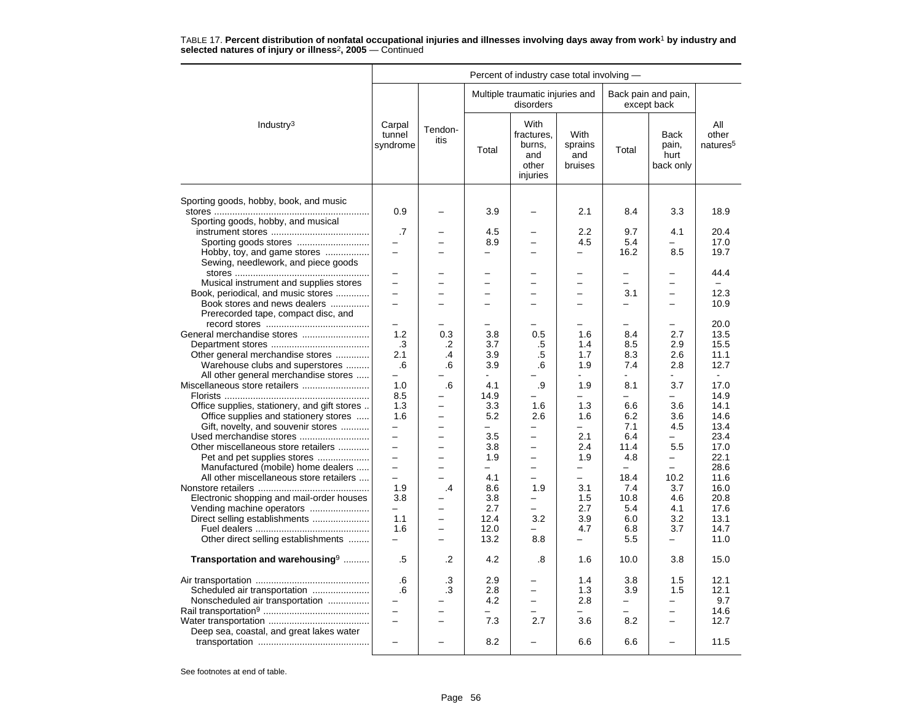|                                              |                              |                          |                          | Percent of industry case total involving -               |                                   |                          |                                           |                                      |
|----------------------------------------------|------------------------------|--------------------------|--------------------------|----------------------------------------------------------|-----------------------------------|--------------------------|-------------------------------------------|--------------------------------------|
|                                              |                              |                          |                          | Multiple traumatic injuries and<br>disorders             |                                   |                          | Back pain and pain,<br>except back        |                                      |
| Industry <sup>3</sup>                        | Carpal<br>tunnel<br>syndrome | Tendon-<br>itis          | Total                    | With<br>fractures.<br>burns,<br>and<br>other<br>injuries | With<br>sprains<br>and<br>bruises | Total                    | <b>Back</b><br>pain,<br>hurt<br>back only | All<br>other<br>natures <sup>5</sup> |
| Sporting goods, hobby, book, and music       |                              |                          |                          |                                                          |                                   |                          |                                           |                                      |
|                                              | 0.9                          |                          | 3.9                      |                                                          | 2.1                               | 8.4                      | 3.3                                       | 18.9                                 |
| Sporting goods, hobby, and musical           | .7                           |                          | 4.5                      |                                                          | 2.2                               | 9.7                      | 4.1                                       | 20.4                                 |
|                                              | $\equiv$                     | -                        | 8.9                      |                                                          | 4.5                               | 5.4                      |                                           | 17.0                                 |
| Hobby, toy, and game stores                  |                              |                          |                          |                                                          | $\overline{\phantom{m}}$          | 16.2                     | 8.5                                       | 19.7                                 |
| Sewing, needlework, and piece goods          |                              |                          |                          |                                                          |                                   |                          |                                           |                                      |
|                                              | -                            | -                        | $\overline{\phantom{0}}$ | $\overline{\phantom{0}}$                                 | $\overline{\phantom{0}}$          | $\overline{\phantom{0}}$ | -                                         | 44.4                                 |
| Musical instrument and supplies stores       | $\overline{\phantom{0}}$     |                          | $\overline{\phantom{0}}$ |                                                          |                                   | $\overline{\phantom{0}}$ | -                                         |                                      |
| Book, periodical, and music stores           |                              |                          | $\overline{\phantom{0}}$ |                                                          |                                   | 3.1                      | $\overline{a}$                            | 12.3                                 |
| Book stores and news dealers                 | $\overline{\phantom{0}}$     | $\overline{\phantom{0}}$ | $\overline{\phantom{0}}$ | $\overline{\phantom{0}}$                                 | $\overline{\phantom{m}}$          | -                        | $\overline{\phantom{0}}$                  | 10.9                                 |
| Prerecorded tape, compact disc, and          |                              |                          | -                        |                                                          |                                   | -                        | -                                         | 20.0                                 |
|                                              | 1.2                          | 0.3                      | 3.8                      | 0.5                                                      | 1.6                               | 8.4                      | 2.7                                       | 13.5                                 |
|                                              | .3                           | .2                       | 3.7                      | .5                                                       | 1.4                               | 8.5                      | 2.9                                       | 15.5                                 |
| Other general merchandise stores             | 2.1                          | $\overline{.4}$          | 3.9                      | .5                                                       | 1.7                               | 8.3                      | 2.6                                       | 11.1                                 |
| Warehouse clubs and superstores              | .6                           | .6                       | 3.9                      | .6                                                       | 1.9                               | 7.4                      | 2.8                                       | 12.7                                 |
| All other general merchandise stores         | $\equiv$                     |                          |                          |                                                          |                                   |                          |                                           | $\sim$                               |
| Miscellaneous store retailers                | 1.0                          | .6                       | 4.1                      | .9                                                       | 1.9                               | 8.1                      | 3.7                                       | 17.0                                 |
|                                              | 8.5                          |                          | 14.9                     |                                                          | $\equiv$                          | ÷                        | L.                                        | 14.9                                 |
| Office supplies, stationery, and gift stores | 1.3                          | $\overline{\phantom{0}}$ | 3.3                      | 1.6                                                      | 1.3                               | 6.6                      | 3.6                                       | 14.1                                 |
| Office supplies and stationery stores        | 1.6                          |                          | 5.2                      | 2.6                                                      | 1.6                               | 6.2                      | 3.6                                       | 14.6                                 |
| Gift, novelty, and souvenir stores           | $\overline{a}$               |                          |                          |                                                          | $\equiv$                          | 7.1                      | 4.5                                       | 13.4                                 |
| Used merchandise stores                      | $\overline{\phantom{0}}$     | $\overline{\phantom{0}}$ | 3.5                      | $\overline{\phantom{0}}$                                 | 2.1                               | 6.4                      |                                           | 23.4                                 |
| Other miscellaneous store retailers          | $\equiv$                     | ÷                        | 3.8                      | $\overline{\phantom{0}}$                                 | 2.4                               | 11.4                     | 5.5                                       | 17.0                                 |
| Pet and pet supplies stores                  | $\equiv$                     | -                        | 1.9                      | $\overline{\phantom{0}}$                                 | 1.9                               | 4.8                      | -                                         | 22.1                                 |
| Manufactured (mobile) home dealers           | $\overline{\phantom{0}}$     | $\overline{\phantom{0}}$ |                          | $\overline{\phantom{0}}$                                 | —                                 |                          |                                           | 28.6                                 |
| All other miscellaneous store retailers      | $\overline{\phantom{0}}$     | $\overline{\phantom{0}}$ | 4.1                      | $\equiv$                                                 | $\equiv$                          | 18.4                     | 10.2                                      | 11.6                                 |
|                                              | 1.9                          | .4                       | 8.6                      | 1.9                                                      | 3.1                               | 7.4                      | 3.7                                       | 16.0                                 |
| Electronic shopping and mail-order houses    | 3.8                          |                          | 3.8                      |                                                          | 1.5                               | 10.8                     | 4.6                                       | 20.8                                 |
| Vending machine operators                    | $-$                          | $\overline{\phantom{0}}$ | 2.7                      | $\equiv$                                                 | 2.7                               | 5.4                      | 4.1                                       | 17.6                                 |
| Direct selling establishments                | 1.1                          | $\overline{\phantom{0}}$ | 12.4                     | 3.2                                                      | 3.9                               | 6.0                      | 3.2                                       | 13.1                                 |
|                                              | 1.6                          | $\overline{\phantom{0}}$ | 12.0                     |                                                          | 4.7                               | 6.8                      | 3.7                                       | 14.7                                 |
| Other direct selling establishments          | $\overline{\phantom{0}}$     | $\overline{\phantom{0}}$ | 13.2                     | 8.8                                                      | $\qquad \qquad -$                 | 5.5                      | —                                         | 11.0                                 |
| Transportation and warehousing <sup>9</sup>  | .5                           | .2                       | 4.2                      | .8                                                       | 1.6                               | 10.0                     | 3.8                                       | 15.0                                 |
|                                              |                              |                          |                          |                                                          |                                   |                          |                                           |                                      |
|                                              | .6                           | .3                       | 2.9                      |                                                          | 1.4                               | 3.8                      | 1.5                                       | 12.1                                 |
| Scheduled air transportation                 | .6                           | .3                       | 2.8                      |                                                          | 1.3                               | 3.9                      | 1.5                                       | 12.1                                 |
| Nonscheduled air transportation              |                              |                          | 4.2                      |                                                          | 2.8                               | ÷,                       | -                                         | 9.7                                  |
|                                              | $\overline{\phantom{0}}$     | $\overline{\phantom{0}}$ |                          |                                                          |                                   | L.                       | $\overline{a}$                            | 14.6                                 |
|                                              | $\equiv$                     | ÷                        | 7.3                      | 2.7                                                      | 3.6                               | 8.2                      | $\overline{\phantom{0}}$                  | 12.7                                 |
| Deep sea, coastal, and great lakes water     |                              |                          |                          |                                                          |                                   |                          |                                           |                                      |
|                                              | $\overline{\phantom{0}}$     |                          | 8.2                      |                                                          | 6.6                               | 6.6                      |                                           | 11.5                                 |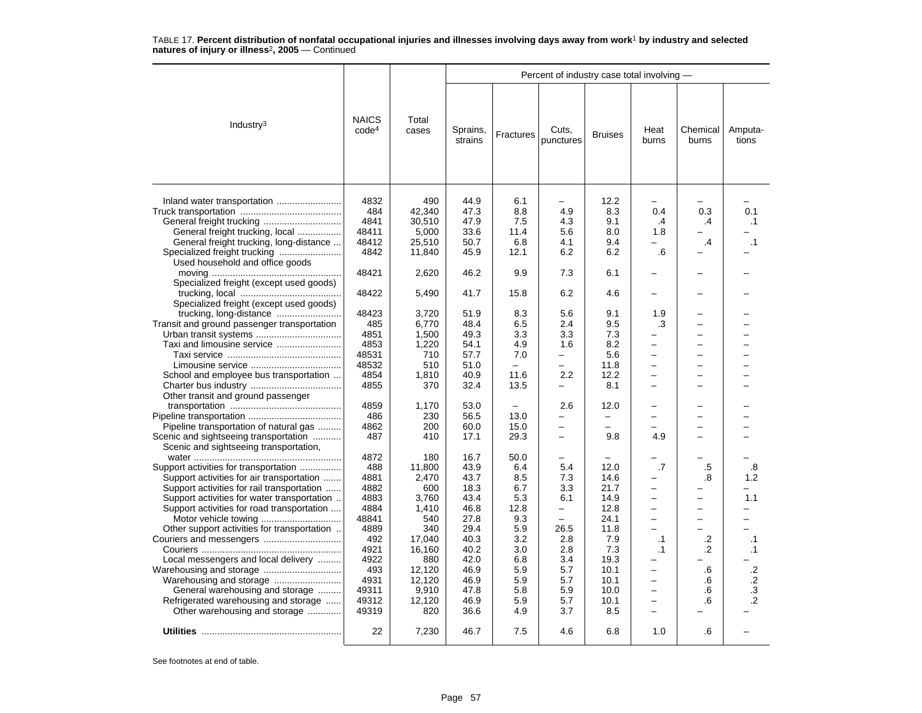|                                                                                 |                                   |                |                     |            | Percent of industry case total involving - |                |                                 |                          |                  |
|---------------------------------------------------------------------------------|-----------------------------------|----------------|---------------------|------------|--------------------------------------------|----------------|---------------------------------|--------------------------|------------------|
| Industry <sup>3</sup>                                                           | <b>NAICS</b><br>code <sup>4</sup> | Total<br>cases | Sprains,<br>strains | Fractures  | Cuts,<br>punctures                         | <b>Bruises</b> | Heat<br>burns                   | Chemical<br>burns        | Amputa-<br>tions |
|                                                                                 | 4832<br>484                       | 490<br>42,340  | 44.9<br>47.3        | 6.1<br>8.8 | 4.9                                        | 12.2<br>8.3    | $\overline{\phantom{0}}$<br>0.4 | 0.3                      | 0.1              |
|                                                                                 | 4841                              | 30,510         | 47.9                | 7.5        | 4.3                                        | 9.1            | .4                              | .4                       | .1               |
|                                                                                 | 48411                             | 5,000          | 33.6                | 11.4       | 5.6                                        | 8.0            | 1.8                             |                          |                  |
| General freight trucking, local                                                 | 48412                             |                | 50.7                |            | 4.1                                        | 9.4            |                                 | $\cdot$                  |                  |
| General freight trucking, long-distance                                         |                                   | 25,510         |                     | 6.8        |                                            |                |                                 |                          | $\cdot$ 1        |
|                                                                                 | 4842                              | 11,840         | 45.9                | 12.1       | 6.2                                        | 6.2            | .6                              |                          |                  |
| Used household and office goods                                                 | 48421                             | 2,620          | 46.2                | 9.9        | 7.3                                        | 6.1            |                                 |                          |                  |
| Specialized freight (except used goods)                                         | 48422                             | 5,490          | 41.7                | 15.8       | 6.2                                        | 4.6            |                                 | -                        |                  |
| Specialized freight (except used goods)                                         |                                   |                |                     |            |                                            |                |                                 |                          |                  |
|                                                                                 | 48423                             | 3,720          | 51.9                | 8.3        | 5.6                                        | 9.1            | 1.9                             | -                        |                  |
| Transit and ground passenger transportation                                     | 485                               | 6,770          | 48.4                | 6.5        | 2.4                                        | 9.5            | .3                              | $\overline{\phantom{0}}$ |                  |
|                                                                                 | 4851                              | 1,500          | 49.3                | 3.3        | 3.3                                        | 7.3            |                                 | -                        |                  |
| Taxi and limousine service                                                      | 4853                              | 1,220          | 54.1                | 4.9        | 1.6                                        | 8.2            | -                               | -                        |                  |
|                                                                                 | 48531                             | 710            | 57.7                | 7.0        | -                                          | 5.6            | -                               | $\overline{\phantom{0}}$ |                  |
|                                                                                 | 48532                             | 510            | 51.0                | $\equiv$   | ÷                                          | 11.8           | $\equiv$                        | -                        |                  |
| School and employee bus transportation                                          | 4854                              | 1,810          | 40.9                | 11.6       | 2.2                                        | 12.2           | $\overline{\phantom{0}}$        | —                        |                  |
|                                                                                 | 4855                              | 370            | 32.4                | 13.5       |                                            | 8.1            |                                 | -                        |                  |
| Other transit and ground passenger                                              |                                   |                |                     |            |                                            |                |                                 |                          |                  |
|                                                                                 | 4859                              | 1,170          | 53.0                |            | 2.6                                        | 12.0           |                                 | -                        |                  |
|                                                                                 | 486                               | 230            | 56.5                | 13.0       |                                            | -              |                                 | -                        |                  |
|                                                                                 | 4862                              | 200            | 60.0                |            | $\overline{\phantom{0}}$                   | $\equiv$       |                                 | ▃                        |                  |
| Pipeline transportation of natural gas                                          |                                   |                |                     | 15.0       | $\overline{\phantom{0}}$                   |                |                                 | $\overline{\phantom{0}}$ |                  |
| Scenic and sightseeing transportation<br>Scenic and sightseeing transportation, | 487                               | 410            | 17.1                | 29.3       |                                            | 9.8            | 4.9                             |                          |                  |
|                                                                                 | 4872                              | 180            | 16.7                | 50.0       | -                                          |                |                                 |                          |                  |
| Support activities for transportation                                           | 488                               | 11,800         | 43.9                | 6.4        | 5.4                                        | 12.0           | $\cdot$ 7                       | .5                       | .8               |
| Support activities for air transportation                                       | 4881                              | 2,470          | 43.7                | 8.5        | 7.3                                        | 14.6           |                                 | .8                       | 1.2              |
| Support activities for rail transportation                                      | 4882                              | 600            | 18.3                | 6.7        | 3.3                                        | 21.7           | ▃                               |                          |                  |
| Support activities for water transportation                                     | 4883                              | 3,760          | 43.4                | 5.3        | 6.1                                        | 14.9           | -                               | -                        | 1.1              |
| Support activities for road transportation                                      | 4884                              | 1,410          | 46.8                | 12.8       | $\overline{\phantom{0}}$                   | 12.8           | $\equiv$                        | $\overline{\phantom{0}}$ |                  |
|                                                                                 | 48841                             | 540            | 27.8                | 9.3        | $\overline{\phantom{0}}$                   | 24.1           |                                 | $\overline{\phantom{0}}$ |                  |
| Other support activities for transportation                                     | 4889                              | 340            | 29.4                | 5.9        | 26.5                                       | 11.8           |                                 |                          |                  |
|                                                                                 | 492                               | 17,040         | 40.3                | 3.2        | 2.8                                        | 7.9            | $\cdot$ 1                       | .2                       | .1               |
|                                                                                 | 4921                              | 16.160         | 40.2                | 3.0        | 2.8                                        | 7.3            | $\cdot$ 1                       | $\cdot$                  | $\cdot$ 1        |
| Local messengers and local delivery                                             | 4922                              | 880            | 42.0                | 6.8        | 3.4                                        | 19.3           |                                 |                          |                  |
|                                                                                 | 493                               | 12,120         | 46.9                | 5.9        | 5.7                                        | 10.1           | $\overline{\phantom{0}}$        | .6                       | $\cdot$          |
|                                                                                 | 4931                              | 12,120         | 46.9                | 5.9        | 5.7                                        | 10.1           | $\overline{\phantom{0}}$        | .6                       | $\cdot$          |
| General warehousing and storage                                                 | 49311                             | 9,910          | 47.8                | 5.8        | 5.9                                        | 10.0           |                                 | .6                       | .3               |
| Refrigerated warehousing and storage                                            | 49312                             | 12,120         | 46.9                | 5.9        | 5.7                                        | 10.1           | $\equiv$                        | .6                       | $\overline{2}$   |
| Other warehousing and storage                                                   | 49319                             | 820            | 36.6                | 4.9        | 3.7                                        | 8.5            | $\overline{\phantom{0}}$        |                          |                  |
|                                                                                 | 22                                | 7,230          | 46.7                | 7.5        | 4.6                                        | 6.8            | 1.0                             | .6                       |                  |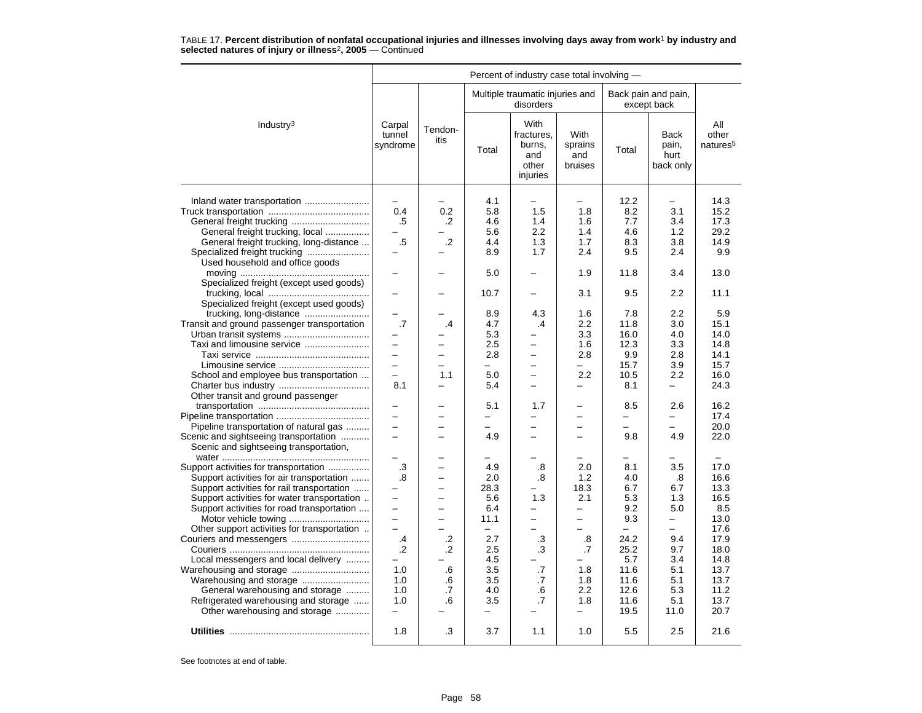|                                                                                                                                                                                                                                                                                                                                                                                                                                                                                                                                                                                                                                                                                                                                                                                                                                                                              |                                                                                                                                                                                                                    |                                                                                                                                              |                                                                                                                                                                                                                                                                | Percent of industry case total involving -                                                                                                                                                                                                                              |                                                                                                                                                                                                                                                                                                                  |                                                                                                                                                                                                                                  |                                                                                                                                                                                                                                                                     |                                                                                                                                                                                                                                                   |
|------------------------------------------------------------------------------------------------------------------------------------------------------------------------------------------------------------------------------------------------------------------------------------------------------------------------------------------------------------------------------------------------------------------------------------------------------------------------------------------------------------------------------------------------------------------------------------------------------------------------------------------------------------------------------------------------------------------------------------------------------------------------------------------------------------------------------------------------------------------------------|--------------------------------------------------------------------------------------------------------------------------------------------------------------------------------------------------------------------|----------------------------------------------------------------------------------------------------------------------------------------------|----------------------------------------------------------------------------------------------------------------------------------------------------------------------------------------------------------------------------------------------------------------|-------------------------------------------------------------------------------------------------------------------------------------------------------------------------------------------------------------------------------------------------------------------------|------------------------------------------------------------------------------------------------------------------------------------------------------------------------------------------------------------------------------------------------------------------------------------------------------------------|----------------------------------------------------------------------------------------------------------------------------------------------------------------------------------------------------------------------------------|---------------------------------------------------------------------------------------------------------------------------------------------------------------------------------------------------------------------------------------------------------------------|---------------------------------------------------------------------------------------------------------------------------------------------------------------------------------------------------------------------------------------------------|
|                                                                                                                                                                                                                                                                                                                                                                                                                                                                                                                                                                                                                                                                                                                                                                                                                                                                              |                                                                                                                                                                                                                    |                                                                                                                                              |                                                                                                                                                                                                                                                                | Multiple traumatic injuries and<br>disorders                                                                                                                                                                                                                            |                                                                                                                                                                                                                                                                                                                  |                                                                                                                                                                                                                                  | Back pain and pain,<br>except back                                                                                                                                                                                                                                  |                                                                                                                                                                                                                                                   |
| Industry <sup>3</sup>                                                                                                                                                                                                                                                                                                                                                                                                                                                                                                                                                                                                                                                                                                                                                                                                                                                        | Carpal<br>tunnel<br>syndrome                                                                                                                                                                                       | Tendon-<br>itis                                                                                                                              | Total                                                                                                                                                                                                                                                          | With<br>fractures,<br>burns,<br>and<br>other<br>injuries                                                                                                                                                                                                                | With<br>sprains<br>and<br>bruises                                                                                                                                                                                                                                                                                | Total                                                                                                                                                                                                                            | <b>Back</b><br>pain,<br>hurt<br>back only                                                                                                                                                                                                                           | All<br>other<br>natures <sup>5</sup>                                                                                                                                                                                                              |
| Inland water transportation<br>General freight trucking, local<br>General freight trucking, long-distance<br>Used household and office goods<br>Specialized freight (except used goods)<br>Specialized freight (except used goods)<br>Transit and ground passenger transportation<br>Urban transit systems<br>Taxi and limousine service<br>School and employee bus transportation<br>Other transit and ground passenger<br>Pipeline transportation of natural gas<br>Scenic and sightseeing transportation<br>Scenic and sightseeing transportation,<br>Support activities for transportation<br>Support activities for air transportation<br>Support activities for rail transportation<br>Support activities for water transportation<br>Support activities for road transportation<br>Other support activities for transportation<br>Local messengers and local delivery | 0.4<br>.5<br>$.5\,$<br>-<br>.7<br>$\equiv$<br>$\overline{\phantom{0}}$<br>8.1<br>$\equiv$<br>$\equiv$<br>.3<br>.8<br>÷<br>$\overline{\phantom{0}}$<br>$\equiv$<br>$\overline{\phantom{0}}$<br>.4<br>$\cdot$<br>1.0 | 0.2<br>.2<br>$\cdot$ .2<br>-<br>.4<br>$\overline{\phantom{0}}$<br>-<br>1.1<br>-<br>-<br>$\overline{\phantom{0}}$<br>÷<br>-<br>.2<br>.2<br>.6 | 4.1<br>5.8<br>4.6<br>5.6<br>4.4<br>8.9<br>5.0<br>10.7<br>8.9<br>4.7<br>5.3<br>2.5<br>2.8<br>$\overline{\phantom{0}}$<br>5.0<br>5.4<br>5.1<br>-<br>$\overline{\phantom{0}}$<br>4.9<br>4.9<br>2.0<br>28.3<br>5.6<br>6.4<br>11.1<br>-<br>2.7<br>2.5<br>4.5<br>3.5 | 1.5<br>1.4<br>2.2<br>1.3<br>1.7<br>-<br>4.3<br>.4<br>-<br>$\overline{\phantom{0}}$<br>$\overline{\phantom{0}}$<br>$\equiv$<br>-<br>$\overline{a}$<br>1.7<br>$\overline{\phantom{0}}$<br>L.<br>.8<br>.8<br>1.3<br>$\overline{\phantom{0}}$<br>$\equiv$<br>.3<br>.3<br>.7 | $\overline{\phantom{0}}$<br>1.8<br>1.6<br>1.4<br>1.7<br>2.4<br>1.9<br>3.1<br>1.6<br>2.2<br>3.3<br>1.6<br>2.8<br>$\qquad \qquad -$<br>2.2<br>$\overline{\phantom{0}}$<br>$\equiv$<br>$\overline{\phantom{0}}$<br>2.0<br>1.2<br>18.3<br>2.1<br>$\overline{\phantom{0}}$<br>$\equiv$<br>$\equiv$<br>.8<br>.7<br>1.8 | 12.2<br>8.2<br>7.7<br>4.6<br>8.3<br>9.5<br>11.8<br>9.5<br>7.8<br>11.8<br>16.0<br>12.3<br>9.9<br>15.7<br>10.5<br>8.1<br>8.5<br>-<br>-<br>9.8<br>8.1<br>4.0<br>6.7<br>5.3<br>9.2<br>9.3<br>$\equiv$<br>24.2<br>25.2<br>5.7<br>11.6 | -<br>3.1<br>3.4<br>1.2<br>3.8<br>2.4<br>3.4<br>2.2<br>2.2<br>3.0<br>4.0<br>3.3<br>2.8<br>3.9<br>2.2<br>-<br>2.6<br>$\overline{a}$<br>$\overline{\phantom{0}}$<br>4.9<br>3.5<br>.8<br>6.7<br>1.3<br>5.0<br>$\overline{\phantom{0}}$<br>÷<br>9.4<br>9.7<br>3.4<br>5.1 | 14.3<br>15.2<br>17.3<br>29.2<br>14.9<br>9.9<br>13.0<br>11.1<br>5.9<br>15.1<br>14.0<br>14.8<br>14.1<br>15.7<br>16.0<br>24.3<br>16.2<br>17.4<br>20.0<br>22.0<br>17.0<br>16.6<br>13.3<br>16.5<br>8.5<br>13.0<br>17.6<br>17.9<br>18.0<br>14.8<br>13.7 |
| Warehousing and storage<br>General warehousing and storage<br>Refrigerated warehousing and storage<br>Other warehousing and storage                                                                                                                                                                                                                                                                                                                                                                                                                                                                                                                                                                                                                                                                                                                                          | 1.0<br>1.0<br>1.0                                                                                                                                                                                                  | .6<br>.7<br>.6                                                                                                                               | 3.5<br>4.0<br>3.5<br>$\overline{\phantom{0}}$                                                                                                                                                                                                                  | .7<br>.6<br>.7                                                                                                                                                                                                                                                          | 1.8<br>2.2<br>1.8<br>$\overline{\phantom{0}}$                                                                                                                                                                                                                                                                    | 11.6<br>12.6<br>11.6<br>19.5                                                                                                                                                                                                     | 5.1<br>5.3<br>5.1<br>11.0                                                                                                                                                                                                                                           | 13.7<br>11.2<br>13.7<br>20.7                                                                                                                                                                                                                      |
|                                                                                                                                                                                                                                                                                                                                                                                                                                                                                                                                                                                                                                                                                                                                                                                                                                                                              | 1.8                                                                                                                                                                                                                | .3                                                                                                                                           | 3.7                                                                                                                                                                                                                                                            | 1.1                                                                                                                                                                                                                                                                     | 1.0                                                                                                                                                                                                                                                                                                              | 5.5                                                                                                                                                                                                                              | 2.5                                                                                                                                                                                                                                                                 | 21.6                                                                                                                                                                                                                                              |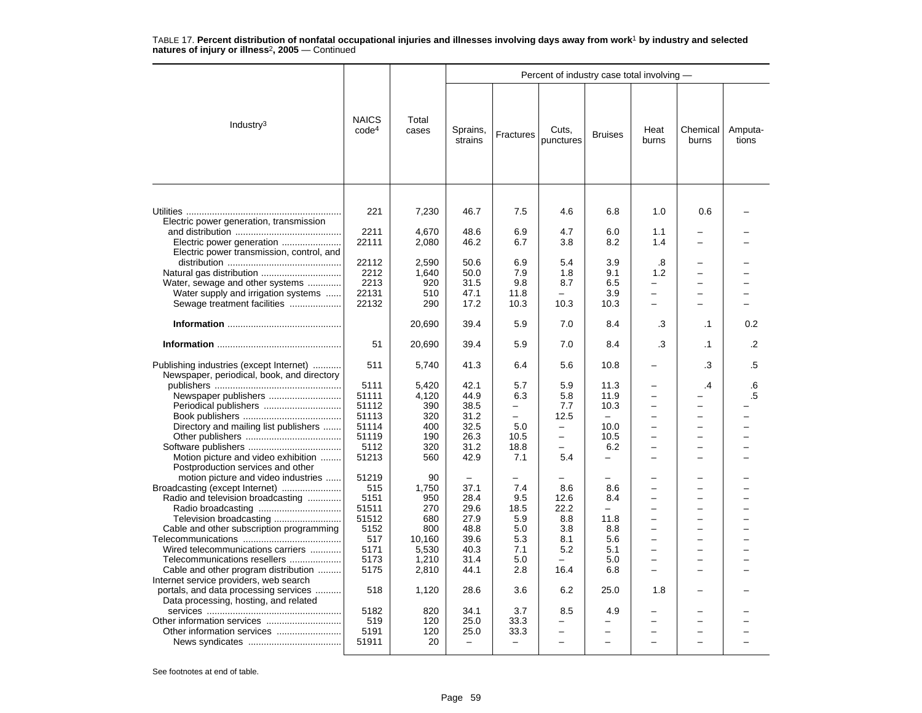|                                                                                                                                                                                                                                                                                                                                                                                                 |                                                                                                                      |                                                                                                                  |                                                                                                                                  |                                                                                                                        | Percent of industry case total involving -                                                                  |                                                                                                                        |                                                                                          |                                                     |                  |
|-------------------------------------------------------------------------------------------------------------------------------------------------------------------------------------------------------------------------------------------------------------------------------------------------------------------------------------------------------------------------------------------------|----------------------------------------------------------------------------------------------------------------------|------------------------------------------------------------------------------------------------------------------|----------------------------------------------------------------------------------------------------------------------------------|------------------------------------------------------------------------------------------------------------------------|-------------------------------------------------------------------------------------------------------------|------------------------------------------------------------------------------------------------------------------------|------------------------------------------------------------------------------------------|-----------------------------------------------------|------------------|
| Industry $3$                                                                                                                                                                                                                                                                                                                                                                                    | <b>NAICS</b><br>code <sup>4</sup>                                                                                    | Total<br>cases                                                                                                   | Sprains,<br>strains                                                                                                              | Fractures                                                                                                              | Cuts,<br>punctures                                                                                          | <b>Bruises</b>                                                                                                         | Heat<br>burns                                                                            | Chemical<br>burns                                   | Amputa-<br>tions |
| Electric power generation, transmission<br>Electric power generation<br>Electric power transmission, control, and<br>Water, sewage and other systems<br>Water supply and irrigation systems                                                                                                                                                                                                     | 221<br>2211<br>22111<br>22112<br>2212<br>2213<br>22131                                                               | 7,230<br>4,670<br>2,080<br>2,590<br>1,640<br>920<br>510                                                          | 46.7<br>48.6<br>46.2<br>50.6<br>50.0<br>31.5<br>47.1                                                                             | 7.5<br>6.9<br>6.7<br>6.9<br>7.9<br>9.8<br>11.8                                                                         | 4.6<br>4.7<br>3.8<br>5.4<br>1.8<br>8.7                                                                      | 6.8<br>6.0<br>8.2<br>3.9<br>9.1<br>6.5<br>3.9                                                                          | 1.0<br>1.1<br>1.4<br>.8<br>1.2<br>$\overline{\phantom{0}}$                               | 0.6<br>$\overline{\phantom{0}}$<br>$\equiv$         |                  |
| Sewage treatment facilities                                                                                                                                                                                                                                                                                                                                                                     | 22132                                                                                                                | 290                                                                                                              | 17.2                                                                                                                             | 10.3                                                                                                                   | 10.3                                                                                                        | 10.3                                                                                                                   | $\equiv$                                                                                 |                                                     |                  |
|                                                                                                                                                                                                                                                                                                                                                                                                 |                                                                                                                      | 20,690                                                                                                           | 39.4                                                                                                                             | 5.9                                                                                                                    | 7.0                                                                                                         | 8.4                                                                                                                    | .3                                                                                       | $\cdot$ 1                                           | 0.2              |
|                                                                                                                                                                                                                                                                                                                                                                                                 | 51                                                                                                                   | 20,690                                                                                                           | 39.4                                                                                                                             | 5.9                                                                                                                    | 7.0                                                                                                         | 8.4                                                                                                                    | .3                                                                                       | $\cdot$ 1                                           | .2               |
| Publishing industries (except Internet)<br>Newspaper, periodical, book, and directory<br>Newspaper publishers<br>Directory and mailing list publishers<br>Motion picture and video exhibition<br>Postproduction services and other                                                                                                                                                              | 511<br>5111<br>51111<br>51112<br>51113<br>51114<br>51119<br>5112<br>51213                                            | 5,740<br>5.420<br>4,120<br>390<br>320<br>400<br>190<br>320<br>560                                                | 41.3<br>42.1<br>44.9<br>38.5<br>31.2<br>32.5<br>26.3<br>31.2<br>42.9                                                             | 6.4<br>5.7<br>6.3<br>$\overline{a}$<br>$\overline{\phantom{0}}$<br>5.0<br>10.5<br>18.8<br>7.1                          | 5.6<br>5.9<br>5.8<br>7.7<br>12.5<br>$\equiv$<br>$\overline{\phantom{0}}$<br>-<br>5.4                        | 10.8<br>11.3<br>11.9<br>10.3<br>$\overline{\phantom{m}}$<br>10.0<br>10.5<br>6.2<br>$\overline{\phantom{0}}$            | $\equiv$<br>$\equiv$<br>$\overline{\phantom{0}}$<br>$\equiv$<br>$\overline{\phantom{0}}$ | .3<br>$\cdot$<br>$\overline{\phantom{0}}$<br>$=$    | .5<br>.6<br>.5   |
| motion picture and video industries<br>Broadcasting (except Internet)<br>Radio and television broadcasting<br>Cable and other subscription programming<br>Wired telecommunications carriers<br>Telecommunications resellers<br>Cable and other program distribution<br>Internet service providers, web search<br>portals, and data processing services<br>Data processing, hosting, and related | 51219<br>515<br>5151<br>51511<br>51512<br>5152<br>517<br>5171<br>5173<br>5175<br>518<br>5182<br>519<br>5191<br>51911 | 90<br>1,750<br>950<br>270<br>680<br>800<br>10,160<br>5,530<br>1,210<br>2,810<br>1,120<br>820<br>120<br>120<br>20 | 37.1<br>28.4<br>29.6<br>27.9<br>48.8<br>39.6<br>40.3<br>31.4<br>44.1<br>28.6<br>34.1<br>25.0<br>25.0<br>$\overline{\phantom{0}}$ | 7.4<br>9.5<br>18.5<br>5.9<br>5.0<br>5.3<br>7.1<br>5.0<br>2.8<br>3.6<br>3.7<br>33.3<br>33.3<br>$\overline{\phantom{0}}$ | 8.6<br>12.6<br>22.2<br>8.8<br>3.8<br>8.1<br>5.2<br>16.4<br>6.2<br>8.5<br>-<br>-<br>$\overline{\phantom{0}}$ | 8.6<br>8.4<br>$\equiv$<br>11.8<br>8.8<br>5.6<br>5.1<br>5.0<br>6.8<br>25.0<br>4.9<br>-<br>$\overline{\phantom{0}}$<br>L | $\equiv$<br>$\equiv$<br>1.8                                                              | ÷<br>÷<br>$\equiv$<br>-<br>$\overline{\phantom{0}}$ |                  |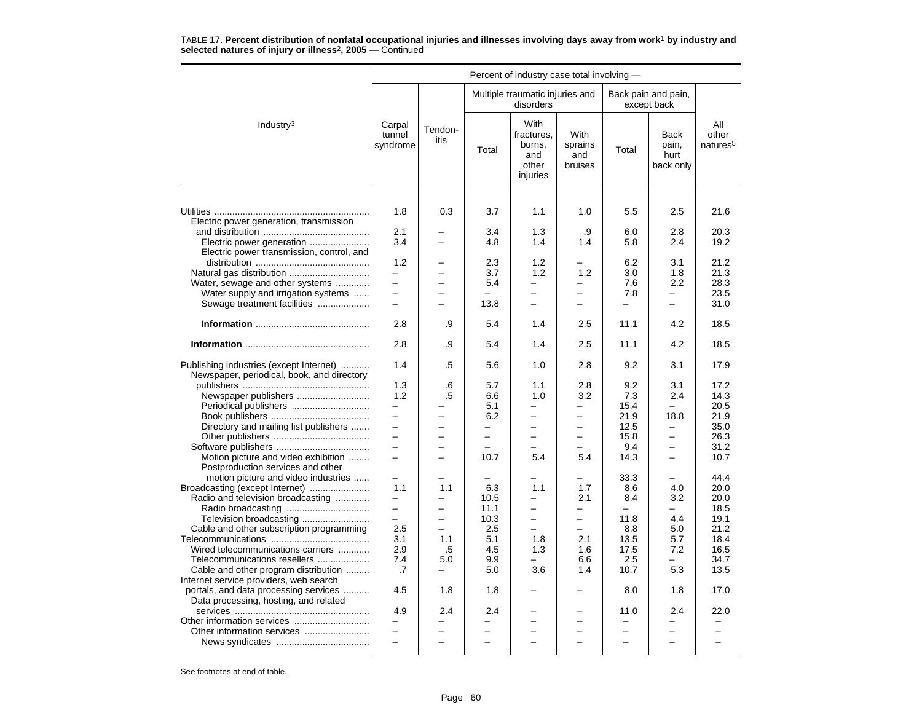|                                                                                       |                                 |                          |                          | Percent of industry case total involving -               |                                   |                          |                                           |                                      |
|---------------------------------------------------------------------------------------|---------------------------------|--------------------------|--------------------------|----------------------------------------------------------|-----------------------------------|--------------------------|-------------------------------------------|--------------------------------------|
|                                                                                       |                                 |                          |                          | Multiple traumatic injuries and<br>disorders             |                                   |                          | Back pain and pain,<br>except back        |                                      |
| Industry $3$                                                                          | Carpal<br>tunnel<br>syndrome    | Tendon-<br>itis          | Total                    | With<br>fractures.<br>burns,<br>and<br>other<br>injuries | With<br>sprains<br>and<br>bruises | Total                    | <b>Back</b><br>pain,<br>hurt<br>back only | All<br>other<br>natures <sup>5</sup> |
|                                                                                       |                                 |                          |                          |                                                          |                                   |                          |                                           |                                      |
| Electric power generation, transmission                                               | 1.8                             | 0.3                      | 3.7                      | 1.1                                                      | 1.0                               | 5.5                      | 2.5                                       | 21.6                                 |
|                                                                                       | 2.1                             |                          | 3.4                      | 1.3                                                      | .9                                | 6.0                      | 2.8                                       | 20.3                                 |
|                                                                                       | 3.4                             | $\equiv$                 | 4.8                      | 1.4                                                      | 1.4                               | 5.8                      | 2.4                                       | 19.2                                 |
| Electric power transmission, control, and                                             |                                 |                          |                          |                                                          |                                   |                          |                                           |                                      |
|                                                                                       | 1.2                             |                          | 2.3                      | 1.2                                                      |                                   | 6.2                      | 3.1                                       | 21.2                                 |
|                                                                                       | $\equiv$                        | -                        | 3.7                      | 1.2                                                      | 1.2                               | 3.0                      | 1.8                                       | 21.3                                 |
| Water, sewage and other systems                                                       | $\equiv$                        | -                        | 5.4                      | —                                                        | $\overline{\phantom{0}}$          | 7.6                      | 2.2                                       | 28.3                                 |
| Water supply and irrigation systems                                                   | $\equiv$                        | $\equiv$                 |                          | $\overline{\phantom{0}}$                                 | $\equiv$                          | 7.8                      |                                           | 23.5                                 |
| Sewage treatment facilities                                                           | $\overline{\phantom{m}}$        | $\overline{a}$           | 13.8                     | -                                                        | -                                 | -                        | -                                         | 31.0                                 |
|                                                                                       | 2.8                             | .9                       | 5.4                      | 1.4                                                      | 2.5                               | 11.1                     | 4.2                                       | 18.5                                 |
|                                                                                       |                                 |                          |                          |                                                          |                                   |                          |                                           |                                      |
|                                                                                       | 2.8                             | .9                       | 5.4                      | 1.4                                                      | 2.5                               | 11.1                     | 4.2                                       | 18.5                                 |
| Publishing industries (except Internet)<br>Newspaper, periodical, book, and directory | 1.4                             | .5                       | 5.6                      | 1.0                                                      | 2.8                               | 9.2                      | 3.1                                       | 17.9                                 |
|                                                                                       | 1.3                             | .6                       | 5.7                      | 1.1                                                      | 2.8                               | 9.2                      | 3.1                                       | 17.2                                 |
| Newspaper publishers                                                                  | 1.2                             | .5                       | 6.6                      | 1.0                                                      | 3.2                               | 7.3                      | 2.4                                       | 14.3                                 |
| Periodical publishers                                                                 | $\qquad \qquad -$               |                          | 5.1                      |                                                          | $\overline{\phantom{0}}$          | 15.4                     | $\overline{\phantom{0}}$                  | 20.5                                 |
|                                                                                       | $\equiv$                        |                          | 6.2                      | $\overline{\phantom{0}}$                                 | $\overline{a}$                    | 21.9                     | 18.8                                      | 21.9                                 |
| Directory and mailing list publishers                                                 | $\overline{\phantom{0}}$        | L.                       | $\overline{\phantom{0}}$ | $\overline{\phantom{0}}$                                 | $\overline{\phantom{0}}$          | 12.5                     | $\overline{a}$                            | 35.0                                 |
|                                                                                       | $\equiv$                        | $\overline{a}$           | $\equiv$                 | $\equiv$                                                 |                                   | 15.8                     | $\equiv$                                  | 26.3                                 |
|                                                                                       | $\equiv$                        |                          | $\overline{\phantom{0}}$ |                                                          |                                   | 9.4                      | -                                         | 31.2                                 |
| Motion picture and video exhibition                                                   | $\equiv$                        |                          | 10.7                     | 5.4                                                      | 5.4                               | 14.3                     | $\equiv$                                  | 10.7                                 |
| Postproduction services and other                                                     |                                 |                          |                          |                                                          |                                   |                          |                                           |                                      |
| motion picture and video industries                                                   | $\overline{\phantom{0}}$<br>1.1 | 1.1                      | 6.3                      | 1.1                                                      | $\overline{\phantom{0}}$<br>1.7   | 33.3<br>8.6              | $\overline{\phantom{0}}$<br>4.0           | 44.4<br>20.0                         |
| Broadcasting (except Internet)                                                        |                                 |                          |                          |                                                          | 2.1                               | 8.4                      | 3.2                                       | 20.0                                 |
| Radio and television broadcasting                                                     | $\equiv$                        | $\equiv$                 | 10.5<br>11.1             | $\overline{\phantom{0}}$                                 | $\equiv$                          | $\equiv$                 | $\overline{\phantom{0}}$                  | 18.5                                 |
| Television broadcasting                                                               | $\equiv$                        | $\overline{\phantom{0}}$ | 10.3                     | $\overline{\phantom{0}}$                                 |                                   | 11.8                     | 4.4                                       | 19.1                                 |
| Cable and other subscription programming                                              | 2.5                             | L.                       | 2.5                      |                                                          |                                   | 8.8                      | 5.0                                       | 21.2                                 |
|                                                                                       | 3.1                             | 1.1                      | 5.1                      | 1.8                                                      | 2.1                               | 13.5                     | 5.7                                       | 18.4                                 |
| Wired telecommunications carriers                                                     | 2.9                             | .5                       | 4.5                      | 1.3                                                      | 1.6                               | 17.5                     | 7.2                                       | 16.5                                 |
| Telecommunications resellers                                                          | 7.4                             | 5.0                      | 9.9                      | $\overline{\phantom{0}}$                                 | 6.6                               | 2.5                      | $\equiv$                                  | 34.7                                 |
| Cable and other program distribution                                                  | .7                              | $\overline{\phantom{0}}$ | 5.0                      | 3.6                                                      | 1.4                               | 10.7                     | 5.3                                       | 13.5                                 |
| Internet service providers, web search                                                |                                 |                          |                          |                                                          |                                   |                          |                                           |                                      |
| portals, and data processing services                                                 | 4.5                             | 1.8                      | 1.8                      |                                                          |                                   | 8.0                      | 1.8                                       | 17.0                                 |
| Data processing, hosting, and related                                                 |                                 |                          |                          |                                                          |                                   |                          |                                           |                                      |
|                                                                                       | 4.9                             | 2.4                      | 2.4                      |                                                          |                                   | 11.0                     | 2.4                                       | 22.0                                 |
|                                                                                       | $\overline{\phantom{0}}$        | <u>.</u>                 | $\overline{\phantom{0}}$ | $\overline{\phantom{0}}$                                 | $\overline{\phantom{0}}$          | $\overline{\phantom{0}}$ | $\overline{\phantom{0}}$                  |                                      |
| Other information services                                                            |                                 |                          |                          |                                                          |                                   |                          |                                           |                                      |
|                                                                                       | $\overline{\phantom{0}}$        | $\overline{\phantom{0}}$ | $\overline{\phantom{0}}$ |                                                          |                                   | $\overline{\phantom{0}}$ | $\overline{\phantom{0}}$                  |                                      |
|                                                                                       |                                 |                          |                          |                                                          |                                   |                          |                                           |                                      |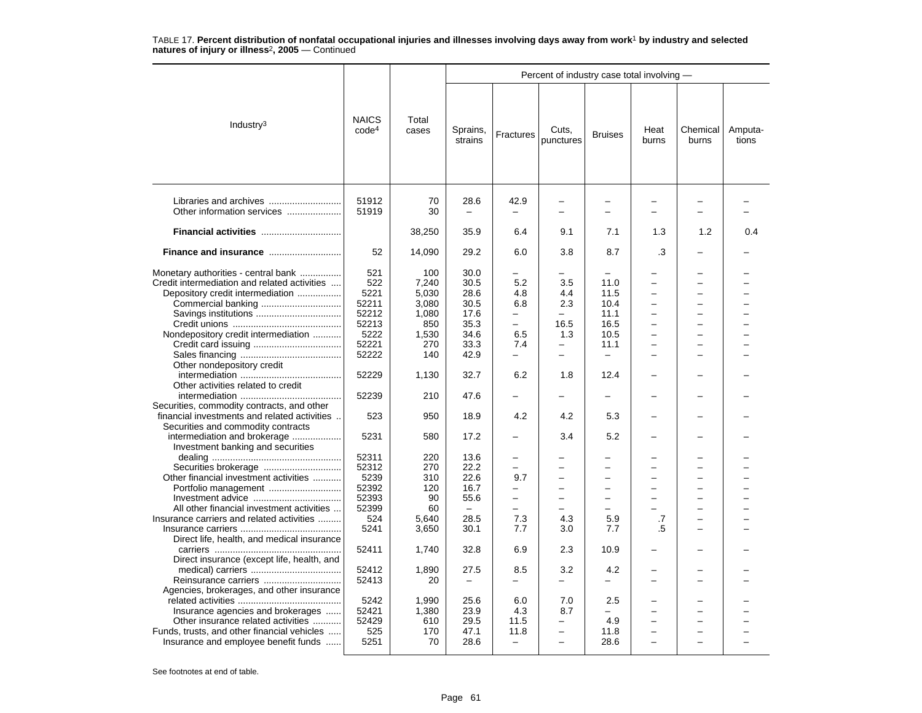|                                                                                                                                                                                                                                                                                                                                                                                                                                                                                                                                    |                                                                                                                                                               |                                                                                                                                             |                                                                                                                                                                          |                                                                                                                                                                                                        | Percent of industry case total involving -                                                                                                                           |                                                                                                                               |                                            |                   |                  |
|------------------------------------------------------------------------------------------------------------------------------------------------------------------------------------------------------------------------------------------------------------------------------------------------------------------------------------------------------------------------------------------------------------------------------------------------------------------------------------------------------------------------------------|---------------------------------------------------------------------------------------------------------------------------------------------------------------|---------------------------------------------------------------------------------------------------------------------------------------------|--------------------------------------------------------------------------------------------------------------------------------------------------------------------------|--------------------------------------------------------------------------------------------------------------------------------------------------------------------------------------------------------|----------------------------------------------------------------------------------------------------------------------------------------------------------------------|-------------------------------------------------------------------------------------------------------------------------------|--------------------------------------------|-------------------|------------------|
| Industry <sup>3</sup>                                                                                                                                                                                                                                                                                                                                                                                                                                                                                                              | <b>NAICS</b><br>code <sup>4</sup>                                                                                                                             | Total<br>cases                                                                                                                              | Sprains,<br>strains                                                                                                                                                      | Fractures                                                                                                                                                                                              | Cuts,<br>punctures                                                                                                                                                   | <b>Bruises</b>                                                                                                                | Heat<br>burns                              | Chemical<br>burns | Amputa-<br>tions |
| Libraries and archives<br>Other information services                                                                                                                                                                                                                                                                                                                                                                                                                                                                               | 51912<br>51919                                                                                                                                                | 70<br>30                                                                                                                                    | 28.6                                                                                                                                                                     | 42.9                                                                                                                                                                                                   | $\overline{\phantom{0}}$<br>$\overline{\phantom{0}}$                                                                                                                 | $\overline{\phantom{0}}$                                                                                                      |                                            |                   |                  |
|                                                                                                                                                                                                                                                                                                                                                                                                                                                                                                                                    |                                                                                                                                                               | 38,250                                                                                                                                      | 35.9                                                                                                                                                                     | 6.4                                                                                                                                                                                                    | 9.1                                                                                                                                                                  | 7.1                                                                                                                           | 1.3                                        | 1.2               | 0.4              |
| Finance and insurance                                                                                                                                                                                                                                                                                                                                                                                                                                                                                                              | 52                                                                                                                                                            | 14,090                                                                                                                                      | 29.2                                                                                                                                                                     | 6.0                                                                                                                                                                                                    | 3.8                                                                                                                                                                  | 8.7                                                                                                                           | .3                                         |                   |                  |
| Monetary authorities - central bank<br>Credit intermediation and related activities<br>Depository credit intermediation<br>Nondepository credit intermediation<br>Other nondepository credit<br>Other activities related to credit<br>Securities, commodity contracts, and other<br>financial investments and related activities.<br>Securities and commodity contracts<br>intermediation and brokerage<br>Investment banking and securities<br>Other financial investment activities<br>All other financial investment activities | 521<br>522<br>5221<br>52211<br>52212<br>52213<br>5222<br>52221<br>52222<br>52229<br>52239<br>523<br>5231<br>52311<br>52312<br>5239<br>52392<br>52393<br>52399 | 100<br>7,240<br>5,030<br>3,080<br>1,080<br>850<br>1,530<br>270<br>140<br>1,130<br>210<br>950<br>580<br>220<br>270<br>310<br>120<br>90<br>60 | 30.0<br>30.5<br>28.6<br>30.5<br>17.6<br>35.3<br>34.6<br>33.3<br>42.9<br>32.7<br>47.6<br>18.9<br>17.2<br>13.6<br>22.2<br>22.6<br>16.7<br>55.6<br>$\overline{\phantom{m}}$ | 5.2<br>4.8<br>6.8<br>$\qquad \qquad -$<br>$\overline{\phantom{0}}$<br>6.5<br>7.4<br>$\equiv$<br>6.2<br>4.2<br>$\overline{\phantom{0}}$<br>$\overline{\phantom{0}}$<br>9.7<br>-<br>$\equiv$<br>$\equiv$ | 3.5<br>4.4<br>2.3<br>$\equiv$<br>16.5<br>1.3<br>$\overline{\phantom{0}}$<br>÷<br>1.8<br>4.2<br>3.4<br>-<br>$\overline{\phantom{0}}$<br>$\overline{\phantom{0}}$<br>L | 11.0<br>11.5<br>10.4<br>11.1<br>16.5<br>10.5<br>11.1<br>$\equiv$<br>12.4<br>5.3<br>5.2<br>-<br>-<br>-<br>L.<br>$\overline{a}$ | $\overline{a}$<br>$\overline{\phantom{0}}$ | -                 |                  |
| Insurance carriers and related activities                                                                                                                                                                                                                                                                                                                                                                                                                                                                                          | 524<br>5241                                                                                                                                                   | 5.640<br>3,650                                                                                                                              | 28.5<br>30.1                                                                                                                                                             | 7.3<br>7.7                                                                                                                                                                                             | 4.3<br>3.0                                                                                                                                                           | 5.9<br>7.7                                                                                                                    | .7<br>.5                                   | -                 |                  |
| Direct life, health, and medical insurance<br>Direct insurance (except life, health, and                                                                                                                                                                                                                                                                                                                                                                                                                                           | 52411                                                                                                                                                         | 1,740                                                                                                                                       | 32.8                                                                                                                                                                     | 6.9                                                                                                                                                                                                    | 2.3                                                                                                                                                                  | 10.9                                                                                                                          |                                            |                   |                  |
| Reinsurance carriers<br>Agencies, brokerages, and other insurance                                                                                                                                                                                                                                                                                                                                                                                                                                                                  | 52412<br>52413                                                                                                                                                | 1.890<br>20                                                                                                                                 | 27.5<br>$\overline{\phantom{0}}$                                                                                                                                         | 8.5                                                                                                                                                                                                    | 3.2                                                                                                                                                                  | 4.2<br>$\overline{\phantom{0}}$                                                                                               |                                            |                   |                  |
| Insurance agencies and brokerages<br>Other insurance related activities<br>Funds, trusts, and other financial vehicles<br>Insurance and employee benefit funds                                                                                                                                                                                                                                                                                                                                                                     | 5242<br>52421<br>52429<br>525<br>5251                                                                                                                         | 1,990<br>1,380<br>610<br>170<br>70                                                                                                          | 25.6<br>23.9<br>29.5<br>47.1<br>28.6                                                                                                                                     | 6.0<br>4.3<br>11.5<br>11.8<br>$\equiv$                                                                                                                                                                 | 7.0<br>8.7<br>$\overline{\phantom{0}}$<br>-<br>$\overline{\phantom{0}}$                                                                                              | 2.5<br>4.9<br>11.8<br>28.6                                                                                                    |                                            | ÷                 |                  |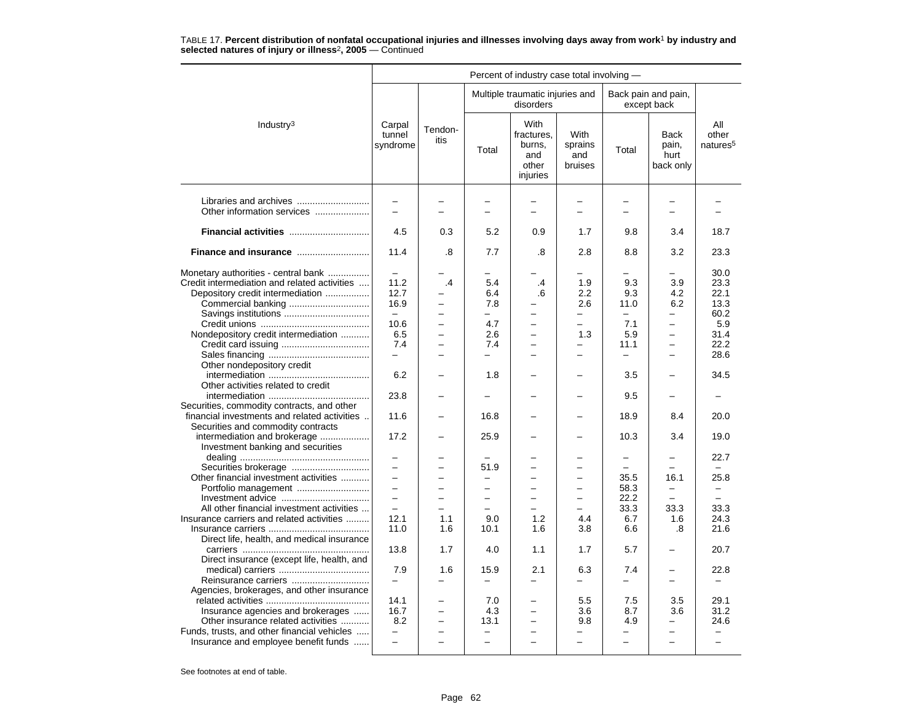|                                                                                                                                                                                                                                                                                                                                                                                                                                                                                                                                                                                                                                                      |                                                                                                                                                                                                                 |                                                                                                                                        |                                                                                                                                                               | Percent of industry case total involving -                                                 |                                                                                                               |                                                                                                                                                                        |                                                                                                                                                                        |                                                                                                                                                  |
|------------------------------------------------------------------------------------------------------------------------------------------------------------------------------------------------------------------------------------------------------------------------------------------------------------------------------------------------------------------------------------------------------------------------------------------------------------------------------------------------------------------------------------------------------------------------------------------------------------------------------------------------------|-----------------------------------------------------------------------------------------------------------------------------------------------------------------------------------------------------------------|----------------------------------------------------------------------------------------------------------------------------------------|---------------------------------------------------------------------------------------------------------------------------------------------------------------|--------------------------------------------------------------------------------------------|---------------------------------------------------------------------------------------------------------------|------------------------------------------------------------------------------------------------------------------------------------------------------------------------|------------------------------------------------------------------------------------------------------------------------------------------------------------------------|--------------------------------------------------------------------------------------------------------------------------------------------------|
|                                                                                                                                                                                                                                                                                                                                                                                                                                                                                                                                                                                                                                                      |                                                                                                                                                                                                                 |                                                                                                                                        |                                                                                                                                                               | Multiple traumatic injuries and<br>disorders                                               |                                                                                                               |                                                                                                                                                                        | Back pain and pain,<br>except back                                                                                                                                     |                                                                                                                                                  |
| Industry <sup>3</sup>                                                                                                                                                                                                                                                                                                                                                                                                                                                                                                                                                                                                                                | Carpal<br>tunnel<br>syndrome                                                                                                                                                                                    | Tendon-<br>itis                                                                                                                        | Total                                                                                                                                                         | With<br>fractures,<br>burns,<br>and<br>other<br>injuries                                   | <b>With</b><br>sprains<br>and<br>bruises                                                                      | Total                                                                                                                                                                  | <b>Back</b><br>pain,<br>hurt<br>back only                                                                                                                              | All<br>other<br>natures <sup>5</sup>                                                                                                             |
| Other information services                                                                                                                                                                                                                                                                                                                                                                                                                                                                                                                                                                                                                           | $\overline{\phantom{0}}$<br>$\equiv$                                                                                                                                                                            | $\overline{a}$                                                                                                                         | $\overline{a}$                                                                                                                                                | $\overline{\phantom{0}}$                                                                   | -<br>$\equiv$                                                                                                 |                                                                                                                                                                        | -<br>$\overline{a}$                                                                                                                                                    |                                                                                                                                                  |
| Financial activities                                                                                                                                                                                                                                                                                                                                                                                                                                                                                                                                                                                                                                 | 4.5                                                                                                                                                                                                             | 0.3                                                                                                                                    | 5.2                                                                                                                                                           | 0.9                                                                                        | 1.7                                                                                                           | 9.8                                                                                                                                                                    | 3.4                                                                                                                                                                    | 18.7                                                                                                                                             |
| Finance and insurance                                                                                                                                                                                                                                                                                                                                                                                                                                                                                                                                                                                                                                | 11.4                                                                                                                                                                                                            | .8                                                                                                                                     | 7.7                                                                                                                                                           | .8                                                                                         | 2.8                                                                                                           | 8.8                                                                                                                                                                    | 3.2                                                                                                                                                                    | 23.3                                                                                                                                             |
| Monetary authorities - central bank<br>Credit intermediation and related activities<br>Depository credit intermediation<br>Nondepository credit intermediation<br>Other nondepository credit<br>Other activities related to credit<br>Securities, commodity contracts, and other<br>financial investments and related activities<br>Securities and commodity contracts<br>intermediation and brokerage<br>Investment banking and securities<br>Other financial investment activities<br>Portfolio management<br>All other financial investment activities<br>Insurance carriers and related activities<br>Direct life, health, and medical insurance | 11.2<br>12.7<br>16.9<br>$\equiv$<br>10.6<br>6.5<br>7.4<br>$\equiv$<br>6.2<br>23.8<br>11.6<br>17.2<br>$\overline{\phantom{0}}$<br>$\overline{a}$<br>$\equiv$<br>$\overline{\phantom{0}}$<br>12.1<br>11.0<br>13.8 | $\cdot$<br>$\overline{a}$<br>$\overline{\phantom{0}}$<br>$\overline{\phantom{0}}$<br>-<br>▃<br>÷<br>-<br>$\equiv$<br>1.1<br>1.6<br>1.7 | 5.4<br>6.4<br>7.8<br>—<br>4.7<br>2.6<br>7.4<br>-<br>1.8<br>16.8<br>25.9<br>51.9<br>$\overline{\phantom{0}}$<br>$\overline{\phantom{0}}$<br>9.0<br>10.1<br>4.0 | $\cdot$<br>.6<br>$\overline{\phantom{0}}$<br>$\overline{\phantom{0}}$<br>1.2<br>1.6<br>1.1 | 1.9<br>2.2<br>2.6<br>-<br>$\equiv$<br>1.3<br>-<br>$\equiv$<br>$\overline{a}$<br>$\equiv$<br>4.4<br>3.8<br>1.7 | 9.3<br>9.3<br>11.0<br>-<br>7.1<br>5.9<br>11.1<br>—<br>3.5<br>9.5<br>18.9<br>10.3<br>$\overline{\phantom{0}}$<br>-<br>35.5<br>58.3<br>22.2<br>33.3<br>6.7<br>6.6<br>5.7 | 3.9<br>4.2<br>6.2<br>$\equiv$<br>$\overline{\phantom{0}}$<br>$\overline{\phantom{0}}$<br>-<br>8.4<br>3.4<br>16.1<br>-<br>33.3<br>1.6<br>.8<br>$\overline{\phantom{0}}$ | 30.0<br>23.3<br>22.1<br>13.3<br>60.2<br>5.9<br>31.4<br>22.2<br>28.6<br>34.5<br>20.0<br>19.0<br>22.7<br>25.8<br>-<br>33.3<br>24.3<br>21.6<br>20.7 |
| Direct insurance (except life, health, and<br>Reinsurance carriers                                                                                                                                                                                                                                                                                                                                                                                                                                                                                                                                                                                   | 7.9                                                                                                                                                                                                             | 1.6                                                                                                                                    | 15.9<br>-                                                                                                                                                     | 2.1                                                                                        | 6.3<br>-                                                                                                      | 7.4                                                                                                                                                                    | $\overline{\phantom{0}}$<br>$\overline{\phantom{0}}$                                                                                                                   | 22.8                                                                                                                                             |
| Agencies, brokerages, and other insurance<br>Insurance agencies and brokerages<br>Other insurance related activities<br>Funds, trusts, and other financial vehicles<br>Insurance and employee benefit funds                                                                                                                                                                                                                                                                                                                                                                                                                                          | 14.1<br>16.7<br>8.2<br>$\overline{a}$                                                                                                                                                                           | $\overline{\phantom{0}}$<br>$\overline{\phantom{0}}$<br>$\overline{a}$                                                                 | 7.0<br>4.3<br>13.1<br>$\overline{\phantom{0}}$                                                                                                                | $\overline{\phantom{0}}$<br>$\overline{\phantom{0}}$                                       | 5.5<br>3.6<br>9.8<br>$\overline{\phantom{0}}$                                                                 | 7.5<br>8.7<br>4.9<br>$\overline{a}$                                                                                                                                    | 3.5<br>3.6<br>$\overline{\phantom{0}}$<br>-<br>$\overline{\phantom{0}}$                                                                                                | 29.1<br>31.2<br>24.6                                                                                                                             |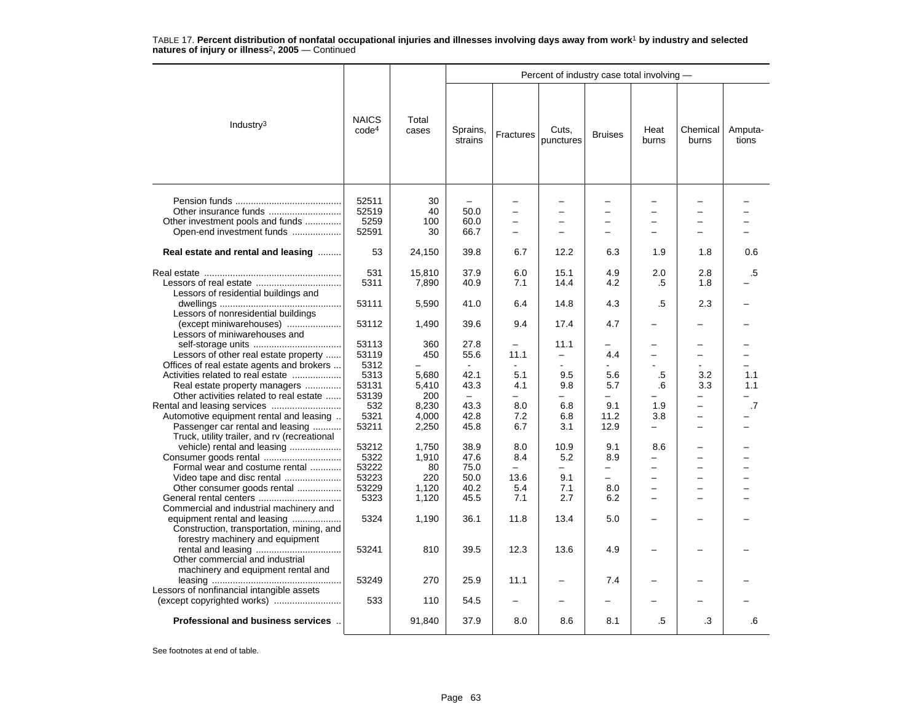|                                                                                                                                                            |                                   |                         |                          |                               | Percent of industry case total involving - |                                                      |                                    |                          |                  |
|------------------------------------------------------------------------------------------------------------------------------------------------------------|-----------------------------------|-------------------------|--------------------------|-------------------------------|--------------------------------------------|------------------------------------------------------|------------------------------------|--------------------------|------------------|
| Industry $3$                                                                                                                                               | <b>NAICS</b><br>code <sup>4</sup> | Total<br>cases          | Sprains,<br>strains      | Fractures                     | Cuts,<br>punctures                         | <b>Bruises</b>                                       | Heat<br>burns                      | Chemical<br>burns        | Amputa-<br>tions |
| Other insurance funds<br>Other investment pools and funds<br>Open-end investment funds                                                                     | 52511<br>52519<br>5259<br>52591   | 30<br>40<br>100<br>30   | 50.0<br>60.0<br>66.7     | $\overline{\phantom{0}}$<br>- | $\overline{\phantom{0}}$                   | $\overline{\phantom{0}}$<br>$\overline{\phantom{0}}$ |                                    | $\overline{\phantom{0}}$ |                  |
| Real estate and rental and leasing                                                                                                                         | 53                                | 24,150                  | 39.8                     | 6.7                           | 12.2                                       | 6.3                                                  | 1.9                                | 1.8                      | 0.6              |
| Lessors of residential buildings and                                                                                                                       | 531<br>5311                       | 15,810<br>7,890         | 37.9<br>40.9             | 6.0<br>7.1                    | 15.1<br>14.4                               | 4.9<br>4.2                                           | 2.0<br>.5                          | 2.8<br>1.8               | .5               |
| Lessors of nonresidential buildings                                                                                                                        | 53111                             | 5,590                   | 41.0                     | 6.4                           | 14.8                                       | 4.3                                                  | .5                                 | 2.3                      |                  |
| (except miniwarehouses)<br>Lessors of miniwarehouses and                                                                                                   | 53112                             | 1,490                   | 39.6                     | 9.4                           | 17.4                                       | 4.7                                                  |                                    |                          |                  |
| Lessors of other real estate property                                                                                                                      | 53113<br>53119                    | 360<br>450              | 27.8<br>55.6             | 11.1                          | 11.1<br>$\overline{\phantom{0}}$           | 4.4                                                  |                                    | —                        |                  |
| Offices of real estate agents and brokers<br>Activities related to real estate<br>Real estate property managers<br>Other activities related to real estate | 5312<br>5313<br>53131<br>53139    | 5,680<br>5,410<br>200   | 42.1<br>43.3<br>$\equiv$ | 5.1<br>4.1                    | 9.5<br>9.8                                 | 5.6<br>5.7                                           | .5<br>.6                           | 3.2<br>3.3               | 1.1<br>1.1       |
| Automotive equipment rental and leasing<br>Passenger car rental and leasing                                                                                | 532<br>5321<br>53211              | 8,230<br>4.000<br>2,250 | 43.3<br>42.8<br>45.8     | 8.0<br>7.2<br>6.7             | 6.8<br>6.8<br>3.1                          | 9.1<br>11.2<br>12.9                                  | 1.9<br>3.8<br>-                    | $\overline{\phantom{0}}$ | .7               |
| Truck, utility trailer, and ry (recreational<br>vehicle) rental and leasing<br>Consumer goods rental                                                       | 53212<br>5322                     | 1,750<br>1,910          | 38.9<br>47.6             | 8.0<br>8.4                    | 10.9<br>5.2                                | 9.1<br>8.9                                           | 8.6                                | $\overline{\phantom{0}}$ |                  |
| Formal wear and costume rental<br>Video tape and disc rental<br>Other consumer goods rental                                                                | 53222<br>53223<br>53229           | 80<br>220<br>1,120      | 75.0<br>50.0<br>40.2     | 13.6<br>5.4                   | $\overline{a}$<br>9.1<br>7.1               | $\overline{\phantom{0}}$<br>-<br>8.0                 | -<br>-<br>$\overline{\phantom{0}}$ | -<br>-                   |                  |
| Commercial and industrial machinery and<br>equipment rental and leasing<br>Construction, transportation, mining, and                                       | 5323<br>5324                      | 1,120<br>1,190          | 45.5<br>36.1             | 7.1<br>11.8                   | 2.7<br>13.4                                | 6.2<br>5.0                                           |                                    |                          |                  |
| forestry machinery and equipment<br>Other commercial and industrial                                                                                        | 53241                             | 810                     | 39.5                     | 12.3                          | 13.6                                       | 4.9                                                  | -                                  |                          |                  |
| machinery and equipment rental and<br>Lessors of nonfinancial intangible assets                                                                            | 53249                             | 270                     | 25.9                     | 11.1                          | $\overline{\phantom{0}}$                   | 7.4                                                  |                                    |                          |                  |
|                                                                                                                                                            | 533                               | 110                     | 54.5                     |                               |                                            |                                                      |                                    |                          |                  |
| Professional and business services                                                                                                                         |                                   | 91,840                  | 37.9                     | 8.0                           | 8.6                                        | 8.1                                                  | .5                                 | .3                       | .6               |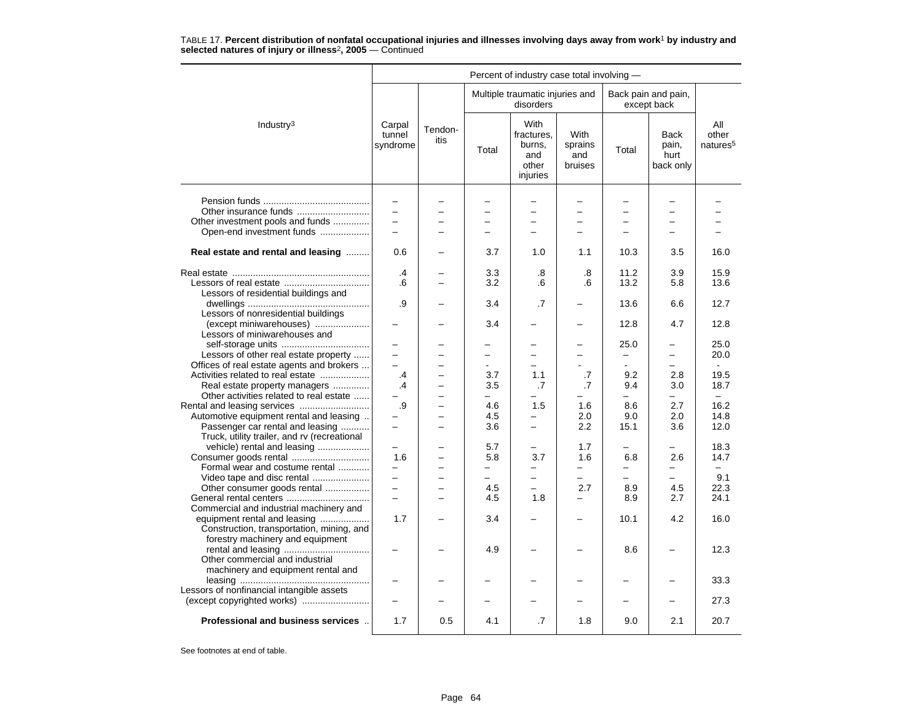|                                              |                              |                 |                          | Percent of industry case total involving -                      |                                          |                          |                                           |                                      |
|----------------------------------------------|------------------------------|-----------------|--------------------------|-----------------------------------------------------------------|------------------------------------------|--------------------------|-------------------------------------------|--------------------------------------|
|                                              |                              |                 |                          | Multiple traumatic injuries and<br>disorders                    |                                          |                          | Back pain and pain,<br>except back        |                                      |
| Industry <sup>3</sup>                        | Carpal<br>tunnel<br>syndrome | Tendon-<br>itis | Total                    | <b>With</b><br>fractures,<br>burns,<br>and<br>other<br>injuries | <b>With</b><br>sprains<br>and<br>bruises | Total                    | <b>Back</b><br>pain,<br>hurt<br>back only | All<br>other<br>natures <sup>5</sup> |
|                                              | $\overline{\phantom{0}}$     |                 |                          |                                                                 |                                          |                          |                                           |                                      |
|                                              | $\overline{\phantom{0}}$     |                 | -                        | $\overline{\phantom{0}}$                                        | $\overline{\phantom{m}}$                 | $\overline{\phantom{0}}$ | $\overline{\phantom{0}}$                  |                                      |
| Other investment pools and funds             | $\equiv$                     |                 | L.                       |                                                                 |                                          |                          | $\equiv$                                  |                                      |
| Open-end investment funds                    | $\overline{\phantom{0}}$     |                 |                          |                                                                 |                                          |                          |                                           |                                      |
|                                              |                              |                 |                          |                                                                 |                                          |                          |                                           |                                      |
| Real estate and rental and leasing           | 0.6                          |                 | 3.7                      | 1.0                                                             | 1.1                                      | 10.3                     | 3.5                                       | 16.0                                 |
|                                              | .4                           |                 | 3.3                      | .8                                                              | .8                                       | 11.2                     | 3.9                                       | 15.9                                 |
|                                              | .6                           |                 | 3.2                      | .6                                                              | .6                                       | 13.2                     | 5.8                                       | 13.6                                 |
| Lessors of residential buildings and         |                              |                 |                          |                                                                 |                                          |                          |                                           |                                      |
|                                              | .9                           |                 | 3.4                      | .7                                                              |                                          | 13.6                     | 6.6                                       | 12.7                                 |
| Lessors of nonresidential buildings          |                              |                 |                          |                                                                 |                                          |                          |                                           |                                      |
| (except miniwarehouses)                      |                              |                 | 3.4                      |                                                                 |                                          | 12.8                     | 4.7                                       | 12.8                                 |
| Lessors of miniwarehouses and                |                              |                 |                          |                                                                 |                                          |                          |                                           |                                      |
|                                              | $\overline{\phantom{0}}$     |                 | -                        |                                                                 | $\overline{\phantom{0}}$                 | 25.0                     | -                                         | 25.0                                 |
| Lessors of other real estate property        |                              |                 | -                        |                                                                 |                                          | -                        | -                                         | 20.0                                 |
| Offices of real estate agents and brokers    | $\equiv$                     |                 | $\blacksquare$           | -                                                               |                                          | $\overline{a}$           | -                                         |                                      |
| Activities related to real estate            | .4                           | -               | 3.7                      | 1.1                                                             | .7                                       | 9.2                      | 2.8                                       | 19.5                                 |
| Real estate property managers                | .4                           |                 | 3.5                      | .7                                                              | .7                                       | 9.4                      | 3.0                                       | 18.7                                 |
| Other activities related to real estate      |                              | -               |                          |                                                                 |                                          | L.                       |                                           | $\sim$                               |
|                                              | .9                           | -               | 4.6                      | 1.5                                                             | 1.6                                      | 8.6                      | 2.7                                       | 16.2                                 |
| Automotive equipment rental and leasing      |                              |                 | 4.5                      |                                                                 | 2.0                                      | 9.0                      | 2.0                                       | 14.8                                 |
| Passenger car rental and leasing             | $\overline{\phantom{0}}$     | -               | 3.6                      | $\overline{\phantom{0}}$                                        | 2.2                                      | 15.1                     | 3.6                                       | 12.0                                 |
| Truck, utility trailer, and rv (recreational |                              |                 |                          |                                                                 |                                          |                          |                                           |                                      |
| vehicle) rental and leasing                  |                              |                 | 5.7                      |                                                                 | 1.7                                      |                          |                                           | 18.3                                 |
| Consumer goods rental                        | 1.6                          |                 | 5.8                      | 3.7                                                             | 1.6                                      | 6.8                      | 2.6                                       | 14.7                                 |
| Formal wear and costume rental               | $\overline{a}$               |                 | $\overline{\phantom{0}}$ | $\overline{\phantom{0}}$                                        | $\overline{\phantom{0}}$                 | -                        | $\equiv$                                  | $\equiv$                             |
| Video tape and disc rental                   | $\equiv$                     | -               | $\overline{\phantom{0}}$ | $\overline{\phantom{0}}$                                        | $-$                                      | ÷                        | $\equiv$                                  | 9.1                                  |
| Other consumer goods rental                  | $\overline{\phantom{0}}$     |                 | 4.5                      | $\overline{\phantom{0}}$                                        | 2.7                                      | 8.9                      | 4.5                                       | 22.3                                 |
| General rental centers                       | $\overline{a}$               |                 | 4.5                      | 1.8                                                             | $\equiv$                                 | 8.9                      | 2.7                                       | 24.1                                 |
| Commercial and industrial machinery and      |                              |                 |                          |                                                                 |                                          |                          |                                           |                                      |
| equipment rental and leasing                 | 1.7                          |                 | 3.4                      |                                                                 |                                          | 10.1                     | 4.2                                       | 16.0                                 |
| Construction, transportation, mining, and    |                              |                 |                          |                                                                 |                                          |                          |                                           |                                      |
| forestry machinery and equipment             |                              |                 |                          |                                                                 |                                          |                          |                                           |                                      |
|                                              |                              |                 | 4.9                      |                                                                 |                                          | 8.6                      |                                           | 12.3                                 |
| Other commercial and industrial              |                              |                 |                          |                                                                 |                                          |                          |                                           |                                      |
| machinery and equipment rental and           |                              |                 |                          |                                                                 |                                          |                          |                                           |                                      |
|                                              |                              |                 |                          |                                                                 |                                          |                          |                                           | 33.3                                 |
| Lessors of nonfinancial intangible assets    |                              |                 |                          |                                                                 |                                          |                          |                                           |                                      |
|                                              |                              |                 |                          |                                                                 |                                          |                          |                                           | 27.3                                 |
| Professional and business services           | 1.7                          | 0.5             | 4.1                      | .7                                                              | 1.8                                      | 9.0                      | 2.1                                       | 20.7                                 |
|                                              |                              |                 |                          |                                                                 |                                          |                          |                                           |                                      |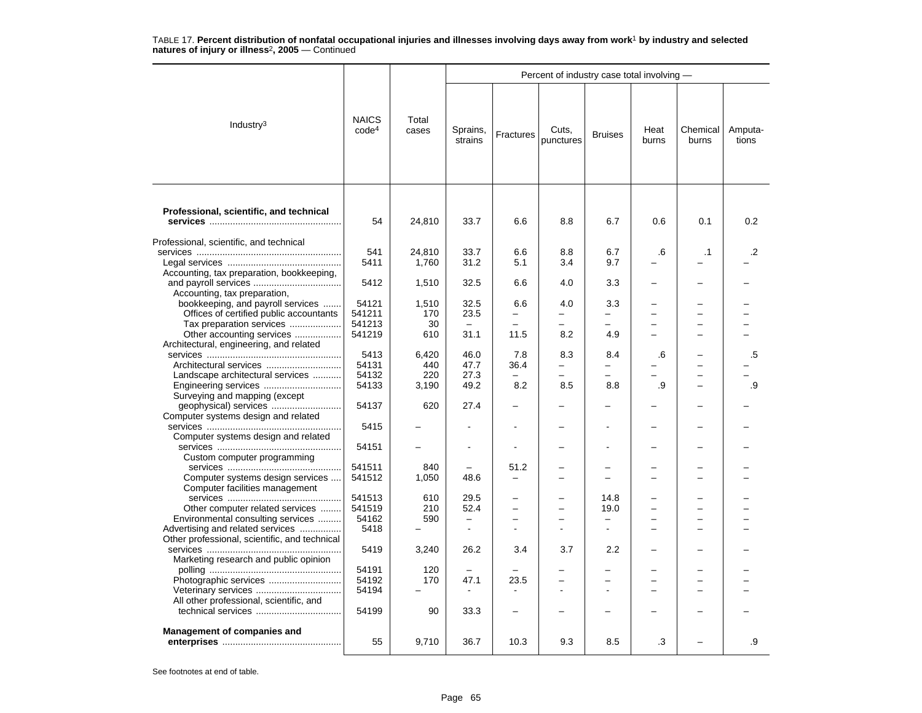|                                                       |                                   |                |                          |           | Percent of industry case total involving - |                          |               |                                                      |                  |
|-------------------------------------------------------|-----------------------------------|----------------|--------------------------|-----------|--------------------------------------------|--------------------------|---------------|------------------------------------------------------|------------------|
| Industry $3$                                          | <b>NAICS</b><br>code <sup>4</sup> | Total<br>cases | Sprains,<br>strains      | Fractures | Cuts,<br>punctures                         | <b>Bruises</b>           | Heat<br>burns | Chemical<br>burns                                    | Amputa-<br>tions |
| Professional, scientific, and technical               |                                   |                |                          |           |                                            |                          |               |                                                      |                  |
|                                                       | 54                                | 24,810         | 33.7                     | 6.6       | 8.8                                        | 6.7                      | 0.6           | 0.1                                                  | 0.2              |
| Professional, scientific, and technical               |                                   |                |                          |           |                                            |                          |               |                                                      |                  |
|                                                       | 541                               | 24,810         | 33.7                     | 6.6       | 8.8                                        | 6.7                      | .6            | $\cdot$ 1                                            | .2               |
|                                                       | 5411                              | 1,760          | 31.2                     | 5.1       | 3.4                                        | 9.7                      |               |                                                      |                  |
| Accounting, tax preparation, bookkeeping,             |                                   |                |                          |           |                                            |                          |               |                                                      |                  |
|                                                       | 5412                              | 1,510          | 32.5                     | 6.6       | 4.0                                        | 3.3                      |               |                                                      |                  |
| Accounting, tax preparation,                          |                                   |                |                          |           |                                            |                          |               |                                                      |                  |
| bookkeeping, and payroll services                     | 54121                             | 1,510          | 32.5                     | 6.6       | 4.0                                        | 3.3                      |               |                                                      |                  |
| Offices of certified public accountants               | 541211                            | 170            | 23.5                     |           |                                            | $\overline{\phantom{0}}$ |               | $\overline{\phantom{0}}$                             |                  |
| Tax preparation services<br>Other accounting services | 541213<br>541219                  | 30<br>610      | 31.1                     | 11.5      | 8.2                                        | $\equiv$<br>4.9          |               | $\overline{\phantom{0}}$<br>$\overline{\phantom{0}}$ |                  |
| Architectural, engineering, and related               |                                   |                |                          |           |                                            |                          |               |                                                      |                  |
|                                                       | 5413                              | 6,420          | 46.0                     | 7.8       | 8.3                                        | 8.4                      | .6            | $\overline{\phantom{0}}$                             | .5               |
|                                                       | 54131                             | 440            | 47.7                     | 36.4      | $\overline{\phantom{0}}$                   | $\overline{\phantom{0}}$ |               | $\overline{\phantom{0}}$                             |                  |
| Landscape architectural services                      | 54132                             | 220            | 27.3                     |           |                                            | L.                       |               | $\overline{\phantom{0}}$                             |                  |
|                                                       | 54133                             | 3,190          | 49.2                     | 8.2       | 8.5                                        | 8.8                      | .9            | $\overline{\phantom{0}}$                             | .9               |
| Surveying and mapping (except                         |                                   |                |                          |           |                                            |                          |               |                                                      |                  |
|                                                       | 54137                             | 620            | 27.4                     |           |                                            |                          |               |                                                      |                  |
| Computer systems design and related                   |                                   |                |                          |           |                                            |                          |               |                                                      |                  |
|                                                       | 5415                              |                |                          |           |                                            |                          |               |                                                      |                  |
| Computer systems design and related                   |                                   |                |                          |           |                                            |                          |               |                                                      |                  |
| Custom computer programming                           | 54151                             |                |                          |           |                                            |                          |               |                                                      |                  |
|                                                       | 541511                            | 840            |                          | 51.2      |                                            |                          |               | $\overline{\phantom{0}}$                             |                  |
| Computer systems design services                      | 541512                            | 1,050          | 48.6                     |           |                                            | $\equiv$                 |               | $\overline{\phantom{0}}$                             |                  |
| Computer facilities management                        |                                   |                |                          |           |                                            |                          |               |                                                      |                  |
|                                                       | 541513                            | 610            | 29.5                     |           |                                            | 14.8                     |               | ▃                                                    |                  |
| Other computer related services                       | 541519                            | 210            | 52.4                     |           |                                            | 19.0                     |               | $\overline{a}$                                       |                  |
| Environmental consulting services                     | 54162                             | 590            | $\overline{\phantom{0}}$ |           | -                                          | -                        |               | -                                                    |                  |
| Advertising and related services                      | 5418                              |                | ÷                        |           |                                            |                          |               | $\overline{\phantom{0}}$                             |                  |
| Other professional, scientific, and technical         | 5419                              | 3,240          | 26.2                     | 3.4       | 3.7                                        | 2.2                      |               |                                                      |                  |
| Marketing research and public opinion                 |                                   |                |                          |           |                                            |                          |               | -                                                    |                  |
|                                                       | 54191                             | 120            |                          |           |                                            |                          |               | $\overline{\phantom{0}}$                             |                  |
|                                                       | 54192                             | 170            | 47.1                     | 23.5      | $\equiv$                                   | ÷                        |               | $\equiv$                                             |                  |
|                                                       | 54194                             |                | $\sim$                   |           |                                            | $\overline{a}$           |               | $\overline{a}$                                       |                  |
| All other professional, scientific, and               |                                   |                |                          |           |                                            |                          |               |                                                      |                  |
|                                                       | 54199                             | 90             | 33.3                     |           |                                            |                          |               |                                                      |                  |
| Management of companies and                           | 55                                | 9,710          | 36.7                     | 10.3      | 9.3                                        | 8.5                      | .3            |                                                      | .9               |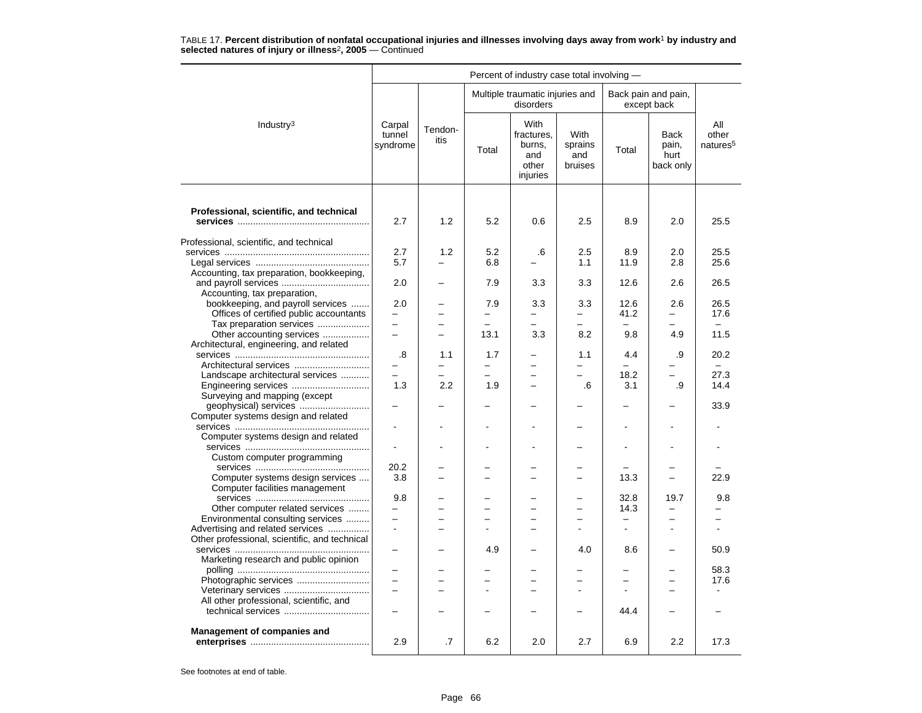|                                                        |                              |                 |       | Percent of industry case total involving -               |                                   |                                     |                                           |                                      |
|--------------------------------------------------------|------------------------------|-----------------|-------|----------------------------------------------------------|-----------------------------------|-------------------------------------|-------------------------------------------|--------------------------------------|
|                                                        |                              |                 |       | Multiple traumatic injuries and<br>disorders             |                                   |                                     | Back pain and pain,<br>except back        |                                      |
| Industry <sup>3</sup>                                  | Carpal<br>tunnel<br>syndrome | Tendon-<br>itis | Total | With<br>fractures,<br>burns,<br>and<br>other<br>injuries | With<br>sprains<br>and<br>bruises | Total                               | <b>Back</b><br>pain,<br>hurt<br>back only | All<br>other<br>natures <sup>5</sup> |
|                                                        |                              |                 |       |                                                          |                                   |                                     |                                           |                                      |
| Professional, scientific, and technical                | 2.7                          | 1.2             | 5.2   | 0.6                                                      | 2.5                               | 8.9                                 | 2.0                                       | 25.5                                 |
| Professional, scientific, and technical                |                              |                 |       |                                                          |                                   |                                     |                                           |                                      |
|                                                        | 2.7                          | 1.2             | 5.2   | .6                                                       | 2.5                               | 8.9                                 | 2.0                                       | 25.5                                 |
|                                                        | 5.7                          |                 | 6.8   |                                                          | 1.1                               | 11.9                                | 2.8                                       | 25.6                                 |
| Accounting, tax preparation, bookkeeping,              |                              |                 |       |                                                          |                                   |                                     |                                           |                                      |
|                                                        | 2.0                          |                 | 7.9   | 3.3                                                      | 3.3                               | 12.6                                | 2.6                                       | 26.5                                 |
| Accounting, tax preparation,                           |                              |                 |       |                                                          |                                   |                                     |                                           |                                      |
| bookkeeping, and payroll services                      | 2.0                          |                 | 7.9   | 3.3                                                      | 3.3                               | 12.6                                | 2.6                                       | 26.5                                 |
| Offices of certified public accountants                | -                            |                 |       | -                                                        | -                                 | 41.2                                | —                                         | 17.6                                 |
| Tax preparation services                               |                              |                 |       | L.                                                       | L.                                | $\equiv$                            | L.                                        | $\overline{\phantom{0}}$             |
| Other accounting services                              | -                            |                 | 13.1  | 3.3                                                      | 8.2                               | 9.8                                 | 4.9                                       | 11.5                                 |
| Architectural, engineering, and related                |                              |                 |       |                                                          |                                   |                                     |                                           |                                      |
|                                                        | .8                           | 1.1             | 1.7   |                                                          | 1.1                               | 4.4                                 | .9                                        | 20.2                                 |
| Architectural services                                 |                              |                 |       |                                                          |                                   |                                     |                                           |                                      |
| Landscape architectural services                       | L.                           |                 |       | $\overline{a}$                                           | ▃                                 | 18.2                                | $\overline{\phantom{0}}$                  | 27.3                                 |
| Engineering services                                   | 1.3                          | 2.2             | 1.9   | ╾                                                        | .6                                | 3.1                                 | .9                                        | 14.4                                 |
|                                                        |                              |                 |       |                                                          |                                   |                                     |                                           |                                      |
| Surveying and mapping (except<br>geophysical) services | -                            |                 |       |                                                          |                                   |                                     | -                                         | 33.9                                 |
|                                                        |                              |                 |       |                                                          |                                   |                                     |                                           |                                      |
| Computer systems design and related                    |                              |                 |       |                                                          |                                   |                                     |                                           |                                      |
|                                                        |                              |                 |       |                                                          |                                   | $\blacksquare$                      |                                           |                                      |
| Computer systems design and related                    |                              |                 |       |                                                          |                                   |                                     |                                           |                                      |
|                                                        |                              |                 |       |                                                          |                                   |                                     |                                           |                                      |
| Custom computer programming                            |                              |                 |       |                                                          |                                   |                                     |                                           |                                      |
|                                                        | 20.2                         |                 |       |                                                          |                                   |                                     |                                           |                                      |
| Computer systems design services                       | 3.8                          |                 |       |                                                          | -                                 | 13.3                                |                                           | 22.9                                 |
| Computer facilities management                         |                              |                 |       |                                                          |                                   |                                     |                                           |                                      |
|                                                        | 9.8                          |                 |       |                                                          |                                   | 32.8                                | 19.7                                      | 9.8                                  |
| Other computer related services                        | $\overline{\phantom{0}}$     |                 |       |                                                          | -                                 | 14.3                                | $\equiv$                                  |                                      |
| Environmental consulting services                      | -                            | -               |       | -                                                        | -                                 | $\qquad \qquad -$<br>$\overline{a}$ | -                                         | $\overline{\phantom{0}}$             |
| Advertising and related services                       | $\blacksquare$               |                 |       |                                                          |                                   |                                     | $\overline{a}$                            |                                      |
| Other professional, scientific, and technical          |                              |                 |       |                                                          |                                   |                                     |                                           |                                      |
|                                                        |                              |                 | 4.9   |                                                          | 4.0                               | 8.6                                 |                                           | 50.9                                 |
| Marketing research and public opinion                  |                              |                 |       |                                                          |                                   |                                     |                                           |                                      |
|                                                        | $\overline{\phantom{0}}$     | -               |       | -                                                        | ÷                                 | $\equiv$                            | $\overline{\phantom{0}}$                  | 58.3                                 |
| Photographic services                                  |                              |                 |       |                                                          |                                   |                                     |                                           | 17.6                                 |
| Veterinary services                                    |                              |                 |       |                                                          |                                   |                                     |                                           |                                      |
| All other professional, scientific, and                |                              |                 |       |                                                          |                                   |                                     |                                           |                                      |
|                                                        |                              |                 |       |                                                          |                                   | 44.4                                |                                           |                                      |
| <b>Management of companies and</b>                     | 2.9                          | .7              | 6.2   | 2.0                                                      | 2.7                               | 6.9                                 | 2.2                                       | 17.3                                 |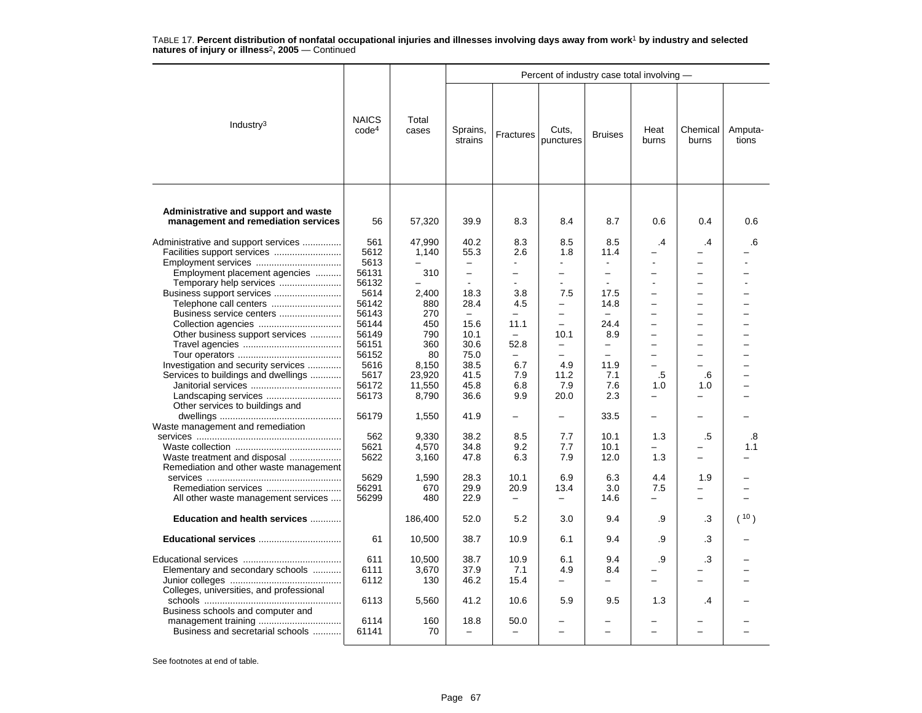|                                                                             |                                   |                |                          |                          | Percent of industry case total involving - |                          |                          |                          |                  |
|-----------------------------------------------------------------------------|-----------------------------------|----------------|--------------------------|--------------------------|--------------------------------------------|--------------------------|--------------------------|--------------------------|------------------|
| Industry <sup>3</sup>                                                       | <b>NAICS</b><br>code <sup>4</sup> | Total<br>cases | Sprains,<br>strains      | Fractures                | Cuts,<br>punctures                         | <b>Bruises</b>           | Heat<br>burns            | Chemical<br>burns        | Amputa-<br>tions |
| Administrative and support and waste<br>management and remediation services | 56                                | 57,320         | 39.9                     | 8.3                      | 8.4                                        | 8.7                      | 0.6                      | 0.4                      | 0.6              |
| Administrative and support services                                         | 561                               | 47.990         | 40.2                     | 8.3                      | 8.5                                        | 8.5                      | $\overline{.4}$          | $\cdot$                  | .6               |
| Facilities support services                                                 | 5612                              | 1,140          | 55.3                     | 2.6                      | 1.8                                        | 11.4                     |                          |                          |                  |
| Employment services                                                         | 5613                              |                | $\overline{\phantom{0}}$ | $\overline{a}$           |                                            | $\blacksquare$           |                          |                          |                  |
| Employment placement agencies                                               | 56131                             | 310            | $\equiv$                 | $\overline{\phantom{0}}$ | $\overline{\phantom{0}}$                   | $\equiv$                 |                          | -                        |                  |
| Temporary help services                                                     | 56132                             |                | $\blacksquare$           | ä,                       |                                            | $\overline{a}$           |                          |                          |                  |
| Business support services                                                   | 5614                              | 2,400          | 18.3                     | 3.8                      | 7.5                                        | 17.5                     |                          |                          |                  |
| Telephone call centers                                                      | 56142                             | 880            | 28.4                     | 4.5                      | $\equiv$                                   | 14.8                     |                          | $\equiv$                 |                  |
| Business service centers                                                    | 56143                             | 270            | $\overline{\phantom{0}}$ | $\overline{\phantom{0}}$ | $\overline{\phantom{0}}$                   | $\overline{\phantom{0}}$ | $\equiv$                 | $\equiv$                 |                  |
|                                                                             | 56144                             | 450            | 15.6                     | 11.1                     | $\overline{\phantom{a}}$                   | 24.4                     |                          |                          |                  |
| Other business support services                                             | 56149                             | 790            | 10.1                     | $\equiv$                 | 10.1                                       | 8.9                      |                          |                          |                  |
|                                                                             | 56151                             | 360            | 30.6                     | 52.8                     | $\qquad \qquad -$                          | $\qquad \qquad -$        | -                        | $\overline{\phantom{0}}$ |                  |
|                                                                             | 56152                             | 80             | 75.0                     | $\overline{\phantom{0}}$ | $\overline{\phantom{0}}$                   | $\equiv$                 |                          |                          |                  |
| Investigation and security services                                         | 5616                              | 8,150          | 38.5                     | 6.7                      | 4.9                                        | 11.9                     | ÷                        | $\equiv$                 |                  |
| Services to buildings and dwellings                                         | 5617                              | 23,920         | 41.5                     | 7.9                      | 11.2                                       | 7.1                      | .5                       | .6                       |                  |
|                                                                             | 56172                             | 11,550         | 45.8                     | 6.8                      | 7.9                                        | 7.6                      | 1.0                      | 1.0                      |                  |
|                                                                             | 56173                             | 8,790          | 36.6                     | 9.9                      | 20.0                                       | 2.3                      | $\equiv$                 |                          |                  |
| Other services to buildings and                                             |                                   |                |                          |                          |                                            |                          |                          |                          |                  |
|                                                                             | 56179                             | 1,550          | 41.9                     |                          | $\overline{\phantom{m}}$                   | 33.5                     |                          |                          |                  |
| Waste management and remediation                                            |                                   |                |                          |                          |                                            |                          |                          |                          |                  |
|                                                                             | 562                               | 9,330          | 38.2                     | 8.5                      | 7.7                                        | 10.1                     | 1.3                      | .5                       | .8               |
|                                                                             | 5621                              | 4,570          | 34.8                     | 9.2                      | 7.7                                        | 10.1                     |                          |                          | 1.1              |
| Waste treatment and disposal                                                | 5622                              | 3,160          | 47.8                     | 6.3                      | 7.9                                        | 12.0                     | 1.3                      |                          |                  |
| Remediation and other waste management                                      |                                   |                |                          |                          |                                            |                          |                          |                          |                  |
|                                                                             | 5629                              | 1,590          | 28.3                     | 10.1                     | 6.9                                        | 6.3                      | 4.4                      | 1.9                      |                  |
|                                                                             | 56291                             | 670            | 29.9                     | 20.9                     | 13.4                                       | 3.0                      | 7.5                      |                          |                  |
| All other waste management services                                         | 56299                             | 480            | 22.9                     | $\overline{\phantom{0}}$ | $\overline{\phantom{0}}$                   | 14.6                     |                          |                          |                  |
| Education and health services                                               |                                   | 186,400        | 52.0                     | 5.2                      | 3.0                                        | 9.4                      | .9                       | .3                       | ( 10 )           |
| Educational services                                                        | 61                                | 10,500         | 38.7                     | 10.9                     | 6.1                                        | 9.4                      | .9                       | .3                       |                  |
|                                                                             |                                   |                |                          |                          |                                            |                          |                          |                          |                  |
|                                                                             | 611                               | 10.500         | 38.7                     | 10.9                     | 6.1                                        | 9.4                      | .9                       | .3                       |                  |
| Elementary and secondary schools                                            | 6111                              | 3,670          | 37.9                     | 7.1                      | 4.9                                        | 8.4                      |                          |                          |                  |
|                                                                             | 6112                              | 130            | 46.2                     | 15.4                     | $\overline{\phantom{0}}$                   | —                        | $\overline{\phantom{0}}$ |                          |                  |
| Colleges, universities, and professional                                    |                                   |                |                          |                          |                                            |                          |                          |                          |                  |
|                                                                             | 6113                              | 5,560          | 41.2                     | 10.6                     | 5.9                                        | 9.5                      | 1.3                      | .4                       |                  |
| Business schools and computer and                                           |                                   |                |                          |                          |                                            |                          |                          |                          |                  |
|                                                                             | 6114                              | 160            | 18.8                     | 50.0                     |                                            |                          |                          |                          |                  |
| Business and secretarial schools                                            | 61141                             | 70             | $\overline{\phantom{0}}$ | $\overline{\phantom{0}}$ |                                            |                          |                          |                          |                  |
|                                                                             |                                   |                |                          |                          |                                            |                          |                          |                          |                  |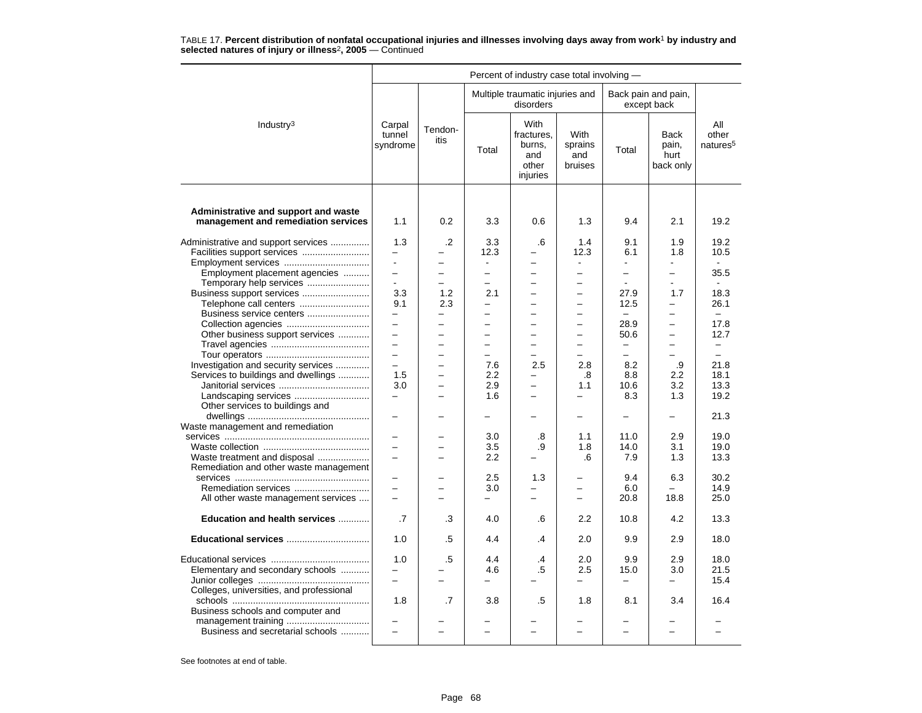|                                                                             |                                 |                          |                          | Percent of industry case total involving -               |                                   |                          |                                           |                                      |
|-----------------------------------------------------------------------------|---------------------------------|--------------------------|--------------------------|----------------------------------------------------------|-----------------------------------|--------------------------|-------------------------------------------|--------------------------------------|
|                                                                             |                                 |                          |                          | Multiple traumatic injuries and<br>disorders             |                                   |                          | Back pain and pain,<br>except back        |                                      |
| Industry <sup>3</sup>                                                       | Carpal<br>tunnel<br>syndrome    | Tendon-<br>itis          | Total                    | With<br>fractures.<br>burns,<br>and<br>other<br>injuries | With<br>sprains<br>and<br>bruises | Total                    | <b>Back</b><br>pain,<br>hurt<br>back only | All<br>other<br>natures <sup>5</sup> |
|                                                                             |                                 |                          |                          |                                                          |                                   |                          |                                           |                                      |
| Administrative and support and waste<br>management and remediation services | 1.1                             | 0.2                      | 3.3                      | 0.6                                                      | 1.3                               | 9.4                      | 2.1                                       | 19.2                                 |
| Administrative and support services<br>Facilities support services          | 1.3<br>$\overline{\phantom{0}}$ | .2<br>-                  | 3.3<br>12.3              | .6                                                       | 1.4<br>12.3                       | 9.1<br>6.1               | 1.9<br>1.8                                | 19.2<br>10.5                         |
| Employment services                                                         | $\blacksquare$                  | $\qquad \qquad -$        | $\blacksquare$           |                                                          | $\blacksquare$                    |                          |                                           |                                      |
| Employment placement agencies                                               | $\equiv$                        | $\overline{\phantom{0}}$ | $\equiv$                 | $\overline{\phantom{0}}$                                 | $\overline{\phantom{0}}$          | $\overline{\phantom{0}}$ | $\overline{\phantom{0}}$                  | 35.5                                 |
| Temporary help services                                                     | $\sim$                          | $-$                      | $\overline{\phantom{0}}$ |                                                          | $\overline{\phantom{0}}$          | $\sim$                   | $\overline{a}$                            | $\sim$                               |
| Business support services                                                   | 3.3                             | 1.2                      | 2.1                      |                                                          | -                                 | 27.9                     | 1.7                                       | 18.3                                 |
| Telephone call centers                                                      | 9.1                             | 2.3                      | $\equiv$                 | $\equiv$                                                 | $\equiv$                          | 12.5                     | $\equiv$                                  | 26.1                                 |
| Business service centers                                                    | $\overline{\phantom{0}}$        | $\qquad \qquad -$        | $\overline{\phantom{0}}$ | $\overline{\phantom{0}}$                                 | $\overline{\phantom{0}}$          | $-$                      | -                                         | $\equiv$                             |
|                                                                             | $\overline{\phantom{0}}$        | $\qquad \qquad -$        | $\overline{\phantom{0}}$ |                                                          |                                   | 28.9                     | $\overline{\phantom{0}}$                  | 17.8                                 |
| Other business support services                                             | $\equiv$                        | $\overline{a}$           | $\overline{\phantom{0}}$ |                                                          |                                   | 50.6                     | $\overline{\phantom{0}}$                  | 12.7                                 |
|                                                                             | $\overline{\phantom{0}}$        | $\overline{\phantom{0}}$ | $\overline{\phantom{0}}$ | $\overline{\phantom{m}}$                                 | $\overline{\phantom{0}}$          | $-$                      | $\overline{\phantom{0}}$                  | $-$                                  |
|                                                                             | $\overline{\phantom{0}}$        | ÷                        | -                        |                                                          |                                   | -                        | -                                         |                                      |
| Investigation and security services                                         | $\overline{\phantom{0}}$        | $\overline{a}$           | 7.6                      | 2.5                                                      | 2.8                               | 8.2                      | .9                                        | 21.8                                 |
| Services to buildings and dwellings                                         | 1.5                             | $\overline{\phantom{0}}$ | 2.2                      | —                                                        | .8                                | 8.8                      | $2.2\,$                                   | 18.1                                 |
|                                                                             | 3.0                             | $\overline{\phantom{0}}$ | 2.9                      |                                                          | 1.1                               | 10.6                     | 3.2                                       | 13.3                                 |
|                                                                             | $\equiv$                        |                          | 1.6                      |                                                          | ÷.                                | 8.3                      | 1.3                                       | 19.2                                 |
| Other services to buildings and                                             |                                 |                          |                          |                                                          |                                   |                          |                                           |                                      |
|                                                                             |                                 |                          | -                        |                                                          | -                                 | -                        | -                                         | 21.3                                 |
| Waste management and remediation                                            |                                 |                          |                          |                                                          |                                   |                          |                                           |                                      |
|                                                                             | $\overline{\phantom{0}}$        | -                        | 3.0                      | .8                                                       | 1.1                               | 11.0                     | 2.9                                       | 19.0                                 |
|                                                                             |                                 |                          | 3.5                      | .9                                                       | 1.8                               | 14.0                     | 3.1                                       | 19.0                                 |
| Waste treatment and disposal                                                | $\equiv$                        |                          | 2.2                      |                                                          | .6                                | 7.9                      | 1.3                                       | 13.3                                 |
| Remediation and other waste management                                      |                                 |                          |                          |                                                          |                                   |                          |                                           |                                      |
|                                                                             |                                 |                          | 2.5                      | 1.3                                                      |                                   | 9.4                      | 6.3                                       | 30.2                                 |
| Remediation services                                                        |                                 | $\overline{\phantom{0}}$ | 3.0                      | ▃                                                        |                                   | 6.0                      |                                           | 14.9                                 |
| All other waste management services                                         |                                 | ÷                        | $\overline{\phantom{0}}$ | $\overline{\phantom{0}}$                                 | -                                 | 20.8                     | 18.8                                      | 25.0                                 |
| Education and health services                                               | .7                              | .3                       | 4.0                      | .6                                                       | 2.2                               | 10.8                     | 4.2                                       | 13.3                                 |
| Educational services                                                        | 1.0                             | .5                       | 4.4                      | .4                                                       | 2.0                               | 9.9                      | 2.9                                       | 18.0                                 |
|                                                                             |                                 |                          |                          |                                                          |                                   |                          |                                           |                                      |
|                                                                             | 1.0                             | .5                       | 4.4                      | .4                                                       | 2.0                               | 9.9                      | 2.9                                       | 18.0                                 |
| Elementary and secondary schools                                            | $\overline{\phantom{0}}$        |                          | 4.6                      | .5                                                       | 2.5                               | 15.0                     | 3.0                                       | 21.5                                 |
|                                                                             | $\equiv$                        | $\overline{\phantom{0}}$ | $\overline{\phantom{0}}$ |                                                          | -                                 | $\overline{\phantom{0}}$ | $\overline{\phantom{0}}$                  | 15.4                                 |
| Colleges, universities, and professional                                    |                                 |                          |                          |                                                          |                                   |                          |                                           |                                      |
|                                                                             | 1.8                             | .7                       | 3.8                      | .5                                                       | 1.8                               | 8.1                      | 3.4                                       | 16.4                                 |
| Business schools and computer and                                           |                                 |                          |                          |                                                          |                                   |                          |                                           |                                      |
| Business and secretarial schools                                            |                                 | $\overline{a}$           | $\overline{\phantom{0}}$ |                                                          |                                   | $\overline{\phantom{0}}$ | $\overline{\phantom{0}}$                  |                                      |
|                                                                             |                                 |                          |                          |                                                          |                                   |                          |                                           |                                      |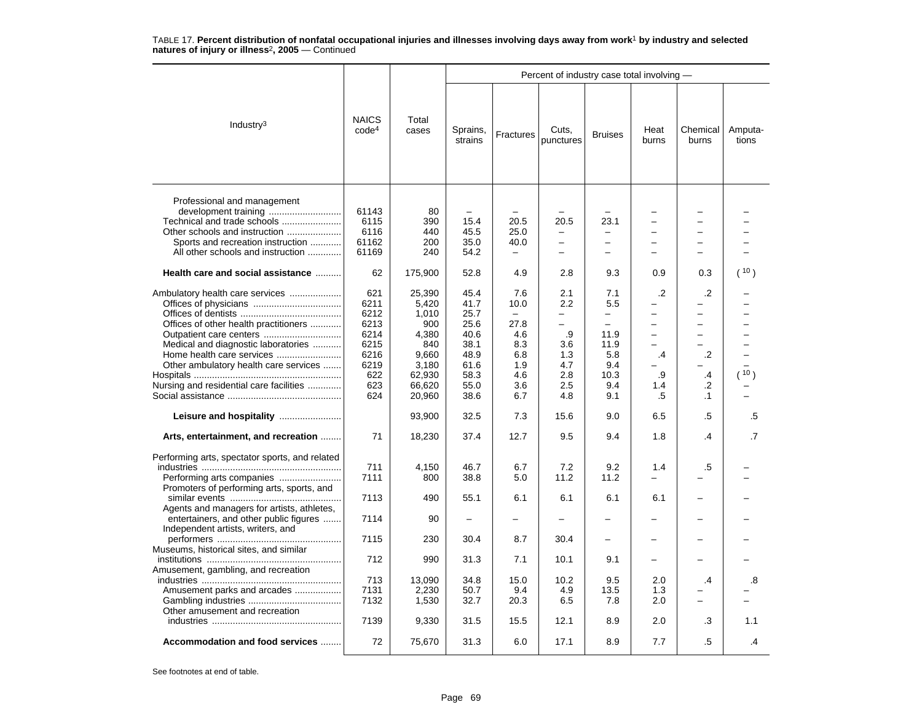|                                                                                                                                                                                                                                                                                                                                                                            |                                                                                  |                                                                                                 |                                                                                                  |                                                                                            | Percent of industry case total involving -                                                   |                                                                                                                        |                                                                   |                                                  |                  |
|----------------------------------------------------------------------------------------------------------------------------------------------------------------------------------------------------------------------------------------------------------------------------------------------------------------------------------------------------------------------------|----------------------------------------------------------------------------------|-------------------------------------------------------------------------------------------------|--------------------------------------------------------------------------------------------------|--------------------------------------------------------------------------------------------|----------------------------------------------------------------------------------------------|------------------------------------------------------------------------------------------------------------------------|-------------------------------------------------------------------|--------------------------------------------------|------------------|
| Industry $3$                                                                                                                                                                                                                                                                                                                                                               | <b>NAICS</b><br>code <sup>4</sup>                                                | Total<br>cases                                                                                  | Sprains,<br>strains                                                                              | Fractures                                                                                  | Cuts,<br>punctures                                                                           | <b>Bruises</b>                                                                                                         | Heat<br>burns                                                     | Chemical<br>burns                                | Amputa-<br>tions |
| Professional and management<br>Other schools and instruction<br>Sports and recreation instruction<br>All other schools and instruction                                                                                                                                                                                                                                     | 61143<br>6115<br>6116<br>61162<br>61169                                          | 80<br>390<br>440<br>200<br>240                                                                  | 15.4<br>45.5<br>35.0<br>54.2                                                                     | 20.5<br>25.0<br>40.0                                                                       | 20.5<br>$\overline{\phantom{0}}$<br>$\overline{\phantom{0}}$<br>$\overline{\phantom{0}}$     | 23.1<br>$\overline{\phantom{m}}$<br>$\overline{\phantom{0}}$<br>$\overline{\phantom{0}}$                               | $\equiv$                                                          | $\equiv$                                         |                  |
| Health care and social assistance                                                                                                                                                                                                                                                                                                                                          | 62                                                                               | 175,900                                                                                         | 52.8                                                                                             | 4.9                                                                                        | 2.8                                                                                          | 9.3                                                                                                                    | 0.9                                                               | 0.3                                              | (10)             |
| Ambulatory health care services<br>Offices of other health practitioners<br>Medical and diagnostic laboratories<br>Other ambulatory health care services<br>Nursing and residential care facilities                                                                                                                                                                        | 621<br>6211<br>6212<br>6213<br>6214<br>6215<br>6216<br>6219<br>622<br>623<br>624 | 25,390<br>5,420<br>1,010<br>900<br>4,380<br>840<br>9,660<br>3,180<br>62,930<br>66,620<br>20,960 | 45.4<br>41.7<br>25.7<br>25.6<br>40.6<br>38.1<br>48.9<br>61.6<br>58.3<br>55.0<br>38.6             | 7.6<br>10.0<br>$\equiv$<br>27.8<br>4.6<br>8.3<br>6.8<br>1.9<br>4.6<br>3.6<br>6.7           | 2.1<br>2.2<br>-<br>$\overline{\phantom{0}}$<br>.9<br>3.6<br>1.3<br>4.7<br>2.8<br>2.5<br>4.8  | 7.1<br>5.5<br>$\overline{\phantom{0}}$<br>$\overline{\phantom{0}}$<br>11.9<br>11.9<br>5.8<br>9.4<br>10.3<br>9.4<br>9.1 | $\cdot$<br>$\overline{\phantom{0}}$<br>-<br>.4<br>.9<br>1.4<br>.5 | $\cdot$<br>÷<br>.2<br>.4<br>$\cdot$<br>$\cdot$ 1 | ۱ 10 م           |
| Leisure and hospitality                                                                                                                                                                                                                                                                                                                                                    |                                                                                  | 93,900                                                                                          | 32.5                                                                                             | 7.3                                                                                        | 15.6                                                                                         | 9.0                                                                                                                    | 6.5                                                               | $.5\,$                                           | .5               |
| Arts, entertainment, and recreation                                                                                                                                                                                                                                                                                                                                        | 71                                                                               | 18,230                                                                                          | 37.4                                                                                             | 12.7                                                                                       | 9.5                                                                                          | 9.4                                                                                                                    | 1.8                                                               | $\overline{A}$                                   | .7               |
| Performing arts, spectator sports, and related<br>Promoters of performing arts, sports, and<br>Agents and managers for artists, athletes,<br>entertainers, and other public figures<br>Independent artists, writers, and<br>Museums, historical sites, and similar<br>Amusement, gambling, and recreation<br>Amusement parks and arcades<br>Other amusement and recreation | 711<br>7111<br>7113<br>7114<br>7115<br>712<br>713<br>7131<br>7132<br>7139        | 4,150<br>800<br>490<br>90<br>230<br>990<br>13,090<br>2,230<br>1,530<br>9,330                    | 46.7<br>38.8<br>55.1<br>$\overline{\phantom{0}}$<br>30.4<br>31.3<br>34.8<br>50.7<br>32.7<br>31.5 | 6.7<br>5.0<br>6.1<br>$\overline{\phantom{0}}$<br>8.7<br>7.1<br>15.0<br>9.4<br>20.3<br>15.5 | 7.2<br>11.2<br>6.1<br>$\overline{\phantom{0}}$<br>30.4<br>10.1<br>10.2<br>4.9<br>6.5<br>12.1 | 9.2<br>11.2<br>6.1<br>$\overline{\phantom{0}}$<br>-<br>9.1<br>9.5<br>13.5<br>7.8<br>8.9                                | 1.4<br>6.1<br>2.0<br>1.3<br>2.0<br>2.0                            | .5<br>$\cdot$<br>.3                              | .8<br>1.1        |
| Accommodation and food services                                                                                                                                                                                                                                                                                                                                            | 72                                                                               | 75,670                                                                                          | 31.3                                                                                             | 6.0                                                                                        | 17.1                                                                                         | 8.9                                                                                                                    | 7.7                                                               | .5                                               | .4               |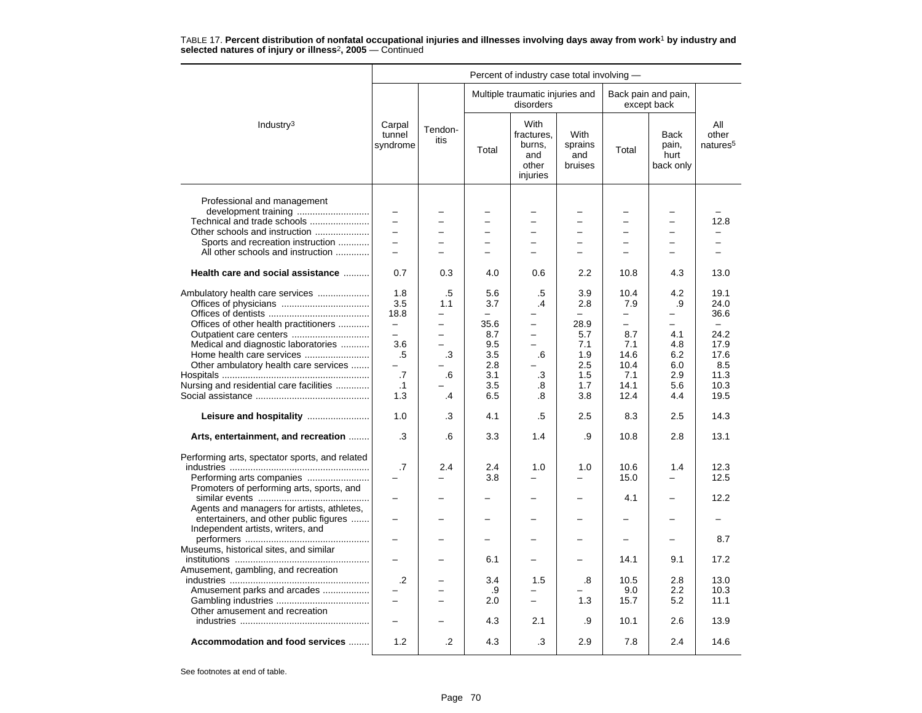|                                                                                    |                              |                          |                          | Percent of industry case total involving -                      |                                          |                               |                                           |                                      |
|------------------------------------------------------------------------------------|------------------------------|--------------------------|--------------------------|-----------------------------------------------------------------|------------------------------------------|-------------------------------|-------------------------------------------|--------------------------------------|
|                                                                                    |                              |                          |                          | Multiple traumatic injuries and<br>disorders                    |                                          |                               | Back pain and pain,<br>except back        |                                      |
| Industry <sup>3</sup>                                                              | Carpal<br>tunnel<br>syndrome | Tendon-<br>itis          | Total                    | <b>With</b><br>fractures.<br>burns,<br>and<br>other<br>injuries | <b>With</b><br>sprains<br>and<br>bruises | Total                         | <b>Back</b><br>pain,<br>hurt<br>back only | All<br>other<br>natures <sup>5</sup> |
| Professional and management<br>development training<br>Technical and trade schools | $\equiv$                     |                          |                          |                                                                 |                                          |                               | $\overline{\phantom{0}}$                  | 12.8                                 |
| Other schools and instruction                                                      |                              |                          | $\overline{\phantom{0}}$ |                                                                 |                                          |                               |                                           |                                      |
| Sports and recreation instruction                                                  | $\overline{\phantom{0}}$     | $\overline{a}$           | $\overline{\phantom{0}}$ | $\overline{\phantom{0}}$                                        | $\overline{\phantom{0}}$                 | $\overline{a}$                | $\overline{\phantom{0}}$                  |                                      |
| All other schools and instruction                                                  | $\equiv$                     | ÷                        | -                        |                                                                 | $\equiv$                                 | $\equiv$                      | -                                         |                                      |
| Health care and social assistance                                                  | 0.7                          | 0.3                      | 4.0                      | 0.6                                                             | 2.2                                      | 10.8                          | 4.3                                       | 13.0                                 |
| Ambulatory health care services                                                    | 1.8                          | .5                       | 5.6                      | .5                                                              | 3.9                                      | 10.4                          | 4.2                                       | 19.1                                 |
|                                                                                    | 3.5                          | 1.1                      | 3.7                      | .4                                                              | 2.8                                      | 7.9                           | .9                                        | 24.0                                 |
|                                                                                    | 18.8<br>$\equiv$             | -<br>$\equiv$            |                          |                                                                 |                                          | -<br>$\overline{\phantom{0}}$ |                                           | 36.6<br>$\equiv$                     |
| Offices of other health practitioners<br>Outpatient care centers                   |                              | $\overline{\phantom{0}}$ | 35.6<br>8.7              |                                                                 | 28.9<br>5.7                              | 8.7                           | 4.1                                       | 24.2                                 |
| Medical and diagnostic laboratories                                                | 3.6                          | ÷                        | 9.5                      | $\equiv$                                                        | 7.1                                      | 7.1                           | 4.8                                       | 17.9                                 |
| Home health care services                                                          | $.5\,$                       | .3                       | 3.5                      | .6                                                              | 1.9                                      | 14.6                          | 6.2                                       | 17.6                                 |
| Other ambulatory health care services                                              |                              |                          | 2.8                      |                                                                 | 2.5                                      | 10.4                          | 6.0                                       | 8.5                                  |
|                                                                                    | $\overline{.7}$              | .6                       | 3.1                      | .3                                                              | 1.5                                      | 7.1                           | 2.9                                       | 11.3                                 |
| Nursing and residential care facilities                                            | $\cdot$ 1                    |                          | 3.5                      | .8                                                              | 1.7                                      | 14.1                          | 5.6                                       | 10.3                                 |
|                                                                                    | 1.3                          | .4                       | 6.5                      | .8                                                              | 3.8                                      | 12.4                          | 4.4                                       | 19.5                                 |
| Leisure and hospitality                                                            | 1.0                          | .3                       | 4.1                      | .5                                                              | 2.5                                      | 8.3                           | 2.5                                       | 14.3                                 |
| Arts, entertainment, and recreation                                                | .3                           | .6                       | 3.3                      | 1.4                                                             | .9                                       | 10.8                          | 2.8                                       | 13.1                                 |
| Performing arts, spectator sports, and related                                     |                              |                          |                          |                                                                 |                                          |                               |                                           |                                      |
|                                                                                    | $.7\,$                       | 2.4                      | 2.4                      | 1.0                                                             | 1.0                                      | 10.6                          | 1.4                                       | 12.3                                 |
|                                                                                    |                              | ÷                        | 3.8                      |                                                                 |                                          | 15.0                          |                                           | 12.5                                 |
| Promoters of performing arts, sports, and                                          |                              |                          |                          |                                                                 |                                          |                               |                                           |                                      |
|                                                                                    |                              |                          |                          |                                                                 |                                          | 4.1                           |                                           | 12.2                                 |
| Agents and managers for artists, athletes,                                         |                              |                          |                          |                                                                 |                                          |                               |                                           |                                      |
| entertainers, and other public figures<br>Independent artists, writers, and        |                              |                          |                          |                                                                 |                                          |                               |                                           |                                      |
|                                                                                    |                              |                          |                          |                                                                 |                                          |                               |                                           | 8.7                                  |
| Museums, historical sites, and similar                                             |                              |                          |                          |                                                                 |                                          |                               |                                           |                                      |
|                                                                                    |                              |                          | 6.1                      |                                                                 |                                          | 14.1                          | 9.1                                       | 17.2                                 |
| Amusement, gambling, and recreation                                                |                              |                          |                          |                                                                 |                                          |                               |                                           |                                      |
|                                                                                    | $\cdot$                      |                          | 3.4                      | 1.5                                                             | .8                                       | 10.5                          | 2.8                                       | 13.0                                 |
| Amusement parks and arcades                                                        |                              |                          | .9                       | -                                                               |                                          | 9.0                           | 2.2                                       | 10.3                                 |
|                                                                                    |                              |                          | 2.0                      | $\equiv$                                                        | 1.3                                      | 15.7                          | 5.2                                       | 11.1                                 |
| Other amusement and recreation                                                     |                              |                          |                          |                                                                 |                                          |                               |                                           |                                      |
|                                                                                    |                              |                          | 4.3                      | 2.1                                                             | .9                                       | 10.1                          | 2.6                                       | 13.9                                 |
| Accommodation and food services                                                    | 1.2                          | $\cdot$                  | 4.3                      | .3                                                              | 2.9                                      | 7.8                           | 2.4                                       | 14.6                                 |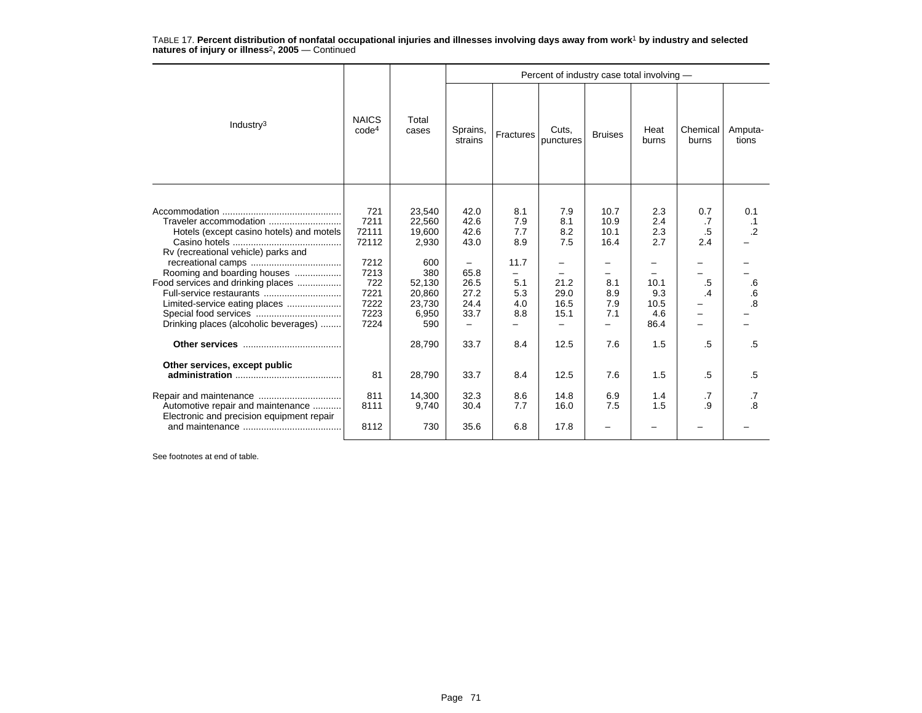|                                                                                                                                                                                                                                                                                     |                                                                                      |                                                                                                 | Percent of industry case total involving -                                     |                                                              |                                                          |                                                          |                                                                |                                             |                                                           |  |  |
|-------------------------------------------------------------------------------------------------------------------------------------------------------------------------------------------------------------------------------------------------------------------------------------|--------------------------------------------------------------------------------------|-------------------------------------------------------------------------------------------------|--------------------------------------------------------------------------------|--------------------------------------------------------------|----------------------------------------------------------|----------------------------------------------------------|----------------------------------------------------------------|---------------------------------------------|-----------------------------------------------------------|--|--|
| Industry <sup>3</sup>                                                                                                                                                                                                                                                               | <b>NAICS</b><br>code <sup>4</sup>                                                    | Total<br>cases                                                                                  | Sprains,<br>strains                                                            | Fractures                                                    | Cuts,<br>punctures                                       | <b>Bruises</b>                                           | Heat<br>burns                                                  | Chemical<br>burns                           | Amputa-<br>tions                                          |  |  |
| Traveler accommodation<br>Hotels (except casino hotels) and motels<br>Rv (recreational vehicle) parks and<br>Rooming and boarding houses<br>Food services and drinking places<br>Full-service restaurants<br>Limited-service eating places<br>Drinking places (alcoholic beverages) | 721<br>7211<br>72111<br>72112<br>7212<br>7213<br>722<br>7221<br>7222<br>7223<br>7224 | 23,540<br>22,560<br>19,600<br>2,930<br>600<br>380<br>52,130<br>20,860<br>23,730<br>6,950<br>590 | 42.0<br>42.6<br>42.6<br>43.0<br>-<br>65.8<br>26.5<br>27.2<br>24.4<br>33.7<br>- | 8.1<br>7.9<br>7.7<br>8.9<br>11.7<br>5.1<br>5.3<br>4.0<br>8.8 | 7.9<br>8.1<br>8.2<br>7.5<br>21.2<br>29.0<br>16.5<br>15.1 | 10.7<br>10.9<br>10.1<br>16.4<br>8.1<br>8.9<br>7.9<br>7.1 | 2.3<br>2.4<br>2.3<br>2.7<br>10.1<br>9.3<br>10.5<br>4.6<br>86.4 | 0.7<br>.7<br>$.5\,$<br>2.4<br>.5<br>.4<br>- | 0.1<br>.1<br>$\overline{2}$<br>.6<br>.6<br>$\overline{8}$ |  |  |
| Other services, except public                                                                                                                                                                                                                                                       |                                                                                      | 28,790                                                                                          | 33.7                                                                           | 8.4                                                          | 12.5                                                     | 7.6                                                      | 1.5                                                            | .5                                          | .5                                                        |  |  |
|                                                                                                                                                                                                                                                                                     | 81                                                                                   | 28,790                                                                                          | 33.7                                                                           | 8.4                                                          | 12.5                                                     | 7.6                                                      | 1.5                                                            | .5                                          | .5                                                        |  |  |
| Automotive repair and maintenance                                                                                                                                                                                                                                                   | 811<br>8111                                                                          | 14,300<br>9,740                                                                                 | 32.3<br>30.4                                                                   | 8.6<br>7.7                                                   | 14.8<br>16.0                                             | 6.9<br>7.5                                               | 1.4<br>1.5                                                     | .7<br>.9                                    | .7<br>.8                                                  |  |  |
| Electronic and precision equipment repair                                                                                                                                                                                                                                           | 8112                                                                                 | 730                                                                                             | 35.6                                                                           | 6.8                                                          | 17.8                                                     |                                                          |                                                                |                                             |                                                           |  |  |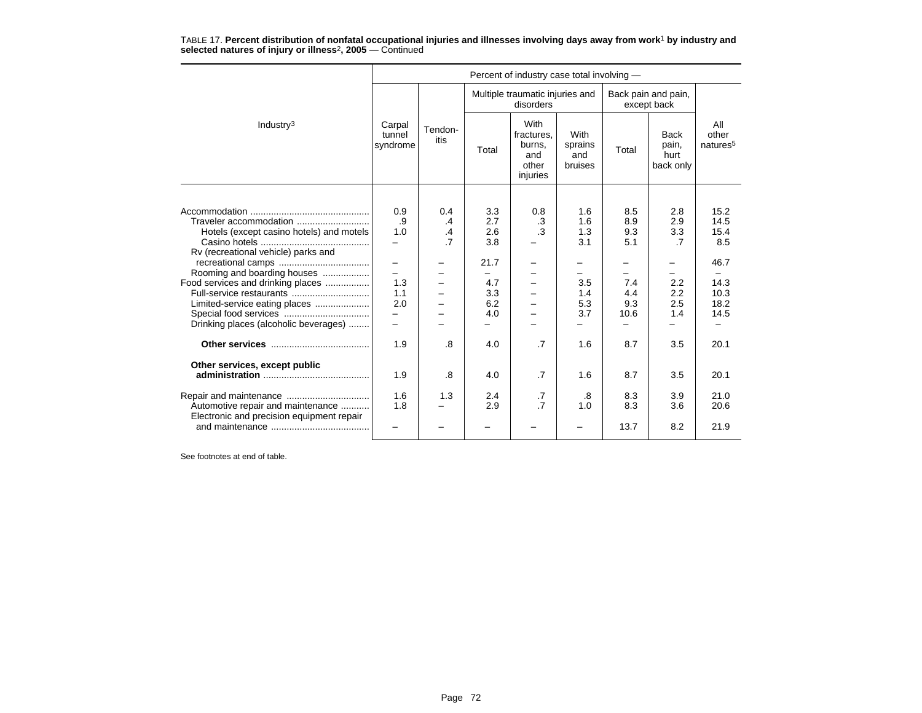|                                                                                                                                                                                                                                                                                     |                                                                   |                                   |                                                              | Percent of industry case total involving -                              |                                                           |       |                                                                                                                                                                                                                                                                                                                                 |                                                                     |
|-------------------------------------------------------------------------------------------------------------------------------------------------------------------------------------------------------------------------------------------------------------------------------------|-------------------------------------------------------------------|-----------------------------------|--------------------------------------------------------------|-------------------------------------------------------------------------|-----------------------------------------------------------|-------|---------------------------------------------------------------------------------------------------------------------------------------------------------------------------------------------------------------------------------------------------------------------------------------------------------------------------------|---------------------------------------------------------------------|
|                                                                                                                                                                                                                                                                                     |                                                                   |                                   |                                                              | Multiple traumatic injuries and<br>disorders                            |                                                           |       |                                                                                                                                                                                                                                                                                                                                 |                                                                     |
| Industry <sup>3</sup>                                                                                                                                                                                                                                                               | Carpal<br>tunnel<br>syndrome                                      | Tendon-<br>itis                   | Total                                                        | With<br>fractures,<br>burns,<br>and<br>other<br>injuries                | With<br>sprains<br>and<br>bruises                         | Total | Back pain and pain,<br>except back<br><b>Back</b><br>pain,<br>hurt<br>back only<br>8.5<br>2.8<br>8.9<br>2.9<br>9.3<br>3.3<br>5.1<br>$\overline{7}$<br>-<br>$\overline{\phantom{0}}$<br>7.4<br>2.2<br>2.2<br>4.4<br>9.3<br>2.5<br>1.4<br>$\overline{\phantom{0}}$<br>8.7<br>3.5<br>8.7<br>3.5<br>8.3<br>3.9<br>8.3<br>3.6<br>8.2 | All<br>other<br>natures <sup>5</sup>                                |
|                                                                                                                                                                                                                                                                                     |                                                                   |                                   |                                                              |                                                                         |                                                           |       |                                                                                                                                                                                                                                                                                                                                 |                                                                     |
| Traveler accommodation<br>Hotels (except casino hotels) and motels<br>Rv (recreational vehicle) parks and<br>Rooming and boarding houses<br>Food services and drinking places<br>Full-service restaurants<br>Limited-service eating places<br>Drinking places (alcoholic beverages) | 0.9<br>.9<br>1.0<br>$\overline{\phantom{0}}$<br>1.3<br>1.1<br>2.0 | 0.4<br>.4<br>.4<br>$\overline{7}$ | 3.3<br>2.7<br>2.6<br>3.8<br>21.7<br>4.7<br>3.3<br>6.2<br>4.0 | 0.8<br>.3<br>.3<br>$\overline{\phantom{0}}$<br>$\overline{\phantom{0}}$ | 1.6<br>1.6<br>1.3<br>3.1<br>-<br>3.5<br>1.4<br>5.3<br>3.7 | 10.6  |                                                                                                                                                                                                                                                                                                                                 | 15.2<br>14.5<br>15.4<br>8.5<br>46.7<br>14.3<br>10.3<br>18.2<br>14.5 |
|                                                                                                                                                                                                                                                                                     | 1.9                                                               | .8                                | 4.0                                                          | $\cdot$ 7                                                               | 1.6                                                       |       |                                                                                                                                                                                                                                                                                                                                 | 20.1                                                                |
| Other services, except public<br>Automotive repair and maintenance                                                                                                                                                                                                                  | 1.9<br>1.6<br>1.8                                                 | .8<br>1.3                         | 4.0<br>2.4<br>2.9                                            | $\cdot$ 7<br>.7<br>$\overline{.7}$                                      | 1.6<br>.8<br>1.0                                          |       |                                                                                                                                                                                                                                                                                                                                 | 20.1<br>21.0<br>20.6                                                |
| Electronic and precision equipment repair                                                                                                                                                                                                                                           |                                                                   |                                   |                                                              |                                                                         |                                                           | 13.7  |                                                                                                                                                                                                                                                                                                                                 | 21.9                                                                |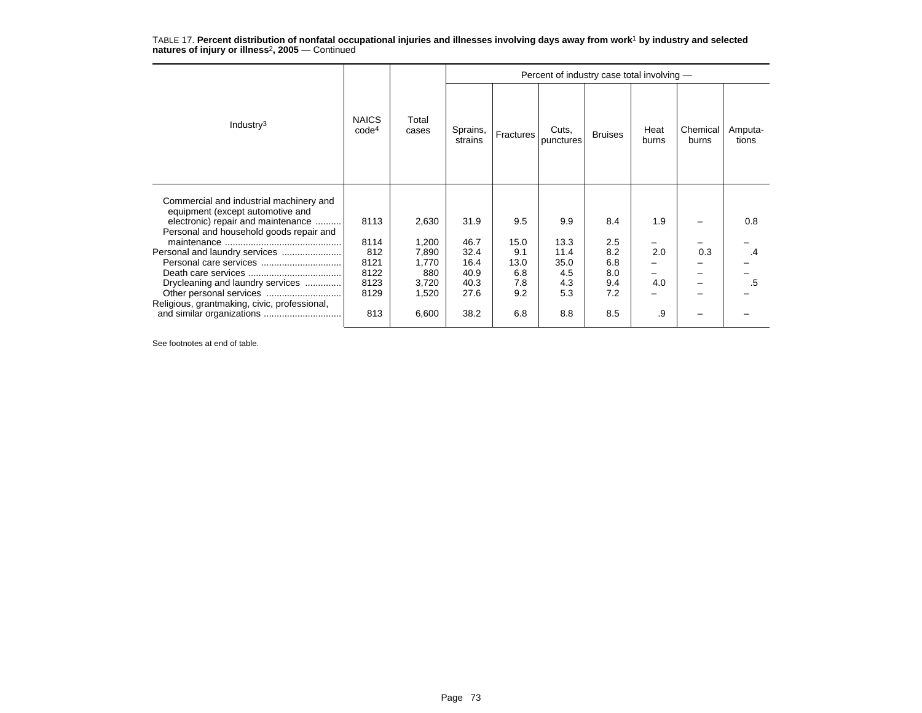TABLE 17. **Percent distribution of nonfatal occupational injuries and illnesses involving days away from work**<sup>1</sup> **by industry and selected natures of injury or illness**<sup>2</sup>**, 2005** — Continued

|                                                                                                                                                              |                                   | Total<br>cases | Percent of industry case total involving - |             |                    |                |               |                   |                  |
|--------------------------------------------------------------------------------------------------------------------------------------------------------------|-----------------------------------|----------------|--------------------------------------------|-------------|--------------------|----------------|---------------|-------------------|------------------|
| Industry $3$                                                                                                                                                 | <b>NAICS</b><br>code <sup>4</sup> |                | Sprains,<br>strains                        | Fractures   | Cuts,<br>punctures | <b>Bruises</b> | Heat<br>burns | Chemical<br>burns | Amputa-<br>tions |
| Commercial and industrial machinery and<br>equipment (except automotive and<br>electronic) repair and maintenance<br>Personal and household goods repair and | 8113                              | 2,630          | 31.9                                       | 9.5         | 9.9                | 8.4            | 1.9           |                   | 0.8              |
|                                                                                                                                                              | 8114                              | 1,200          | 46.7                                       | 15.0        | 13.3               | 2.5            |               |                   |                  |
| Personal and laundry services<br>Personal care services                                                                                                      | 812<br>8121                       | 7,890<br>1,770 | 32.4<br>16.4                               | 9.1<br>13.0 | 11.4<br>35.0       | 8.2<br>6.8     | 2.0           | 0.3               | .4               |
|                                                                                                                                                              | 8122                              | 880            | 40.9                                       | 6.8         | 4.5                | 8.0            |               |                   |                  |
| Drycleaning and laundry services                                                                                                                             | 8123                              | 3,720          | 40.3                                       | 7.8         | 4.3                | 9.4            | 4.0           |                   | .5               |
| Other personal services                                                                                                                                      | 8129                              | 1,520          | 27.6                                       | 9.2         | 5.3                | 7.2            |               |                   |                  |
| Religious, grantmaking, civic, professional,                                                                                                                 | 813                               | 6,600          | 38.2                                       | 6.8         | 8.8                | 8.5            | .9            |                   |                  |

See footnotes at end of table.